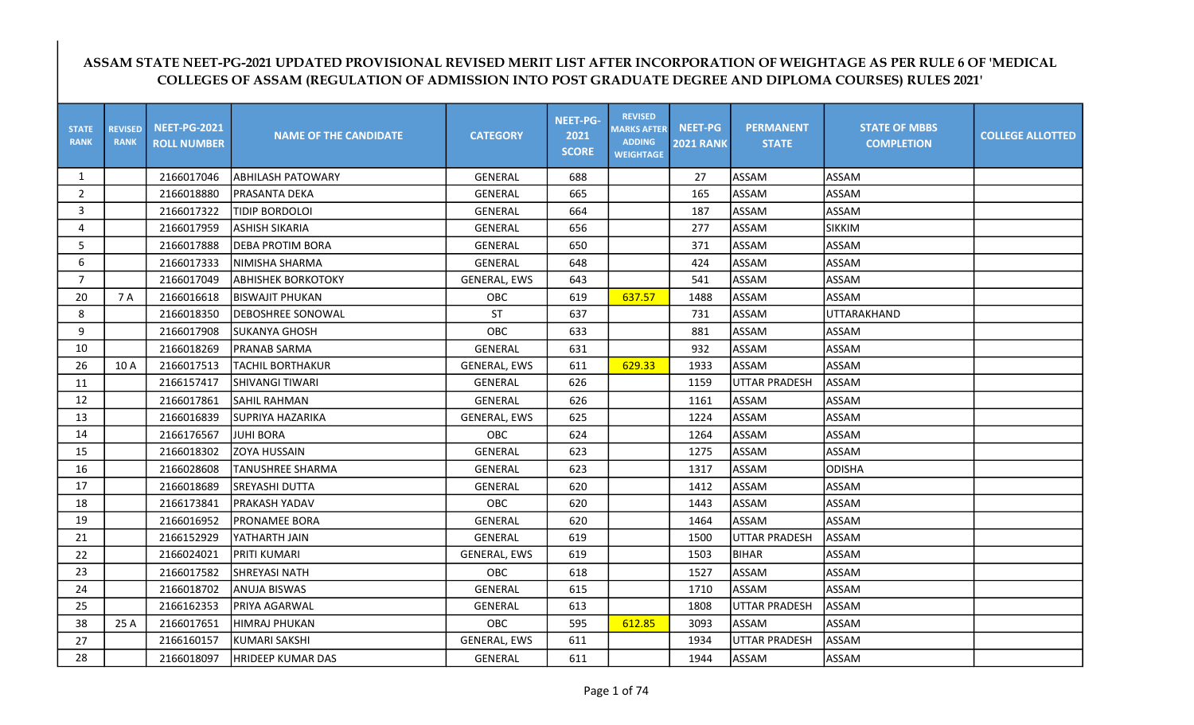## ASSAM STATE NEET-PG-2021 UPDATED PROVISIONAL REVISED MERIT LIST AFTER INCORPORATION OF WEIGHTAGE AS PER RULE 6 OF 'MEDICAL COLLEGES OF ASSAM (REGULATION OF ADMISSION INTO POST GRADUATE DEGREE AND DIPLOMA COURSES) RULES 2021'

| <b>STATE</b><br><b>RANK</b> | <b>REVISED</b><br><b>RANK</b> | <b>NEET-PG-2021</b><br><b>ROLL NUMBER</b> | <b>NAME OF THE CANDIDATE</b> | <b>CATEGORY</b>     | <b>NEET-PG-</b><br>2021<br><b>SCORE</b> | <b>REVISED</b><br><b>MARKS AFTER</b><br><b>ADDING</b><br><b>WEIGHTAGE</b> | <b>NEET-PG</b><br><b>2021 RANK</b> | <b>PERMANENT</b><br><b>STATE</b> | <b>STATE OF MBBS</b><br><b>COMPLETION</b> | <b>COLLEGE ALLOTTED</b> |
|-----------------------------|-------------------------------|-------------------------------------------|------------------------------|---------------------|-----------------------------------------|---------------------------------------------------------------------------|------------------------------------|----------------------------------|-------------------------------------------|-------------------------|
| $\mathbf{1}$                |                               | 2166017046                                | <b>ABHILASH PATOWARY</b>     | <b>GENERAL</b>      | 688                                     |                                                                           | 27                                 | <b>ASSAM</b>                     | ASSAM                                     |                         |
| $\overline{2}$              |                               | 2166018880                                | PRASANTA DEKA                | <b>GENERAL</b>      | 665                                     |                                                                           | 165                                | <b>ASSAM</b>                     | <b>ASSAM</b>                              |                         |
| 3                           |                               | 2166017322                                | <b>TIDIP BORDOLOI</b>        | GENERAL             | 664                                     |                                                                           | 187                                | <b>ASSAM</b>                     | ASSAM                                     |                         |
| 4                           |                               | 2166017959                                | <b>ASHISH SIKARIA</b>        | <b>GENERAL</b>      | 656                                     |                                                                           | 277                                | <b>ASSAM</b>                     | <b>SIKKIM</b>                             |                         |
| 5                           |                               | 2166017888                                | <b>DEBA PROTIM BORA</b>      | <b>GENERAL</b>      | 650                                     |                                                                           | 371                                | <b>ASSAM</b>                     | ASSAM                                     |                         |
| 6                           |                               | 2166017333                                | NIMISHA SHARMA               | <b>GENERAL</b>      | 648                                     |                                                                           | 424                                | ASSAM                            | ASSAM                                     |                         |
| $\overline{7}$              |                               | 2166017049                                | <b>ABHISHEK BORKOTOKY</b>    | <b>GENERAL, EWS</b> | 643                                     |                                                                           | 541                                | <b>ASSAM</b>                     | ASSAM                                     |                         |
| 20                          | 7 A                           | 2166016618                                | BISWAJIT PHUKAN              | OBC                 | 619                                     | 637.57                                                                    | 1488                               | <b>ASSAM</b>                     | ASSAM                                     |                         |
| 8                           |                               | 2166018350                                | DEBOSHREE SONOWAL            | <b>ST</b>           | 637                                     |                                                                           | 731                                | <b>ASSAM</b>                     | UTTARAKHAND                               |                         |
| 9                           |                               | 2166017908                                | SUKANYA GHOSH                | OBC                 | 633                                     |                                                                           | 881                                | ASSAM                            | ASSAM                                     |                         |
| 10                          |                               | 2166018269                                | <b>PRANAB SARMA</b>          | <b>GENERAL</b>      | 631                                     |                                                                           | 932                                | ASSAM                            | ASSAM                                     |                         |
| 26                          | 10 A                          | 2166017513                                | <b>TACHIL BORTHAKUR</b>      | <b>GENERAL, EWS</b> | 611                                     | 629.33                                                                    | 1933                               | <b>ASSAM</b>                     | ASSAM                                     |                         |
| 11                          |                               | 2166157417                                | SHIVANGI TIWARI              | GENERAL             | 626                                     |                                                                           | 1159                               | <b>UTTAR PRADESH</b>             | ASSAM                                     |                         |
| 12                          |                               | 2166017861                                | <b>SAHIL RAHMAN</b>          | <b>GENERAL</b>      | 626                                     |                                                                           | 1161                               | <b>ASSAM</b>                     | ASSAM                                     |                         |
| 13                          |                               | 2166016839                                | <b>SUPRIYA HAZARIKA</b>      | <b>GENERAL, EWS</b> | 625                                     |                                                                           | 1224                               | <b>ASSAM</b>                     | ASSAM                                     |                         |
| 14                          |                               | 2166176567                                | IJUHI BORA                   | OBC                 | 624                                     |                                                                           | 1264                               | <b>ASSAM</b>                     | ASSAM                                     |                         |
| 15                          |                               | 2166018302                                | <b>ZOYA HUSSAIN</b>          | <b>GENERAL</b>      | 623                                     |                                                                           | 1275                               | ASSAM                            | ASSAM                                     |                         |
| 16                          |                               | 2166028608                                | <b>TANUSHREE SHARMA</b>      | <b>GENERAL</b>      | 623                                     |                                                                           | 1317                               | ASSAM                            | ODISHA                                    |                         |
| 17                          |                               | 2166018689                                | SREYASHI DUTTA               | <b>GENERAL</b>      | 620                                     |                                                                           | 1412                               | <b>ASSAM</b>                     | ASSAM                                     |                         |
| 18                          |                               | 2166173841                                | PRAKASH YADAV                | OBC                 | 620                                     |                                                                           | 1443                               | ASSAM                            | ASSAM                                     |                         |
| 19                          |                               | 2166016952                                | PRONAMEE BORA                | <b>GENERAL</b>      | 620                                     |                                                                           | 1464                               | <b>ASSAM</b>                     | ASSAM                                     |                         |
| 21                          |                               | 2166152929                                | YATHARTH JAIN                | <b>GENERAL</b>      | 619                                     |                                                                           | 1500                               | <b>UTTAR PRADESH</b>             | ASSAM                                     |                         |
| 22                          |                               | 2166024021                                | <b>PRITI KUMARI</b>          | <b>GENERAL, EWS</b> | 619                                     |                                                                           | 1503                               | <b>BIHAR</b>                     | ASSAM                                     |                         |
| 23                          |                               | 2166017582                                | ISHREYASI NATH               | OBC                 | 618                                     |                                                                           | 1527                               | ASSAM                            | ASSAM                                     |                         |
| 24                          |                               | 2166018702                                | ANUJA BISWAS                 | <b>GENERAL</b>      | 615                                     |                                                                           | 1710                               | <b>ASSAM</b>                     | ASSAM                                     |                         |
| 25                          |                               | 2166162353                                | PRIYA AGARWAL                | GENERAL             | 613                                     |                                                                           | 1808                               | <b>UTTAR PRADESH</b>             | ASSAM                                     |                         |
| 38                          | 25 A                          | 2166017651                                | <b>HIMRAJ PHUKAN</b>         | OBC                 | 595                                     | 612.85                                                                    | 3093                               | <b>ASSAM</b>                     | ASSAM                                     |                         |
| 27                          |                               | 2166160157                                | <b>KUMARI SAKSHI</b>         | <b>GENERAL, EWS</b> | 611                                     |                                                                           | 1934                               | <b>UTTAR PRADESH</b>             | ASSAM                                     |                         |
| 28                          |                               | 2166018097                                | HRIDEEP KUMAR DAS            | <b>GENERAL</b>      | 611                                     |                                                                           | 1944                               | <b>ASSAM</b>                     | ASSAM                                     |                         |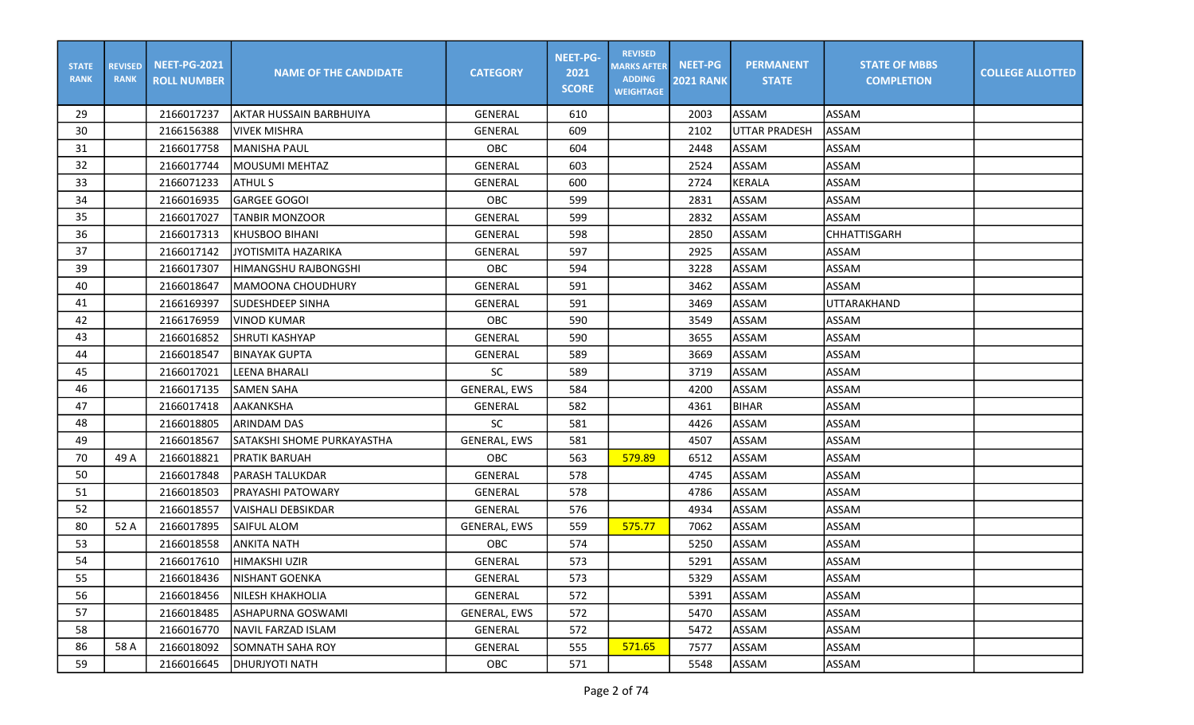| <b>STATE</b><br><b>RANK</b> | <b>REVISED</b><br><b>RANK</b> | <b>NEET-PG-2021</b><br><b>ROLL NUMBER</b> | <b>NAME OF THE CANDIDATE</b> | <b>CATEGORY</b>     | <b>NEET-PG-</b><br>2021<br><b>SCORE</b> | <b>REVISED</b><br><b>MARKS AFTER</b><br><b>ADDING</b><br><b>WEIGHTAGE</b> | <b>NEET-PG</b><br><b>2021 RANK</b> | <b>PERMANENT</b><br><b>STATE</b> | <b>STATE OF MBBS</b><br><b>COMPLETION</b> | <b>COLLEGE ALLOTTED</b> |
|-----------------------------|-------------------------------|-------------------------------------------|------------------------------|---------------------|-----------------------------------------|---------------------------------------------------------------------------|------------------------------------|----------------------------------|-------------------------------------------|-------------------------|
| 29                          |                               | 2166017237                                | laktar hussain barbhuiya     | GENERAL             | 610                                     |                                                                           | 2003                               | ASSAM                            | ASSAM                                     |                         |
| 30                          |                               | 2166156388                                | VIVEK MISHRA                 | <b>GENERAL</b>      | 609                                     |                                                                           | 2102                               | <b>UTTAR PRADESH</b>             | ASSAM                                     |                         |
| 31                          |                               | 2166017758                                | MANISHA PAUL                 | OBC                 | 604                                     |                                                                           | 2448                               | ASSAM                            | ASSAM                                     |                         |
| 32                          |                               | 2166017744                                | MOUSUMI MEHTAZ               | <b>GENERAL</b>      | 603                                     |                                                                           | 2524                               | ASSAM                            | ASSAM                                     |                         |
| 33                          |                               | 2166071233                                | <b>ATHUL S</b>               | <b>GENERAL</b>      | 600                                     |                                                                           | 2724                               | KERALA                           | <b>ASSAM</b>                              |                         |
| 34                          |                               | 2166016935                                | <b>GARGEE GOGOI</b>          | OBC                 | 599                                     |                                                                           | 2831                               | ASSAM                            | <b>ASSAM</b>                              |                         |
| 35                          |                               | 2166017027                                | <b>TANBIR MONZOOR</b>        | GENERAL             | 599                                     |                                                                           | 2832                               | ASSAM                            | <b>ASSAM</b>                              |                         |
| 36                          |                               | 2166017313                                | <b>KHUSBOO BIHANI</b>        | GENERAL             | 598                                     |                                                                           | 2850                               | ASSAM                            | <b>CHHATTISGARH</b>                       |                         |
| 37                          |                               | 2166017142                                | JYOTISMITA HAZARIKA          | GENERAL             | 597                                     |                                                                           | 2925                               | <b>ASSAM</b>                     | ASSAM                                     |                         |
| 39                          |                               | 2166017307                                | HIMANGSHU RAJBONGSHI         | OBC                 | 594                                     |                                                                           | 3228                               | ASSAM                            | <b>ASSAM</b>                              |                         |
| 40                          |                               | 2166018647                                | MAMOONA CHOUDHURY            | <b>GENERAL</b>      | 591                                     |                                                                           | 3462                               | ASSAM                            | ASSAM                                     |                         |
| 41                          |                               | 2166169397                                | <b>SUDESHDEEP SINHA</b>      | <b>GENERAL</b>      | 591                                     |                                                                           | 3469                               | ASSAM                            | <b>UTTARAKHAND</b>                        |                         |
| 42                          |                               | 2166176959                                | <b>VINOD KUMAR</b>           | OBC                 | 590                                     |                                                                           | 3549                               | ASSAM                            | <b>ASSAM</b>                              |                         |
| 43                          |                               | 2166016852                                | SHRUTI KASHYAP               | GENERAL             | 590                                     |                                                                           | 3655                               | ASSAM                            | <b>ASSAM</b>                              |                         |
| 44                          |                               | 2166018547                                | <b>BINAYAK GUPTA</b>         | GENERAL             | 589                                     |                                                                           | 3669                               | ASSAM                            | ASSAM                                     |                         |
| 45                          |                               | 2166017021                                | LEENA BHARALI                | <b>SC</b>           | 589                                     |                                                                           | 3719                               | <b>ASSAM</b>                     | ASSAM                                     |                         |
| 46                          |                               | 2166017135                                | <b>SAMEN SAHA</b>            | <b>GENERAL, EWS</b> | 584                                     |                                                                           | 4200                               | ASSAM                            | ASSAM                                     |                         |
| 47                          |                               | 2166017418                                | AAKANKSHA                    | <b>GENERAL</b>      | 582                                     |                                                                           | 4361                               | <b>BIHAR</b>                     | <b>ASSAM</b>                              |                         |
| 48                          |                               | 2166018805                                | <b>ARINDAM DAS</b>           | <b>SC</b>           | 581                                     |                                                                           | 4426                               | ASSAM                            | <b>ASSAM</b>                              |                         |
| 49                          |                               | 2166018567                                | SATAKSHI SHOME PURKAYASTHA   | <b>GENERAL, EWS</b> | 581                                     |                                                                           | 4507                               | ASSAM                            | <b>ASSAM</b>                              |                         |
| 70                          | 49 A                          | 2166018821                                | <b>PRATIK BARUAH</b>         | <b>OBC</b>          | 563                                     | 579.89                                                                    | 6512                               | <b>ASSAM</b>                     | ASSAM                                     |                         |
| 50                          |                               | 2166017848                                | <b>PARASH TALUKDAR</b>       | GENERAL             | 578                                     |                                                                           | 4745                               | ASSAM                            | ASSAM                                     |                         |
| 51                          |                               | 2166018503                                | <b>PRAYASHI PATOWARY</b>     | GENERAL             | 578                                     |                                                                           | 4786                               | ASSAM                            | ASSAM                                     |                         |
| 52                          |                               | 2166018557                                | lVAISHALI DEBSIKDAR          | GENERAL             | 576                                     |                                                                           | 4934                               | ASSAM                            | <b>ASSAM</b>                              |                         |
| 80                          | 52 A                          | 2166017895                                | <b>SAIFUL ALOM</b>           | GENERAL, EWS        | 559                                     | 575.77                                                                    | 7062                               | ASSAM                            | ASSAM                                     |                         |
| 53                          |                               | 2166018558                                | <b>ANKITA NATH</b>           | OBC                 | 574                                     |                                                                           | 5250                               | ASSAM                            | <b>ASSAM</b>                              |                         |
| 54                          |                               | 2166017610                                | HIMAKSHI UZIR                | GENERAL             | 573                                     |                                                                           | 5291                               | ASSAM                            | ASSAM                                     |                         |
| 55                          |                               | 2166018436                                | <b>NISHANT GOENKA</b>        | GENERAL             | 573                                     |                                                                           | 5329                               | ASSAM                            | <b>ASSAM</b>                              |                         |
| 56                          |                               | 2166018456                                | <b>NILESH KHAKHOLIA</b>      | GENERAL             | 572                                     |                                                                           | 5391                               | ASSAM                            | ASSAM                                     |                         |
| 57                          |                               | 2166018485                                | ASHAPURNA GOSWAMI            | <b>GENERAL, EWS</b> | 572                                     |                                                                           | 5470                               | ASSAM                            | ASSAM                                     |                         |
| 58                          |                               | 2166016770                                | NAVIL FARZAD ISLAM           | GENERAL             | 572                                     |                                                                           | 5472                               | ASSAM                            | ASSAM                                     |                         |
| 86                          | 58 A                          | 2166018092                                | <b>SOMNATH SAHA ROY</b>      | GENERAL             | 555                                     | 571.65                                                                    | 7577                               | ASSAM                            | ASSAM                                     |                         |
| 59                          |                               | 2166016645                                | <b>DHURJYOTI NATH</b>        | OBC                 | 571                                     |                                                                           | 5548                               | ASSAM                            | ASSAM                                     |                         |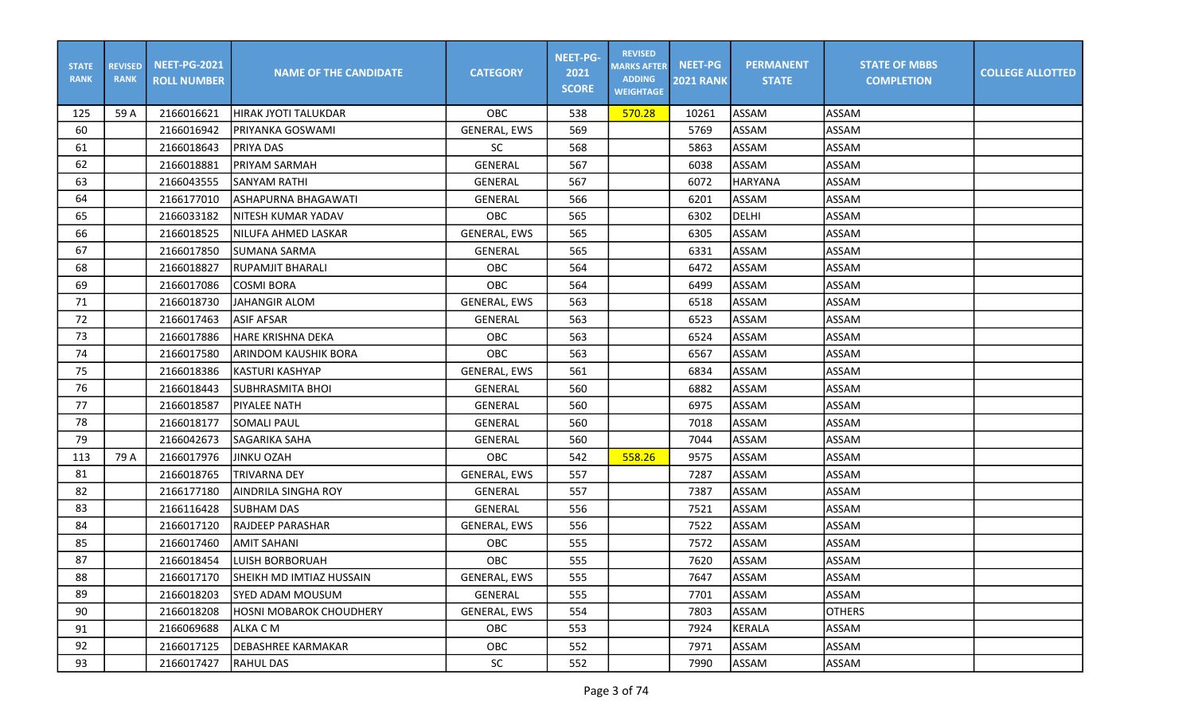| <b>STATE</b><br><b>RANK</b> | <b>REVISED</b><br><b>RANK</b> | <b>NEET-PG-2021</b><br><b>ROLL NUMBER</b> | <b>NAME OF THE CANDIDATE</b>     | <b>CATEGORY</b>     | <b>NEET-PG-</b><br>2021<br><b>SCORE</b> | <b>REVISED</b><br><b>MARKS AFTER</b><br><b>ADDING</b><br><b>WEIGHTAGE</b> | <b>NEET-PG</b><br><b>2021 RANK</b> | <b>PERMANENT</b><br><b>STATE</b> | <b>STATE OF MBBS</b><br><b>COMPLETION</b> | <b>COLLEGE ALLOTTED</b> |
|-----------------------------|-------------------------------|-------------------------------------------|----------------------------------|---------------------|-----------------------------------------|---------------------------------------------------------------------------|------------------------------------|----------------------------------|-------------------------------------------|-------------------------|
| 125                         | 59 A                          | 2166016621                                | <b>HIRAK JYOTI TALUKDAR</b>      | <b>OBC</b>          | 538                                     | 570.28                                                                    | 10261                              | ASSAM                            | <b>ASSAM</b>                              |                         |
| 60                          |                               | 2166016942                                | <b>PRIYANKA GOSWAMI</b>          | <b>GENERAL, EWS</b> | 569                                     |                                                                           | 5769                               | <b>ASSAM</b>                     | ASSAM                                     |                         |
| 61                          |                               | 2166018643                                | IPRIYA DAS                       | SC                  | 568                                     |                                                                           | 5863                               | ASSAM                            | ASSAM                                     |                         |
| 62                          |                               | 2166018881                                | PRIYAM SARMAH                    | <b>GENERAL</b>      | 567                                     |                                                                           | 6038                               | <b>ASSAM</b>                     | <b>ASSAM</b>                              |                         |
| 63                          |                               | 2166043555                                | <b>SANYAM RATHI</b>              | <b>GENERAL</b>      | 567                                     |                                                                           | 6072                               | <b>HARYANA</b>                   | <b>ASSAM</b>                              |                         |
| 64                          |                               | 2166177010                                | ASHAPURNA BHAGAWATI              | GENERAL             | 566                                     |                                                                           | 6201                               | ASSAM                            | <b>ASSAM</b>                              |                         |
| 65                          |                               | 2166033182                                | NITESH KUMAR YADAV               | <b>OBC</b>          | 565                                     |                                                                           | 6302                               | <b>DELHI</b>                     | ASSAM                                     |                         |
| 66                          |                               | 2166018525                                | NILUFA AHMED LASKAR              | <b>GENERAL, EWS</b> | 565                                     |                                                                           | 6305                               | ASSAM                            | ASSAM                                     |                         |
| 67                          |                               | 2166017850                                | SUMANA SARMA                     | GENERAL             | 565                                     |                                                                           | 6331                               | ASSAM                            | ASSAM                                     |                         |
| 68                          |                               | 2166018827                                | RUPAMJIT BHARALI                 | OBC                 | 564                                     |                                                                           | 6472                               | ASSAM                            | <b>ASSAM</b>                              |                         |
| 69                          |                               | 2166017086                                | <b>COSMI BORA</b>                | OBC                 | 564                                     |                                                                           | 6499                               | ASSAM                            | <b>ASSAM</b>                              |                         |
| 71                          |                               | 2166018730                                | <b>JAHANGIR ALOM</b>             | GENERAL, EWS        | 563                                     |                                                                           | 6518                               | ASSAM                            | <b>ASSAM</b>                              |                         |
| 72                          |                               | 2166017463                                | <b>ASIF AFSAR</b>                | <b>GENERAL</b>      | 563                                     |                                                                           | 6523                               | ASSAM                            | <b>ASSAM</b>                              |                         |
| 73                          |                               | 2166017886                                | HARE KRISHNA DEKA                | OBC                 | 563                                     |                                                                           | 6524                               | <b>ASSAM</b>                     | ASSAM                                     |                         |
| 74                          |                               | 2166017580                                | ARINDOM KAUSHIK BORA             | OBC                 | 563                                     |                                                                           | 6567                               | ASSAM                            | ASSAM                                     |                         |
| 75                          |                               | 2166018386                                | <b>KASTURI KASHYAP</b>           | GENERAL, EWS        | 561                                     |                                                                           | 6834                               | ASSAM                            | ASSAM                                     |                         |
| 76                          |                               | 2166018443                                | <b>SUBHRASMITA BHOI</b>          | GENERAL             | 560                                     |                                                                           | 6882                               | ASSAM                            | <b>ASSAM</b>                              |                         |
| 77                          |                               | 2166018587                                | <b>PIYALEE NATH</b>              | GENERAL             | 560                                     |                                                                           | 6975                               | ASSAM                            | <b>ASSAM</b>                              |                         |
| 78                          |                               | 2166018177                                | <b>SOMALI PAUL</b>               | GENERAL             | 560                                     |                                                                           | 7018                               | <b>ASSAM</b>                     | <b>ASSAM</b>                              |                         |
| 79                          |                               | 2166042673                                | SAGARIKA SAHA                    | GENERAL             | 560                                     |                                                                           | 7044                               | ASSAM                            | <b>ASSAM</b>                              |                         |
| 113                         | 79 A                          | 2166017976                                | <b>JINKU OZAH</b>                | OBC                 | 542                                     | 558.26                                                                    | 9575                               | ASSAM                            | ASSAM                                     |                         |
| 81                          |                               | 2166018765                                | <b>TRIVARNA DEY</b>              | GENERAL, EWS        | 557                                     |                                                                           | 7287                               | ASSAM                            | ASSAM                                     |                         |
| 82                          |                               | 2166177180                                | <b>AINDRILA SINGHA ROY</b>       | GENERAL             | 557                                     |                                                                           | 7387                               | ASSAM                            | <b>ASSAM</b>                              |                         |
| 83                          |                               | 2166116428                                | <b>SUBHAM DAS</b>                | GENERAL             | 556                                     |                                                                           | 7521                               | ASSAM                            | <b>ASSAM</b>                              |                         |
| 84                          |                               | 2166017120                                | <b>RAJDEEP PARASHAR</b>          | GENERAL, EWS        | 556                                     |                                                                           | 7522                               | ASSAM                            | <b>ASSAM</b>                              |                         |
| 85                          |                               | 2166017460                                | <b>AMIT SAHANI</b>               | <b>OBC</b>          | 555                                     |                                                                           | 7572                               | ASSAM                            | ASSAM                                     |                         |
| 87                          |                               | 2166018454                                | <b>LUISH BORBORUAH</b>           | OBC                 | 555                                     |                                                                           | 7620                               | ASSAM                            | ASSAM                                     |                         |
| 88                          |                               | 2166017170                                | <b>ISHEIKH MD IMTIAZ HUSSAIN</b> | GENERAL, EWS        | 555                                     |                                                                           | 7647                               | ASSAM                            | <b>ASSAM</b>                              |                         |
| 89                          |                               | 2166018203                                | SYED ADAM MOUSUM                 | GENERAL             | 555                                     |                                                                           | 7701                               | ASSAM                            | ASSAM                                     |                         |
| 90                          |                               | 2166018208                                | <b>HOSNI MOBAROK CHOUDHERY</b>   | <b>GENERAL, EWS</b> | 554                                     |                                                                           | 7803                               | ASSAM                            | <b>OTHERS</b>                             |                         |
| 91                          |                               | 2166069688                                | ALKA C M                         | <b>OBC</b>          | 553                                     |                                                                           | 7924                               | KERALA                           | ASSAM                                     |                         |
| 92                          |                               | 2166017125                                | IDEBASHREE KARMAKAR              | OBC                 | 552                                     |                                                                           | 7971                               | ASSAM                            | ASSAM                                     |                         |
| 93                          |                               | 2166017427                                | <b>RAHUL DAS</b>                 | SC                  | 552                                     |                                                                           | 7990                               | ASSAM                            | ASSAM                                     |                         |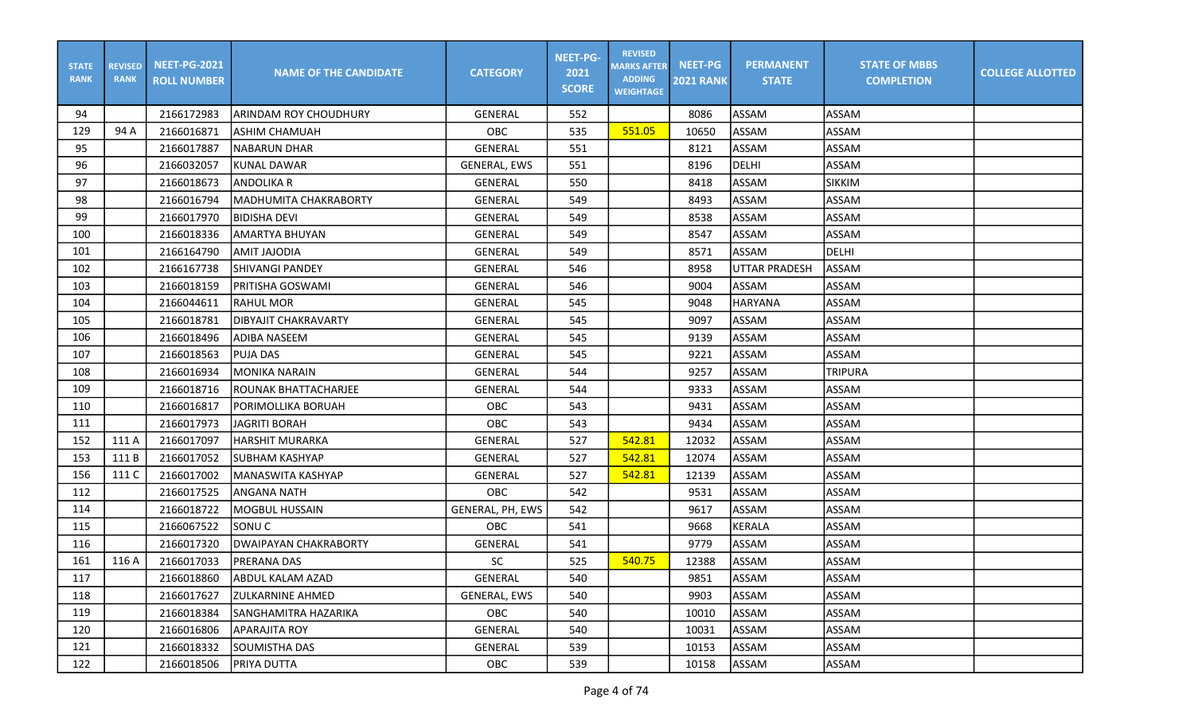| <b>STATE</b><br><b>RANK</b> | <b>REVISED</b><br><b>RANK</b> | <b>NEET-PG-2021</b><br><b>ROLL NUMBER</b> | <b>NAME OF THE CANDIDATE</b> | <b>CATEGORY</b>     | <b>NEET-PG-</b><br>2021<br><b>SCORE</b> | <b>REVISED</b><br><b>MARKS AFTER</b><br><b>ADDING</b><br><b>WEIGHTAGE</b> | <b>NEET-PG</b><br><b>2021 RANK</b> | <b>PERMANENT</b><br><b>STATE</b> | <b>STATE OF MBBS</b><br><b>COMPLETION</b> | <b>COLLEGE ALLOTTED</b> |
|-----------------------------|-------------------------------|-------------------------------------------|------------------------------|---------------------|-----------------------------------------|---------------------------------------------------------------------------|------------------------------------|----------------------------------|-------------------------------------------|-------------------------|
| 94                          |                               | 2166172983                                | ARINDAM ROY CHOUDHURY        | GENERAL             | 552                                     |                                                                           | 8086                               | ASSAM                            | ASSAM                                     |                         |
| 129                         | 94 A                          | 2166016871                                | ASHIM CHAMUAH                | <b>OBC</b>          | 535                                     | 551.05                                                                    | 10650                              | ASSAM                            | <b>ASSAM</b>                              |                         |
| 95                          |                               | 2166017887                                | <b>NABARUN DHAR</b>          | <b>GENERAL</b>      | 551                                     |                                                                           | 8121                               | ASSAM                            | ASSAM                                     |                         |
| 96                          |                               | 2166032057                                | <b>KUNAL DAWAR</b>           | <b>GENERAL, EWS</b> | 551                                     |                                                                           | 8196                               | <b>DELHI</b>                     | ASSAM                                     |                         |
| 97                          |                               | 2166018673                                | ANDOLIKA R                   | GENERAL             | 550                                     |                                                                           | 8418                               | ASSAM                            | <b>SIKKIM</b>                             |                         |
| 98                          |                               | 2166016794                                | <b>MADHUMITA CHAKRABORTY</b> | GENERAL             | 549                                     |                                                                           | 8493                               | ASSAM                            | <b>ASSAM</b>                              |                         |
| 99                          |                               | 2166017970                                | BIDISHA DEVI                 | GENERAL             | 549                                     |                                                                           | 8538                               | ASSAM                            | <b>ASSAM</b>                              |                         |
| 100                         |                               | 2166018336                                | <b>AMARTYA BHUYAN</b>        | GENERAL             | 549                                     |                                                                           | 8547                               | ASSAM                            | <b>ASSAM</b>                              |                         |
| 101                         |                               | 2166164790                                | ANIT JAJODIA                 | GENERAL             | 549                                     |                                                                           | 8571                               | ASSAM                            | DELHI                                     |                         |
| 102                         |                               | 2166167738                                | <b>SHIVANGI PANDEY</b>       | <b>GENERAL</b>      | 546                                     |                                                                           | 8958                               | <b>UTTAR PRADESH</b>             | ASSAM                                     |                         |
| 103                         |                               | 2166018159                                | PRITISHA GOSWAMI             | GENERAL             | 546                                     |                                                                           | 9004                               | ASSAM                            | <b>ASSAM</b>                              |                         |
| 104                         |                               | 2166044611                                | <b>RAHUL MOR</b>             | <b>GENERAL</b>      | 545                                     |                                                                           | 9048                               | <b>HARYANA</b>                   | <b>ASSAM</b>                              |                         |
| 105                         |                               | 2166018781                                | <b>DIBYAJIT CHAKRAVARTY</b>  | <b>GENERAL</b>      | 545                                     |                                                                           | 9097                               | ASSAM                            | <b>ASSAM</b>                              |                         |
| 106                         |                               | 2166018496                                | <b>ADIBA NASEEM</b>          | GENERAL             | 545                                     |                                                                           | 9139                               | ASSAM                            | <b>ASSAM</b>                              |                         |
| 107                         |                               | 2166018563                                | <b>PUJA DAS</b>              | GENERAL             | 545                                     |                                                                           | 9221                               | ASSAM                            | <b>ASSAM</b>                              |                         |
| 108                         |                               | 2166016934                                | MONIKA NARAIN                | GENERAL             | 544                                     |                                                                           | 9257                               | ASSAM                            | <b>TRIPURA</b>                            |                         |
| 109                         |                               | 2166018716                                | ROUNAK BHATTACHARJEE         | GENERAL             | 544                                     |                                                                           | 9333                               | ASSAM                            | ASSAM                                     |                         |
| 110                         |                               | 2166016817                                | PORIMOLLIKA BORUAH           | OBC                 | 543                                     |                                                                           | 9431                               | ASSAM                            | <b>ASSAM</b>                              |                         |
| 111                         |                               | 2166017973                                | JAGRITI BORAH                | OBC                 | 543                                     |                                                                           | 9434                               | ASSAM                            | <b>ASSAM</b>                              |                         |
| 152                         | 111 A                         | 2166017097                                | <b>HARSHIT MURARKA</b>       | GENERAL             | 527                                     | 542.81                                                                    | 12032                              | ASSAM                            | <b>ASSAM</b>                              |                         |
| 153                         | 111B                          | 2166017052                                | <b>SUBHAM KASHYAP</b>        | GENERAL             | 527                                     | 542.81                                                                    | 12074                              | ASSAM                            | <b>ASSAM</b>                              |                         |
| 156                         | 111 C                         | 2166017002                                | <b>MANASWITA KASHYAP</b>     | <b>GENERAL</b>      | 527                                     | 542.81                                                                    | 12139                              | ASSAM                            | ASSAM                                     |                         |
| 112                         |                               | 2166017525                                | <b>ANGANA NATH</b>           | OBC                 | 542                                     |                                                                           | 9531                               | ASSAM                            | ASSAM                                     |                         |
| 114                         |                               | 2166018722                                | MOGBUL HUSSAIN               | GENERAL, PH, EWS    | 542                                     |                                                                           | 9617                               | ASSAM                            | <b>ASSAM</b>                              |                         |
| 115                         |                               | 2166067522                                | SONU <sub>C</sub>            | OBC                 | 541                                     |                                                                           | 9668                               | <b>KERALA</b>                    | <b>ASSAM</b>                              |                         |
| 116                         |                               | 2166017320                                | <b>DWAIPAYAN CHAKRABORTY</b> | GENERAL             | 541                                     |                                                                           | 9779                               | ASSAM                            | <b>ASSAM</b>                              |                         |
| 161                         | 116 A                         | 2166017033                                | <b>PRERANA DAS</b>           | <b>SC</b>           | 525                                     | 540.75                                                                    | 12388                              | ASSAM                            | ASSAM                                     |                         |
| 117                         |                               | 2166018860                                | <b>ABDUL KALAM AZAD</b>      | GENERAL             | 540                                     |                                                                           | 9851                               | ASSAM                            | ASSAM                                     |                         |
| 118                         |                               | 2166017627                                | <b>ZULKARNINE AHMED</b>      | GENERAL, EWS        | 540                                     |                                                                           | 9903                               | ASSAM                            | ASSAM                                     |                         |
| 119                         |                               | 2166018384                                | SANGHAMITRA HAZARIKA         | OBC                 | 540                                     |                                                                           | 10010                              | ASSAM                            | ASSAM                                     |                         |
| 120                         |                               | 2166016806                                | APPARAJITA ROY               | GENERAL             | 540                                     |                                                                           | 10031                              | ASSAM                            | ASSAM                                     |                         |
| 121                         |                               | 2166018332                                | SOUMISTHA DAS                | GENERAL             | 539                                     |                                                                           | 10153                              | ASSAM                            | ASSAM                                     |                         |
| 122                         |                               | 2166018506                                | PRIYA DUTTA                  | OBC                 | 539                                     |                                                                           | 10158                              | ASSAM                            | ASSAM                                     |                         |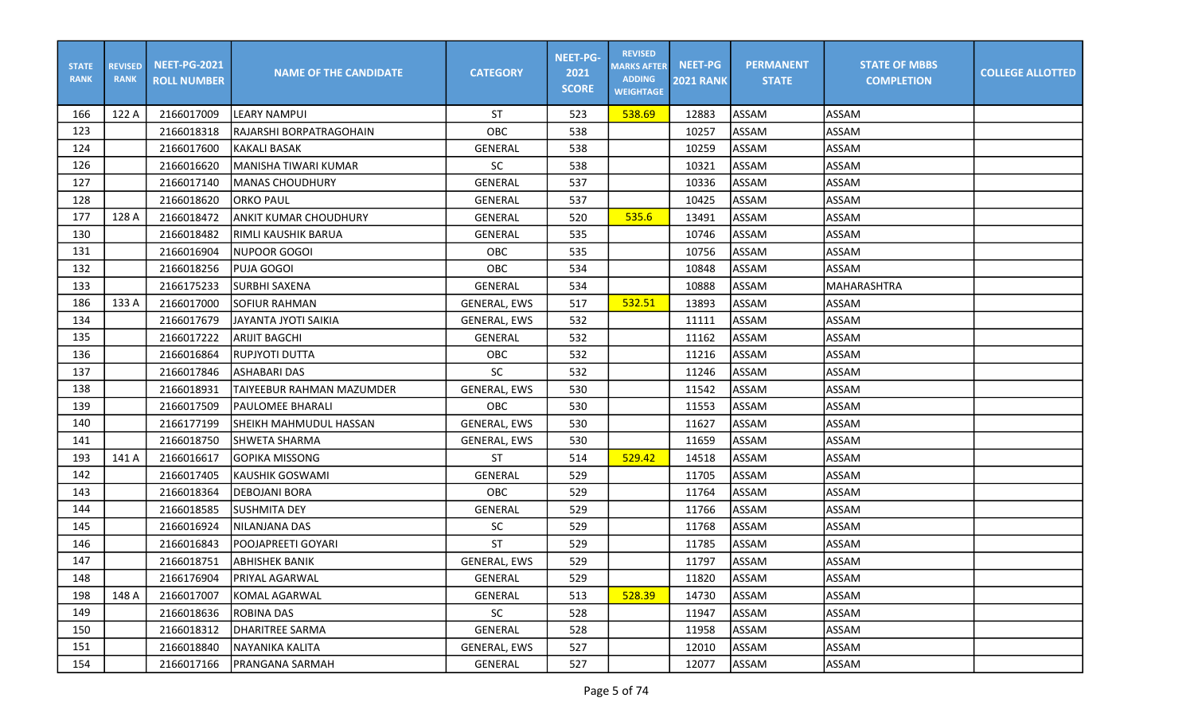| <b>STATE</b><br><b>RANK</b> | <b>REVISED</b><br><b>RANK</b> | <b>NEET-PG-2021</b><br><b>ROLL NUMBER</b> | <b>NAME OF THE CANDIDATE</b>  | <b>CATEGORY</b>     | <b>NEET-PG-</b><br>2021<br><b>SCORE</b> | <b>REVISED</b><br><b>MARKS AFTER</b><br><b>ADDING</b><br><b>WEIGHTAGE</b> | <b>NEET-PG</b><br><b>2021 RANK</b> | <b>PERMANENT</b><br><b>STATE</b> | <b>STATE OF MBBS</b><br><b>COMPLETION</b> | <b>COLLEGE ALLOTTED</b> |
|-----------------------------|-------------------------------|-------------------------------------------|-------------------------------|---------------------|-----------------------------------------|---------------------------------------------------------------------------|------------------------------------|----------------------------------|-------------------------------------------|-------------------------|
| 166                         | 122 A                         | 2166017009                                | <b>LEARY NAMPUI</b>           | <b>ST</b>           | 523                                     | 538.69                                                                    | 12883                              | ASSAM                            | <b>ASSAM</b>                              |                         |
| 123                         |                               | 2166018318                                | RAJARSHI BORPATRAGOHAIN       | OBC                 | 538                                     |                                                                           | 10257                              | ASSAM                            | <b>ASSAM</b>                              |                         |
| 124                         |                               | 2166017600                                | <b>KAKALI BASAK</b>           | <b>GENERAL</b>      | 538                                     |                                                                           | 10259                              | ASSAM                            | ASSAM                                     |                         |
| 126                         |                               | 2166016620                                | MANISHA TIWARI KUMAR          | SC                  | 538                                     |                                                                           | 10321                              | ASSAM                            | ASSAM                                     |                         |
| 127                         |                               | 2166017140                                | IMANAS CHOUDHURY              | GENERAL             | 537                                     |                                                                           | 10336                              | ASSAM                            | <b>ASSAM</b>                              |                         |
| 128                         |                               | 2166018620                                | <b>ORKO PAUL</b>              | <b>GENERAL</b>      | 537                                     |                                                                           | 10425                              | ASSAM                            | <b>ASSAM</b>                              |                         |
| 177                         | 128 A                         | 2166018472                                | <b>ANKIT KUMAR CHOUDHURY</b>  | GENERAL             | 520                                     | 535.6                                                                     | 13491                              | ASSAM                            | <b>ASSAM</b>                              |                         |
| 130                         |                               | 2166018482                                | RIMLI KAUSHIK BARUA           | GENERAL             | 535                                     |                                                                           | 10746                              | ASSAM                            | <b>ASSAM</b>                              |                         |
| 131                         |                               | 2166016904                                | NUPOOR GOGOI                  | OBC                 | 535                                     |                                                                           | 10756                              | ASSAM                            | ASSAM                                     |                         |
| 132                         |                               | 2166018256                                | PUJA GOGOI                    | OBC                 | 534                                     |                                                                           | 10848                              | ASSAM                            | <b>ASSAM</b>                              |                         |
| 133                         |                               | 2166175233                                | SURBHI SAXENA                 | GENERAL             | 534                                     |                                                                           | 10888                              | ASSAM                            | MAHARASHTRA                               |                         |
| 186                         | 133 A                         | 2166017000                                | <b>SOFIUR RAHMAN</b>          | GENERAL, EWS        | 517                                     | 532.51                                                                    | 13893                              | ASSAM                            | <b>ASSAM</b>                              |                         |
| 134                         |                               | 2166017679                                | <b>JAYANTA JYOTI SAIKIA</b>   | <b>GENERAL, EWS</b> | 532                                     |                                                                           | 11111                              | ASSAM                            | <b>ASSAM</b>                              |                         |
| 135                         |                               | 2166017222                                | <b>ARIJIT BAGCHI</b>          | GENERAL             | 532                                     |                                                                           | 11162                              | ASSAM                            | <b>ASSAM</b>                              |                         |
| 136                         |                               | 2166016864                                | RUPJYOTI DUTTA                | OBC                 | 532                                     |                                                                           | 11216                              | ASSAM                            | <b>ASSAM</b>                              |                         |
| 137                         |                               | 2166017846                                | IASHABARI DAS                 | <b>SC</b>           | 532                                     |                                                                           | 11246                              | ASSAM                            | ASSAM                                     |                         |
| 138                         |                               | 2166018931                                | TAIYEEBUR RAHMAN MAZUMDER     | GENERAL, EWS        | 530                                     |                                                                           | 11542                              | ASSAM                            | ASSAM                                     |                         |
| 139                         |                               | 2166017509                                | <b>PAULOMEE BHARALI</b>       | OBC                 | 530                                     |                                                                           | 11553                              | ASSAM                            | <b>ASSAM</b>                              |                         |
| 140                         |                               | 2166177199                                | <b>SHEIKH MAHMUDUL HASSAN</b> | <b>GENERAL, EWS</b> | 530                                     |                                                                           | 11627                              | ASSAM                            | <b>ASSAM</b>                              |                         |
| 141                         |                               | 2166018750                                | <b>SHWETA SHARMA</b>          | GENERAL, EWS        | 530                                     |                                                                           | 11659                              | ASSAM                            | <b>ASSAM</b>                              |                         |
| 193                         | 141 A                         | 2166016617                                | GOPIKA MISSONG                | <b>ST</b>           | 514                                     | 529.42                                                                    | 14518                              | ASSAM                            | <b>ASSAM</b>                              |                         |
| 142                         |                               | 2166017405                                | <b>KAUSHIK GOSWAMI</b>        | GENERAL             | 529                                     |                                                                           | 11705                              | ASSAM                            | ASSAM                                     |                         |
| 143                         |                               | 2166018364                                | <b>DEBOJANI BORA</b>          | OBC                 | 529                                     |                                                                           | 11764                              | <b>ASSAM</b>                     | ASSAM                                     |                         |
| 144                         |                               | 2166018585                                | <b>SUSHMITA DEY</b>           | GENERAL             | 529                                     |                                                                           | 11766                              | ASSAM                            | <b>ASSAM</b>                              |                         |
| 145                         |                               | 2166016924                                | NILANJANA DAS                 | SC                  | 529                                     |                                                                           | 11768                              | ASSAM                            | <b>ASSAM</b>                              |                         |
| 146                         |                               | 2166016843                                | POOJAPREETI GOYARI            | <b>ST</b>           | 529                                     |                                                                           | 11785                              | ASSAM                            | <b>ASSAM</b>                              |                         |
| 147                         |                               | 2166018751                                | <b>ABHISHEK BANIK</b>         | <b>GENERAL, EWS</b> | 529                                     |                                                                           | 11797                              | ASSAM                            | ASSAM                                     |                         |
| 148                         |                               | 2166176904                                | <b>PRIYAL AGARWAL</b>         | GENERAL             | 529                                     |                                                                           | 11820                              | ASSAM                            | <b>ASSAM</b>                              |                         |
| 198                         | 148 A                         | 2166017007                                | <b>KOMAL AGARWAL</b>          | GENERAL             | 513                                     | 528.39                                                                    | 14730                              | ASSAM                            | ASSAM                                     |                         |
| 149                         |                               | 2166018636                                | <b>ROBINA DAS</b>             | SC                  | 528                                     |                                                                           | 11947                              | <b>ASSAM</b>                     | ASSAM                                     |                         |
| 150                         |                               | 2166018312                                | DHARITREE SARMA               | GENERAL             | 528                                     |                                                                           | 11958                              | ASSAM                            | ASSAM                                     |                         |
| 151                         |                               | 2166018840                                | NAYANIKA KALITA               | <b>GENERAL, EWS</b> | 527                                     |                                                                           | 12010                              | ASSAM                            | ASSAM                                     |                         |
| 154                         |                               | 2166017166                                | <b>PRANGANA SARMAH</b>        | GENERAL             | 527                                     |                                                                           | 12077                              | ASSAM                            | ASSAM                                     |                         |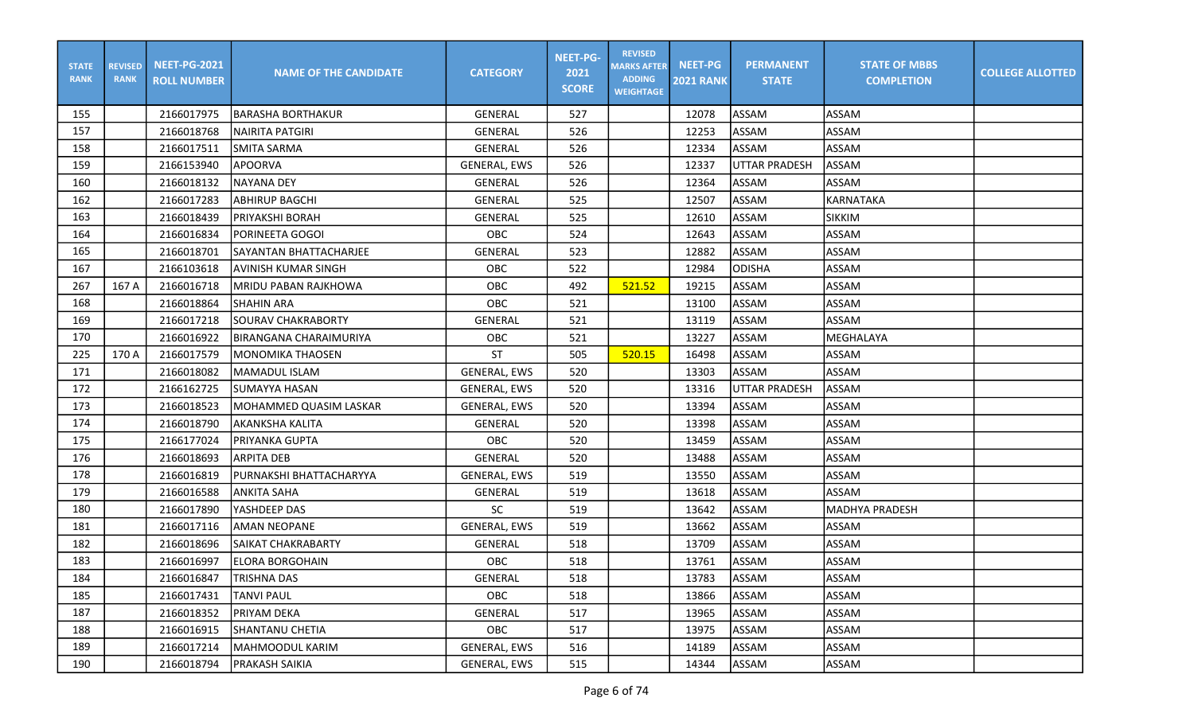| <b>STATE</b><br><b>RANK</b> | <b>REVISED</b><br><b>RANK</b> | <b>NEET-PG-2021</b><br><b>ROLL NUMBER</b> | <b>NAME OF THE CANDIDATE</b> | <b>CATEGORY</b>     | <b>NEET-PG-</b><br>2021<br><b>SCORE</b> | <b>REVISED</b><br><b>MARKS AFTER</b><br><b>ADDING</b><br><b>WEIGHTAGE</b> | <b>NEET-PG</b><br><b>2021 RANK</b> | <b>PERMANENT</b><br><b>STATE</b> | <b>STATE OF MBBS</b><br><b>COMPLETION</b> | <b>COLLEGE ALLOTTED</b> |
|-----------------------------|-------------------------------|-------------------------------------------|------------------------------|---------------------|-----------------------------------------|---------------------------------------------------------------------------|------------------------------------|----------------------------------|-------------------------------------------|-------------------------|
| 155                         |                               | 2166017975                                | <b>BARASHA BORTHAKUR</b>     | GENERAL             | 527                                     |                                                                           | 12078                              | ASSAM                            | <b>ASSAM</b>                              |                         |
| 157                         |                               | 2166018768                                | NAIRITA PATGIRI              | GENERAL             | 526                                     |                                                                           | 12253                              | ASSAM                            | <b>ASSAM</b>                              |                         |
| 158                         |                               | 2166017511                                | <b>SMITA SARMA</b>           | <b>GENERAL</b>      | 526                                     |                                                                           | 12334                              | ASSAM                            | <b>ASSAM</b>                              |                         |
| 159                         |                               | 2166153940                                | <b>APOORVA</b>               | <b>GENERAL, EWS</b> | 526                                     |                                                                           | 12337                              | <b>UTTAR PRADESH</b>             | ASSAM                                     |                         |
| 160                         |                               | 2166018132                                | INAYANA DEY                  | GENERAL             | 526                                     |                                                                           | 12364                              | ASSAM                            | ASSAM                                     |                         |
| 162                         |                               | 2166017283                                | <b>ABHIRUP BAGCHI</b>        | GENERAL             | 525                                     |                                                                           | 12507                              | ASSAM                            | <b>KARNATAKA</b>                          |                         |
| 163                         |                               | 2166018439                                | <b>PRIYAKSHI BORAH</b>       | GENERAL             | 525                                     |                                                                           | 12610                              | ASSAM                            | <b>SIKKIM</b>                             |                         |
| 164                         |                               | 2166016834                                | <b>PORINEETA GOGOI</b>       | OBC                 | 524                                     |                                                                           | 12643                              | ASSAM                            | <b>ASSAM</b>                              |                         |
| 165                         |                               | 2166018701                                | ISAYANTAN BHATTACHARJEE      | GENERAL             | 523                                     |                                                                           | 12882                              | ASSAM                            | ASSAM                                     |                         |
| 167                         |                               | 2166103618                                | AVINISH KUMAR SINGH          | OBC                 | 522                                     |                                                                           | 12984                              | <b>ODISHA</b>                    | ASSAM                                     |                         |
| 267                         | 167 A                         | 2166016718                                | MRIDU PABAN RAJKHOWA         | OBC                 | 492                                     | 521.52                                                                    | 19215                              | ASSAM                            | <b>ASSAM</b>                              |                         |
| 168                         |                               | 2166018864                                | <b>SHAHIN ARA</b>            | OBC                 | 521                                     |                                                                           | 13100                              | ASSAM                            | <b>ASSAM</b>                              |                         |
| 169                         |                               | 2166017218                                | <b>SOURAV CHAKRABORTY</b>    | <b>GENERAL</b>      | 521                                     |                                                                           | 13119                              | ASSAM                            | <b>ASSAM</b>                              |                         |
| 170                         |                               | 2166016922                                | BIRANGANA CHARAIMURIYA       | OBC                 | 521                                     |                                                                           | 13227                              | ASSAM                            | MEGHALAYA                                 |                         |
| 225                         | 170 A                         | 2166017579                                | <b>MONOMIKA THAOSEN</b>      | <b>ST</b>           | 505                                     | 520.15                                                                    | 16498                              | ASSAM                            | <b>ASSAM</b>                              |                         |
| 171                         |                               | 2166018082                                | MAMADUL ISLAM                | <b>GENERAL, EWS</b> | 520                                     |                                                                           | 13303                              | <b>ASSAM</b>                     | ASSAM                                     |                         |
| 172                         |                               | 2166162725                                | <b>SUMAYYA HASAN</b>         | GENERAL, EWS        | 520                                     |                                                                           | 13316                              | <b>UTTAR PRADESH</b>             | ASSAM                                     |                         |
| 173                         |                               | 2166018523                                | MOHAMMED QUASIM LASKAR       | <b>GENERAL, EWS</b> | 520                                     |                                                                           | 13394                              | ASSAM                            | <b>ASSAM</b>                              |                         |
| 174                         |                               | 2166018790                                | AKANKSHA KALITA              | GENERAL             | 520                                     |                                                                           | 13398                              | ASSAM                            | <b>ASSAM</b>                              |                         |
| 175                         |                               | 2166177024                                | PRIYANKA GUPTA               | OBC                 | 520                                     |                                                                           | 13459                              | ASSAM                            | <b>ASSAM</b>                              |                         |
| 176                         |                               | 2166018693                                | IARPITA DEB                  | GENERAL             | 520                                     |                                                                           | 13488                              | ASSAM                            | ASSAM                                     |                         |
| 178                         |                               | 2166016819                                | PURNAKSHI BHATTACHARYYA      | <b>GENERAL, EWS</b> | 519                                     |                                                                           | 13550                              | ASSAM                            | ASSAM                                     |                         |
| 179                         |                               | 2166016588                                | <b>ANKITA SAHA</b>           | GENERAL             | 519                                     |                                                                           | 13618                              | ASSAM                            | <b>ASSAM</b>                              |                         |
| 180                         |                               | 2166017890                                | YASHDEEP DAS                 | <b>SC</b>           | 519                                     |                                                                           | 13642                              | ASSAM                            | <b>MADHYA PRADESH</b>                     |                         |
| 181                         |                               | 2166017116                                | <b>AMAN NEOPANE</b>          | GENERAL, EWS        | 519                                     |                                                                           | 13662                              | ASSAM                            | <b>ASSAM</b>                              |                         |
| 182                         |                               | 2166018696                                | ISAIKAT CHAKRABARTY          | GENERAL             | 518                                     |                                                                           | 13709                              | ASSAM                            | <b>ASSAM</b>                              |                         |
| 183                         |                               | 2166016997                                | <b>ELORA BORGOHAIN</b>       | OBC                 | 518                                     |                                                                           | 13761                              | ASSAM                            | ASSAM                                     |                         |
| 184                         |                               | 2166016847                                | <b>TRISHNA DAS</b>           | GENERAL             | 518                                     |                                                                           | 13783                              | ASSAM                            | <b>ASSAM</b>                              |                         |
| 185                         |                               | 2166017431                                | <b>TANVI PAUL</b>            | OBC                 | 518                                     |                                                                           | 13866                              | ASSAM                            | ASSAM                                     |                         |
| 187                         |                               | 2166018352                                | PRIYAM DEKA                  | GENERAL             | 517                                     |                                                                           | 13965                              | ASSAM                            | ASSAM                                     |                         |
| 188                         |                               | 2166016915                                | SHANTANU CHETIA              | OBC                 | 517                                     |                                                                           | 13975                              | ASSAM                            | ASSAM                                     |                         |
| 189                         |                               | 2166017214                                | MAHMOODUL KARIM              | GENERAL, EWS        | 516                                     |                                                                           | 14189                              | ASSAM                            | ASSAM                                     |                         |
| 190                         |                               | 2166018794                                | <b>PRAKASH SAIKIA</b>        | GENERAL, EWS        | 515                                     |                                                                           | 14344                              | ASSAM                            | ASSAM                                     |                         |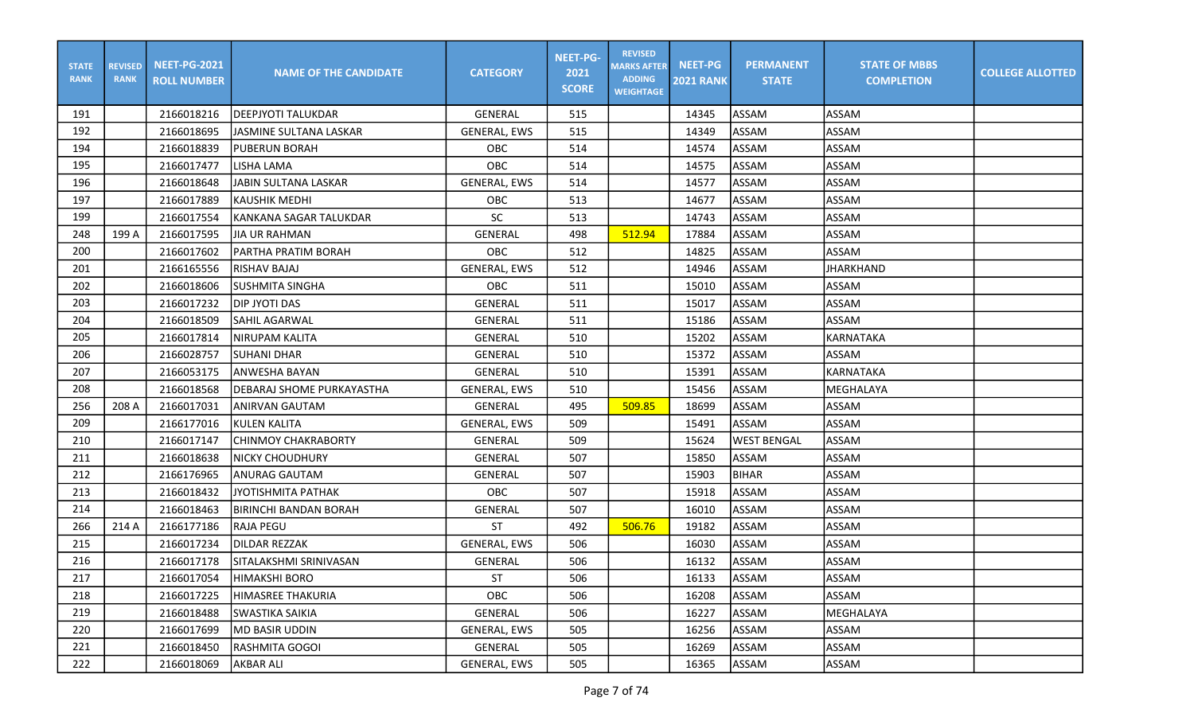| <b>STATE</b><br><b>RANK</b> | <b>REVISED</b><br><b>RANK</b> | <b>NEET-PG-2021</b><br><b>ROLL NUMBER</b> | <b>NAME OF THE CANDIDATE</b> | <b>CATEGORY</b>     | <b>NEET-PG-</b><br>2021<br><b>SCORE</b> | <b>REVISED</b><br><b>MARKS AFTER</b><br><b>ADDING</b><br><b>WEIGHTAGE</b> | <b>NEET-PG</b><br><b>2021 RANK</b> | <b>PERMANENT</b><br><b>STATE</b> | <b>STATE OF MBBS</b><br><b>COMPLETION</b> | <b>COLLEGE ALLOTTED</b> |
|-----------------------------|-------------------------------|-------------------------------------------|------------------------------|---------------------|-----------------------------------------|---------------------------------------------------------------------------|------------------------------------|----------------------------------|-------------------------------------------|-------------------------|
| 191                         |                               | 2166018216                                | DEEPJYOTI TALUKDAR           | GENERAL             | 515                                     |                                                                           | 14345                              | ASSAM                            | ASSAM                                     |                         |
| 192                         |                               | 2166018695                                | JASMINE SULTANA LASKAR       | GENERAL, EWS        | 515                                     |                                                                           | 14349                              | ASSAM                            | <b>ASSAM</b>                              |                         |
| 194                         |                               | 2166018839                                | <b>PUBERUN BORAH</b>         | OBC                 | 514                                     |                                                                           | 14574                              | ASSAM                            | ASSAM                                     |                         |
| 195                         |                               | 2166017477                                | <b>LISHA LAMA</b>            | OBC                 | 514                                     |                                                                           | 14575                              | ASSAM                            | ASSAM                                     |                         |
| 196                         |                               | 2166018648                                | JABIN SULTANA LASKAR         | <b>GENERAL, EWS</b> | 514                                     |                                                                           | 14577                              | ASSAM                            | <b>ASSAM</b>                              |                         |
| 197                         |                               | 2166017889                                | KAUSHIK MEDHI                | OBC                 | 513                                     |                                                                           | 14677                              | ASSAM                            | <b>ASSAM</b>                              |                         |
| 199                         |                               | 2166017554                                | KANKANA SAGAR TALUKDAR       | <b>SC</b>           | 513                                     |                                                                           | 14743                              | ASSAM                            | <b>ASSAM</b>                              |                         |
| 248                         | 199 A                         | 2166017595                                | <b>JIA UR RAHMAN</b>         | GENERAL             | 498                                     | 512.94                                                                    | 17884                              | ASSAM                            | <b>ASSAM</b>                              |                         |
| 200                         |                               | 2166017602                                | PARTHA PRATIM BORAH          | OBC                 | 512                                     |                                                                           | 14825                              | ASSAM                            | ASSAM                                     |                         |
| 201                         |                               | 2166165556                                | RISHAV BAJAJ                 | <b>GENERAL, EWS</b> | 512                                     |                                                                           | 14946                              | ASSAM                            | <b>JHARKHAND</b>                          |                         |
| 202                         |                               | 2166018606                                | SUSHMITA SINGHA              | <b>OBC</b>          | 511                                     |                                                                           | 15010                              | <b>ASSAM</b>                     | <b>ASSAM</b>                              |                         |
| 203                         |                               | 2166017232                                | <b>DIP JYOTI DAS</b>         | <b>GENERAL</b>      | 511                                     |                                                                           | 15017                              | ASSAM                            | <b>ASSAM</b>                              |                         |
| 204                         |                               | 2166018509                                | <b>SAHIL AGARWAL</b>         | <b>GENERAL</b>      | 511                                     |                                                                           | 15186                              | ASSAM                            | <b>ASSAM</b>                              |                         |
| 205                         |                               | 2166017814                                | NIRUPAM KALITA               | GENERAL             | 510                                     |                                                                           | 15202                              | ASSAM                            | <b>KARNATAKA</b>                          |                         |
| 206                         |                               | 2166028757                                | <b>SUHANI DHAR</b>           | GENERAL             | 510                                     |                                                                           | 15372                              | ASSAM                            | <b>ASSAM</b>                              |                         |
| 207                         |                               | 2166053175                                | ANWESHA BAYAN                | GENERAL             | 510                                     |                                                                           | 15391                              | <b>ASSAM</b>                     | KARNATAKA                                 |                         |
| 208                         |                               | 2166018568                                | DEBARAJ SHOME PURKAYASTHA    | GENERAL, EWS        | 510                                     |                                                                           | 15456                              | ASSAM                            | MEGHALAYA                                 |                         |
| 256                         | 208 A                         | 2166017031                                | <b>ANIRVAN GAUTAM</b>        | GENERAL             | 495                                     | 509.85                                                                    | 18699                              | ASSAM                            | <b>ASSAM</b>                              |                         |
| 209                         |                               | 2166177016                                | KULEN KALITA                 | GENERAL, EWS        | 509                                     |                                                                           | 15491                              | ASSAM                            | <b>ASSAM</b>                              |                         |
| 210                         |                               | 2166017147                                | <b>CHINMOY CHAKRABORTY</b>   | <b>GENERAL</b>      | 509                                     |                                                                           | 15624                              | <b>WEST BENGAL</b>               | <b>ASSAM</b>                              |                         |
| 211                         |                               | 2166018638                                | NICKY CHOUDHURY              | GENERAL             | 507                                     |                                                                           | 15850                              | ASSAM                            | <b>ASSAM</b>                              |                         |
| 212                         |                               | 2166176965                                | <b>ANURAG GAUTAM</b>         | <b>GENERAL</b>      | 507                                     |                                                                           | 15903                              | <b>BIHAR</b>                     | ASSAM                                     |                         |
| 213                         |                               | 2166018432                                | JYOTISHMITA PATHAK           | OBC                 | 507                                     |                                                                           | 15918                              | ASSAM                            | <b>ASSAM</b>                              |                         |
| 214                         |                               | 2166018463                                | IBIRINCHI BANDAN BORAH       | GENERAL             | 507                                     |                                                                           | 16010                              | ASSAM                            | ASSAM                                     |                         |
| 266                         | 214 A                         | 2166177186                                | <b>RAJA PEGU</b>             | <b>ST</b>           | 492                                     | 506.76                                                                    | 19182                              | ASSAM                            | <b>ASSAM</b>                              |                         |
| 215                         |                               | 2166017234                                | <b>DILDAR REZZAK</b>         | GENERAL, EWS        | 506                                     |                                                                           | 16030                              | ASSAM                            | <b>ASSAM</b>                              |                         |
| 216                         |                               | 2166017178                                | SITALAKSHMI SRINIVASAN       | <b>GENERAL</b>      | 506                                     |                                                                           | 16132                              | ASSAM                            | ASSAM                                     |                         |
| 217                         |                               | 2166017054                                | <b>HIMAKSHI BORO</b>         | <b>ST</b>           | 506                                     |                                                                           | 16133                              | ASSAM                            | ASSAM                                     |                         |
| 218                         |                               | 2166017225                                | <b>HIMASREE THAKURIA</b>     | OBC                 | 506                                     |                                                                           | 16208                              | ASSAM                            | ASSAM                                     |                         |
| 219                         |                               | 2166018488                                | <b>SWASTIKA SAIKIA</b>       | GENERAL             | 506                                     |                                                                           | 16227                              | ASSAM                            | MEGHALAYA                                 |                         |
| 220                         |                               | 2166017699                                | MD BASIR UDDIN               | GENERAL, EWS        | 505                                     |                                                                           | 16256                              | ASSAM                            | ASSAM                                     |                         |
| 221                         |                               | 2166018450                                | RASHMITA GOGOI               | GENERAL             | 505                                     |                                                                           | 16269                              | ASSAM                            | ASSAM                                     |                         |
| 222                         |                               | 2166018069                                | AKBAR ALI                    | GENERAL, EWS        | 505                                     |                                                                           | 16365                              | ASSAM                            | ASSAM                                     |                         |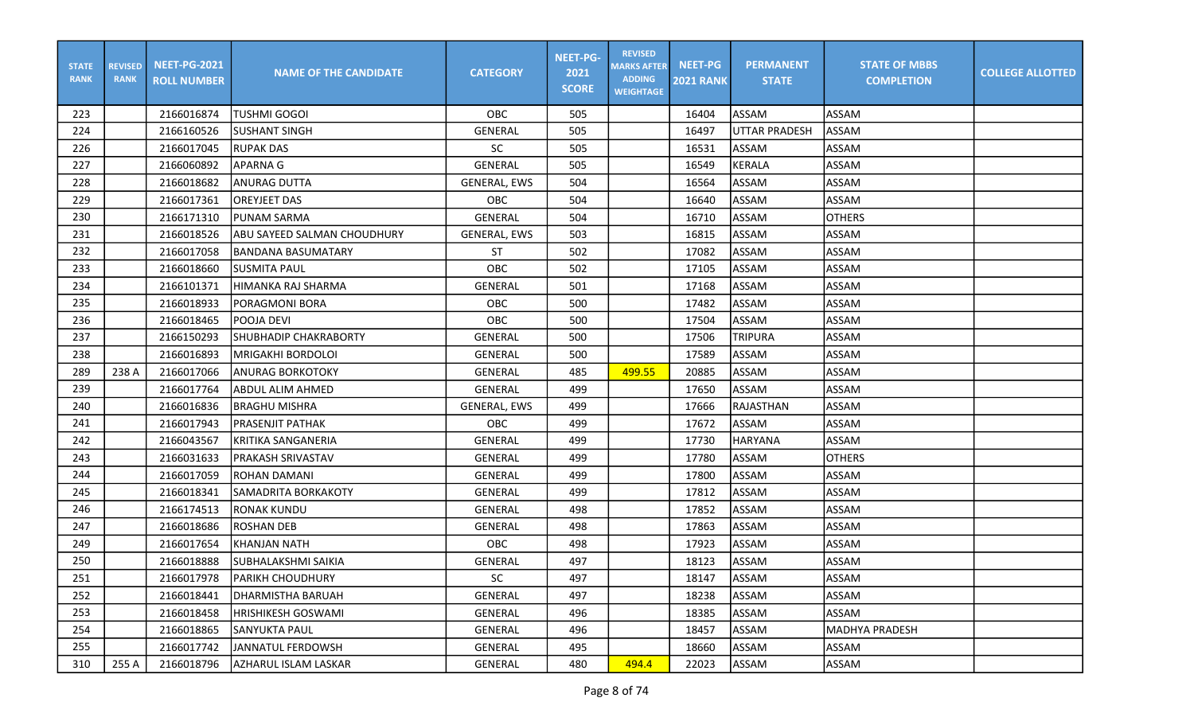| <b>STATE</b><br><b>RANK</b> | <b>REVISED</b><br><b>RANK</b> | <b>NEET-PG-2021</b><br><b>ROLL NUMBER</b> | <b>NAME OF THE CANDIDATE</b> | <b>CATEGORY</b>     | <b>NEET-PG-</b><br>2021<br><b>SCORE</b> | <b>REVISED</b><br><b>MARKS AFTER</b><br><b>ADDING</b><br><b>WEIGHTAGE</b> | <b>NEET-PG</b><br><b>2021 RANK</b> | <b>PERMANENT</b><br><b>STATE</b> | <b>STATE OF MBBS</b><br><b>COMPLETION</b> | <b>COLLEGE ALLOTTED</b> |
|-----------------------------|-------------------------------|-------------------------------------------|------------------------------|---------------------|-----------------------------------------|---------------------------------------------------------------------------|------------------------------------|----------------------------------|-------------------------------------------|-------------------------|
| 223                         |                               | 2166016874                                | <b>TUSHMI GOGOI</b>          | OBC                 | 505                                     |                                                                           | 16404                              | <b>ASSAM</b>                     | <b>ASSAM</b>                              |                         |
| 224                         |                               | 2166160526                                | <b>SUSHANT SINGH</b>         | GENERAL             | 505                                     |                                                                           | 16497                              | UTTAR PRADESH                    | ASSAM                                     |                         |
| 226                         |                               | 2166017045                                | <b>RUPAK DAS</b>             | SC                  | 505                                     |                                                                           | 16531                              | ASSAM                            | ASSAM                                     |                         |
| 227                         |                               | 2166060892                                | <b>APARNA G</b>              | GENERAL             | 505                                     |                                                                           | 16549                              | <b>KERALA</b>                    | <b>ASSAM</b>                              |                         |
| 228                         |                               | 2166018682                                | ANURAG DUTTA                 | <b>GENERAL, EWS</b> | 504                                     |                                                                           | 16564                              | <b>ASSAM</b>                     | <b>ASSAM</b>                              |                         |
| 229                         |                               | 2166017361                                | <b>OREYJEET DAS</b>          | OBC                 | 504                                     |                                                                           | 16640                              | <b>ASSAM</b>                     | <b>ASSAM</b>                              |                         |
| 230                         |                               | 2166171310                                | <b>PUNAM SARMA</b>           | GENERAL             | 504                                     |                                                                           | 16710                              | ASSAM                            | <b>OTHERS</b>                             |                         |
| 231                         |                               | 2166018526                                | ABU SAYEED SALMAN CHOUDHURY  | <b>GENERAL, EWS</b> | 503                                     |                                                                           | 16815                              | ASSAM                            | <b>ASSAM</b>                              |                         |
| 232                         |                               | 2166017058                                | <b>BANDANA BASUMATARY</b>    | ST                  | 502                                     |                                                                           | 17082                              | <b>ASSAM</b>                     | <b>ASSAM</b>                              |                         |
| 233                         |                               | 2166018660                                | <b>SUSMITA PAUL</b>          | OBC                 | 502                                     |                                                                           | 17105                              | ASSAM                            | <b>ASSAM</b>                              |                         |
| 234                         |                               | 2166101371                                | HIMANKA RAJ SHARMA           | <b>GENERAL</b>      | 501                                     |                                                                           | 17168                              | <b>ASSAM</b>                     | ASSAM                                     |                         |
| 235                         |                               | 2166018933                                | PORAGMONI BORA               | OBC                 | 500                                     |                                                                           | 17482                              | <b>ASSAM</b>                     | <b>ASSAM</b>                              |                         |
| 236                         |                               | 2166018465                                | POOJA DEVI                   | OBC                 | 500                                     |                                                                           | 17504                              | <b>ASSAM</b>                     | <b>ASSAM</b>                              |                         |
| 237                         |                               | 2166150293                                | <b>SHUBHADIP CHAKRABORTY</b> | GENERAL             | 500                                     |                                                                           | 17506                              | <b>TRIPURA</b>                   | <b>ASSAM</b>                              |                         |
| 238                         |                               | 2166016893                                | <b>MRIGAKHI BORDOLOI</b>     | GENERAL             | 500                                     |                                                                           | 17589                              | <b>ASSAM</b>                     | ASSAM                                     |                         |
| 289                         | 238 A                         | 2166017066                                | <b>ANURAG BORKOTOKY</b>      | GENERAL             | 485                                     | 499.55                                                                    | 20885                              | <b>ASSAM</b>                     | ASSAM                                     |                         |
| 239                         |                               | 2166017764                                | ABDUL ALIM AHMED             | GENERAL             | 499                                     |                                                                           | 17650                              | <b>ASSAM</b>                     | ASSAM                                     |                         |
| 240                         |                               | 2166016836                                | <b>BRAGHU MISHRA</b>         | <b>GENERAL, EWS</b> | 499                                     |                                                                           | 17666                              | <b>RAJASTHAN</b>                 | <b>ASSAM</b>                              |                         |
| 241                         |                               | 2166017943                                | <b>PRASENJIT PATHAK</b>      | OBC                 | 499                                     |                                                                           | 17672                              | <b>ASSAM</b>                     | ASSAM                                     |                         |
| 242                         |                               | 2166043567                                | <b>KRITIKA SANGANERIA</b>    | GENERAL             | 499                                     |                                                                           | 17730                              | <b>HARYANA</b>                   | ASSAM                                     |                         |
| 243                         |                               | 2166031633                                | PRAKASH SRIVASTAV            | <b>GENERAL</b>      | 499                                     |                                                                           | 17780                              | <b>ASSAM</b>                     | <b>OTHERS</b>                             |                         |
| 244                         |                               | 2166017059                                | <b>ROHAN DAMANI</b>          | GENERAL             | 499                                     |                                                                           | 17800                              | <b>ASSAM</b>                     | ASSAM                                     |                         |
| 245                         |                               | 2166018341                                | <b>SAMADRITA BORKAKOTY</b>   | GENERAL             | 499                                     |                                                                           | 17812                              | <b>ASSAM</b>                     | <b>ASSAM</b>                              |                         |
| 246                         |                               | 2166174513                                | <b>RONAK KUNDU</b>           | <b>GENERAL</b>      | 498                                     |                                                                           | 17852                              | <b>ASSAM</b>                     | <b>ASSAM</b>                              |                         |
| 247                         |                               | 2166018686                                | <b>ROSHAN DEB</b>            | <b>GENERAL</b>      | 498                                     |                                                                           | 17863                              | <b>ASSAM</b>                     | <b>ASSAM</b>                              |                         |
| 249                         |                               | 2166017654                                | <b>KHANJAN NATH</b>          | OBC                 | 498                                     |                                                                           | 17923                              | ASSAM                            | <b>ASSAM</b>                              |                         |
| 250                         |                               | 2166018888                                | <b>SUBHALAKSHMI SAIKIA</b>   | <b>GENERAL</b>      | 497                                     |                                                                           | 18123                              | <b>ASSAM</b>                     | ASSAM                                     |                         |
| 251                         |                               | 2166017978                                | PARIKH CHOUDHURY             | SC                  | 497                                     |                                                                           | 18147                              | ASSAM                            | ASSAM                                     |                         |
| 252                         |                               | 2166018441                                | <b>DHARMISTHA BARUAH</b>     | GENERAL             | 497                                     |                                                                           | 18238                              | ASSAM                            | ASSAM                                     |                         |
| 253                         |                               | 2166018458                                | HRISHIKESH GOSWAMI           | GENERAL             | 496                                     |                                                                           | 18385                              | ASSAM                            | ASSAM                                     |                         |
| 254                         |                               | 2166018865                                | <b>SANYUKTA PAUL</b>         | GENERAL             | 496                                     |                                                                           | 18457                              | ASSAM                            | <b>MADHYA PRADESH</b>                     |                         |
| 255                         |                               | 2166017742                                | JANNATUL FERDOWSH            | GENERAL             | 495                                     |                                                                           | 18660                              | ASSAM                            | ASSAM                                     |                         |
| 310                         | 255 A                         | 2166018796                                | AZHARUL ISLAM LASKAR         | GENERAL             | 480                                     | 494.4                                                                     | 22023                              | ASSAM                            | ASSAM                                     |                         |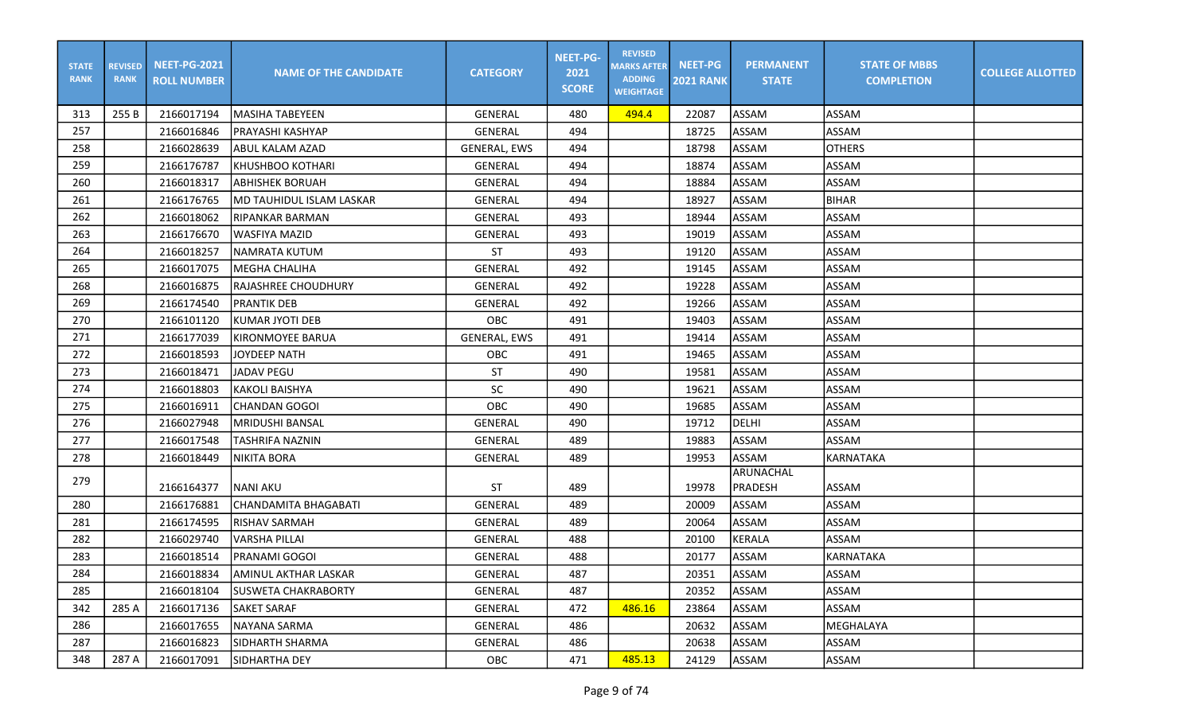| <b>STATE</b><br><b>RANK</b> | <b>REVISED</b><br><b>RANK</b> | <b>NEET-PG-2021</b><br><b>ROLL NUMBER</b> | <b>NAME OF THE CANDIDATE</b> | <b>CATEGORY</b>     | <b>NEET-PG-</b><br>2021<br><b>SCORE</b> | <b>REVISED</b><br><b>MARKS AFTER</b><br><b>ADDING</b><br><b>WEIGHTAGE</b> | <b>NEET-PG</b><br><b>2021 RANK</b> | <b>PERMANENT</b><br><b>STATE</b> | <b>STATE OF MBBS</b><br><b>COMPLETION</b> | <b>COLLEGE ALLOTTED</b> |
|-----------------------------|-------------------------------|-------------------------------------------|------------------------------|---------------------|-----------------------------------------|---------------------------------------------------------------------------|------------------------------------|----------------------------------|-------------------------------------------|-------------------------|
| 313                         | 255 B                         | 2166017194                                | lMASIHA TABEYEEN             | GENERAL             | 480                                     | 494.4                                                                     | 22087                              | ASSAM                            | <b>ASSAM</b>                              |                         |
| 257                         |                               | 2166016846                                | IPRAYASHI KASHYAP            | GENERAL             | 494                                     |                                                                           | 18725                              | ASSAM                            | <b>ASSAM</b>                              |                         |
| 258                         |                               | 2166028639                                | <b>ABUL KALAM AZAD</b>       | <b>GENERAL, EWS</b> | 494                                     |                                                                           | 18798                              | ASSAM                            | <b>OTHERS</b>                             |                         |
| 259                         |                               | 2166176787                                | Ikhushboo kothari            | GENERAL             | 494                                     |                                                                           | 18874                              | ASSAM                            | ASSAM                                     |                         |
| 260                         |                               | 2166018317                                | <b>ABHISHEK BORUAH</b>       | GENERAL             | 494                                     |                                                                           | 18884                              | ASSAM                            | <b>ASSAM</b>                              |                         |
| 261                         |                               | 2166176765                                | MD TAUHIDUL ISLAM LASKAR     | GENERAL             | 494                                     |                                                                           | 18927                              | ASSAM                            | <b>BIHAR</b>                              |                         |
| 262                         |                               | 2166018062                                | RIPANKAR BARMAN              | GENERAL             | 493                                     |                                                                           | 18944                              | ASSAM                            | <b>ASSAM</b>                              |                         |
| 263                         |                               | 2166176670                                | <b>WASFIYA MAZID</b>         | <b>GENERAL</b>      | 493                                     |                                                                           | 19019                              | ASSAM                            | <b>ASSAM</b>                              |                         |
| 264                         |                               | 2166018257                                | NAMRATA KUTUM                | <b>ST</b>           | 493                                     |                                                                           | 19120                              | <b>ASSAM</b>                     | ASSAM                                     |                         |
| 265                         |                               | 2166017075                                | MEGHA CHALIHA                | GENERAL             | 492                                     |                                                                           | 19145                              | ASSAM                            | <b>ASSAM</b>                              |                         |
| 268                         |                               | 2166016875                                | <b>IRAJASHREE CHOUDHURY</b>  | <b>GENERAL</b>      | 492                                     |                                                                           | 19228                              | ASSAM                            | ASSAM                                     |                         |
| 269                         |                               | 2166174540                                | <b>PRANTIK DEB</b>           | <b>GENERAL</b>      | 492                                     |                                                                           | 19266                              | ASSAM                            | <b>ASSAM</b>                              |                         |
| 270                         |                               | 2166101120                                | <b>KUMAR JYOTI DEB</b>       | OBC                 | 491                                     |                                                                           | 19403                              | ASSAM                            | <b>ASSAM</b>                              |                         |
| 271                         |                               | 2166177039                                | KIRONMOYEE BARUA             | <b>GENERAL, EWS</b> | 491                                     |                                                                           | 19414                              | ASSAM                            | <b>ASSAM</b>                              |                         |
| 272                         |                               | 2166018593                                | <b>JOYDEEP NATH</b>          | OBC                 | 491                                     |                                                                           | 19465                              | ASSAM                            | ASSAM                                     |                         |
| 273                         |                               | 2166018471                                | <b>JADAV PEGU</b>            | <b>ST</b>           | 490                                     |                                                                           | 19581                              | <b>ASSAM</b>                     | ASSAM                                     |                         |
| 274                         |                               | 2166018803                                | <b>KAKOLI BAISHYA</b>        | <b>SC</b>           | 490                                     |                                                                           | 19621                              | ASSAM                            | ASSAM                                     |                         |
| 275                         |                               | 2166016911                                | CHANDAN GOGOI                | OBC                 | 490                                     |                                                                           | 19685                              | ASSAM                            | <b>ASSAM</b>                              |                         |
| 276                         |                               | 2166027948                                | MRIDUSHI BANSAL              | <b>GENERAL</b>      | 490                                     |                                                                           | 19712                              | <b>DELHI</b>                     | <b>ASSAM</b>                              |                         |
| 277                         |                               | 2166017548                                | <b>TASHRIFA NAZNIN</b>       | <b>GENERAL</b>      | 489                                     |                                                                           | 19883                              | <b>ASSAM</b>                     | <b>ASSAM</b>                              |                         |
| 278                         |                               | 2166018449                                | NIKITA BORA                  | GENERAL             | 489                                     |                                                                           | 19953                              | <b>ASSAM</b>                     | KARNATAKA                                 |                         |
| 279                         |                               |                                           |                              |                     |                                         |                                                                           |                                    | <b>ARUNACHAL</b>                 |                                           |                         |
|                             |                               | 2166164377                                | INANI AKU                    | <b>ST</b>           | 489                                     |                                                                           | 19978                              | PRADESH                          | <b>ASSAM</b>                              |                         |
| 280                         |                               | 2166176881                                | <b>CHANDAMITA BHAGABATI</b>  | GENERAL             | 489                                     |                                                                           | 20009                              | ASSAM                            | <b>ASSAM</b>                              |                         |
| 281                         |                               | 2166174595                                | <b>RISHAV SARMAH</b>         | GENERAL             | 489                                     |                                                                           | 20064                              | ASSAM                            | <b>ASSAM</b>                              |                         |
| 282                         |                               | 2166029740                                | <b>VARSHA PILLAI</b>         | <b>GENERAL</b>      | 488                                     |                                                                           | 20100                              | KERALA                           | ASSAM                                     |                         |
| 283                         |                               | 2166018514                                | PRANAMI GOGOI                | GENERAL             | 488                                     |                                                                           | 20177                              | ASSAM                            | KARNATAKA                                 |                         |
| 284                         |                               | 2166018834                                | JAMINUL AKTHAR LASKAR        | GENERAL             | 487                                     |                                                                           | 20351                              | <b>ASSAM</b>                     | ASSAM                                     |                         |
| 285                         |                               | 2166018104                                | <b>SUSWETA CHAKRABORTY</b>   | GENERAL             | 487                                     |                                                                           | 20352                              | ASSAM                            | ASSAM                                     |                         |
| 342                         | 285 A                         | 2166017136                                | <b>SAKET SARAF</b>           | GENERAL             | 472                                     | 486.16                                                                    | 23864                              | ASSAM                            | ASSAM                                     |                         |
| 286                         |                               | 2166017655                                | NAYANA SARMA                 | GENERAL             | 486                                     |                                                                           | 20632                              | ASSAM                            | MEGHALAYA                                 |                         |
| 287                         |                               | 2166016823                                | SIDHARTH SHARMA              | GENERAL             | 486                                     |                                                                           | 20638                              | ASSAM                            | ASSAM                                     |                         |
| 348                         | 287 A                         | 2166017091                                | SIDHARTHA DEY                | OBC                 | 471                                     | 485.13                                                                    | 24129                              | ASSAM                            | ASSAM                                     |                         |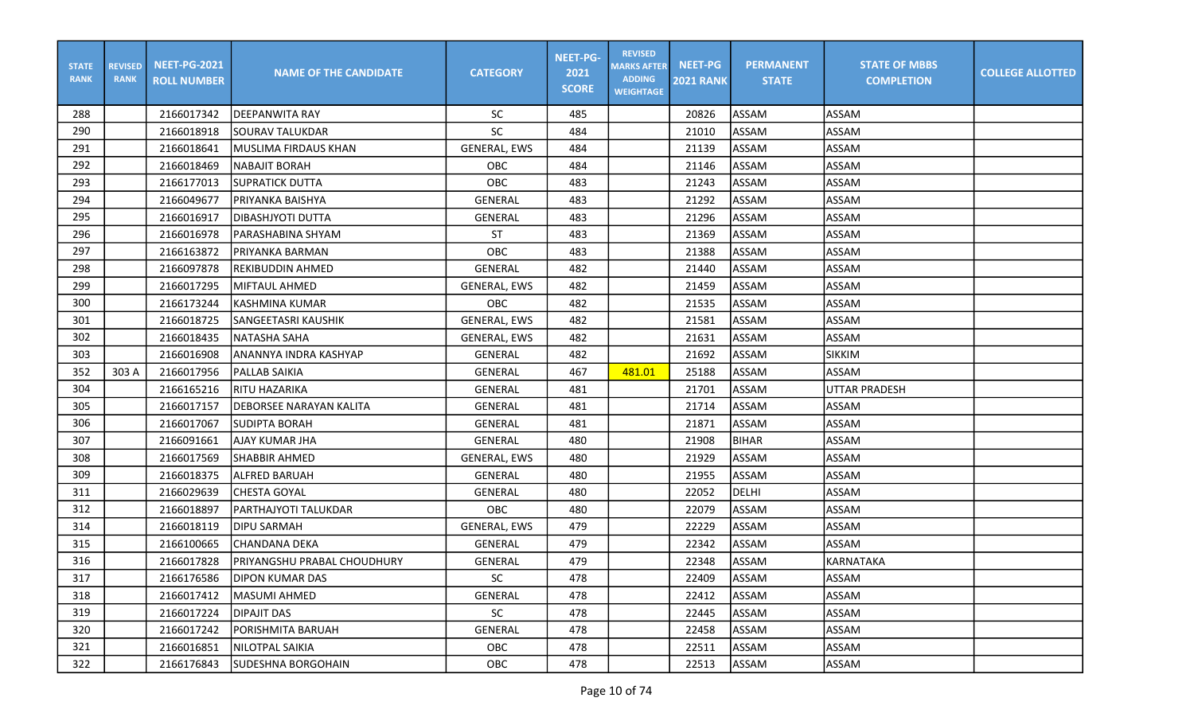| <b>STATE</b><br><b>RANK</b> | <b>REVISED</b><br><b>RANK</b> | <b>NEET-PG-2021</b><br><b>ROLL NUMBER</b> | <b>NAME OF THE CANDIDATE</b>       | <b>CATEGORY</b>     | <b>NEET-PG-</b><br>2021<br><b>SCORE</b> | <b>REVISED</b><br><b>MARKS AFTER</b><br><b>ADDING</b><br><b>WEIGHTAGE</b> | <b>NEET-PG</b><br><b>2021 RANK</b> | <b>PERMANENT</b><br><b>STATE</b> | <b>STATE OF MBBS</b><br><b>COMPLETION</b> | <b>COLLEGE ALLOTTED</b> |
|-----------------------------|-------------------------------|-------------------------------------------|------------------------------------|---------------------|-----------------------------------------|---------------------------------------------------------------------------|------------------------------------|----------------------------------|-------------------------------------------|-------------------------|
| 288                         |                               | 2166017342                                | <b>IDEEPANWITA RAY</b>             | <b>SC</b>           | 485                                     |                                                                           | 20826                              | ASSAM                            | ASSAM                                     |                         |
| 290                         |                               | 2166018918                                | <b>SOURAV TALUKDAR</b>             | SC                  | 484                                     |                                                                           | 21010                              | <b>ASSAM</b>                     | <b>ASSAM</b>                              |                         |
| 291                         |                               | 2166018641                                | <b>MUSLIMA FIRDAUS KHAN</b>        | <b>GENERAL, EWS</b> | 484                                     |                                                                           | 21139                              | ASSAM                            | ASSAM                                     |                         |
| 292                         |                               | 2166018469                                | <b>NABAJIT BORAH</b>               | OBC                 | 484                                     |                                                                           | 21146                              | <b>ASSAM</b>                     | ASSAM                                     |                         |
| 293                         |                               | 2166177013                                | <b>SUPRATICK DUTTA</b>             | OBC                 | 483                                     |                                                                           | 21243                              | ASSAM                            | <b>ASSAM</b>                              |                         |
| 294                         |                               | 2166049677                                | PRIYANKA BAISHYA                   | <b>GENERAL</b>      | 483                                     |                                                                           | 21292                              | ASSAM                            | <b>ASSAM</b>                              |                         |
| 295                         |                               | 2166016917                                | IDIBASHJYOTI DUTTA                 | GENERAL             | 483                                     |                                                                           | 21296                              | ASSAM                            | <b>ASSAM</b>                              |                         |
| 296                         |                               | 2166016978                                | IPARASHABINA SHYAM                 | <b>ST</b>           | 483                                     |                                                                           | 21369                              | ASSAM                            | <b>ASSAM</b>                              |                         |
| 297                         |                               | 2166163872                                | PRIYANKA BARMAN                    | OBC                 | 483                                     |                                                                           | 21388                              | <b>ASSAM</b>                     | ASSAM                                     |                         |
| 298                         |                               | 2166097878                                | REKIBUDDIN AHMED                   | GENERAL             | 482                                     |                                                                           | 21440                              | ASSAM                            | <b>ASSAM</b>                              |                         |
| 299                         |                               | 2166017295                                | MIFTAUL AHMED                      | <b>GENERAL, EWS</b> | 482                                     |                                                                           | 21459                              | ASSAM                            | <b>ASSAM</b>                              |                         |
| 300                         |                               | 2166173244                                | <b>KASHMINA KUMAR</b>              | OBC                 | 482                                     |                                                                           | 21535                              | ASSAM                            | <b>ASSAM</b>                              |                         |
| 301                         |                               | 2166018725                                | SANGEETASRI KAUSHIK                | <b>GENERAL, EWS</b> | 482                                     |                                                                           | 21581                              | ASSAM                            | <b>ASSAM</b>                              |                         |
| 302                         |                               | 2166018435                                | NATASHA SAHA                       | <b>GENERAL, EWS</b> | 482                                     |                                                                           | 21631                              | ASSAM                            | <b>ASSAM</b>                              |                         |
| 303                         |                               | 2166016908                                | ANANNYA INDRA KASHYAP              | <b>GENERAL</b>      | 482                                     |                                                                           | 21692                              | ASSAM                            | <b>SIKKIM</b>                             |                         |
| 352                         | 303 A                         | 2166017956                                | PALLAB SAIKIA                      | GENERAL             | 467                                     | 481.01                                                                    | 25188                              | <b>ASSAM</b>                     | ASSAM                                     |                         |
| 304                         |                               | 2166165216                                | RITU HAZARIKA                      | GENERAL             | 481                                     |                                                                           | 21701                              | ASSAM                            | <b>UTTAR PRADESH</b>                      |                         |
| 305                         |                               | 2166017157                                | DEBORSEE NARAYAN KALITA            | <b>GENERAL</b>      | 481                                     |                                                                           | 21714                              | ASSAM                            | ASSAM                                     |                         |
| 306                         |                               | 2166017067                                | <b>SUDIPTA BORAH</b>               | GENERAL             | 481                                     |                                                                           | 21871                              | ASSAM                            | <b>ASSAM</b>                              |                         |
| 307                         |                               | 2166091661                                | <b>AJAY KUMAR JHA</b>              | <b>GENERAL</b>      | 480                                     |                                                                           | 21908                              | <b>BIHAR</b>                     | <b>ASSAM</b>                              |                         |
| 308                         |                               | 2166017569                                | <b>SHABBIR AHMED</b>               | <b>GENERAL, EWS</b> | 480                                     |                                                                           | 21929                              | ASSAM                            | <b>ASSAM</b>                              |                         |
| 309                         |                               | 2166018375                                | <b>ALFRED BARUAH</b>               | GENERAL             | 480                                     |                                                                           | 21955                              | ASSAM                            | <b>ASSAM</b>                              |                         |
| 311                         |                               | 2166029639                                | <b>CHESTA GOYAL</b>                | <b>GENERAL</b>      | 480                                     |                                                                           | 22052                              | <b>DELHI</b>                     | ASSAM                                     |                         |
| 312                         |                               | 2166018897                                | PARTHAJYOTI TALUKDAR               | OBC                 | 480                                     |                                                                           | 22079                              | ASSAM                            | ASSAM                                     |                         |
| 314                         |                               | 2166018119                                | <b>DIPU SARMAH</b>                 | <b>GENERAL, EWS</b> | 479                                     |                                                                           | 22229                              | ASSAM                            | <b>ASSAM</b>                              |                         |
| 315                         |                               | 2166100665                                | <b>CHANDANA DEKA</b>               | <b>GENERAL</b>      | 479                                     |                                                                           | 22342                              | ASSAM                            | <b>ASSAM</b>                              |                         |
| 316                         |                               | 2166017828                                | <b>PRIYANGSHU PRABAL CHOUDHURY</b> | GENERAL             | 479                                     |                                                                           | 22348                              | ASSAM                            | KARNATAKA                                 |                         |
| 317                         |                               | 2166176586                                | <b>DIPON KUMAR DAS</b>             | SC                  | 478                                     |                                                                           | 22409                              | ASSAM                            | <b>ASSAM</b>                              |                         |
| 318                         |                               | 2166017412                                | MASUMI AHMED                       | GENERAL             | 478                                     |                                                                           | 22412                              | ASSAM                            | ASSAM                                     |                         |
| 319                         |                               | 2166017224                                | <b>DIPAJIT DAS</b>                 | SC                  | 478                                     |                                                                           | 22445                              | ASSAM                            | ASSAM                                     |                         |
| 320                         |                               | 2166017242                                | PORISHMITA BARUAH                  | GENERAL             | 478                                     |                                                                           | 22458                              | ASSAM                            | ASSAM                                     |                         |
| 321                         |                               | 2166016851                                | NILOTPAL SAIKIA                    | OBC                 | 478                                     |                                                                           | 22511                              | ASSAM                            | ASSAM                                     |                         |
| 322                         |                               | 2166176843                                | ISUDESHNA BORGOHAIN                | OBC                 | 478                                     |                                                                           | 22513                              | ASSAM                            | ASSAM                                     |                         |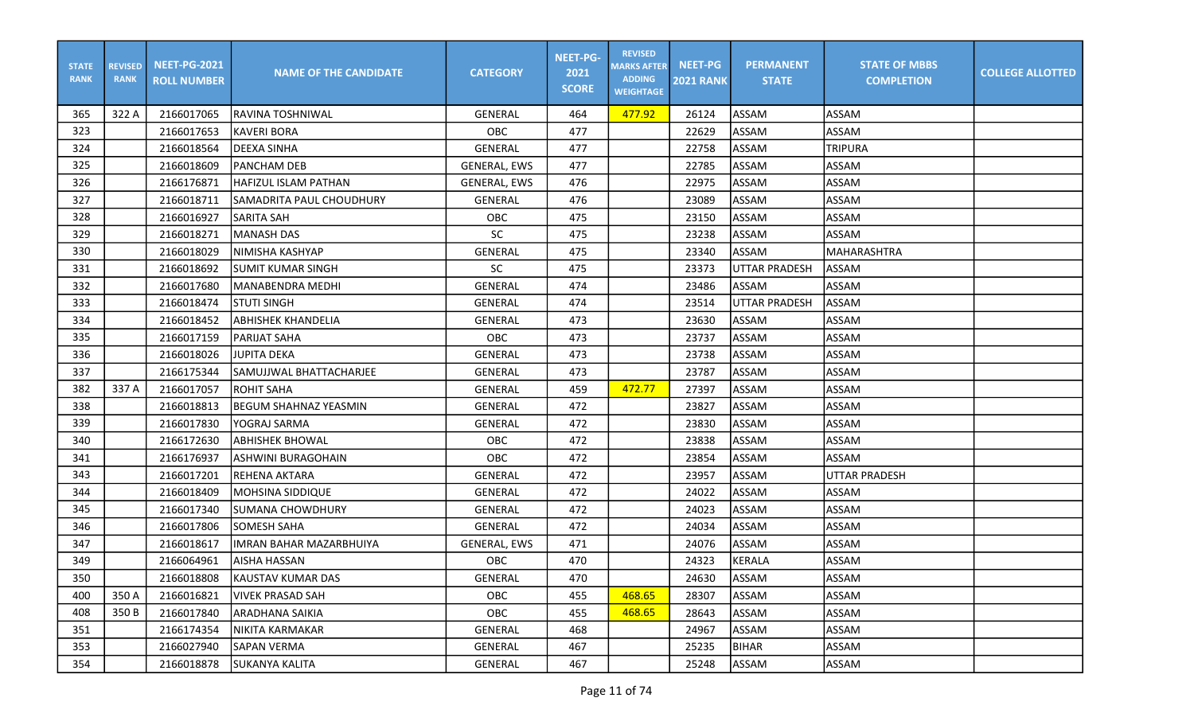| <b>STATE</b><br><b>RANK</b> | <b>REVISED</b><br><b>RANK</b> | <b>NEET-PG-2021</b><br><b>ROLL NUMBER</b> | <b>NAME OF THE CANDIDATE</b>   | <b>CATEGORY</b>     | <b>NEET-PG-</b><br>2021<br><b>SCORE</b> | <b>REVISED</b><br><b>MARKS AFTER</b><br><b>ADDING</b><br><b>WEIGHTAGE</b> | <b>NEET-PG</b><br><b>2021 RANK</b> | <b>PERMANENT</b><br><b>STATE</b> | <b>STATE OF MBBS</b><br><b>COMPLETION</b> | <b>COLLEGE ALLOTTED</b> |
|-----------------------------|-------------------------------|-------------------------------------------|--------------------------------|---------------------|-----------------------------------------|---------------------------------------------------------------------------|------------------------------------|----------------------------------|-------------------------------------------|-------------------------|
| 365                         | 322 A                         | 2166017065                                | lravina toshniwal              | <b>GENERAL</b>      | 464                                     | 477.92                                                                    | 26124                              | ASSAM                            | <b>ASSAM</b>                              |                         |
| 323                         |                               | 2166017653                                | <b>KAVERI BORA</b>             | <b>OBC</b>          | 477                                     |                                                                           | 22629                              | ASSAM                            | ASSAM                                     |                         |
| 324                         |                               | 2166018564                                | <b>DEEXA SINHA</b>             | <b>GENERAL</b>      | 477                                     |                                                                           | 22758                              | ASSAM                            | <b>TRIPURA</b>                            |                         |
| 325                         |                               | 2166018609                                | <b>PANCHAM DEB</b>             | <b>GENERAL, EWS</b> | 477                                     |                                                                           | 22785                              | ASSAM                            | ASSAM                                     |                         |
| 326                         |                               | 2166176871                                | <b>HAFIZUL ISLAM PATHAN</b>    | <b>GENERAL, EWS</b> | 476                                     |                                                                           | 22975                              | ASSAM                            | ASSAM                                     |                         |
| 327                         |                               | 2166018711                                | SAMADRITA PAUL CHOUDHURY       | <b>GENERAL</b>      | 476                                     |                                                                           | 23089                              | ASSAM                            | ASSAM                                     |                         |
| 328                         |                               | 2166016927                                | <b>SARITA SAH</b>              | OBC                 | 475                                     |                                                                           | 23150                              | ASSAM                            | ASSAM                                     |                         |
| 329                         |                               | 2166018271                                | <b>MANASH DAS</b>              | <b>SC</b>           | 475                                     |                                                                           | 23238                              | ASSAM                            | ASSAM                                     |                         |
| 330                         |                               | 2166018029                                | NIMISHA KASHYAP                | GENERAL             | 475                                     |                                                                           | 23340                              | ASSAM                            | MAHARASHTRA                               |                         |
| 331                         |                               | 2166018692                                | SUMIT KUMAR SINGH              | <b>SC</b>           | 475                                     |                                                                           | 23373                              | <b>UTTAR PRADESH</b>             | <b>ASSAM</b>                              |                         |
| 332                         |                               | 2166017680                                | <b>MANABENDRA MEDHI</b>        | <b>GENERAL</b>      | 474                                     |                                                                           | 23486                              | ASSAM                            | ASSAM                                     |                         |
| 333                         |                               | 2166018474                                | STUTI SINGH                    | GENERAL             | 474                                     |                                                                           | 23514                              | <b>UTTAR PRADESH</b>             | ASSAM                                     |                         |
| 334                         |                               | 2166018452                                | <b>ABHISHEK KHANDELIA</b>      | <b>GENERAL</b>      | 473                                     |                                                                           | 23630                              | ASSAM                            | ASSAM                                     |                         |
| 335                         |                               | 2166017159                                | PARIJAT SAHA                   | OBC                 | 473                                     |                                                                           | 23737                              | <b>ASSAM</b>                     | ASSAM                                     |                         |
| 336                         |                               | 2166018026                                | <b>JUPITA DEKA</b>             | <b>GENERAL</b>      | 473                                     |                                                                           | 23738                              | ASSAM                            | ASSAM                                     |                         |
| 337                         |                               | 2166175344                                | SAMUJJWAL BHATTACHARJEE        | GENERAL             | 473                                     |                                                                           | 23787                              | ASSAM                            | ASSAM                                     |                         |
| 382                         | 337 A                         | 2166017057                                | <b>ROHIT SAHA</b>              | <b>GENERAL</b>      | 459                                     | 472.77                                                                    | 27397                              | ASSAM                            | ASSAM                                     |                         |
| 338                         |                               | 2166018813                                | <b>BEGUM SHAHNAZ YEASMIN</b>   | <b>GENERAL</b>      | 472                                     |                                                                           | 23827                              | ASSAM                            | ASSAM                                     |                         |
| 339                         |                               | 2166017830                                | YOGRAJ SARMA                   | GENERAL             | 472                                     |                                                                           | 23830                              | ASSAM                            | ASSAM                                     |                         |
| 340                         |                               | 2166172630                                | <b>ABHISHEK BHOWAL</b>         | OBC                 | 472                                     |                                                                           | 23838                              | ASSAM                            | ASSAM                                     |                         |
| 341                         |                               | 2166176937                                | ASHWINI BURAGOHAIN             | OBC                 | 472                                     |                                                                           | 23854                              | ASSAM                            | ASSAM                                     |                         |
| 343                         |                               | 2166017201                                | <b>REHENA AKTARA</b>           | GENERAL             | 472                                     |                                                                           | 23957                              | ASSAM                            | UTTAR PRADESH                             |                         |
| 344                         |                               | 2166018409                                | <b>MOHSINA SIDDIQUE</b>        | GENERAL             | 472                                     |                                                                           | 24022                              | ASSAM                            | ASSAM                                     |                         |
| 345                         |                               | 2166017340                                | <b>SUMANA CHOWDHURY</b>        | <b>GENERAL</b>      | 472                                     |                                                                           | 24023                              | ASSAM                            | ASSAM                                     |                         |
| 346                         |                               | 2166017806                                | <b>SOMESH SAHA</b>             | GENERAL             | 472                                     |                                                                           | 24034                              | ASSAM                            | ASSAM                                     |                         |
| 347                         |                               | 2166018617                                | <b>IMRAN BAHAR MAZARBHUIYA</b> | <b>GENERAL, EWS</b> | 471                                     |                                                                           | 24076                              | ASSAM                            | ASSAM                                     |                         |
| 349                         |                               | 2166064961                                | AISHA HASSAN                   | OBC                 | 470                                     |                                                                           | 24323                              | KERALA                           | ASSAM                                     |                         |
| 350                         |                               | 2166018808                                | KAUSTAV KUMAR DAS              | GENERAL             | 470                                     |                                                                           | 24630                              | ASSAM                            | <b>ASSAM</b>                              |                         |
| 400                         | 350 A                         | 2166016821                                | <b>VIVEK PRASAD SAH</b>        | OBC                 | 455                                     | 468.65                                                                    | 28307                              | ASSAM                            | ASSAM                                     |                         |
| 408                         | 350 B                         | 2166017840                                | <b>ARADHANA SAIKIA</b>         | OBC                 | 455                                     | 468.65                                                                    | 28643                              | ASSAM                            | ASSAM                                     |                         |
| 351                         |                               | 2166174354                                | NIKITA KARMAKAR                | GENERAL             | 468                                     |                                                                           | 24967                              | ASSAM                            | ASSAM                                     |                         |
| 353                         |                               | 2166027940                                | SAPAN VERMA                    | GENERAL             | 467                                     |                                                                           | 25235                              | <b>BIHAR</b>                     | ASSAM                                     |                         |
| 354                         |                               | 2166018878                                | SUKANYA KALITA                 | GENERAL             | 467                                     |                                                                           | 25248                              | ASSAM                            | ASSAM                                     |                         |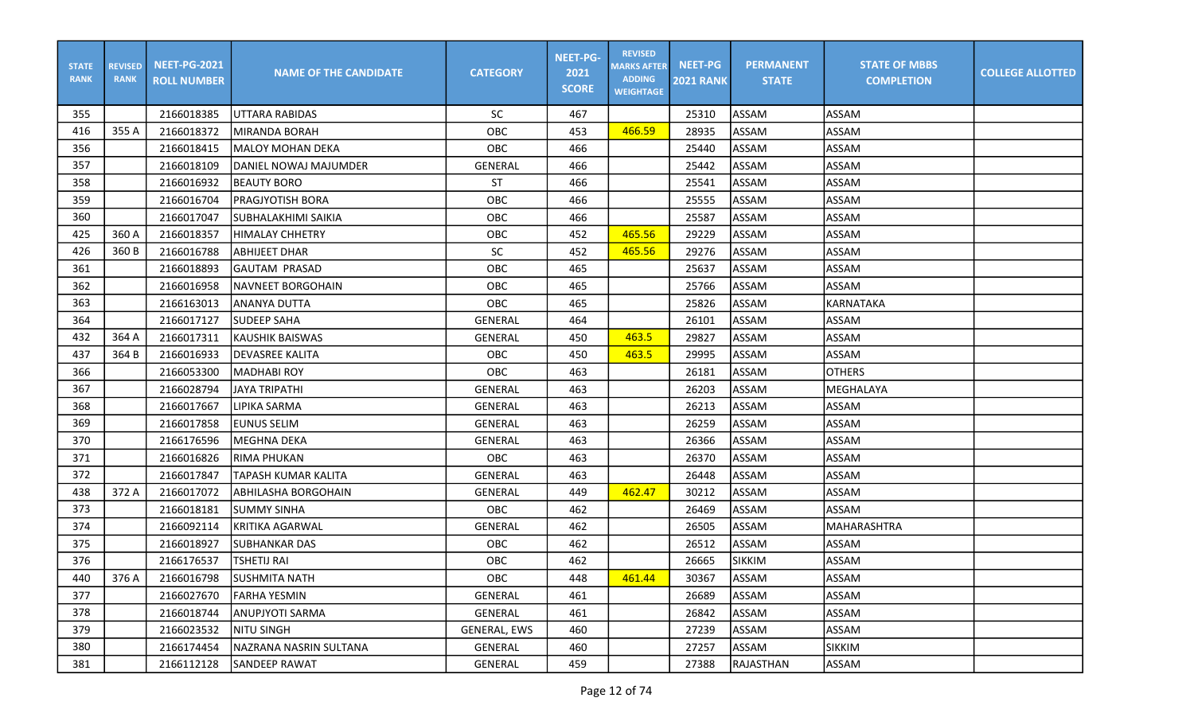| <b>STATE</b><br><b>RANK</b> | <b>REVISED</b><br><b>RANK</b> | <b>NEET-PG-2021</b><br><b>ROLL NUMBER</b> | <b>NAME OF THE CANDIDATE</b> | <b>CATEGORY</b> | <b>NEET-PG-</b><br>2021<br><b>SCORE</b> | <b>REVISED</b><br><b>MARKS AFTER</b><br><b>ADDING</b><br><b>WEIGHTAGE</b> | <b>NEET-PG</b><br><b>2021 RANK</b> | <b>PERMANENT</b><br><b>STATE</b> | <b>STATE OF MBBS</b><br><b>COMPLETION</b> | <b>COLLEGE ALLOTTED</b> |
|-----------------------------|-------------------------------|-------------------------------------------|------------------------------|-----------------|-----------------------------------------|---------------------------------------------------------------------------|------------------------------------|----------------------------------|-------------------------------------------|-------------------------|
| 355                         |                               | 2166018385                                | IUTTARA RABIDAS              | <b>SC</b>       | 467                                     |                                                                           | 25310                              | ASSAM                            | ASSAM                                     |                         |
| 416                         | 355 A                         | 2166018372                                | IMIRANDA BORAH               | OBC             | 453                                     | 466.59                                                                    | 28935                              | ASSAM                            | ASSAM                                     |                         |
| 356                         |                               | 2166018415                                | <b>MALOY MOHAN DEKA</b>      | OBC             | 466                                     |                                                                           | 25440                              | ASSAM                            | <b>ASSAM</b>                              |                         |
| 357                         |                               | 2166018109                                | IDANIEL NOWAJ MAJUMDER       | GENERAL         | 466                                     |                                                                           | 25442                              | ASSAM                            | ASSAM                                     |                         |
| 358                         |                               | 2166016932                                | BEAUTY BORO                  | <b>ST</b>       | 466                                     |                                                                           | 25541                              | ASSAM                            | ASSAM                                     |                         |
| 359                         |                               | 2166016704                                | PRAGJYOTISH BORA             | OBC             | 466                                     |                                                                           | 25555                              | ASSAM                            | <b>ASSAM</b>                              |                         |
| 360                         |                               | 2166017047                                | SUBHALAKHIMI SAIKIA          | OBC             | 466                                     |                                                                           | 25587                              | ASSAM                            | ASSAM                                     |                         |
| 425                         | 360 A                         | 2166018357                                | <b>HIMALAY CHHETRY</b>       | OBC             | 452                                     | 465.56                                                                    | 29229                              | ASSAM                            | ASSAM                                     |                         |
| 426                         | 360 B                         | 2166016788                                | <b>ABHIJEET DHAR</b>         | <b>SC</b>       | 452                                     | 465.56                                                                    | 29276                              | ASSAM                            | ASSAM                                     |                         |
| 361                         |                               | 2166018893                                | <b>GAUTAM PRASAD</b>         | OBC             | 465                                     |                                                                           | 25637                              | ASSAM                            | <b>ASSAM</b>                              |                         |
| 362                         |                               | 2166016958                                | <b>NAVNEET BORGOHAIN</b>     | OBC             | 465                                     |                                                                           | 25766                              | ASSAM                            | <b>ASSAM</b>                              |                         |
| 363                         |                               | 2166163013                                | ANANYA DUTTA                 | OBC             | 465                                     |                                                                           | 25826                              | ASSAM                            | <b>KARNATAKA</b>                          |                         |
| 364                         |                               | 2166017127                                | <b>SUDEEP SAHA</b>           | GENERAL         | 464                                     |                                                                           | 26101                              | ASSAM                            | ASSAM                                     |                         |
| 432                         | 364 A                         | 2166017311                                | <b>IKAUSHIK BAISWAS</b>      | GENERAL         | 450                                     | 463.5                                                                     | 29827                              | ASSAM                            | ASSAM                                     |                         |
| 437                         | 364 B                         | 2166016933                                | <b>DEVASREE KALITA</b>       | OBC             | 450                                     | 463.5                                                                     | 29995                              | ASSAM                            | <b>ASSAM</b>                              |                         |
| 366                         |                               | 2166053300                                | MADHABI ROY                  | <b>OBC</b>      | 463                                     |                                                                           | 26181                              | ASSAM                            | <b>OTHERS</b>                             |                         |
| 367                         |                               | 2166028794                                | <b>JAYA TRIPATHI</b>         | GENERAL         | 463                                     |                                                                           | 26203                              | ASSAM                            | MEGHALAYA                                 |                         |
| 368                         |                               | 2166017667                                | <b>LIPIKA SARMA</b>          | <b>GENERAL</b>  | 463                                     |                                                                           | 26213                              | ASSAM                            | <b>ASSAM</b>                              |                         |
| 369                         |                               | 2166017858                                | <b>EUNUS SELIM</b>           | GENERAL         | 463                                     |                                                                           | 26259                              | ASSAM                            | <b>ASSAM</b>                              |                         |
| 370                         |                               | 2166176596                                | <b>MEGHNA DEKA</b>           | GENERAL         | 463                                     |                                                                           | 26366                              | ASSAM                            | ASSAM                                     |                         |
| 371                         |                               | 2166016826                                | IRIMA PHUKAN                 | OBC             | 463                                     |                                                                           | 26370                              | ASSAM                            | ASSAM                                     |                         |
| 372                         |                               | 2166017847                                | TAPASH KUMAR KALITA          | GENERAL         | 463                                     |                                                                           | 26448                              | ASSAM                            | <b>ASSAM</b>                              |                         |
| 438                         | 372 A                         | 2166017072                                | ABHILASHA BORGOHAIN          | GENERAL         | 449                                     | 462.47                                                                    | 30212                              | ASSAM                            | ASSAM                                     |                         |
| 373                         |                               | 2166018181                                | <b>SUMMY SINHA</b>           | OBC             | 462                                     |                                                                           | 26469                              | ASSAM                            | ASSAM                                     |                         |
| 374                         |                               | 2166092114                                | KRITIKA AGARWAL              | GENERAL         | 462                                     |                                                                           | 26505                              | ASSAM                            | MAHARASHTRA                               |                         |
| 375                         |                               | 2166018927                                | <b>SUBHANKAR DAS</b>         | <b>OBC</b>      | 462                                     |                                                                           | 26512                              | ASSAM                            | ASSAM                                     |                         |
| 376                         |                               | 2166176537                                | <b>TSHETIJ RAI</b>           | OBC             | 462                                     |                                                                           | 26665                              | <b>SIKKIM</b>                    | <b>ASSAM</b>                              |                         |
| 440                         | 376 A                         | 2166016798                                | <b>SUSHMITA NATH</b>         | OBC             | 448                                     | 461.44                                                                    | 30367                              | ASSAM                            | <b>ASSAM</b>                              |                         |
| 377                         |                               | 2166027670                                | <b>FARHA YESMIN</b>          | GENERAL         | 461                                     |                                                                           | 26689                              | ASSAM                            | ASSAM                                     |                         |
| 378                         |                               | 2166018744                                | <b>ANUPJYOTI SARMA</b>       | <b>GENERAL</b>  | 461                                     |                                                                           | 26842                              | ASSAM                            | ASSAM                                     |                         |
| 379                         |                               | 2166023532                                | NITU SINGH                   | GENERAL, EWS    | 460                                     |                                                                           | 27239                              | ASSAM                            | ASSAM                                     |                         |
| 380                         |                               | 2166174454                                | NAZRANA NASRIN SULTANA       | GENERAL         | 460                                     |                                                                           | 27257                              | ASSAM                            | <b>SIKKIM</b>                             |                         |
| 381                         |                               | 2166112128                                | SANDEEP RAWAT                | GENERAL         | 459                                     |                                                                           | 27388                              | RAJASTHAN                        | <b>ASSAM</b>                              |                         |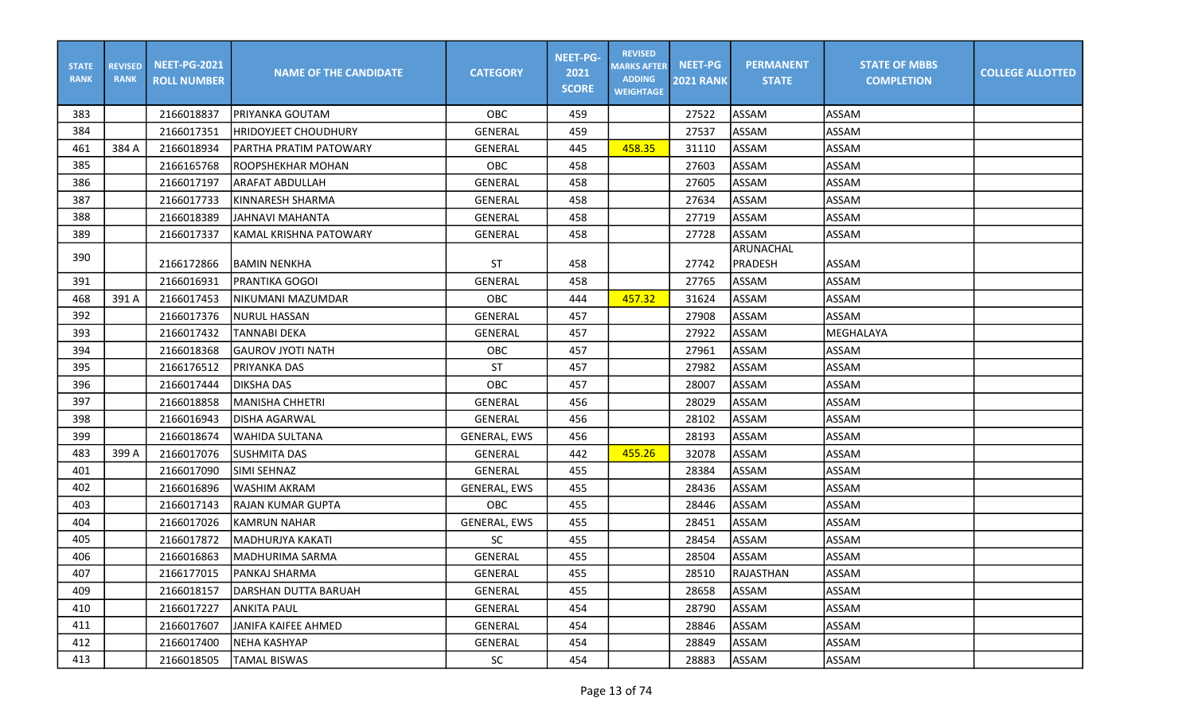| <b>STATE</b><br><b>RANK</b> | <b>REVISED</b><br><b>RANK</b> | <b>NEET-PG-2021</b><br><b>ROLL NUMBER</b> | <b>NAME OF THE CANDIDATE</b> | <b>CATEGORY</b>     | <b>NEET-PG-</b><br>2021<br><b>SCORE</b> | <b>REVISED</b><br><b>MARKS AFTER</b><br><b>ADDING</b><br><b>WEIGHTAGE</b> | NEET-PG<br><b>2021 RANK</b> | <b>PERMANENT</b><br><b>STATE</b> | <b>STATE OF MBBS</b><br><b>COMPLETION</b> | <b>COLLEGE ALLOTTED</b> |
|-----------------------------|-------------------------------|-------------------------------------------|------------------------------|---------------------|-----------------------------------------|---------------------------------------------------------------------------|-----------------------------|----------------------------------|-------------------------------------------|-------------------------|
| 383                         |                               | 2166018837                                | IPRIYANKA GOUTAM             | OBC                 | 459                                     |                                                                           | 27522                       | ASSAM                            | ASSAM                                     |                         |
| 384                         |                               | 2166017351                                | IHRIDOYJEET CHOUDHURY        | <b>GENERAL</b>      | 459                                     |                                                                           | 27537                       | ASSAM                            | <b>ASSAM</b>                              |                         |
| 461                         | 384 A                         | 2166018934                                | PARTHA PRATIM PATOWARY       | GENERAL             | 445                                     | 458.35                                                                    | 31110                       | ASSAM                            | ASSAM                                     |                         |
| 385                         |                               | 2166165768                                | <b>ROOPSHEKHAR MOHAN</b>     | OBC                 | 458                                     |                                                                           | 27603                       | ASSAM                            | <b>ASSAM</b>                              |                         |
| 386                         |                               | 2166017197                                | <b>ARAFAT ABDULLAH</b>       | <b>GENERAL</b>      | 458                                     |                                                                           | 27605                       | ASSAM                            | <b>ASSAM</b>                              |                         |
| 387                         |                               | 2166017733                                | KINNARESH SHARMA             | <b>GENERAL</b>      | 458                                     |                                                                           | 27634                       | ASSAM                            | <b>ASSAM</b>                              |                         |
| 388                         |                               | 2166018389                                | JAHNAVI MAHANTA              | GENERAL             | 458                                     |                                                                           | 27719                       | ASSAM                            | <b>ASSAM</b>                              |                         |
| 389                         |                               | 2166017337                                | KAMAL KRISHNA PATOWARY       | <b>GENERAL</b>      | 458                                     |                                                                           | 27728                       | ASSAM                            | ASSAM                                     |                         |
| 390                         |                               |                                           |                              |                     |                                         |                                                                           |                             | <b>ARUNACHAL</b>                 |                                           |                         |
|                             |                               | 2166172866                                | BAMIN NENKHA                 | <b>ST</b>           | 458                                     |                                                                           | 27742                       | PRADESH                          | <b>ASSAM</b>                              |                         |
| 391                         |                               | 2166016931                                | <b>PRANTIKA GOGOI</b>        | GENERAL             | 458                                     |                                                                           | 27765                       | ASSAM                            | <b>ASSAM</b>                              |                         |
| 468                         | 391 A                         | 2166017453                                | NIKUMANI MAZUMDAR            | OBC                 | 444                                     | 457.32                                                                    | 31624                       | ASSAM                            | <b>ASSAM</b>                              |                         |
| 392                         |                               | 2166017376                                | <b>NURUL HASSAN</b>          | GENERAL             | 457                                     |                                                                           | 27908                       | ASSAM                            | ASSAM                                     |                         |
| 393                         |                               | 2166017432                                | <b>TANNABI DEKA</b>          | <b>GENERAL</b>      | 457                                     |                                                                           | 27922                       | ASSAM                            | MEGHALAYA                                 |                         |
| 394                         |                               | 2166018368                                | IGAUROV JYOTI NATH           | OBC                 | 457                                     |                                                                           | 27961                       | ASSAM                            | ASSAM                                     |                         |
| 395                         |                               | 2166176512                                | PRIYANKA DAS                 | ST                  | 457                                     |                                                                           | 27982                       | ASSAM                            | <b>ASSAM</b>                              |                         |
| 396                         |                               | 2166017444                                | <b>DIKSHA DAS</b>            | OBC                 | 457                                     |                                                                           | 28007                       | ASSAM                            | <b>ASSAM</b>                              |                         |
| 397                         |                               | 2166018858                                | MANISHA CHHETRI              | GENERAL             | 456                                     |                                                                           | 28029                       | ASSAM                            | <b>ASSAM</b>                              |                         |
| 398                         |                               | 2166016943                                | <b>DISHA AGARWAL</b>         | <b>GENERAL</b>      | 456                                     |                                                                           | 28102                       | ASSAM                            | <b>ASSAM</b>                              |                         |
| 399                         |                               | 2166018674                                | WAHIDA SULTANA               | <b>GENERAL, EWS</b> | 456                                     |                                                                           | 28193                       | <b>ASSAM</b>                     | ASSAM                                     |                         |
| 483                         | 399 A                         | 2166017076                                | ISUSHMITA DAS                | GENERAL             | 442                                     | 455.26                                                                    | 32078                       | ASSAM                            | ASSAM                                     |                         |
| 401                         |                               | 2166017090                                | SIMI SEHNAZ                  | GENERAL             | 455                                     |                                                                           | 28384                       | ASSAM                            | <b>ASSAM</b>                              |                         |
| 402                         |                               | 2166016896                                | <b>WASHIM AKRAM</b>          | GENERAL, EWS        | 455                                     |                                                                           | 28436                       | ASSAM                            | <b>ASSAM</b>                              |                         |
| 403                         |                               | 2166017143                                | <b>RAJAN KUMAR GUPTA</b>     | OBC                 | 455                                     |                                                                           | 28446                       | ASSAM                            | <b>ASSAM</b>                              |                         |
| 404                         |                               | 2166017026                                | KAMRUN NAHAR                 | <b>GENERAL, EWS</b> | 455                                     |                                                                           | 28451                       | <b>ASSAM</b>                     | ASSAM                                     |                         |
| 405                         |                               | 2166017872                                | <b>MADHURJYA KAKATI</b>      | SC                  | 455                                     |                                                                           | 28454                       | ASSAM                            | ASSAM                                     |                         |
| 406                         |                               | 2166016863                                | MADHURIMA SARMA              | GENERAL             | 455                                     |                                                                           | 28504                       | ASSAM                            | ASSAM                                     |                         |
| 407                         |                               | 2166177015                                | PANKAJ SHARMA                | GENERAL             | 455                                     |                                                                           | 28510                       | RAJASTHAN                        | IASSAM                                    |                         |
| 409                         |                               | 2166018157                                | IDARSHAN DUTTA BARUAH        | GENERAL             | 455                                     |                                                                           | 28658                       | ASSAM                            | ASSAM                                     |                         |
| 410                         |                               | 2166017227                                | IANKITA PAUL                 | GENERAL             | 454                                     |                                                                           | 28790                       | ASSAM                            | ASSAM                                     |                         |
| 411                         |                               | 2166017607                                | JANIFA KAIFEE AHMED          | GENERAL             | 454                                     |                                                                           | 28846                       | ASSAM                            | ASSAM                                     |                         |
| 412                         |                               | 2166017400                                | NEHA KASHYAP                 | GENERAL             | 454                                     |                                                                           | 28849                       | ASSAM                            | <b>ASSAM</b>                              |                         |
| 413                         |                               | 2166018505                                | <b>TAMAL BISWAS</b>          | SC                  | 454                                     |                                                                           | 28883                       | ASSAM                            | ASSAM                                     |                         |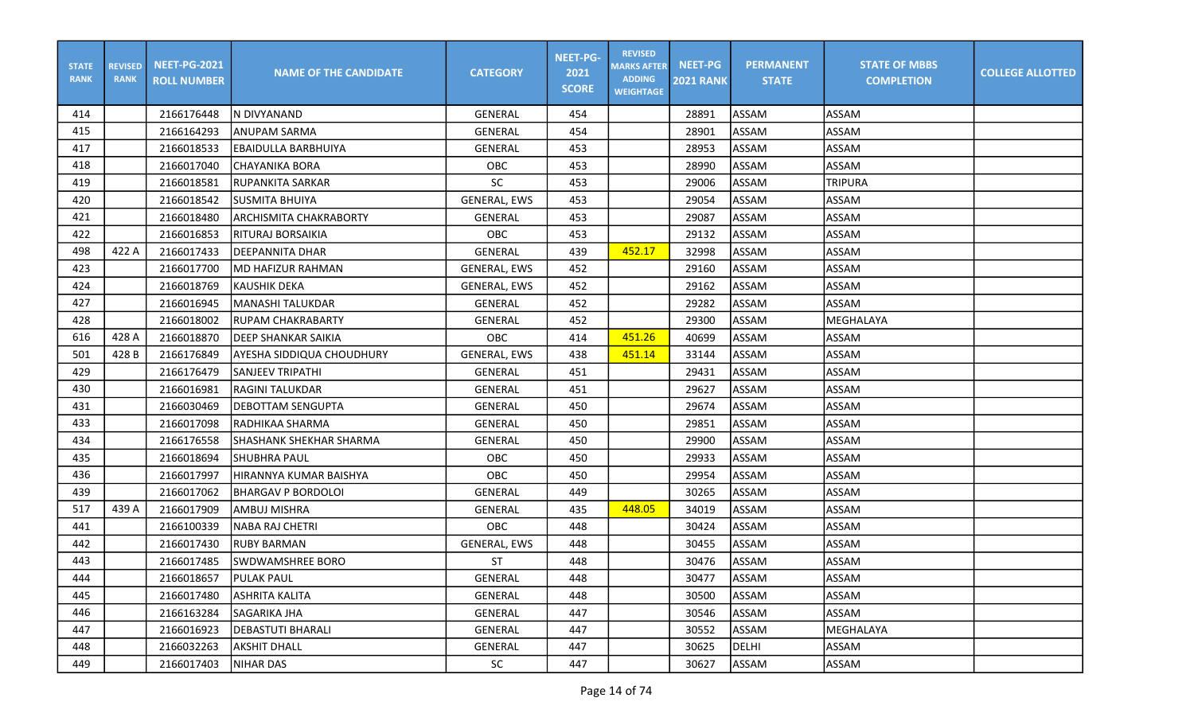| <b>STATE</b><br><b>RANK</b> | <b>REVISED</b><br><b>RANK</b> | <b>NEET-PG-2021</b><br><b>ROLL NUMBER</b> | <b>NAME OF THE CANDIDATE</b>     | <b>CATEGORY</b>     | <b>NEET-PG-</b><br>2021<br><b>SCORE</b> | <b>REVISED</b><br><b>MARKS AFTER</b><br><b>ADDING</b><br><b>WEIGHTAGE</b> | <b>NEET-PG</b><br><b>2021 RANK</b> | <b>PERMANENT</b><br><b>STATE</b> | <b>STATE OF MBBS</b><br><b>COMPLETION</b> | <b>COLLEGE ALLOTTED</b> |
|-----------------------------|-------------------------------|-------------------------------------------|----------------------------------|---------------------|-----------------------------------------|---------------------------------------------------------------------------|------------------------------------|----------------------------------|-------------------------------------------|-------------------------|
| 414                         |                               | 2166176448                                | IN DIVYANAND                     | GENERAL             | 454                                     |                                                                           | 28891                              | ASSAM                            | ASSAM                                     |                         |
| 415                         |                               | 2166164293                                | <b>ANUPAM SARMA</b>              | GENERAL             | 454                                     |                                                                           | 28901                              | ASSAM                            | <b>ASSAM</b>                              |                         |
| 417                         |                               | 2166018533                                | <b>EBAIDULLA BARBHUIYA</b>       | GENERAL             | 453                                     |                                                                           | 28953                              | ASSAM                            | ASSAM                                     |                         |
| 418                         |                               | 2166017040                                | <b>CHAYANIKA BORA</b>            | OBC                 | 453                                     |                                                                           | 28990                              | ASSAM                            | ASSAM                                     |                         |
| 419                         |                               | 2166018581                                | <b>RUPANKITA SARKAR</b>          | <b>SC</b>           | 453                                     |                                                                           | 29006                              | ASSAM                            | <b>TRIPURA</b>                            |                         |
| 420                         |                               | 2166018542                                | SUSMITA BHUIYA                   | <b>GENERAL, EWS</b> | 453                                     |                                                                           | 29054                              | ASSAM                            | <b>ASSAM</b>                              |                         |
| 421                         |                               | 2166018480                                | <b>ARCHISMITA CHAKRABORTY</b>    | GENERAL             | 453                                     |                                                                           | 29087                              | ASSAM                            | <b>ASSAM</b>                              |                         |
| 422                         |                               | 2166016853                                | <b>RITURAJ BORSAIKIA</b>         | <b>OBC</b>          | 453                                     |                                                                           | 29132                              | ASSAM                            | <b>ASSAM</b>                              |                         |
| 498                         | 422 A                         | 2166017433                                | DEEPANNITA DHAR                  | GENERAL             | 439                                     | 452.17                                                                    | 32998                              | ASSAM                            | ASSAM                                     |                         |
| 423                         |                               | 2166017700                                | IMD HAFIZUR RAHMAN               | <b>GENERAL, EWS</b> | 452                                     |                                                                           | 29160                              | ASSAM                            | <b>ASSAM</b>                              |                         |
| 424                         |                               | 2166018769                                | <b>KAUSHIK DEKA</b>              | <b>GENERAL, EWS</b> | 452                                     |                                                                           | 29162                              | ASSAM                            | <b>ASSAM</b>                              |                         |
| 427                         |                               | 2166016945                                | <b>MANASHI TALUKDAR</b>          | <b>GENERAL</b>      | 452                                     |                                                                           | 29282                              | ASSAM                            | <b>ASSAM</b>                              |                         |
| 428                         |                               | 2166018002                                | <b>RUPAM CHAKRABARTY</b>         | <b>GENERAL</b>      | 452                                     |                                                                           | 29300                              | ASSAM                            | MEGHALAYA                                 |                         |
| 616                         | 428 A                         | 2166018870                                | <b>IDEEP SHANKAR SAIKIA</b>      | OBC                 | 414                                     | 451.26                                                                    | 40699                              | ASSAM                            | <b>ASSAM</b>                              |                         |
| 501                         | 428 B                         | 2166176849                                | <b>AYESHA SIDDIQUA CHOUDHURY</b> | <b>GENERAL, EWS</b> | 438                                     | 451.14                                                                    | 33144                              | ASSAM                            | <b>ASSAM</b>                              |                         |
| 429                         |                               | 2166176479                                | <b>SANJEEV TRIPATHI</b>          | GENERAL             | 451                                     |                                                                           | 29431                              | <b>ASSAM</b>                     | ASSAM                                     |                         |
| 430                         |                               | 2166016981                                | <b>RAGINI TALUKDAR</b>           | GENERAL             | 451                                     |                                                                           | 29627                              | ASSAM                            | ASSAM                                     |                         |
| 431                         |                               | 2166030469                                | DEBOTTAM SENGUPTA                | <b>GENERAL</b>      | 450                                     |                                                                           | 29674                              | ASSAM                            | <b>ASSAM</b>                              |                         |
| 433                         |                               | 2166017098                                | RADHIKAA SHARMA                  | GENERAL             | 450                                     |                                                                           | 29851                              | ASSAM                            | <b>ASSAM</b>                              |                         |
| 434                         |                               | 2166176558                                | <b>SHASHANK SHEKHAR SHARMA</b>   | GENERAL             | 450                                     |                                                                           | 29900                              | ASSAM                            | <b>ASSAM</b>                              |                         |
| 435                         |                               | 2166018694                                | <b>SHUBHRA PAUL</b>              | <b>OBC</b>          | 450                                     |                                                                           | 29933                              | ASSAM                            | ASSAM                                     |                         |
| 436                         |                               | 2166017997                                | HIRANNYA KUMAR BAISHYA           | OBC                 | 450                                     |                                                                           | 29954                              | ASSAM                            | ASSAM                                     |                         |
| 439                         |                               | 2166017062                                | <b>BHARGAV P BORDOLOI</b>        | GENERAL             | 449                                     |                                                                           | 30265                              | ASSAM                            | ASSAM                                     |                         |
| 517                         | 439 A                         | 2166017909                                | AMBUJ MISHRA                     | GENERAL             | 435                                     | 448.05                                                                    | 34019                              | ASSAM                            | ASSAM                                     |                         |
| 441                         |                               | 2166100339                                | <b>NABA RAJ CHETRI</b>           | OBC                 | 448                                     |                                                                           | 30424                              | ASSAM                            | <b>ASSAM</b>                              |                         |
| 442                         |                               | 2166017430                                | <b>RUBY BARMAN</b>               | GENERAL, EWS        | 448                                     |                                                                           | 30455                              | ASSAM                            | <b>ASSAM</b>                              |                         |
| 443                         |                               | 2166017485                                | SWDWAMSHREE BORO                 | <b>ST</b>           | 448                                     |                                                                           | 30476                              | ASSAM                            | ASSAM                                     |                         |
| 444                         |                               | 2166018657                                | <b>PULAK PAUL</b>                | GENERAL             | 448                                     |                                                                           | 30477                              | ASSAM                            | <b>ASSAM</b>                              |                         |
| 445                         |                               | 2166017480                                | <b>ASHRITA KALITA</b>            | GENERAL             | 448                                     |                                                                           | 30500                              | ASSAM                            | ASSAM                                     |                         |
| 446                         |                               | 2166163284                                | SAGARIKA JHA                     | GENERAL             | 447                                     |                                                                           | 30546                              | ASSAM                            | ASSAM                                     |                         |
| 447                         |                               | 2166016923                                | DEBASTUTI BHARALI                | GENERAL             | 447                                     |                                                                           | 30552                              | ASSAM                            | MEGHALAYA                                 |                         |
| 448                         |                               | 2166032263                                | <b>AKSHIT DHALL</b>              | GENERAL             | 447                                     |                                                                           | 30625                              | DELHI                            | ASSAM                                     |                         |
| 449                         |                               | 2166017403                                | NIHAR DAS                        | SC                  | 447                                     |                                                                           | 30627                              | ASSAM                            | ASSAM                                     |                         |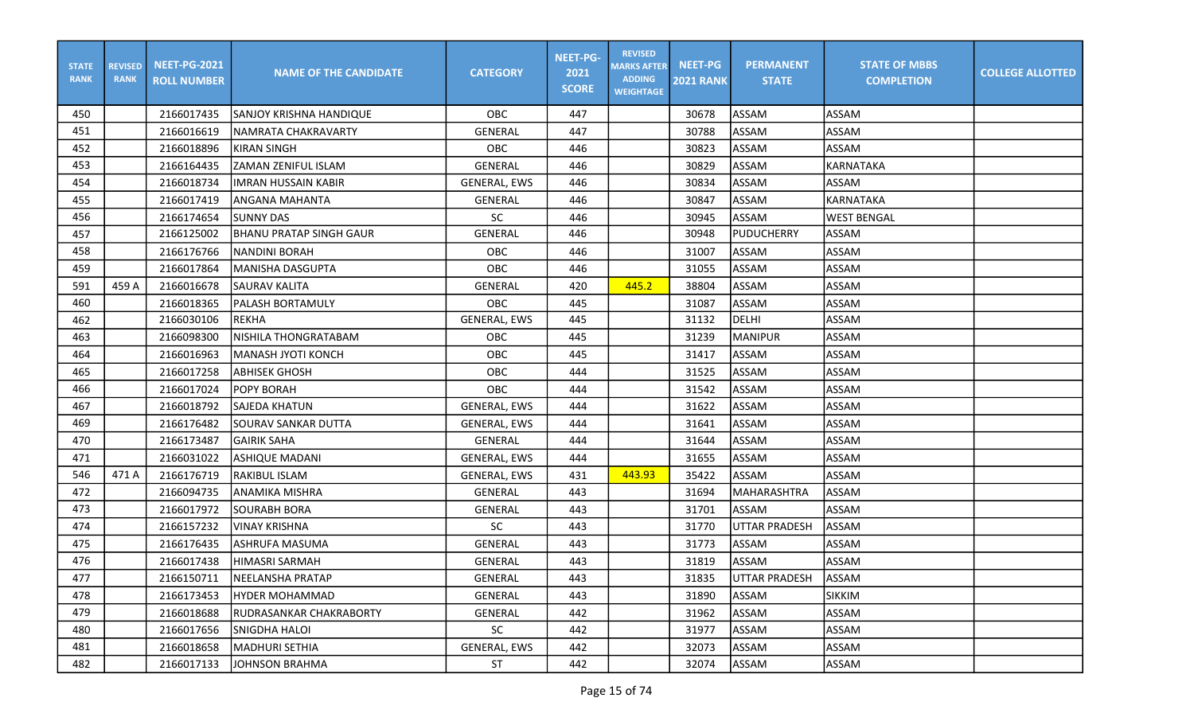| <b>STATE</b><br><b>RANK</b> | <b>REVISED</b><br><b>RANK</b> | <b>NEET-PG-2021</b><br><b>ROLL NUMBER</b> | <b>NAME OF THE CANDIDATE</b>   | <b>CATEGORY</b>     | <b>NEET-PG-</b><br>2021<br><b>SCORE</b> | <b>REVISED</b><br><b>MARKS AFTER</b><br><b>ADDING</b><br><b>WEIGHTAGE</b> | <b>NEET-PG</b><br><b>2021 RANK</b> | <b>PERMANENT</b><br><b>STATE</b> | <b>STATE OF MBBS</b><br><b>COMPLETION</b> | <b>COLLEGE ALLOTTED</b> |
|-----------------------------|-------------------------------|-------------------------------------------|--------------------------------|---------------------|-----------------------------------------|---------------------------------------------------------------------------|------------------------------------|----------------------------------|-------------------------------------------|-------------------------|
| 450                         |                               | 2166017435                                | SANJOY KRISHNA HANDIQUE        | <b>OBC</b>          | 447                                     |                                                                           | 30678                              | <b>ASSAM</b>                     | <b>ASSAM</b>                              |                         |
| 451                         |                               | 2166016619                                | NAMRATA CHAKRAVARTY            | <b>GENERAL</b>      | 447                                     |                                                                           | 30788                              | ASSAM                            | <b>ASSAM</b>                              |                         |
| 452                         |                               | 2166018896                                | KIRAN SINGH                    | OBC                 | 446                                     |                                                                           | 30823                              | ASSAM                            | <b>ASSAM</b>                              |                         |
| 453                         |                               | 2166164435                                | <b>ZAMAN ZENIFUL ISLAM</b>     | <b>GENERAL</b>      | 446                                     |                                                                           | 30829                              | ASSAM                            | KARNATAKA                                 |                         |
| 454                         |                               | 2166018734                                | IIMRAN HUSSAIN KABIR           | <b>GENERAL, EWS</b> | 446                                     |                                                                           | 30834                              | <b>ASSAM</b>                     | <b>ASSAM</b>                              |                         |
| 455                         |                               | 2166017419                                | <b>ANGANA MAHANTA</b>          | <b>GENERAL</b>      | 446                                     |                                                                           | 30847                              | <b>ASSAM</b>                     | <b>KARNATAKA</b>                          |                         |
| 456                         |                               | 2166174654                                | <b>SUNNY DAS</b>               | <b>SC</b>           | 446                                     |                                                                           | 30945                              | ASSAM                            | <b>WEST BENGAL</b>                        |                         |
| 457                         |                               | 2166125002                                | <b>BHANU PRATAP SINGH GAUR</b> | <b>GENERAL</b>      | 446                                     |                                                                           | 30948                              | PUDUCHERRY                       | <b>ASSAM</b>                              |                         |
| 458                         |                               | 2166176766                                | NANDINI BORAH                  | OBC                 | 446                                     |                                                                           | 31007                              | <b>ASSAM</b>                     | ASSAM                                     |                         |
| 459                         |                               | 2166017864                                | lMANISHA DASGUPTA              | OBC                 | 446                                     |                                                                           | 31055                              | ASSAM                            | <b>ASSAM</b>                              |                         |
| 591                         | 459 A                         | 2166016678                                | <b>SAURAV KALITA</b>           | <b>GENERAL</b>      | 420                                     | 445.2                                                                     | 38804                              | ASSAM                            | <b>ASSAM</b>                              |                         |
| 460                         |                               | 2166018365                                | <b>PALASH BORTAMULY</b>        | OBC                 | 445                                     |                                                                           | 31087                              | <b>ASSAM</b>                     | <b>ASSAM</b>                              |                         |
| 462                         |                               | 2166030106                                | <b>REKHA</b>                   | <b>GENERAL, EWS</b> | 445                                     |                                                                           | 31132                              | <b>DELHI</b>                     | <b>ASSAM</b>                              |                         |
| 463                         |                               | 2166098300                                | NISHILA THONGRATABAM           | OBC                 | 445                                     |                                                                           | 31239                              | <b>MANIPUR</b>                   | ASSAM                                     |                         |
| 464                         |                               | 2166016963                                | MANASH JYOTI KONCH             | OBC                 | 445                                     |                                                                           | 31417                              | ASSAM                            | ASSAM                                     |                         |
| 465                         |                               | 2166017258                                | <b>ABHISEK GHOSH</b>           | OBC                 | 444                                     |                                                                           | 31525                              | <b>ASSAM</b>                     | <b>ASSAM</b>                              |                         |
| 466                         |                               | 2166017024                                | <b>POPY BORAH</b>              | OBC                 | 444                                     |                                                                           | 31542                              | <b>ASSAM</b>                     | <b>ASSAM</b>                              |                         |
| 467                         |                               | 2166018792                                | SAJEDA KHATUN                  | <b>GENERAL, EWS</b> | 444                                     |                                                                           | 31622                              | <b>ASSAM</b>                     | <b>ASSAM</b>                              |                         |
| 469                         |                               | 2166176482                                | <b>SOURAV SANKAR DUTTA</b>     | <b>GENERAL, EWS</b> | 444                                     |                                                                           | 31641                              | ASSAM                            | <b>ASSAM</b>                              |                         |
| 470                         |                               | 2166173487                                | <b>GAIRIK SAHA</b>             | <b>GENERAL</b>      | 444                                     |                                                                           | 31644                              | ASSAM                            | <b>ASSAM</b>                              |                         |
| 471                         |                               | 2166031022                                | ASHIQUE MADANI                 | <b>GENERAL, EWS</b> | 444                                     |                                                                           | 31655                              | ASSAM                            | <b>ASSAM</b>                              |                         |
| 546                         | 471 A                         | 2166176719                                | RAKIBUL ISLAM                  | <b>GENERAL, EWS</b> | 431                                     | 443.93                                                                    | 35422                              | ASSAM                            | <b>ASSAM</b>                              |                         |
| 472                         |                               | 2166094735                                | ANAMIKA MISHRA                 | <b>GENERAL</b>      | 443                                     |                                                                           | 31694                              | <b>MAHARASHTRA</b>               | ASSAM                                     |                         |
| 473                         |                               | 2166017972                                | <b>SOURABH BORA</b>            | GENERAL             | 443                                     |                                                                           | 31701                              | ASSAM                            | <b>ASSAM</b>                              |                         |
| 474                         |                               | 2166157232                                | <b>VINAY KRISHNA</b>           | <b>SC</b>           | 443                                     |                                                                           | 31770                              | <b>UTTAR PRADESH</b>             | <b>ASSAM</b>                              |                         |
| 475                         |                               | 2166176435                                | <b>ASHRUFA MASUMA</b>          | GENERAL             | 443                                     |                                                                           | 31773                              | ASSAM                            | <b>ASSAM</b>                              |                         |
| 476                         |                               | 2166017438                                | HIMASRI SARMAH                 | <b>GENERAL</b>      | 443                                     |                                                                           | 31819                              | ASSAM                            | ASSAM                                     |                         |
| 477                         |                               | 2166150711                                | NEELANSHA PRATAP               | GENERAL             | 443                                     |                                                                           | 31835                              | UTTAR PRADESH                    | <b>ASSAM</b>                              |                         |
| 478                         |                               | 2166173453                                | HYDER MOHAMMAD                 | GENERAL             | 443                                     |                                                                           | 31890                              | ASSAM                            | <b>SIKKIM</b>                             |                         |
| 479                         |                               | 2166018688                                | RUDRASANKAR CHAKRABORTY        | GENERAL             | 442                                     |                                                                           | 31962                              | ASSAM                            | <b>ASSAM</b>                              |                         |
| 480                         |                               | 2166017656                                | ISNIGDHA HALOI                 | SC                  | 442                                     |                                                                           | 31977                              | <b>ASSAM</b>                     | ASSAM                                     |                         |
| 481                         |                               | 2166018658                                | <b>MADHURI SETHIA</b>          | GENERAL, EWS        | 442                                     |                                                                           | 32073                              | ASSAM                            | ASSAM                                     |                         |
| 482                         |                               | 2166017133                                | <b>JOHNSON BRAHMA</b>          | ST                  | 442                                     |                                                                           | 32074                              | ASSAM                            | ASSAM                                     |                         |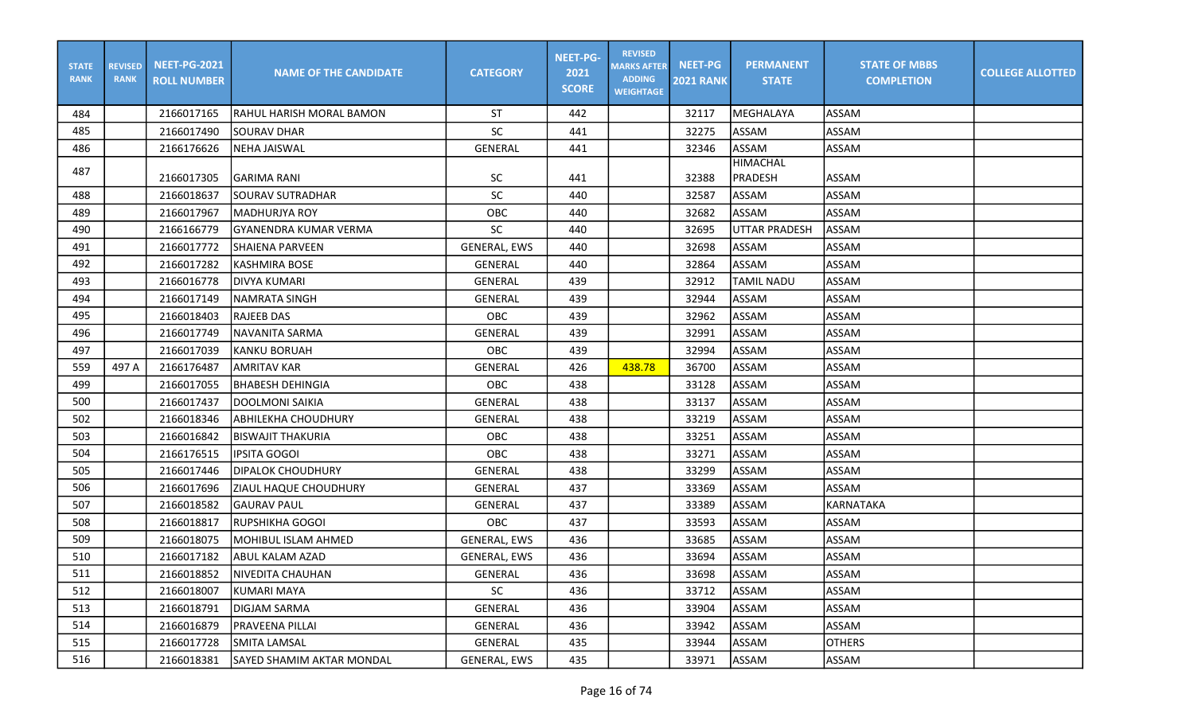| <b>STATE</b><br><b>RANK</b> | <b>REVISED</b><br><b>RANK</b> | <b>NEET-PG-2021</b><br><b>ROLL NUMBER</b> | <b>NAME OF THE CANDIDATE</b>     | <b>CATEGORY</b>     | <b>NEET-PG-</b><br>2021<br><b>SCORE</b> | <b>REVISED</b><br><b>MARKS AFTER</b><br><b>ADDING</b><br><b>WEIGHTAGE</b> | <b>NEET-PG</b><br><b>2021 RANK</b> | <b>PERMANENT</b><br><b>STATE</b>  | <b>STATE OF MBBS</b><br><b>COMPLETION</b> | <b>COLLEGE ALLOTTED</b> |
|-----------------------------|-------------------------------|-------------------------------------------|----------------------------------|---------------------|-----------------------------------------|---------------------------------------------------------------------------|------------------------------------|-----------------------------------|-------------------------------------------|-------------------------|
| 484                         |                               | 2166017165                                | IRAHUL HARISH MORAL BAMON        | <b>ST</b>           | 442                                     |                                                                           | 32117                              | MEGHALAYA                         | ASSAM                                     |                         |
| 485                         |                               | 2166017490                                | <b>SOURAV DHAR</b>               | <b>SC</b>           | 441                                     |                                                                           | 32275                              | ASSAM                             | ASSAM                                     |                         |
| 486                         |                               | 2166176626                                | <b>NEHA JAISWAL</b>              | <b>GENERAL</b>      | 441                                     |                                                                           | 32346                              | ASSAM                             | ASSAM                                     |                         |
| 487                         |                               | 2166017305                                | IGARIMA RANI                     | <b>SC</b>           | 441                                     |                                                                           | 32388                              | <b>HIMACHAL</b><br><b>PRADESH</b> | ASSAM                                     |                         |
| 488                         |                               | 2166018637                                | <b>SOURAV SUTRADHAR</b>          | <b>SC</b>           | 440                                     |                                                                           | 32587                              | ASSAM                             | <b>ASSAM</b>                              |                         |
| 489                         |                               | 2166017967                                | İMADHURJYA ROY                   | OBC                 | 440                                     |                                                                           | 32682                              | ASSAM                             | ASSAM                                     |                         |
| 490                         |                               | 2166166779                                | IGYANENDRA KUMAR VERMA           | <b>SC</b>           | 440                                     |                                                                           | 32695                              | <b>UTTAR PRADESH</b>              | <b>ASSAM</b>                              |                         |
| 491                         |                               | 2166017772                                | <b>SHAIENA PARVEEN</b>           | GENERAL, EWS        | 440                                     |                                                                           | 32698                              | ASSAM                             | ASSAM                                     |                         |
| 492                         |                               | 2166017282                                | <b>KASHMIRA BOSE</b>             | <b>GENERAL</b>      | 440                                     |                                                                           | 32864                              | ASSAM                             | <b>ASSAM</b>                              |                         |
| 493                         |                               | 2166016778                                | DIVYA KUMARI                     | GENERAL             | 439                                     |                                                                           | 32912                              | <b>TAMIL NADU</b>                 | <b>ASSAM</b>                              |                         |
| 494                         |                               | 2166017149                                | NAMRATA SINGH                    | GENERAL             | 439                                     |                                                                           | 32944                              | ASSAM                             | <b>ASSAM</b>                              |                         |
| 495                         |                               | 2166018403                                | <b>RAJEEB DAS</b>                | <b>OBC</b>          | 439                                     |                                                                           | 32962                              | ASSAM                             | ASSAM                                     |                         |
| 496                         |                               | 2166017749                                | <b>NAVANITA SARMA</b>            | GENERAL             | 439                                     |                                                                           | 32991                              | ASSAM                             | ASSAM                                     |                         |
| 497                         |                               | 2166017039                                | KANKU BORUAH                     | OBC                 | 439                                     |                                                                           | 32994                              | ASSAM                             | ASSAM                                     |                         |
| 559                         | 497 A                         | 2166176487                                | AMRITAV KAR                      | <b>GENERAL</b>      | 426                                     | 438.78                                                                    | 36700                              | ASSAM                             | ASSAM                                     |                         |
| 499                         |                               | 2166017055                                | <b>BHABESH DEHINGIA</b>          | OBC                 | 438                                     |                                                                           | 33128                              | ASSAM                             | <b>ASSAM</b>                              |                         |
| 500                         |                               | 2166017437                                | DOOLMONI SAIKIA                  | GENERAL             | 438                                     |                                                                           | 33137                              | ASSAM                             | ASSAM                                     |                         |
| 502                         |                               | 2166018346                                | <b>ABHILEKHA CHOUDHURY</b>       | <b>GENERAL</b>      | 438                                     |                                                                           | 33219                              | ASSAM                             | <b>ASSAM</b>                              |                         |
| 503                         |                               | 2166016842                                | BISWAJIT THAKURIA                | OBC                 | 438                                     |                                                                           | 33251                              | <b>ASSAM</b>                      | ASSAM                                     |                         |
| 504                         |                               | 2166176515                                | lipsita Gogol                    | <b>OBC</b>          | 438                                     |                                                                           | 33271                              | ASSAM                             | <b>ASSAM</b>                              |                         |
| 505                         |                               | 2166017446                                | IDIPALOK CHOUDHURY               | <b>GENERAL</b>      | 438                                     |                                                                           | 33299                              | ASSAM                             | <b>ASSAM</b>                              |                         |
| 506                         |                               | 2166017696                                | ZIAUL HAQUE CHOUDHURY            | <b>GENERAL</b>      | 437                                     |                                                                           | 33369                              | ASSAM                             | <b>ASSAM</b>                              |                         |
| 507                         |                               | 2166018582                                | <b>GAURAV PAUL</b>               | GENERAL             | 437                                     |                                                                           | 33389                              | ASSAM                             | <b>KARNATAKA</b>                          |                         |
| 508                         |                               | 2166018817                                | İRUPSHIKHA GOGOI                 | <b>OBC</b>          | 437                                     |                                                                           | 33593                              | ASSAM                             | ASSAM                                     |                         |
| 509                         |                               | 2166018075                                | <b>MOHIBUL ISLAM AHMED</b>       | <b>GENERAL, EWS</b> | 436                                     |                                                                           | 33685                              | ASSAM                             | ASSAM                                     |                         |
| 510                         |                               | 2166017182                                | ABUL KALAM AZAD                  | <b>GENERAL, EWS</b> | 436                                     |                                                                           | 33694                              | <b>ASSAM</b>                      | ASSAM                                     |                         |
| 511                         |                               | 2166018852                                | NIVEDITA CHAUHAN                 | GENERAL             | 436                                     |                                                                           | 33698                              | ASSAM                             | ASSAM                                     |                         |
| 512                         |                               | 2166018007                                | <b>KUMARI MAYA</b>               | SC                  | 436                                     |                                                                           | 33712                              | ASSAM                             | ASSAM                                     |                         |
| 513                         |                               | 2166018791                                | <b>DIGJAM SARMA</b>              | GENERAL             | 436                                     |                                                                           | 33904                              | ASSAM                             | ASSAM                                     |                         |
| 514                         |                               | 2166016879                                | <b>PRAVEENA PILLAI</b>           | GENERAL             | 436                                     |                                                                           | 33942                              | ASSAM                             | ASSAM                                     |                         |
| 515                         |                               | 2166017728                                | <b>SMITA LAMSAL</b>              | GENERAL             | 435                                     |                                                                           | 33944                              | ASSAM                             | <b>OTHERS</b>                             |                         |
| 516                         |                               | 2166018381                                | <b>SAYED SHAMIM AKTAR MONDAL</b> | GENERAL, EWS        | 435                                     |                                                                           | 33971                              | ASSAM                             | ASSAM                                     |                         |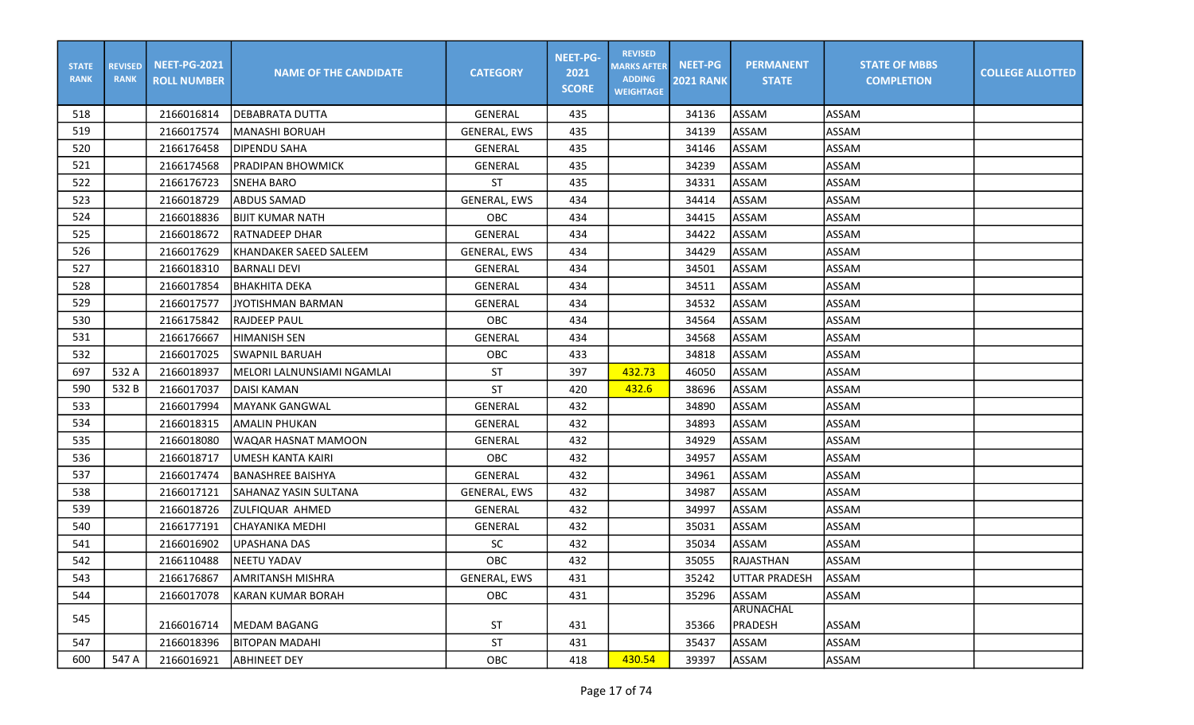| <b>STATE</b><br><b>RANK</b> | <b>REVISED</b><br><b>RANK</b> | <b>NEET-PG-2021</b><br><b>ROLL NUMBER</b> | <b>NAME OF THE CANDIDATE</b> | <b>CATEGORY</b>     | <b>NEET-PG-</b><br>2021<br><b>SCORE</b> | <b>REVISED</b><br><b>MARKS AFTER</b><br><b>ADDING</b><br><b>WEIGHTAGE</b> | <b>NEET-PG</b><br><b>2021 RANK</b> | <b>PERMANENT</b><br><b>STATE</b> | <b>STATE OF MBBS</b><br><b>COMPLETION</b> | <b>COLLEGE ALLOTTED</b> |
|-----------------------------|-------------------------------|-------------------------------------------|------------------------------|---------------------|-----------------------------------------|---------------------------------------------------------------------------|------------------------------------|----------------------------------|-------------------------------------------|-------------------------|
| 518                         |                               | 2166016814                                | IDEBABRATA DUTTA             | GENERAL             | 435                                     |                                                                           | 34136                              | ASSAM                            | ASSAM                                     |                         |
| 519                         |                               | 2166017574                                | MANASHI BORUAH               | <b>GENERAL, EWS</b> | 435                                     |                                                                           | 34139                              | ASSAM                            | ASSAM                                     |                         |
| 520                         |                               | 2166176458                                | DIPENDU SAHA                 | GENERAL             | 435                                     |                                                                           | 34146                              | ASSAM                            | <b>ASSAM</b>                              |                         |
| 521                         |                               | 2166174568                                | <b>PRADIPAN BHOWMICK</b>     | GENERAL             | 435                                     |                                                                           | 34239                              | ASSAM                            | <b>ASSAM</b>                              |                         |
| 522                         |                               | 2166176723                                | <b>SNEHA BARO</b>            | <b>ST</b>           | 435                                     |                                                                           | 34331                              | ASSAM                            | <b>ASSAM</b>                              |                         |
| 523                         |                               | 2166018729                                | <b>ABDUS SAMAD</b>           | GENERAL, EWS        | 434                                     |                                                                           | 34414                              | ASSAM                            | <b>ASSAM</b>                              |                         |
| 524                         |                               | 2166018836                                | BIJIT KUMAR NATH             | <b>OBC</b>          | 434                                     |                                                                           | 34415                              | ASSAM                            | <b>ASSAM</b>                              |                         |
| 525                         |                               | 2166018672                                | IRATNADEEP DHAR              | <b>GENERAL</b>      | 434                                     |                                                                           | 34422                              | ASSAM                            | ASSAM                                     |                         |
| 526                         |                               | 2166017629                                | KHANDAKER SAEED SALEEM       | <b>GENERAL, EWS</b> | 434                                     |                                                                           | 34429                              | <b>ASSAM</b>                     | ASSAM                                     |                         |
| 527                         |                               | 2166018310                                | <b>BARNALI DEVI</b>          | GENERAL             | 434                                     |                                                                           | 34501                              | ASSAM                            | <b>ASSAM</b>                              |                         |
| 528                         |                               | 2166017854                                | <b>BHAKHITA DEKA</b>         | GENERAL             | 434                                     |                                                                           | 34511                              | ASSAM                            | <b>ASSAM</b>                              |                         |
| 529                         |                               | 2166017577                                | JYOTISHMAN BARMAN            | GENERAL             | 434                                     |                                                                           | 34532                              | ASSAM                            | <b>ASSAM</b>                              |                         |
| 530                         |                               | 2166175842                                | <b>RAJDEEP PAUL</b>          | OBC                 | 434                                     |                                                                           | 34564                              | <b>ASSAM</b>                     | <b>ASSAM</b>                              |                         |
| 531                         |                               | 2166176667                                | <b>HIMANISH SEN</b>          | GENERAL             | 434                                     |                                                                           | 34568                              | ASSAM                            | ASSAM                                     |                         |
| 532                         |                               | 2166017025                                | <b>SWAPNIL BARUAH</b>        | OBC                 | 433                                     |                                                                           | 34818                              | ASSAM                            | ASSAM                                     |                         |
| 697                         | 532 A                         | 2166018937                                | MELORI LALNUNSIAMI NGAMLAI   | <b>ST</b>           | 397                                     | 432.73                                                                    | 46050                              | <b>ASSAM</b>                     | ASSAM                                     |                         |
| 590                         | 532 B                         | 2166017037                                | DAISI KAMAN                  | <b>ST</b>           | 420                                     | 432.6                                                                     | 38696                              | ASSAM                            | ASSAM                                     |                         |
| 533                         |                               | 2166017994                                | <b>MAYANK GANGWAL</b>        | <b>GENERAL</b>      | 432                                     |                                                                           | 34890                              | ASSAM                            | <b>ASSAM</b>                              |                         |
| 534                         |                               | 2166018315                                | <b>AMALIN PHUKAN</b>         | GENERAL             | 432                                     |                                                                           | 34893                              | ASSAM                            | <b>ASSAM</b>                              |                         |
| 535                         |                               | 2166018080                                | WAQAR HASNAT MAMOON          | GENERAL             | 432                                     |                                                                           | 34929                              | ASSAM                            | <b>ASSAM</b>                              |                         |
| 536                         |                               | 2166018717                                | JUMESH KANTA KAIRI           | OBC                 | 432                                     |                                                                           | 34957                              | <b>ASSAM</b>                     | ASSAM                                     |                         |
| 537                         |                               | 2166017474                                | <b>BANASHREE BAISHYA</b>     | GENERAL             | 432                                     |                                                                           | 34961                              | ASSAM                            | <b>ASSAM</b>                              |                         |
| 538                         |                               | 2166017121                                | SAHANAZ YASIN SULTANA        | <b>GENERAL, EWS</b> | 432                                     |                                                                           | 34987                              | ASSAM                            | <b>ASSAM</b>                              |                         |
| 539                         |                               | 2166018726                                | ZULFIQUAR AHMED              | GENERAL             | 432                                     |                                                                           | 34997                              | ASSAM                            | <b>ASSAM</b>                              |                         |
| 540                         |                               | 2166177191                                | CHAYANIKA MEDHI              | GENERAL             | 432                                     |                                                                           | 35031                              | ASSAM                            | <b>ASSAM</b>                              |                         |
| 541                         |                               | 2166016902                                | UPASHANA DAS                 | <b>SC</b>           | 432                                     |                                                                           | 35034                              | ASSAM                            | <b>ASSAM</b>                              |                         |
| 542                         |                               | 2166110488                                | NEETU YADAV                  | OBC                 | 432                                     |                                                                           | 35055                              | RAJASTHAN                        | ASSAM                                     |                         |
| 543                         |                               | 2166176867                                | <b>JAMRITANSH MISHRA</b>     | <b>GENERAL, EWS</b> | 431                                     |                                                                           | 35242                              | UTTAR PRADESH                    | <b>ASSAM</b>                              |                         |
| 544                         |                               | 2166017078                                | KARAN KUMAR BORAH            | OBC                 | 431                                     |                                                                           | 35296                              | ASSAM                            | ASSAM                                     |                         |
| 545                         |                               |                                           |                              |                     |                                         |                                                                           |                                    | <b>ARUNACHAL</b>                 |                                           |                         |
|                             |                               | 2166016714                                | <b>IMEDAM BAGANG</b>         | <b>ST</b>           | 431                                     |                                                                           | 35366                              | PRADESH                          | ASSAM                                     |                         |
| 547                         |                               | 2166018396                                | <b>BITOPAN MADAHI</b>        | <b>ST</b>           | 431                                     |                                                                           | 35437                              | ASSAM                            | ASSAM                                     |                         |
| 600                         | 547 A                         | 2166016921                                | ABHINEET DEY                 | OBC                 | 418                                     | 430.54                                                                    | 39397                              | ASSAM                            | ASSAM                                     |                         |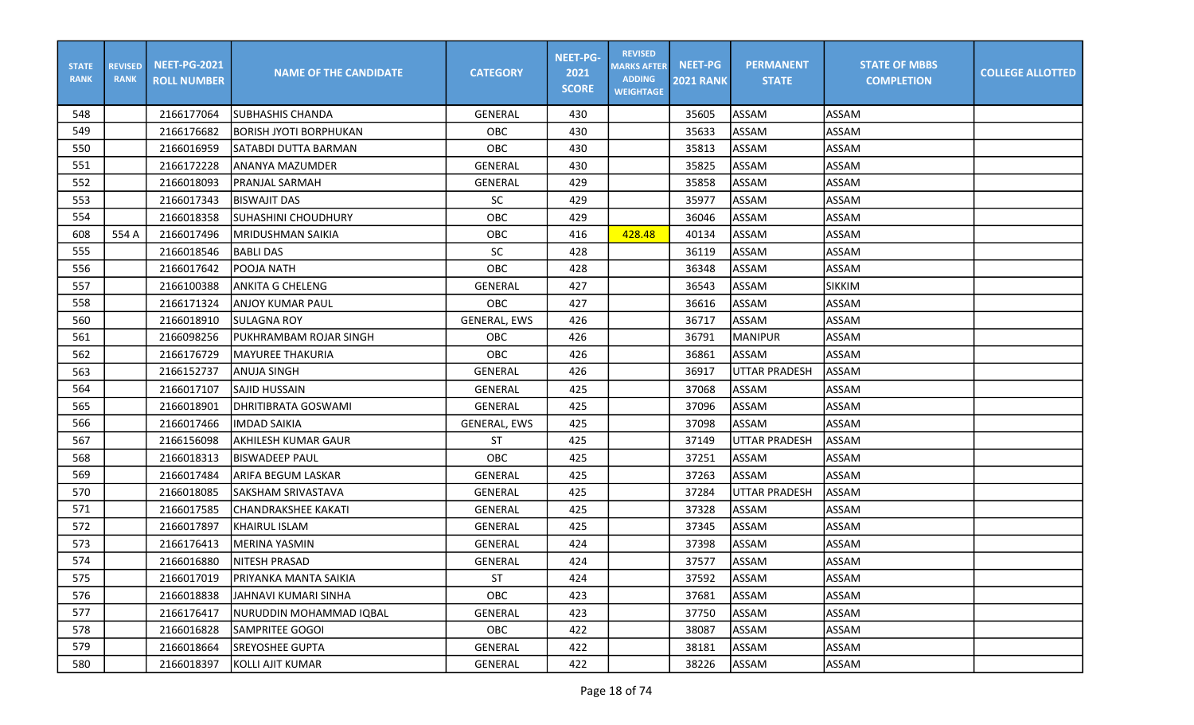| <b>STATE</b><br><b>RANK</b> | <b>REVISED</b><br><b>RANK</b> | <b>NEET-PG-2021</b><br><b>ROLL NUMBER</b> | <b>NAME OF THE CANDIDATE</b>  | <b>CATEGORY</b>     | <b>NEET-PG-</b><br>2021<br><b>SCORE</b> | <b>REVISED</b><br><b>MARKS AFTER</b><br><b>ADDING</b><br><b>WEIGHTAGE</b> | <b>NEET-PG</b><br><b>2021 RANK</b> | <b>PERMANENT</b><br><b>STATE</b> | <b>STATE OF MBBS</b><br><b>COMPLETION</b> | <b>COLLEGE ALLOTTED</b> |
|-----------------------------|-------------------------------|-------------------------------------------|-------------------------------|---------------------|-----------------------------------------|---------------------------------------------------------------------------|------------------------------------|----------------------------------|-------------------------------------------|-------------------------|
| 548                         |                               | 2166177064                                | ISUBHASHIS CHANDA             | <b>GENERAL</b>      | 430                                     |                                                                           | 35605                              | ASSAM                            | ASSAM                                     |                         |
| 549                         |                               | 2166176682                                | IBORISH JYOTI BORPHUKAN       | OBC                 | 430                                     |                                                                           | 35633                              | ASSAM                            | ASSAM                                     |                         |
| 550                         |                               | 2166016959                                | SATABDI DUTTA BARMAN          | OBC                 | 430                                     |                                                                           | 35813                              | ASSAM                            | <b>ASSAM</b>                              |                         |
| 551                         |                               | 2166172228                                | <b>ANANYA MAZUMDER</b>        | GENERAL             | 430                                     |                                                                           | 35825                              | ASSAM                            | <b>ASSAM</b>                              |                         |
| 552                         |                               | 2166018093                                | <b>PRANJAL SARMAH</b>         | <b>GENERAL</b>      | 429                                     |                                                                           | 35858                              | ASSAM                            | <b>ASSAM</b>                              |                         |
| 553                         |                               | 2166017343                                | BISWAJIT DAS                  | <b>SC</b>           | 429                                     |                                                                           | 35977                              | ASSAM                            | <b>ASSAM</b>                              |                         |
| 554                         |                               | 2166018358                                | SUHASHINI CHOUDHURY           | OBC                 | 429                                     |                                                                           | 36046                              | ASSAM                            | <b>ASSAM</b>                              |                         |
| 608                         | 554 A                         | 2166017496                                | <b>MRIDUSHMAN SAIKIA</b>      | OBC                 | 416                                     | 428.48                                                                    | 40134                              | ASSAM                            | ASSAM                                     |                         |
| 555                         |                               | 2166018546                                | <b>BABLI DAS</b>              | SC                  | 428                                     |                                                                           | 36119                              | <b>ASSAM</b>                     | ASSAM                                     |                         |
| 556                         |                               | 2166017642                                | IPOOJA NATH                   | OBC                 | 428                                     |                                                                           | 36348                              | ASSAM                            | <b>ASSAM</b>                              |                         |
| 557                         |                               | 2166100388                                | <b>ANKITA G CHELENG</b>       | GENERAL             | 427                                     |                                                                           | 36543                              | ASSAM                            | <b>SIKKIM</b>                             |                         |
| 558                         |                               | 2166171324                                | JANJOY KUMAR PAUL             | OBC                 | 427                                     |                                                                           | 36616                              | ASSAM                            | <b>ASSAM</b>                              |                         |
| 560                         |                               | 2166018910                                | <b>SULAGNA ROY</b>            | <b>GENERAL, EWS</b> | 426                                     |                                                                           | 36717                              | ASSAM                            | <b>ASSAM</b>                              |                         |
| 561                         |                               | 2166098256                                | PUKHRAMBAM ROJAR SINGH        | OBC                 | 426                                     |                                                                           | 36791                              | <b>MANIPUR</b>                   | ASSAM                                     |                         |
| 562                         |                               | 2166176729                                | MAYUREE THAKURIA              | OBC                 | 426                                     |                                                                           | 36861                              | ASSAM                            | ASSAM                                     |                         |
| 563                         |                               | 2166152737                                | <b>ANUJA SINGH</b>            | <b>GENERAL</b>      | 426                                     |                                                                           | 36917                              | <b>UTTAR PRADESH</b>             | ASSAM                                     |                         |
| 564                         |                               | 2166017107                                | ISAJID HUSSAIN                | <b>GENERAL</b>      | 425                                     |                                                                           | 37068                              | ASSAM                            | <b>ASSAM</b>                              |                         |
| 565                         |                               | 2166018901                                | <b>DHRITIBRATA GOSWAMI</b>    | GENERAL             | 425                                     |                                                                           | 37096                              | ASSAM                            | <b>ASSAM</b>                              |                         |
| 566                         |                               | 2166017466                                | IIMDAD SAIKIA                 | <b>GENERAL, EWS</b> | 425                                     |                                                                           | 37098                              | ASSAM                            | <b>ASSAM</b>                              |                         |
| 567                         |                               | 2166156098                                | <b>AKHILESH KUMAR GAUR</b>    | <b>ST</b>           | 425                                     |                                                                           | 37149                              | <b>UTTAR PRADESH</b>             | ASSAM                                     |                         |
| 568                         |                               | 2166018313                                | <b>BISWADEEP PAUL</b>         | OBC                 | 425                                     |                                                                           | 37251                              | <b>ASSAM</b>                     | <b>ASSAM</b>                              |                         |
| 569                         |                               | 2166017484                                | <b>ARIFA BEGUM LASKAR</b>     | <b>GENERAL</b>      | 425                                     |                                                                           | 37263                              | ASSAM                            | <b>ASSAM</b>                              |                         |
| 570                         |                               | 2166018085                                | SAKSHAM SRIVASTAVA            | <b>GENERAL</b>      | 425                                     |                                                                           | 37284                              | <b>UTTAR PRADESH</b>             | ASSAM                                     |                         |
| 571                         |                               | 2166017585                                | <b>CHANDRAKSHEE KAKATI</b>    | GENERAL             | 425                                     |                                                                           | 37328                              | ASSAM                            | <b>ASSAM</b>                              |                         |
| 572                         |                               | 2166017897                                | KHAIRUL ISLAM                 | GENERAL             | 425                                     |                                                                           | 37345                              | ASSAM                            | <b>ASSAM</b>                              |                         |
| 573                         |                               | 2166176413                                | MERINA YASMIN                 | GENERAL             | 424                                     |                                                                           | 37398                              | ASSAM                            | <b>ASSAM</b>                              |                         |
| 574                         |                               | 2166016880                                | NITESH PRASAD                 | GENERAL             | 424                                     |                                                                           | 37577                              | ASSAM                            | ASSAM                                     |                         |
| 575                         |                               | 2166017019                                | <b>IPRIYANKA MANTA SAIKIA</b> | <b>ST</b>           | 424                                     |                                                                           | 37592                              | ASSAM                            | ASSAM                                     |                         |
| 576                         |                               | 2166018838                                | JAHNAVI KUMARI SINHA          | OBC                 | 423                                     |                                                                           | 37681                              | ASSAM                            | ASSAM                                     |                         |
| 577                         |                               | 2166176417                                | NURUDDIN MOHAMMAD IQBAL       | GENERAL             | 423                                     |                                                                           | 37750                              | ASSAM                            | ASSAM                                     |                         |
| 578                         |                               | 2166016828                                | SAMPRITEE GOGOI               | OBC                 | 422                                     |                                                                           | 38087                              | ASSAM                            | ASSAM                                     |                         |
| 579                         |                               | 2166018664                                | <b>SREYOSHEE GUPTA</b>        | GENERAL             | 422                                     |                                                                           | 38181                              | ASSAM                            | ASSAM                                     |                         |
| 580                         |                               | 2166018397                                | KOLLI AJIT KUMAR              | GENERAL             | 422                                     |                                                                           | 38226                              | ASSAM                            | ASSAM                                     |                         |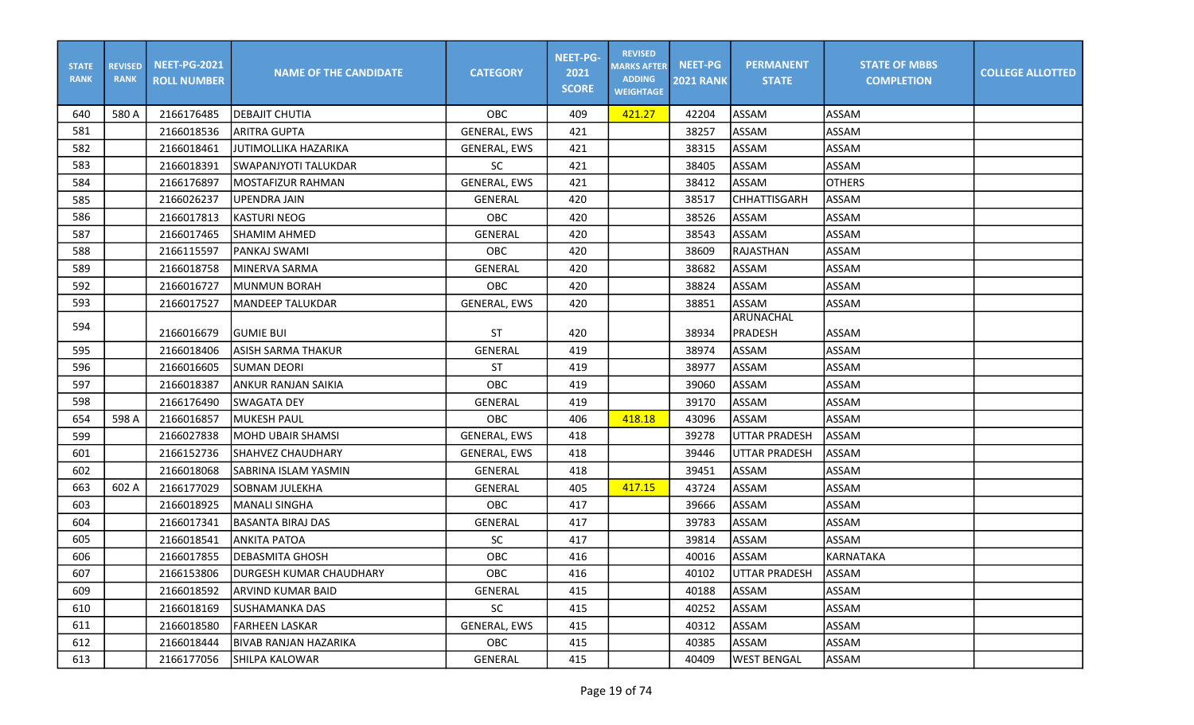| <b>STATE</b><br><b>RANK</b> | <b>REVISED</b><br><b>RANK</b> | <b>NEET-PG-2021</b><br><b>ROLL NUMBER</b> | <b>NAME OF THE CANDIDATE</b> | <b>CATEGORY</b>     | <b>NEET-PG-</b><br>2021<br><b>SCORE</b> | <b>REVISED</b><br><b>MARKS AFTER</b><br><b>ADDING</b><br><b>WEIGHTAGE</b> | <b>NEET-PG</b><br><b>2021 RANK</b> | <b>PERMANENT</b><br><b>STATE</b> | <b>STATE OF MBBS</b><br><b>COMPLETION</b> | <b>COLLEGE ALLOTTED</b> |
|-----------------------------|-------------------------------|-------------------------------------------|------------------------------|---------------------|-----------------------------------------|---------------------------------------------------------------------------|------------------------------------|----------------------------------|-------------------------------------------|-------------------------|
| 640                         | 580 A                         | 2166176485                                | <b>DEBAJIT CHUTIA</b>        | <b>OBC</b>          | 409                                     | 421.27                                                                    | 42204                              | ASSAM                            | ASSAM                                     |                         |
| 581                         |                               | 2166018536                                | <b>ARITRA GUPTA</b>          | <b>GENERAL, EWS</b> | 421                                     |                                                                           | 38257                              | <b>ASSAM</b>                     | ASSAM                                     |                         |
| 582                         |                               | 2166018461                                | JUTIMOLLIKA HAZARIKA         | GENERAL, EWS        | 421                                     |                                                                           | 38315                              | ASSAM                            | ASSAM                                     |                         |
| 583                         |                               | 2166018391                                | <b>SWAPANJYOTI TALUKDAR</b>  | <b>SC</b>           | 421                                     |                                                                           | 38405                              | ASSAM                            | ASSAM                                     |                         |
| 584                         |                               | 2166176897                                | MOSTAFIZUR RAHMAN            | GENERAL, EWS        | 421                                     |                                                                           | 38412                              | ASSAM                            | <b>OTHERS</b>                             |                         |
| 585                         |                               | 2166026237                                | <b>UPENDRA JAIN</b>          | <b>GENERAL</b>      | 420                                     |                                                                           | 38517                              | CHHATTISGARH                     | ASSAM                                     |                         |
| 586                         |                               | 2166017813                                | <b>KASTURI NEOG</b>          | OBC                 | 420                                     |                                                                           | 38526                              | ASSAM                            | ASSAM                                     |                         |
| 587                         |                               | 2166017465                                | <b>SHAMIM AHMED</b>          | <b>GENERAL</b>      | 420                                     |                                                                           | 38543                              | ASSAM                            | ASSAM                                     |                         |
| 588                         |                               | 2166115597                                | PANKAJ SWAMI                 | OBC                 | 420                                     |                                                                           | 38609                              | <b>RAJASTHAN</b>                 | ASSAM                                     |                         |
| 589                         |                               | 2166018758                                | MINERVA SARMA                | <b>GENERAL</b>      | 420                                     |                                                                           | 38682                              | ASSAM                            | ASSAM                                     |                         |
| 592                         |                               | 2166016727                                | MUNMUN BORAH                 | OBC                 | 420                                     |                                                                           | 38824                              | ASSAM                            | ASSAM                                     |                         |
| 593                         |                               | 2166017527                                | <b>MANDEEP TALUKDAR</b>      | GENERAL, EWS        | 420                                     |                                                                           | 38851                              | ASSAM                            | ASSAM                                     |                         |
| 594                         |                               | 2166016679                                | <b>GUMIE BUI</b>             | <b>ST</b>           | 420                                     |                                                                           | 38934                              | <b>ARUNACHAL</b><br>PRADESH      | ASSAM                                     |                         |
| 595                         |                               | 2166018406                                | <b>ASISH SARMA THAKUR</b>    | GENERAL             | 419                                     |                                                                           | 38974                              | ASSAM                            | ASSAM                                     |                         |
| 596                         |                               | 2166016605                                | SUMAN DEORI                  | <b>ST</b>           | 419                                     |                                                                           | 38977                              | ASSAM                            | ASSAM                                     |                         |
| 597                         |                               | 2166018387                                | <b>ANKUR RANJAN SAIKIA</b>   | OBC                 | 419                                     |                                                                           | 39060                              | ASSAM                            | ASSAM                                     |                         |
| 598                         |                               | 2166176490                                | <b>SWAGATA DEY</b>           | GENERAL             | 419                                     |                                                                           | 39170                              | ASSAM                            | ASSAM                                     |                         |
| 654                         | 598 A                         | 2166016857                                | <b>MUKESH PAUL</b>           | <b>OBC</b>          | 406                                     | 418.18                                                                    | 43096                              | ASSAM                            | ASSAM                                     |                         |
| 599                         |                               | 2166027838                                | <b>MOHD UBAIR SHAMSI</b>     | <b>GENERAL, EWS</b> | 418                                     |                                                                           | 39278                              | <b>UTTAR PRADESH</b>             | ASSAM                                     |                         |
| 601                         |                               | 2166152736                                | SHAHVEZ CHAUDHARY            | <b>GENERAL, EWS</b> | 418                                     |                                                                           | 39446                              | <b>UTTAR PRADESH</b>             | ASSAM                                     |                         |
| 602                         |                               | 2166018068                                | SABRINA ISLAM YASMIN         | GENERAL             | 418                                     |                                                                           | 39451                              | ASSAM                            | ASSAM                                     |                         |
| 663                         | 602 A                         | 2166177029                                | <b>SOBNAM JULEKHA</b>        | <b>GENERAL</b>      | 405                                     | 417.15                                                                    | 43724                              | ASSAM                            | ASSAM                                     |                         |
| 603                         |                               | 2166018925                                | <b>MANALI SINGHA</b>         | OBC                 | 417                                     |                                                                           | 39666                              | ASSAM                            | ASSAM                                     |                         |
| 604                         |                               | 2166017341                                | BASANTA BIRAJ DAS            | GENERAL             | 417                                     |                                                                           | 39783                              | ASSAM                            | ASSAM                                     |                         |
| 605                         |                               | 2166018541                                | <b>ANKITA PATOA</b>          | SC                  | 417                                     |                                                                           | 39814                              | ASSAM                            | ASSAM                                     |                         |
| 606                         |                               | 2166017855                                | DEBASMITA GHOSH              | OBC                 | 416                                     |                                                                           | 40016                              | ASSAM                            | KARNATAKA                                 |                         |
| 607                         |                               | 2166153806                                | DURGESH KUMAR CHAUDHARY      | OBC                 | 416                                     |                                                                           | 40102                              | UTTAR PRADESH                    | <b>JASSAM</b>                             |                         |
| 609                         |                               | 2166018592                                | ARVIND KUMAR BAID            | GENERAL             | 415                                     |                                                                           | 40188                              | ASSAM                            | ASSAM                                     |                         |
| 610                         |                               | 2166018169                                | <b>SUSHAMANKA DAS</b>        | SC                  | 415                                     |                                                                           | 40252                              | ASSAM                            | ASSAM                                     |                         |
| 611                         |                               | 2166018580                                | <b>FARHEEN LASKAR</b>        | <b>GENERAL, EWS</b> | 415                                     |                                                                           | 40312                              | ASSAM                            | ASSAM                                     |                         |
| 612                         |                               | 2166018444                                | <b>BIVAB RANJAN HAZARIKA</b> | OBC                 | 415                                     |                                                                           | 40385                              | ASSAM                            | ASSAM                                     |                         |
| 613                         |                               | 2166177056                                | ISHILPA KALOWAR              | GENERAL             | 415                                     |                                                                           | 40409                              | <b>WEST BENGAL</b>               | ASSAM                                     |                         |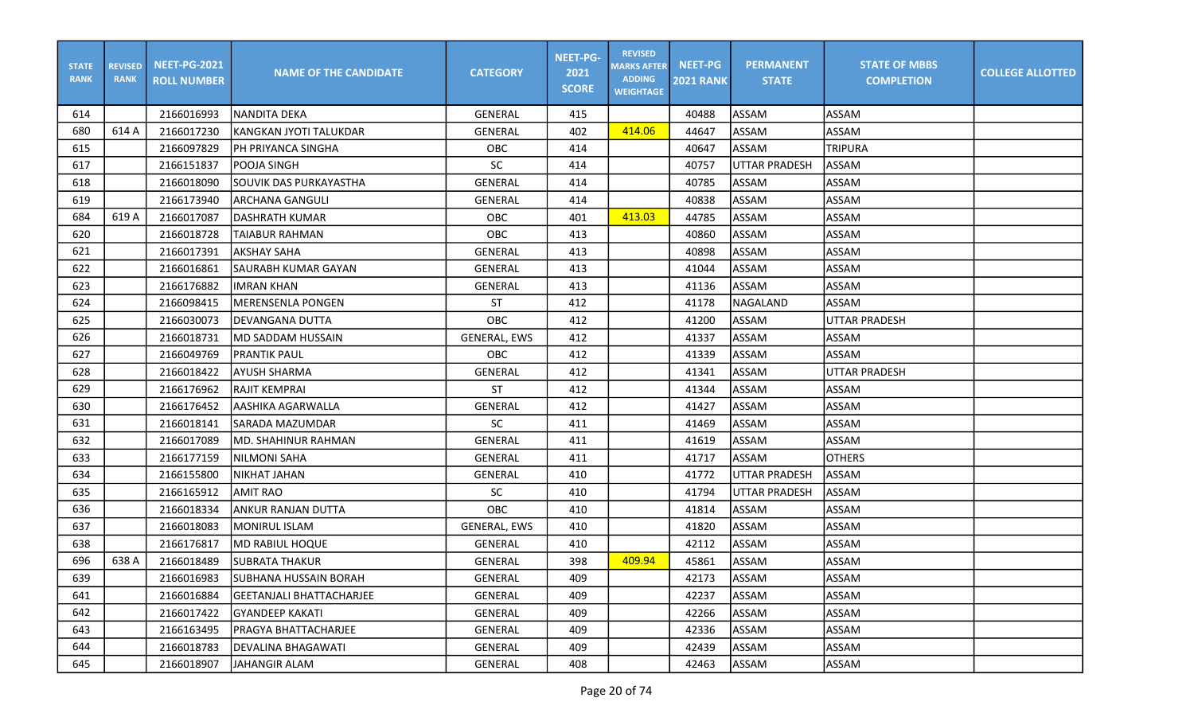| <b>STATE</b><br><b>RANK</b> | <b>REVISED</b><br><b>RANK</b> | <b>NEET-PG-2021</b><br><b>ROLL NUMBER</b> | <b>NAME OF THE CANDIDATE</b>    | <b>CATEGORY</b>     | <b>NEET-PG-</b><br>2021<br><b>SCORE</b> | <b>REVISED</b><br><b>MARKS AFTER</b><br><b>ADDING</b><br><b>WEIGHTAGE</b> | <b>NEET-PG</b><br><b>2021 RANK</b> | <b>PERMANENT</b><br><b>STATE</b> | <b>STATE OF MBBS</b><br><b>COMPLETION</b> | <b>COLLEGE ALLOTTED</b> |
|-----------------------------|-------------------------------|-------------------------------------------|---------------------------------|---------------------|-----------------------------------------|---------------------------------------------------------------------------|------------------------------------|----------------------------------|-------------------------------------------|-------------------------|
| 614                         |                               | 2166016993                                | INANDITA DEKA                   | GENERAL             | 415                                     |                                                                           | 40488                              | ASSAM                            | <b>ASSAM</b>                              |                         |
| 680                         | 614 A                         | 2166017230                                | lkangkan jyoti talukdar         | GENERAL             | 402                                     | 414.06                                                                    | 44647                              | ASSAM                            | <b>ASSAM</b>                              |                         |
| 615                         |                               | 2166097829                                | PH PRIYANCA SINGHA              | OBC                 | 414                                     |                                                                           | 40647                              | ASSAM                            | <b>TRIPURA</b>                            |                         |
| 617                         |                               | 2166151837                                | POOJA SINGH                     | SC                  | 414                                     |                                                                           | 40757                              | <b>UTTAR PRADESH</b>             | ASSAM                                     |                         |
| 618                         |                               | 2166018090                                | SOUVIK DAS PURKAYASTHA          | <b>GENERAL</b>      | 414                                     |                                                                           | 40785                              | ASSAM                            | ASSAM                                     |                         |
| 619                         |                               | 2166173940                                | <b>ARCHANA GANGULI</b>          | GENERAL             | 414                                     |                                                                           | 40838                              | ASSAM                            | <b>ASSAM</b>                              |                         |
| 684                         | 619 A                         | 2166017087                                | DASHRATH KUMAR                  | OBC                 | 401                                     | 413.03                                                                    | 44785                              | ASSAM                            | <b>ASSAM</b>                              |                         |
| 620                         |                               | 2166018728                                | <b>TAIABUR RAHMAN</b>           | <b>OBC</b>          | 413                                     |                                                                           | 40860                              | ASSAM                            | <b>ASSAM</b>                              |                         |
| 621                         |                               | 2166017391                                | AKSHAY SAHA                     | GENERAL             | 413                                     |                                                                           | 40898                              | <b>ASSAM</b>                     | ASSAM                                     |                         |
| 622                         |                               | 2166016861                                | SAURABH KUMAR GAYAN             | GENERAL             | 413                                     |                                                                           | 41044                              | ASSAM                            | ASSAM                                     |                         |
| 623                         |                               | 2166176882                                | <b>IIMRAN KHAN</b>              | GENERAL             | 413                                     |                                                                           | 41136                              | <b>ASSAM</b>                     | <b>ASSAM</b>                              |                         |
| 624                         |                               | 2166098415                                | <b>MERENSENLA PONGEN</b>        | ST                  | 412                                     |                                                                           | 41178                              | NAGALAND                         | ASSAM                                     |                         |
| 625                         |                               | 2166030073                                | <b>DEVANGANA DUTTA</b>          | OBC                 | 412                                     |                                                                           | 41200                              | ASSAM                            | UTTAR PRADESH                             |                         |
| 626                         |                               | 2166018731                                | MD SADDAM HUSSAIN               | <b>GENERAL, EWS</b> | 412                                     |                                                                           | 41337                              | ASSAM                            | ASSAM                                     |                         |
| 627                         |                               | 2166049769                                | <b>PRANTIK PAUL</b>             | OBC                 | 412                                     |                                                                           | 41339                              | ASSAM                            | ASSAM                                     |                         |
| 628                         |                               | 2166018422                                | AYUSH SHARMA                    | GENERAL             | 412                                     |                                                                           | 41341                              | <b>ASSAM</b>                     | UTTAR PRADESH                             |                         |
| 629                         |                               | 2166176962                                | RAJIT KEMPRAI                   | <b>ST</b>           | 412                                     |                                                                           | 41344                              | ASSAM                            | <b>ASSAM</b>                              |                         |
| 630                         |                               | 2166176452                                | laashika agarwalla              | <b>GENERAL</b>      | 412                                     |                                                                           | 41427                              | ASSAM                            | <b>ASSAM</b>                              |                         |
| 631                         |                               | 2166018141                                | SARADA MAZUMDAR                 | <b>SC</b>           | 411                                     |                                                                           | 41469                              | ASSAM                            | <b>ASSAM</b>                              |                         |
| 632                         |                               | 2166017089                                | <b>MD. SHAHINUR RAHMAN</b>      | GENERAL             | 411                                     |                                                                           | 41619                              | ASSAM                            | <b>ASSAM</b>                              |                         |
| 633                         |                               | 2166177159                                | NILMONI SAHA                    | GENERAL             | 411                                     |                                                                           | 41717                              | ASSAM                            | <b>OTHERS</b>                             |                         |
| 634                         |                               | 2166155800                                | <b>NIKHAT JAHAN</b>             | <b>GENERAL</b>      | 410                                     |                                                                           | 41772                              | <b>UTTAR PRADESH</b>             | ASSAM                                     |                         |
| 635                         |                               | 2166165912                                | <b>AMIT RAO</b>                 | <b>SC</b>           | 410                                     |                                                                           | 41794                              | <b>UTTAR PRADESH</b>             | ASSAM                                     |                         |
| 636                         |                               | 2166018334                                | ANKUR RANJAN DUTTA              | <b>OBC</b>          | 410                                     |                                                                           | 41814                              | ASSAM                            | <b>ASSAM</b>                              |                         |
| 637                         |                               | 2166018083                                | MONIRUL ISLAM                   | GENERAL, EWS        | 410                                     |                                                                           | 41820                              | ASSAM                            | <b>ASSAM</b>                              |                         |
| 638                         |                               | 2166176817                                | MD RABIUL HOQUE                 | GENERAL             | 410                                     |                                                                           | 42112                              | ASSAM                            | <b>ASSAM</b>                              |                         |
| 696                         | 638 A                         | 2166018489                                | SUBRATA THAKUR                  | <b>GENERAL</b>      | 398                                     | 409.94                                                                    | 45861                              | ASSAM                            | ASSAM                                     |                         |
| 639                         |                               | 2166016983                                | SUBHANA HUSSAIN BORAH           | GENERAL             | 409                                     |                                                                           | 42173                              | ASSAM                            | <b>ASSAM</b>                              |                         |
| 641                         |                               | 2166016884                                | <b>GEETANJALI BHATTACHARJEE</b> | GENERAL             | 409                                     |                                                                           | 42237                              | ASSAM                            | ASSAM                                     |                         |
| 642                         |                               | 2166017422                                | <b>GYANDEEP KAKATI</b>          | GENERAL             | 409                                     |                                                                           | 42266                              | ASSAM                            | ASSAM                                     |                         |
| 643                         |                               | 2166163495                                | <b>PRAGYA BHATTACHARJEE</b>     | GENERAL             | 409                                     |                                                                           | 42336                              | ASSAM                            | ASSAM                                     |                         |
| 644                         |                               | 2166018783                                | <b>DEVALINA BHAGAWATI</b>       | GENERAL             | 409                                     |                                                                           | 42439                              | ASSAM                            | ASSAM                                     |                         |
| 645                         |                               | 2166018907                                | JAHANGIR ALAM                   | GENERAL             | 408                                     |                                                                           | 42463                              | ASSAM                            | ASSAM                                     |                         |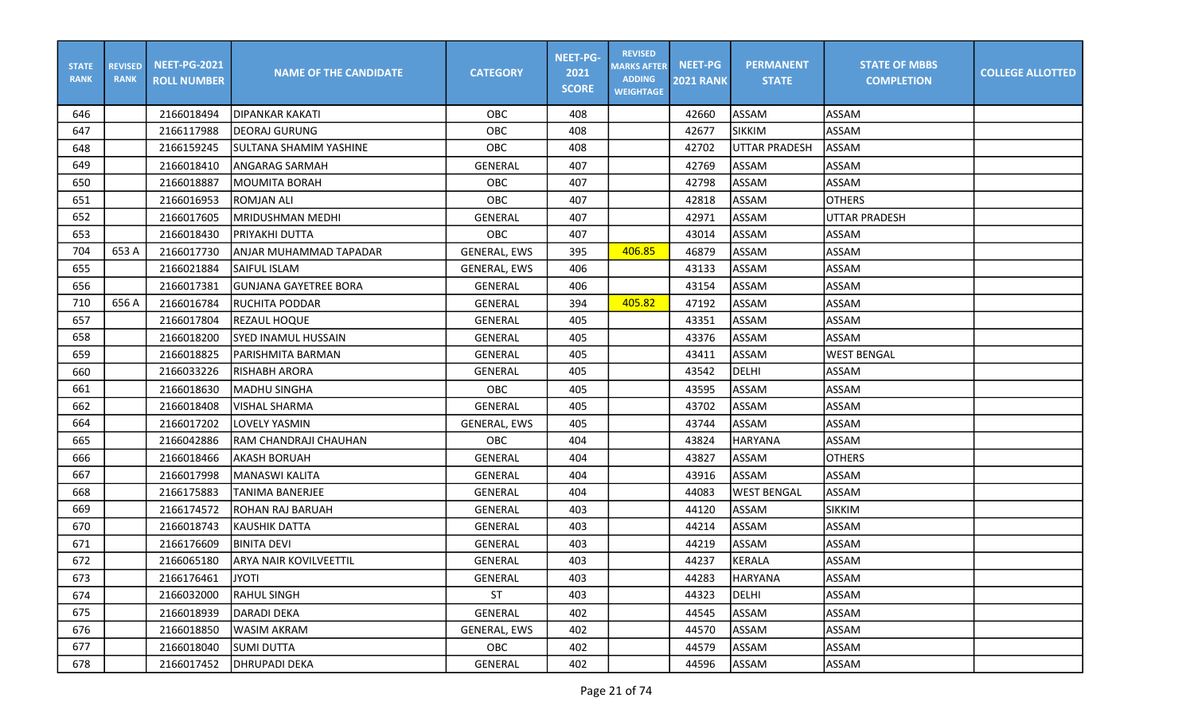| <b>STATE</b><br><b>RANK</b> | <b>REVISED</b><br><b>RANK</b> | <b>NEET-PG-2021</b><br><b>ROLL NUMBER</b> | <b>NAME OF THE CANDIDATE</b>  | <b>CATEGORY</b>     | <b>NEET-PG-</b><br>2021<br><b>SCORE</b> | <b>REVISED</b><br><b>MARKS AFTER</b><br><b>ADDING</b><br><b>WEIGHTAGE</b> | <b>NEET-PG</b><br><b>2021 RANK</b> | <b>PERMANENT</b><br><b>STATE</b> | <b>STATE OF MBBS</b><br><b>COMPLETION</b> | <b>COLLEGE ALLOTTED</b> |
|-----------------------------|-------------------------------|-------------------------------------------|-------------------------------|---------------------|-----------------------------------------|---------------------------------------------------------------------------|------------------------------------|----------------------------------|-------------------------------------------|-------------------------|
| 646                         |                               | 2166018494                                | IDIPANKAR KAKATI              | OBC                 | 408                                     |                                                                           | 42660                              | ASSAM                            | <b>ASSAM</b>                              |                         |
| 647                         |                               | 2166117988                                | DEORAJ GURUNG                 | OBC                 | 408                                     |                                                                           | 42677                              | <b>SIKKIM</b>                    | <b>ASSAM</b>                              |                         |
| 648                         |                               | 2166159245                                | SULTANA SHAMIM YASHINE        | OBC                 | 408                                     |                                                                           | 42702                              | <b>UTTAR PRADESH</b>             | ASSAM                                     |                         |
| 649                         |                               | 2166018410                                | ANGARAG SARMAH                | GENERAL             | 407                                     |                                                                           | 42769                              | ASSAM                            | ASSAM                                     |                         |
| 650                         |                               | 2166018887                                | MOUMITA BORAH                 | OBC                 | 407                                     |                                                                           | 42798                              | ASSAM                            | ASSAM                                     |                         |
| 651                         |                               | 2166016953                                | <b>ROMJAN ALI</b>             | OBC                 | 407                                     |                                                                           | 42818                              | ASSAM                            | <b>OTHERS</b>                             |                         |
| 652                         |                               | 2166017605                                | MRIDUSHMAN MEDHI              | GENERAL             | 407                                     |                                                                           | 42971                              | ASSAM                            | <b>UTTAR PRADESH</b>                      |                         |
| 653                         |                               | 2166018430                                | PRIYAKHI DUTTA                | <b>OBC</b>          | 407                                     |                                                                           | 43014                              | ASSAM                            | ASSAM                                     |                         |
| 704                         | 653 A                         | 2166017730                                | lanjar muhammad tapadar       | <b>GENERAL, EWS</b> | 395                                     | 406.85                                                                    | 46879                              | <b>ASSAM</b>                     | ASSAM                                     |                         |
| 655                         |                               | 2166021884                                | <b>SAIFUL ISLAM</b>           | <b>GENERAL, EWS</b> | 406                                     |                                                                           | 43133                              | ASSAM                            | <b>ASSAM</b>                              |                         |
| 656                         |                               | 2166017381                                | <b>GUNJANA GAYETREE BORA</b>  | GENERAL             | 406                                     |                                                                           | 43154                              | ASSAM                            | <b>ASSAM</b>                              |                         |
| 710                         | 656 A                         | 2166016784                                | <b>RUCHITA PODDAR</b>         | <b>GENERAL</b>      | 394                                     | 405.82                                                                    | 47192                              | ASSAM                            | <b>ASSAM</b>                              |                         |
| 657                         |                               | 2166017804                                | <b>REZAUL HOQUE</b>           | <b>GENERAL</b>      | 405                                     |                                                                           | 43351                              | ASSAM                            | <b>ASSAM</b>                              |                         |
| 658                         |                               | 2166018200                                | SYED INAMUL HUSSAIN           | GENERAL             | 405                                     |                                                                           | 43376                              | ASSAM                            | ASSAM                                     |                         |
| 659                         |                               | 2166018825                                | PARISHMITA BARMAN             | <b>GENERAL</b>      | 405                                     |                                                                           | 43411                              | ASSAM                            | <b>WEST BENGAL</b>                        |                         |
| 660                         |                               | 2166033226                                | RISHABH ARORA                 | <b>GENERAL</b>      | 405                                     |                                                                           | 43542                              | <b>DELHI</b>                     | ASSAM                                     |                         |
| 661                         |                               | 2166018630                                | <b>MADHU SINGHA</b>           | <b>OBC</b>          | 405                                     |                                                                           | 43595                              | ASSAM                            | ASSAM                                     |                         |
| 662                         |                               | 2166018408                                | <b>VISHAL SHARMA</b>          | <b>GENERAL</b>      | 405                                     |                                                                           | 43702                              | ASSAM                            | <b>ASSAM</b>                              |                         |
| 664                         |                               | 2166017202                                | LOVELY YASMIN                 | <b>GENERAL, EWS</b> | 405                                     |                                                                           | 43744                              | ASSAM                            | <b>ASSAM</b>                              |                         |
| 665                         |                               | 2166042886                                | RAM CHANDRAJI CHAUHAN         | OBC                 | 404                                     |                                                                           | 43824                              | <b>HARYANA</b>                   | ASSAM                                     |                         |
| 666                         |                               | 2166018466                                | <b>AKASH BORUAH</b>           | GENERAL             | 404                                     |                                                                           | 43827                              | ASSAM                            | <b>OTHERS</b>                             |                         |
| 667                         |                               | 2166017998                                | <b>MANASWI KALITA</b>         | GENERAL             | 404                                     |                                                                           | 43916                              | ASSAM                            | ASSAM                                     |                         |
| 668                         |                               | 2166175883                                | <b>TANIMA BANERJEE</b>        | <b>GENERAL</b>      | 404                                     |                                                                           | 44083                              | <b>WEST BENGAL</b>               | <b>ASSAM</b>                              |                         |
| 669                         |                               | 2166174572                                | <b>ROHAN RAJ BARUAH</b>       | <b>GENERAL</b>      | 403                                     |                                                                           | 44120                              | ASSAM                            | <b>SIKKIM</b>                             |                         |
| 670                         |                               | 2166018743                                | KAUSHIK DATTA                 | <b>GENERAL</b>      | 403                                     |                                                                           | 44214                              | ASSAM                            | <b>ASSAM</b>                              |                         |
| 671                         |                               | 2166176609                                | <b>BINITA DEVI</b>            | GENERAL             | 403                                     |                                                                           | 44219                              | ASSAM                            | <b>ASSAM</b>                              |                         |
| 672                         |                               | 2166065180                                | <b>ARYA NAIR KOVILVEETTIL</b> | <b>GENERAL</b>      | 403                                     |                                                                           | 44237                              | KERALA                           | ASSAM                                     |                         |
| 673                         |                               | 2166176461                                | <b>JYOTI</b>                  | GENERAL             | 403                                     |                                                                           | 44283                              | <b>HARYANA</b>                   | <b>ASSAM</b>                              |                         |
| 674                         |                               | 2166032000                                | <b>RAHUL SINGH</b>            | <b>ST</b>           | 403                                     |                                                                           | 44323                              | DELHI                            | ASSAM                                     |                         |
| 675                         |                               | 2166018939                                | DARADI DEKA                   | GENERAL             | 402                                     |                                                                           | 44545                              | ASSAM                            | ASSAM                                     |                         |
| 676                         |                               | 2166018850                                | <b>WASIM AKRAM</b>            | GENERAL, EWS        | 402                                     |                                                                           | 44570                              | ASSAM                            | ASSAM                                     |                         |
| 677                         |                               | 2166018040                                | <b>SUMI DUTTA</b>             | OBC                 | 402                                     |                                                                           | 44579                              | ASSAM                            | ASSAM                                     |                         |
| 678                         |                               | 2166017452                                | <b>DHRUPADI DEKA</b>          | GENERAL             | 402                                     |                                                                           | 44596                              | ASSAM                            | ASSAM                                     |                         |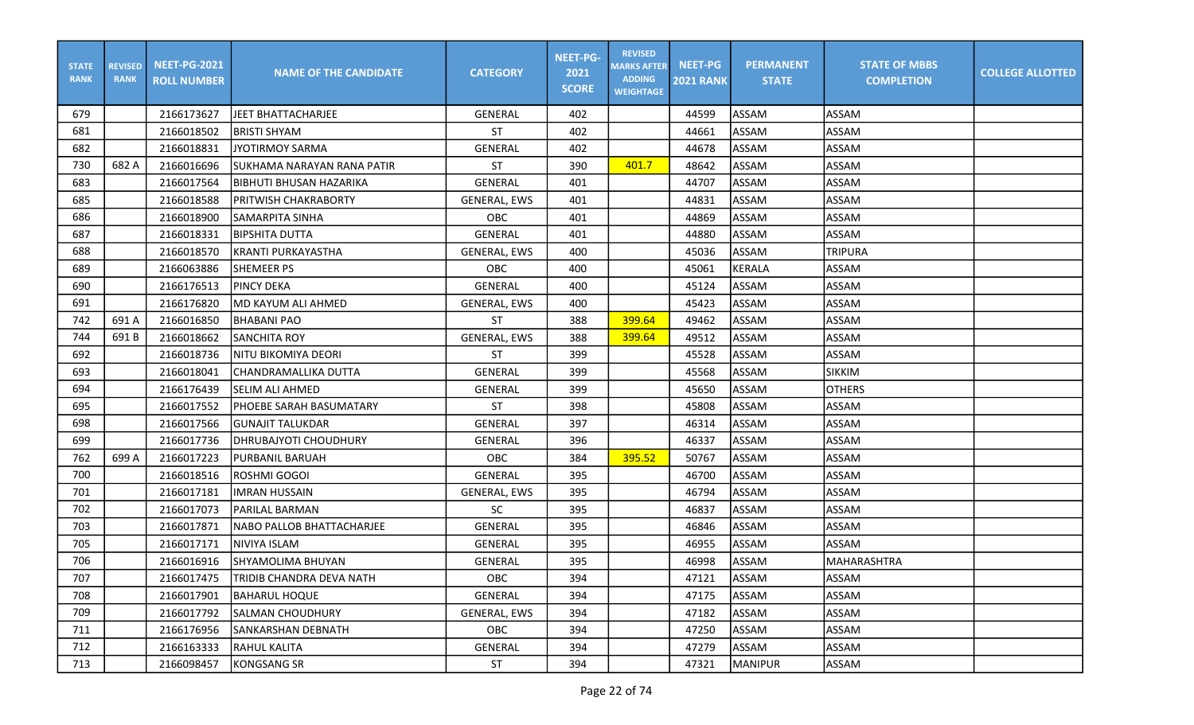| <b>STATE</b><br><b>RANK</b> | <b>REVISED</b><br><b>RANK</b> | <b>NEET-PG-2021</b><br><b>ROLL NUMBER</b> | <b>NAME OF THE CANDIDATE</b> | <b>CATEGORY</b>     | <b>NEET-PG-</b><br>2021<br><b>SCORE</b> | <b>REVISED</b><br><b>MARKS AFTER</b><br><b>ADDING</b><br><b>WEIGHTAGE</b> | <b>NEET-PG</b><br><b>2021 RANK</b> | <b>PERMANENT</b><br><b>STATE</b> | <b>STATE OF MBBS</b><br><b>COMPLETION</b> | <b>COLLEGE ALLOTTED</b> |
|-----------------------------|-------------------------------|-------------------------------------------|------------------------------|---------------------|-----------------------------------------|---------------------------------------------------------------------------|------------------------------------|----------------------------------|-------------------------------------------|-------------------------|
| 679                         |                               | 2166173627                                | JEET BHATTACHARJEE           | GENERAL             | 402                                     |                                                                           | 44599                              | ASSAM                            | <b>ASSAM</b>                              |                         |
| 681                         |                               | 2166018502                                | <b>BRISTI SHYAM</b>          | <b>ST</b>           | 402                                     |                                                                           | 44661                              | ASSAM                            | ASSAM                                     |                         |
| 682                         |                               | 2166018831                                | <b>JYOTIRMOY SARMA</b>       | GENERAL             | 402                                     |                                                                           | 44678                              | ASSAM                            | ASSAM                                     |                         |
| 730                         | 682 A                         | 2166016696                                | SUKHAMA NARAYAN RANA PATIR   | <b>ST</b>           | 390                                     | 401.7                                                                     | 48642                              | ASSAM                            | ASSAM                                     |                         |
| 683                         |                               | 2166017564                                | BIBHUTI BHUSAN HAZARIKA      | GENERAL             | 401                                     |                                                                           | 44707                              | ASSAM                            | ASSAM                                     |                         |
| 685                         |                               | 2166018588                                | PRITWISH CHAKRABORTY         | GENERAL, EWS        | 401                                     |                                                                           | 44831                              | ASSAM                            | ASSAM                                     |                         |
| 686                         |                               | 2166018900                                | SAMARPITA SINHA              | OBC                 | 401                                     |                                                                           | 44869                              | ASSAM                            | ASSAM                                     |                         |
| 687                         |                               | 2166018331                                | <b>BIPSHITA DUTTA</b>        | <b>GENERAL</b>      | 401                                     |                                                                           | 44880                              | ASSAM                            | ASSAM                                     |                         |
| 688                         |                               | 2166018570                                | <b>KRANTI PURKAYASTHA</b>    | <b>GENERAL, EWS</b> | 400                                     |                                                                           | 45036                              | ASSAM                            | <b>TRIPURA</b>                            |                         |
| 689                         |                               | 2166063886                                | SHEMEER PS                   | <b>OBC</b>          | 400                                     |                                                                           | 45061                              | KERALA                           | <b>ASSAM</b>                              |                         |
| 690                         |                               | 2166176513                                | <b>PINCY DEKA</b>            | <b>GENERAL</b>      | 400                                     |                                                                           | 45124                              | ASSAM                            | ASSAM                                     |                         |
| 691                         |                               | 2166176820                                | MD KAYUM ALI AHMED           | GENERAL, EWS        | 400                                     |                                                                           | 45423                              | ASSAM                            | ASSAM                                     |                         |
| 742                         | 691 A                         | 2166016850                                | <b>BHABANI PAO</b>           | <b>ST</b>           | 388                                     | 399.64                                                                    | 49462                              | ASSAM                            | ASSAM                                     |                         |
| 744                         | 691B                          | 2166018662                                | <b>SANCHITA ROY</b>          | <b>GENERAL, EWS</b> | 388                                     | 399.64                                                                    | 49512                              | ASSAM                            | ASSAM                                     |                         |
| 692                         |                               | 2166018736                                | <b>NITU BIKOMIYA DEORI</b>   | <b>ST</b>           | 399                                     |                                                                           | 45528                              | ASSAM                            | <b>ASSAM</b>                              |                         |
| 693                         |                               | 2166018041                                | CHANDRAMALLIKA DUTTA         | GENERAL             | 399                                     |                                                                           | 45568                              | ASSAM                            | <b>SIKKIM</b>                             |                         |
| 694                         |                               | 2166176439                                | <b>SELIM ALI AHMED</b>       | GENERAL             | 399                                     |                                                                           | 45650                              | ASSAM                            | <b>OTHERS</b>                             |                         |
| 695                         |                               | 2166017552                                | PHOEBE SARAH BASUMATARY      | <b>ST</b>           | 398                                     |                                                                           | 45808                              | ASSAM                            | ASSAM                                     |                         |
| 698                         |                               | 2166017566                                | <b>GUNAJIT TALUKDAR</b>      | GENERAL             | 397                                     |                                                                           | 46314                              | ASSAM                            | <b>ASSAM</b>                              |                         |
| 699                         |                               | 2166017736                                | <b>DHRUBAJYOTI CHOUDHURY</b> | <b>GENERAL</b>      | 396                                     |                                                                           | 46337                              | ASSAM                            | ASSAM                                     |                         |
| 762                         | 699 A                         | 2166017223                                | PURBANIL BARUAH              | OBC                 | 384                                     | 395.52                                                                    | 50767                              | ASSAM                            | ASSAM                                     |                         |
| 700                         |                               | 2166018516                                | ROSHMI GOGOI                 | <b>GENERAL</b>      | 395                                     |                                                                           | 46700                              | ASSAM                            | ASSAM                                     |                         |
| 701                         |                               | 2166017181                                | <b>IMRAN HUSSAIN</b>         | <b>GENERAL, EWS</b> | 395                                     |                                                                           | 46794                              | ASSAM                            | ASSAM                                     |                         |
| 702                         |                               | 2166017073                                | <b>PARILAL BARMAN</b>        | <b>SC</b>           | 395                                     |                                                                           | 46837                              | ASSAM                            | <b>ASSAM</b>                              |                         |
| 703                         |                               | 2166017871                                | NABO PALLOB BHATTACHARJEE    | <b>GENERAL</b>      | 395                                     |                                                                           | 46846                              | ASSAM                            | ASSAM                                     |                         |
| 705                         |                               | 2166017171                                | NIVIYA ISLAM                 | GENERAL             | 395                                     |                                                                           | 46955                              | ASSAM                            | ASSAM                                     |                         |
| 706                         |                               | 2166016916                                | SHYAMOLIMA BHUYAN            | <b>GENERAL</b>      | 395                                     |                                                                           | 46998                              | ASSAM                            | MAHARASHTRA                               |                         |
| 707                         |                               | 2166017475                                | TRIDIB CHANDRA DEVA NATH     | OBC                 | 394                                     |                                                                           | 47121                              | ASSAM                            | <b>ASSAM</b>                              |                         |
| 708                         |                               | 2166017901                                | BAHARUL HOQUE                | GENERAL             | 394                                     |                                                                           | 47175                              | ASSAM                            | ASSAM                                     |                         |
| 709                         |                               | 2166017792                                | SALMAN CHOUDHURY             | <b>GENERAL, EWS</b> | 394                                     |                                                                           | 47182                              | ASSAM                            | ASSAM                                     |                         |
| 711                         |                               | 2166176956                                | lsankarshan debnath          | OBC                 | 394                                     |                                                                           | 47250                              | ASSAM                            | ASSAM                                     |                         |
| 712                         |                               | 2166163333                                | <b>RAHUL KALITA</b>          | GENERAL             | 394                                     |                                                                           | 47279                              | ASSAM                            | ASSAM                                     |                         |
| 713                         |                               | 2166098457                                | <b>KONGSANG SR</b>           | ST                  | 394                                     |                                                                           | 47321                              | <b>MANIPUR</b>                   | ASSAM                                     |                         |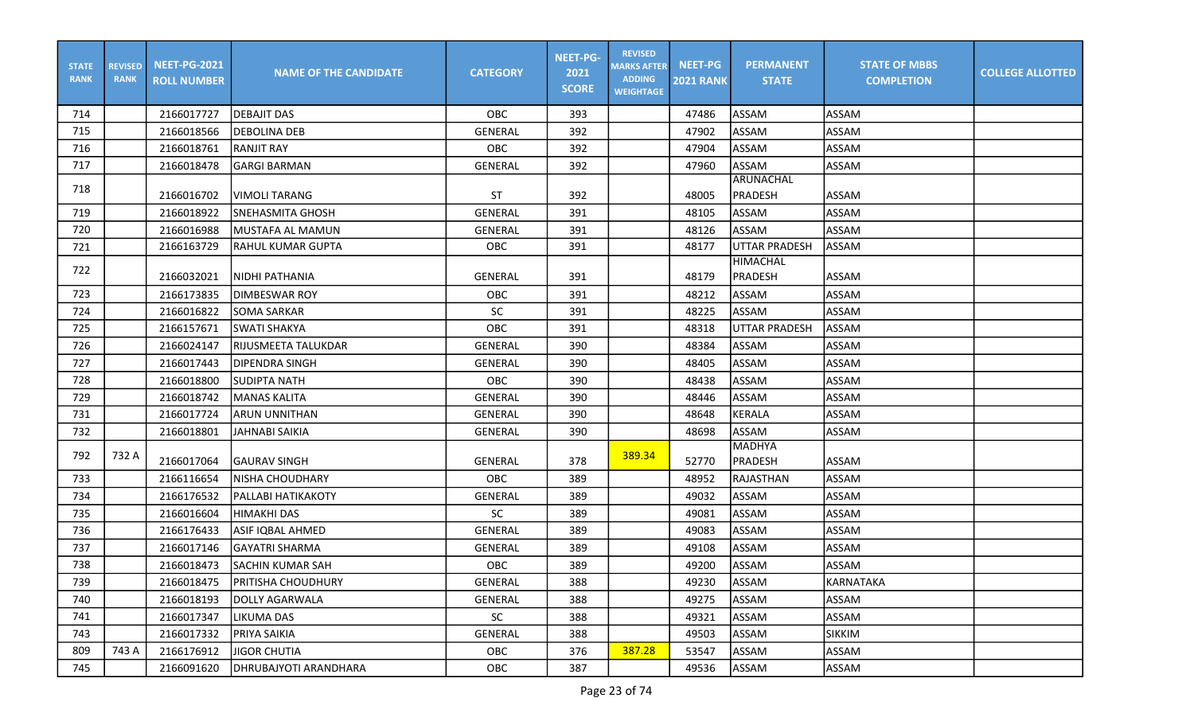| <b>STATE</b><br><b>RANK</b> | <b>REVISED</b><br><b>RANK</b> | <b>NEET-PG-2021</b><br><b>ROLL NUMBER</b> | <b>NAME OF THE CANDIDATE</b> | <b>CATEGORY</b> | <b>NEET-PG-</b><br>2021<br><b>SCORE</b> | <b>REVISED</b><br><b>MARKS AFTER</b><br><b>ADDING</b><br><b>WEIGHTAGE</b> | <b>NEET-PG</b><br><b>2021 RANK</b> | <b>PERMANENT</b><br><b>STATE</b> | <b>STATE OF MBBS</b><br><b>COMPLETION</b> | <b>COLLEGE ALLOTTED</b> |
|-----------------------------|-------------------------------|-------------------------------------------|------------------------------|-----------------|-----------------------------------------|---------------------------------------------------------------------------|------------------------------------|----------------------------------|-------------------------------------------|-------------------------|
| 714                         |                               | 2166017727                                | <b>DEBAJIT DAS</b>           | OBC             | 393                                     |                                                                           | 47486                              | ASSAM                            | ASSAM                                     |                         |
| 715                         |                               | 2166018566                                | <b>DEBOLINA DEB</b>          | <b>GENERAL</b>  | 392                                     |                                                                           | 47902                              | <b>ASSAM</b>                     | ASSAM                                     |                         |
| 716                         |                               | 2166018761                                | <b>RANJIT RAY</b>            | OBC             | 392                                     |                                                                           | 47904                              | ASSAM                            | ASSAM                                     |                         |
| 717                         |                               | 2166018478                                | <b>GARGI BARMAN</b>          | <b>GENERAL</b>  | 392                                     |                                                                           | 47960                              | ASSAM                            | ASSAM                                     |                         |
| 718                         |                               | 2166016702                                | <b>VIMOLI TARANG</b>         | ST              | 392                                     |                                                                           | 48005                              | ARUNACHAL<br><b>PRADESH</b>      | ASSAM                                     |                         |
| 719                         |                               | 2166018922                                | lsnehasmita ghosh            | <b>GENERAL</b>  | 391                                     |                                                                           | 48105                              | <b>ASSAM</b>                     | ASSAM                                     |                         |
| 720                         |                               | 2166016988                                | MUSTAFA AL MAMUN             | GENERAL         | 391                                     |                                                                           | 48126                              | ASSAM                            | ASSAM                                     |                         |
| 721                         |                               | 2166163729                                | <b>RAHUL KUMAR GUPTA</b>     | OBC             | 391                                     |                                                                           | 48177                              | <b>UTTAR PRADESH</b>             | ASSAM                                     |                         |
| 722                         |                               | 2166032021                                | NIDHI PATHANIA               | GENERAL         | 391                                     |                                                                           | 48179                              | HIMACHAL<br><b>PRADESH</b>       | ASSAM                                     |                         |
| 723                         |                               | 2166173835                                | <b>DIMBESWAR ROY</b>         | <b>OBC</b>      | 391                                     |                                                                           | 48212                              | <b>ASSAM</b>                     | ASSAM                                     |                         |
| 724                         |                               | 2166016822                                | <b>SOMA SARKAR</b>           | <b>SC</b>       | 391                                     |                                                                           | 48225                              | ASSAM                            | ASSAM                                     |                         |
| 725                         |                               | 2166157671                                | lSWATI SHAKYA                | OBC             | 391                                     |                                                                           | 48318                              | <b>UTTAR PRADESH</b>             | ASSAM                                     |                         |
| 726                         |                               | 2166024147                                | RIJUSMEETA TALUKDAR          | <b>GENERAL</b>  | 390                                     |                                                                           | 48384                              | ASSAM                            | ASSAM                                     |                         |
| 727                         |                               | 2166017443                                | <b>DIPENDRA SINGH</b>        | <b>GENERAL</b>  | 390                                     |                                                                           | 48405                              | ASSAM                            | ASSAM                                     |                         |
| 728                         |                               | 2166018800                                | <b>SUDIPTA NATH</b>          | OBC             | 390                                     |                                                                           | 48438                              | ASSAM                            | ASSAM                                     |                         |
| 729                         |                               | 2166018742                                | MANAS KALITA                 | GENERAL         | 390                                     |                                                                           | 48446                              | ASSAM                            | ASSAM                                     |                         |
| 731                         |                               | 2166017724                                | <b>ARUN UNNITHAN</b>         | GENERAL         | 390                                     |                                                                           | 48648                              | <b>KERALA</b>                    | ASSAM                                     |                         |
| 732                         |                               | 2166018801                                | <b>JAHNABI SAIKIA</b>        | GENERAL         | 390                                     |                                                                           | 48698                              | ASSAM                            | ASSAM                                     |                         |
| 792                         | 732 A                         | 2166017064                                | <b>GAURAV SINGH</b>          | GENERAL         | 378                                     | 389.34                                                                    | 52770                              | MADHYA<br>PRADESH                | ASSAM                                     |                         |
| 733                         |                               | 2166116654                                | <b>NISHA CHOUDHARY</b>       | OBC             | 389                                     |                                                                           | 48952                              | RAJASTHAN                        | ASSAM                                     |                         |
| 734                         |                               | 2166176532                                | PALLABI HATIKAKOTY           | GENERAL         | 389                                     |                                                                           | 49032                              | ASSAM                            | ASSAM                                     |                         |
| 735                         |                               | 2166016604                                | <b>HIMAKHI DAS</b>           | SC              | 389                                     |                                                                           | 49081                              | ASSAM                            | ASSAM                                     |                         |
| 736                         |                               | 2166176433                                | <b>ASIF IQBAL AHMED</b>      | GENERAL         | 389                                     |                                                                           | 49083                              | ASSAM                            | ASSAM                                     |                         |
| 737                         |                               | 2166017146                                | <b>GAYATRI SHARMA</b>        | <b>GENERAL</b>  | 389                                     |                                                                           | 49108                              | ASSAM                            | ASSAM                                     |                         |
| 738                         |                               | 2166018473                                | <b>SACHIN KUMAR SAH</b>      | <b>OBC</b>      | 389                                     |                                                                           | 49200                              | ASSAM                            | ASSAM                                     |                         |
| 739                         |                               | 2166018475                                | PRITISHA CHOUDHURY           | GENERAL         | 388                                     |                                                                           | 49230                              | ASSAM                            | KARNATAKA                                 |                         |
| 740                         |                               | 2166018193                                | DOLLY AGARWALA               | GENERAL         | 388                                     |                                                                           | 49275                              | ASSAM                            | ASSAM                                     |                         |
| 741                         |                               | 2166017347                                | LIKUMA DAS                   | SC              | 388                                     |                                                                           | 49321                              | ASSAM                            | ASSAM                                     |                         |
| 743                         |                               | 2166017332                                | PRIYA SAIKIA                 | GENERAL         | 388                                     |                                                                           | 49503                              | <b>ASSAM</b>                     | <b>SIKKIM</b>                             |                         |
| 809                         | 743 A                         | 2166176912                                | <b>JIGOR CHUTIA</b>          | OBC             | 376                                     | 387.28                                                                    | 53547                              | ASSAM                            | ASSAM                                     |                         |
| 745                         |                               | 2166091620                                | <b>DHRUBAJYOTI ARANDHARA</b> | OBC             | 387                                     |                                                                           | 49536                              | ASSAM                            | ASSAM                                     |                         |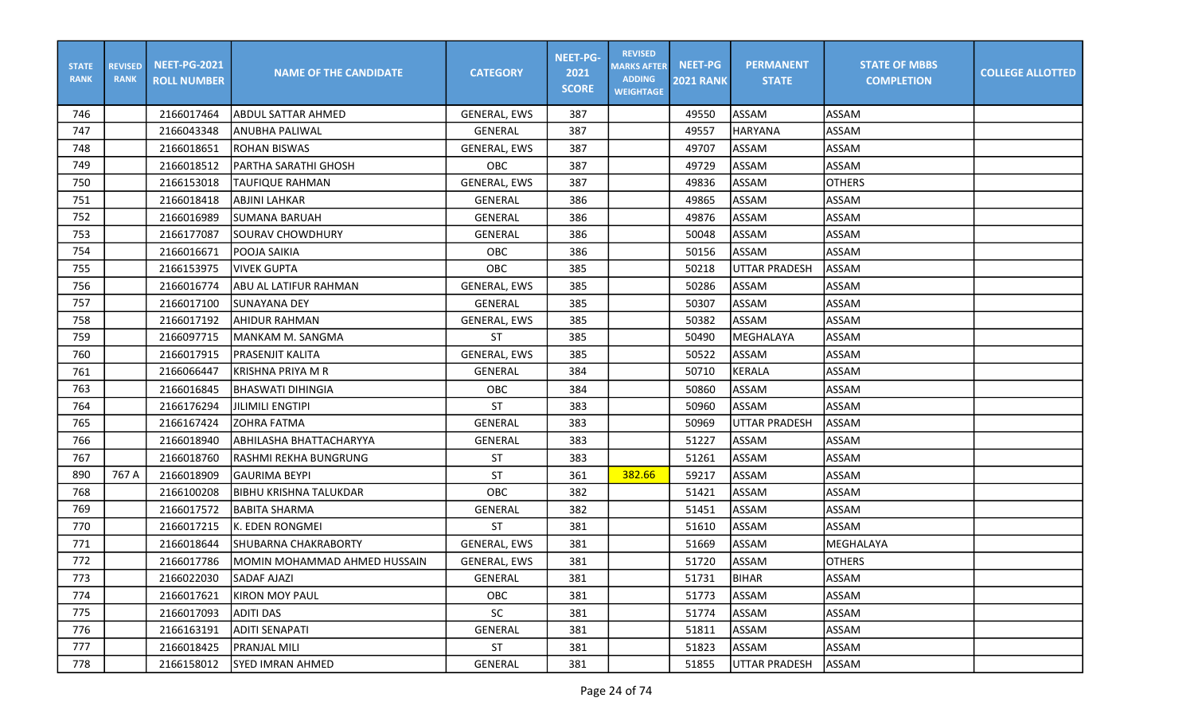| <b>STATE</b><br><b>RANK</b> | <b>REVISED</b><br><b>RANK</b> | <b>NEET-PG-2021</b><br><b>ROLL NUMBER</b> | <b>NAME OF THE CANDIDATE</b>  | <b>CATEGORY</b>     | <b>NEET-PG-</b><br>2021<br><b>SCORE</b> | <b>REVISED</b><br><b>MARKS AFTER</b><br><b>ADDING</b><br><b>WEIGHTAGE</b> | <b>NEET-PG</b><br><b>2021 RANK</b> | <b>PERMANENT</b><br><b>STATE</b> | <b>STATE OF MBBS</b><br><b>COMPLETION</b> | <b>COLLEGE ALLOTTED</b> |
|-----------------------------|-------------------------------|-------------------------------------------|-------------------------------|---------------------|-----------------------------------------|---------------------------------------------------------------------------|------------------------------------|----------------------------------|-------------------------------------------|-------------------------|
| 746                         |                               | 2166017464                                | <b>ABDUL SATTAR AHMED</b>     | GENERAL, EWS        | 387                                     |                                                                           | 49550                              | ASSAM                            | <b>ASSAM</b>                              |                         |
| 747                         |                               | 2166043348                                | ANUBHA PALIWAL                | <b>GENERAL</b>      | 387                                     |                                                                           | 49557                              | <b>HARYANA</b>                   | ASSAM                                     |                         |
| 748                         |                               | 2166018651                                | <b>ROHAN BISWAS</b>           | <b>GENERAL, EWS</b> | 387                                     |                                                                           | 49707                              | ASSAM                            | ASSAM                                     |                         |
| 749                         |                               | 2166018512                                | PARTHA SARATHI GHOSH          | <b>OBC</b>          | 387                                     |                                                                           | 49729                              | ASSAM                            | ASSAM                                     |                         |
| 750                         |                               | 2166153018                                | <b>TAUFIQUE RAHMAN</b>        | <b>GENERAL, EWS</b> | 387                                     |                                                                           | 49836                              | ASSAM                            | <b>OTHERS</b>                             |                         |
| 751                         |                               | 2166018418                                | <b>ABJINI LAHKAR</b>          | GENERAL             | 386                                     |                                                                           | 49865                              | ASSAM                            | <b>ASSAM</b>                              |                         |
| 752                         |                               | 2166016989                                | <b>SUMANA BARUAH</b>          | GENERAL             | 386                                     |                                                                           | 49876                              | ASSAM                            | <b>ASSAM</b>                              |                         |
| 753                         |                               | 2166177087                                | <b>SOURAV CHOWDHURY</b>       | GENERAL             | 386                                     |                                                                           | 50048                              | ASSAM                            | <b>ASSAM</b>                              |                         |
| 754                         |                               | 2166016671                                | POOJA SAIKIA                  | OBC                 | 386                                     |                                                                           | 50156                              | ASSAM                            | <b>ASSAM</b>                              |                         |
| 755                         |                               | 2166153975                                | <b>VIVEK GUPTA</b>            | OBC                 | 385                                     |                                                                           | 50218                              | <b>UTTAR PRADESH</b>             | ASSAM                                     |                         |
| 756                         |                               | 2166016774                                | IABU AL LATIFUR RAHMAN        | GENERAL, EWS        | 385                                     |                                                                           | 50286                              | ASSAM                            | <b>ASSAM</b>                              |                         |
| 757                         |                               | 2166017100                                | <b>SUNAYANA DEY</b>           | GENERAL             | 385                                     |                                                                           | 50307                              | ASSAM                            | <b>ASSAM</b>                              |                         |
| 758                         |                               | 2166017192                                | <b>AHIDUR RAHMAN</b>          | GENERAL, EWS        | 385                                     |                                                                           | 50382                              | ASSAM                            | <b>ASSAM</b>                              |                         |
| 759                         |                               | 2166097715                                | MANKAM M. SANGMA              | <b>ST</b>           | 385                                     |                                                                           | 50490                              | MEGHALAYA                        | <b>ASSAM</b>                              |                         |
| 760                         |                               | 2166017915                                | <b>PRASENJIT KALITA</b>       | GENERAL, EWS        | 385                                     |                                                                           | 50522                              | ASSAM                            | ASSAM                                     |                         |
| 761                         |                               | 2166066447                                | KRISHNA PRIYA M R             | <b>GENERAL</b>      | 384                                     |                                                                           | 50710                              | <b>KERALA</b>                    | ASSAM                                     |                         |
| 763                         |                               | 2166016845                                | <b>BHASWATI DIHINGIA</b>      | OBC                 | 384                                     |                                                                           | 50860                              | ASSAM                            | ASSAM                                     |                         |
| 764                         |                               | 2166176294                                | <b>JILIMILI ENGTIPI</b>       | <b>ST</b>           | 383                                     |                                                                           | 50960                              | ASSAM                            | <b>ASSAM</b>                              |                         |
| 765                         |                               | 2166167424                                | <b>ZOHRA FATMA</b>            | <b>GENERAL</b>      | 383                                     |                                                                           | 50969                              | <b>UTTAR PRADESH</b>             | ASSAM                                     |                         |
| 766                         |                               | 2166018940                                | ABHILASHA BHATTACHARYYA       | <b>GENERAL</b>      | 383                                     |                                                                           | 51227                              | ASSAM                            | <b>ASSAM</b>                              |                         |
| 767                         |                               | 2166018760                                | RASHMI REKHA BUNGRUNG         | <b>ST</b>           | 383                                     |                                                                           | 51261                              | <b>ASSAM</b>                     | <b>ASSAM</b>                              |                         |
| 890                         | 767 A                         | 2166018909                                | <b>GAURIMA BEYPI</b>          | <b>ST</b>           | 361                                     | 382.66                                                                    | 59217                              | ASSAM                            | <b>ASSAM</b>                              |                         |
| 768                         |                               | 2166100208                                | <b>BIBHU KRISHNA TALUKDAR</b> | OBC                 | 382                                     |                                                                           | 51421                              | ASSAM                            | ASSAM                                     |                         |
| 769                         |                               | 2166017572                                | BABITA SHARMA                 | GENERAL             | 382                                     |                                                                           | 51451                              | ASSAM                            | ASSAM                                     |                         |
| 770                         |                               | 2166017215                                | K. EDEN RONGMEI               | <b>ST</b>           | 381                                     |                                                                           | 51610                              | ASSAM                            | <b>ASSAM</b>                              |                         |
| 771                         |                               | 2166018644                                | <b>SHUBARNA CHAKRABORTY</b>   | GENERAL, EWS        | 381                                     |                                                                           | 51669                              | ASSAM                            | MEGHALAYA                                 |                         |
| 772                         |                               | 2166017786                                | MOMIN MOHAMMAD AHMED HUSSAIN  | GENERAL, EWS        | 381                                     |                                                                           | 51720                              | ASSAM                            | <b>OTHERS</b>                             |                         |
| 773                         |                               | 2166022030                                | <b>SADAF AJAZI</b>            | GENERAL             | 381                                     |                                                                           | 51731                              | BIHAR                            | <b>ASSAM</b>                              |                         |
| 774                         |                               | 2166017621                                | KIRON MOY PAUL                | OBC                 | 381                                     |                                                                           | 51773                              | ASSAM                            | ASSAM                                     |                         |
| 775                         |                               | 2166017093                                | ADITI DAS                     | SC                  | 381                                     |                                                                           | 51774                              | ASSAM                            | ASSAM                                     |                         |
| 776                         |                               | 2166163191                                | IADITI SENAPATI               | GENERAL             | 381                                     |                                                                           | 51811                              | ASSAM                            | ASSAM                                     |                         |
| 777                         |                               | 2166018425                                | <b>PRANJAL MILI</b>           | ST                  | 381                                     |                                                                           | 51823                              | ASSAM                            | ASSAM                                     |                         |
| 778                         |                               | 2166158012                                | <b>SYED IMRAN AHMED</b>       | GENERAL             | 381                                     |                                                                           | 51855                              | <b>UTTAR PRADESH</b>             | ASSAM                                     |                         |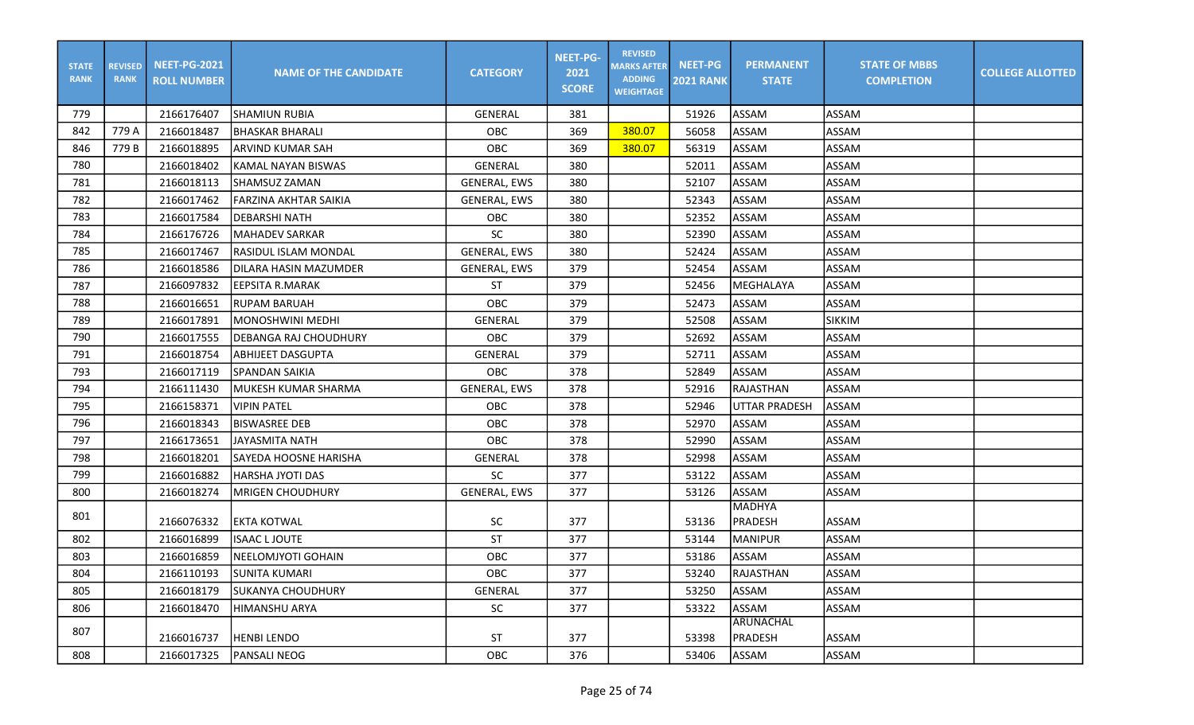| <b>STATE</b><br><b>RANK</b> | <b>REVISED</b><br><b>RANK</b> | <b>NEET-PG-2021</b><br><b>ROLL NUMBER</b> | <b>NAME OF THE CANDIDATE</b> | <b>CATEGORY</b>     | <b>NEET-PG-</b><br>2021<br><b>SCORE</b> | <b>REVISED</b><br><b>MARKS AFTER</b><br><b>ADDING</b><br><b>WEIGHTAGE</b> | NEET-PG<br><b>2021 RANK</b> | <b>PERMANENT</b><br><b>STATE</b> | <b>STATE OF MBBS</b><br><b>COMPLETION</b> | <b>COLLEGE ALLOTTED</b> |
|-----------------------------|-------------------------------|-------------------------------------------|------------------------------|---------------------|-----------------------------------------|---------------------------------------------------------------------------|-----------------------------|----------------------------------|-------------------------------------------|-------------------------|
| 779                         |                               | 2166176407                                | <b>SHAMIUN RUBIA</b>         | <b>GENERAL</b>      | 381                                     |                                                                           | 51926                       | <b>ASSAM</b>                     | <b>ASSAM</b>                              |                         |
| 842                         | 779 A                         | 2166018487                                | <b>BHASKAR BHARALI</b>       | OBC                 | 369                                     | 380.07                                                                    | 56058                       | <b>ASSAM</b>                     | <b>ASSAM</b>                              |                         |
| 846                         | 779 B                         | 2166018895                                | ARVIND KUMAR SAH             | OBC                 | 369                                     | 380.07                                                                    | 56319                       | ASSAM                            | <b>ASSAM</b>                              |                         |
| 780                         |                               | 2166018402                                | KAMAL NAYAN BISWAS           | GENERAL             | 380                                     |                                                                           | 52011                       | <b>ASSAM</b>                     | <b>ASSAM</b>                              |                         |
| 781                         |                               | 2166018113                                | SHAMSUZ ZAMAN                | <b>GENERAL, EWS</b> | 380                                     |                                                                           | 52107                       | <b>ASSAM</b>                     | <b>ASSAM</b>                              |                         |
| 782                         |                               | 2166017462                                | <b>FARZINA AKHTAR SAIKIA</b> | <b>GENERAL, EWS</b> | 380                                     |                                                                           | 52343                       | <b>ASSAM</b>                     | <b>ASSAM</b>                              |                         |
| 783                         |                               | 2166017584                                | <b>DEBARSHI NATH</b>         | OBC                 | 380                                     |                                                                           | 52352                       | <b>ASSAM</b>                     | <b>ASSAM</b>                              |                         |
| 784                         |                               | 2166176726                                | <b>MAHADEV SARKAR</b>        | <b>SC</b>           | 380                                     |                                                                           | 52390                       | <b>ASSAM</b>                     | ASSAM                                     |                         |
| 785                         |                               | 2166017467                                | <b>RASIDUL ISLAM MONDAL</b>  | <b>GENERAL, EWS</b> | 380                                     |                                                                           | 52424                       | <b>ASSAM</b>                     | ASSAM                                     |                         |
| 786                         |                               | 2166018586                                | DILARA HASIN MAZUMDER        | <b>GENERAL, EWS</b> | 379                                     |                                                                           | 52454                       | <b>ASSAM</b>                     | <b>ASSAM</b>                              |                         |
| 787                         |                               | 2166097832                                | <b>EEPSITA R.MARAK</b>       | <b>ST</b>           | 379                                     |                                                                           | 52456                       | <b>MEGHALAYA</b>                 | ASSAM                                     |                         |
| 788                         |                               | 2166016651                                | <b>RUPAM BARUAH</b>          | OBC                 | 379                                     |                                                                           | 52473                       | ASSAM                            | ASSAM                                     |                         |
| 789                         |                               | 2166017891                                | MONOSHWINI MEDHI             | GENERAL             | 379                                     |                                                                           | 52508                       | <b>ASSAM</b>                     | <b>SIKKIM</b>                             |                         |
| 790                         |                               | 2166017555                                | <b>DEBANGA RAJ CHOUDHURY</b> | OBC                 | 379                                     |                                                                           | 52692                       | <b>ASSAM</b>                     | ASSAM                                     |                         |
| 791                         |                               | 2166018754                                | <b>ABHIJEET DASGUPTA</b>     | <b>GENERAL</b>      | 379                                     |                                                                           | 52711                       | ASSAM                            | ASSAM                                     |                         |
| 793                         |                               | 2166017119                                | <b>SPANDAN SAIKIA</b>        | OBC                 | 378                                     |                                                                           | 52849                       | <b>ASSAM</b>                     | <b>ASSAM</b>                              |                         |
| 794                         |                               | 2166111430                                | MUKESH KUMAR SHARMA          | <b>GENERAL, EWS</b> | 378                                     |                                                                           | 52916                       | RAJASTHAN                        | <b>ASSAM</b>                              |                         |
| 795                         |                               | 2166158371                                | <b>VIPIN PATEL</b>           | OBC                 | 378                                     |                                                                           | 52946                       | <b>UTTAR PRADESH</b>             | <b>ASSAM</b>                              |                         |
| 796                         |                               | 2166018343                                | <b>BISWASREE DEB</b>         | OBC                 | 378                                     |                                                                           | 52970                       | <b>ASSAM</b>                     | <b>ASSAM</b>                              |                         |
| 797                         |                               | 2166173651                                | <b>JAYASMITA NATH</b>        | OBC                 | 378                                     |                                                                           | 52990                       | <b>ASSAM</b>                     | <b>ASSAM</b>                              |                         |
| 798                         |                               | 2166018201                                | <b>SAYEDA HOOSNE HARISHA</b> | GENERAL             | 378                                     |                                                                           | 52998                       | <b>ASSAM</b>                     | ASSAM                                     |                         |
| 799                         |                               | 2166016882                                | HARSHA JYOTI DAS             | <b>SC</b>           | 377                                     |                                                                           | 53122                       | <b>ASSAM</b>                     | ASSAM                                     |                         |
| 800                         |                               | 2166018274                                | <b>MRIGEN CHOUDHURY</b>      | <b>GENERAL, EWS</b> | 377                                     |                                                                           | 53126                       | <b>ASSAM</b>                     | ASSAM                                     |                         |
| 801                         |                               | 2166076332                                | <b>EKTA KOTWAL</b>           | SC                  | 377                                     |                                                                           | 53136                       | <b>MADHYA</b><br>PRADESH         | ASSAM                                     |                         |
| 802                         |                               | 2166016899                                | <b>ISAAC LJOUTE</b>          | ST                  | 377                                     |                                                                           | 53144                       | <b>MANIPUR</b>                   | ASSAM                                     |                         |
| 803                         |                               | 2166016859                                | NEELOMJYOTI GOHAIN           | OBC                 | 377                                     |                                                                           | 53186                       | <b>ASSAM</b>                     | ASSAM                                     |                         |
| 804                         |                               | 2166110193                                | <b>SUNITA KUMARI</b>         | <b>OBC</b>          | 377                                     |                                                                           | 53240                       | IRAJASTHAN                       | ASSAM                                     |                         |
| 805                         |                               | 2166018179                                | <b>SUKANYA CHOUDHURY</b>     | <b>GENERAL</b>      | 377                                     |                                                                           | 53250                       | ASSAM                            | ASSAM                                     |                         |
| 806                         |                               | 2166018470                                | <b>HIMANSHU ARYA</b>         | SC                  | 377                                     |                                                                           | 53322                       | ASSAM                            | ASSAM                                     |                         |
| 807                         |                               | 2166016737                                | <b>HENBI LENDO</b>           | <b>ST</b>           | 377                                     |                                                                           | 53398                       | <b>ARUNACHAL</b><br>PRADESH      | ASSAM                                     |                         |
| 808                         |                               | 2166017325                                | <b>PANSALI NEOG</b>          | <b>OBC</b>          | 376                                     |                                                                           | 53406                       | ASSAM                            | ASSAM                                     |                         |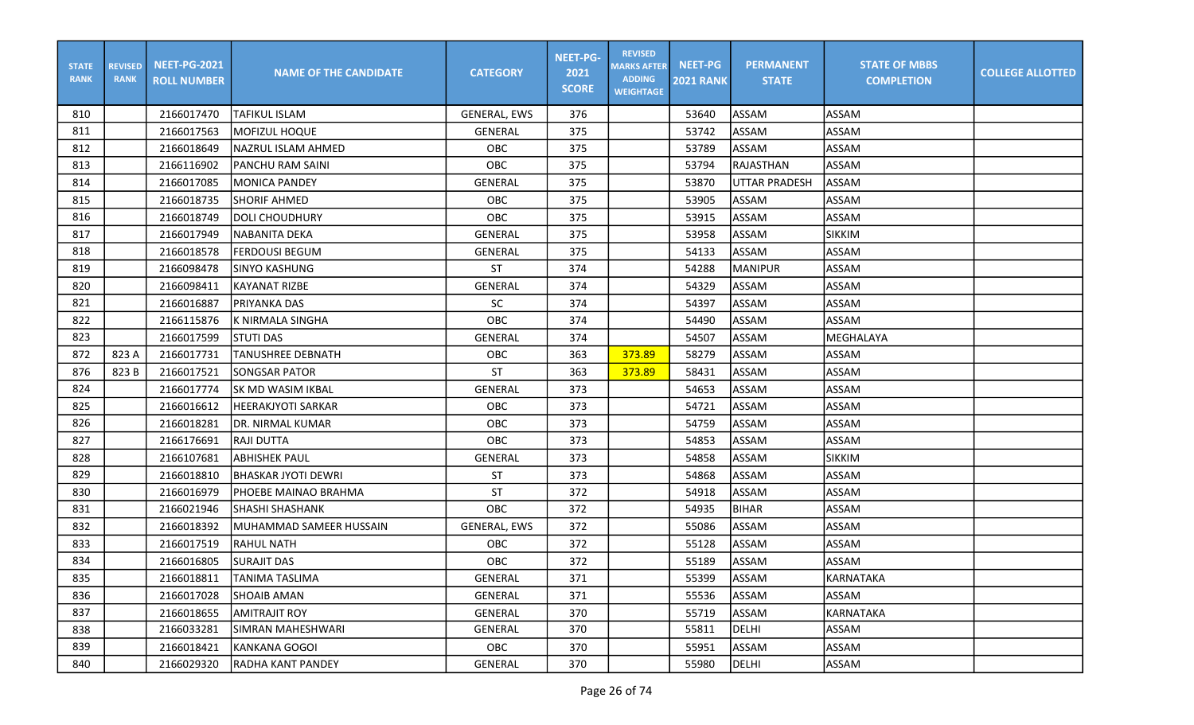| <b>STATE</b><br><b>RANK</b> | <b>REVISED</b><br><b>RANK</b> | <b>NEET-PG-2021</b><br><b>ROLL NUMBER</b> | <b>NAME OF THE CANDIDATE</b> | <b>CATEGORY</b>     | <b>NEET-PG-</b><br>2021<br><b>SCORE</b> | <b>REVISED</b><br><b>MARKS AFTER</b><br><b>ADDING</b><br><b>WEIGHTAGE</b> | <b>NEET-PG</b><br><b>2021 RANK</b> | <b>PERMANENT</b><br><b>STATE</b> | <b>STATE OF MBBS</b><br><b>COMPLETION</b> | <b>COLLEGE ALLOTTED</b> |
|-----------------------------|-------------------------------|-------------------------------------------|------------------------------|---------------------|-----------------------------------------|---------------------------------------------------------------------------|------------------------------------|----------------------------------|-------------------------------------------|-------------------------|
| 810                         |                               | 2166017470                                | <b>TAFIKUL ISLAM</b>         | <b>GENERAL, EWS</b> | 376                                     |                                                                           | 53640                              | ASSAM                            | <b>ASSAM</b>                              |                         |
| 811                         |                               | 2166017563                                | MOFIZUL HOQUE                | GENERAL             | 375                                     |                                                                           | 53742                              | ASSAM                            | <b>ASSAM</b>                              |                         |
| 812                         |                               | 2166018649                                | <b>NAZRUL ISLAM AHMED</b>    | OBC                 | 375                                     |                                                                           | 53789                              | ASSAM                            | ASSAM                                     |                         |
| 813                         |                               | 2166116902                                | PANCHU RAM SAINI             | OBC                 | 375                                     |                                                                           | 53794                              | <b>RAJASTHAN</b>                 | ASSAM                                     |                         |
| 814                         |                               | 2166017085                                | <b>MONICA PANDEY</b>         | <b>GENERAL</b>      | 375                                     |                                                                           | 53870                              | <b>UTTAR PRADESH</b>             | ASSAM                                     |                         |
| 815                         |                               | 2166018735                                | <b>SHORIF AHMED</b>          | OBC                 | 375                                     |                                                                           | 53905                              | ASSAM                            | <b>ASSAM</b>                              |                         |
| 816                         |                               | 2166018749                                | DOLI CHOUDHURY               | OBC                 | 375                                     |                                                                           | 53915                              | ASSAM                            | <b>ASSAM</b>                              |                         |
| 817                         |                               | 2166017949                                | NABANITA DEKA                | <b>GENERAL</b>      | 375                                     |                                                                           | 53958                              | ASSAM                            | <b>SIKKIM</b>                             |                         |
| 818                         |                               | 2166018578                                | <b>FERDOUSI BEGUM</b>        | GENERAL             | 375                                     |                                                                           | 54133                              | ASSAM                            | ASSAM                                     |                         |
| 819                         |                               | 2166098478                                | <b>SINYO KASHUNG</b>         | <b>ST</b>           | 374                                     |                                                                           | 54288                              | <b>MANIPUR</b>                   | ASSAM                                     |                         |
| 820                         |                               | 2166098411                                | <b>KAYANAT RIZBE</b>         | GENERAL             | 374                                     |                                                                           | 54329                              | ASSAM                            | <b>ASSAM</b>                              |                         |
| 821                         |                               | 2166016887                                | PRIYANKA DAS                 | <b>SC</b>           | 374                                     |                                                                           | 54397                              | ASSAM                            | <b>ASSAM</b>                              |                         |
| 822                         |                               | 2166115876                                | K NIRMALA SINGHA             | OBC                 | 374                                     |                                                                           | 54490                              | ASSAM                            | <b>ASSAM</b>                              |                         |
| 823                         |                               | 2166017599                                | <b>STUTI DAS</b>             | <b>GENERAL</b>      | 374                                     |                                                                           | 54507                              | ASSAM                            | MEGHALAYA                                 |                         |
| 872                         | 823 A                         | 2166017731                                | <b>TANUSHREE DEBNATH</b>     | OBC                 | 363                                     | 373.89                                                                    | 58279                              | ASSAM                            | ASSAM                                     |                         |
| 876                         | 823 B                         | 2166017521                                | <b>SONGSAR PATOR</b>         | <b>ST</b>           | 363                                     | 373.89                                                                    | 58431                              | <b>ASSAM</b>                     | ASSAM                                     |                         |
| 824                         |                               | 2166017774                                | <b>SK MD WASIM IKBAL</b>     | GENERAL             | 373                                     |                                                                           | 54653                              | ASSAM                            | ASSAM                                     |                         |
| 825                         |                               | 2166016612                                | <b>HEERAKJYOTI SARKAR</b>    | OBC                 | 373                                     |                                                                           | 54721                              | ASSAM                            | <b>ASSAM</b>                              |                         |
| 826                         |                               | 2166018281                                | IDR. NIRMAL KUMAR            | OBC                 | 373                                     |                                                                           | 54759                              | ASSAM                            | <b>ASSAM</b>                              |                         |
| 827                         |                               | 2166176691                                | <b>RAJI DUTTA</b>            | OBC                 | 373                                     |                                                                           | 54853                              | ASSAM                            | <b>ASSAM</b>                              |                         |
| 828                         |                               | 2166107681                                | <b>ABHISHEK PAUL</b>         | GENERAL             | 373                                     |                                                                           | 54858                              | ASSAM                            | <b>SIKKIM</b>                             |                         |
| 829                         |                               | 2166018810                                | <b>BHASKAR JYOTI DEWRI</b>   | <b>ST</b>           | 373                                     |                                                                           | 54868                              | ASSAM                            | ASSAM                                     |                         |
| 830                         |                               | 2166016979                                | PHOEBE MAINAO BRAHMA         | <b>ST</b>           | 372                                     |                                                                           | 54918                              | ASSAM                            | ASSAM                                     |                         |
| 831                         |                               | 2166021946                                | <b>SHASHI SHASHANK</b>       | OBC                 | 372                                     |                                                                           | 54935                              | <b>BIHAR</b>                     | ASSAM                                     |                         |
| 832                         |                               | 2166018392                                | MUHAMMAD SAMEER HUSSAIN      | <b>GENERAL, EWS</b> | 372                                     |                                                                           | 55086                              | ASSAM                            | <b>ASSAM</b>                              |                         |
| 833                         |                               | 2166017519                                | <b>RAHUL NATH</b>            | OBC                 | 372                                     |                                                                           | 55128                              | ASSAM                            | <b>ASSAM</b>                              |                         |
| 834                         |                               | 2166016805                                | <b>SURAJIT DAS</b>           | OBC                 | 372                                     |                                                                           | 55189                              | ASSAM                            | ASSAM                                     |                         |
| 835                         |                               | 2166018811                                | <b>TANIMA TASLIMA</b>        | GENERAL             | 371                                     |                                                                           | 55399                              | ASSAM                            | KARNATAKA                                 |                         |
| 836                         |                               | 2166017028                                | <b>SHOAIB AMAN</b>           | GENERAL             | 371                                     |                                                                           | 55536                              | ASSAM                            | ASSAM                                     |                         |
| 837                         |                               | 2166018655                                | AMITRAJIT ROY                | GENERAL             | 370                                     |                                                                           | 55719                              | ASSAM                            | KARNATAKA                                 |                         |
| 838                         |                               | 2166033281                                | SIMRAN MAHESHWARI            | GENERAL             | 370                                     |                                                                           | 55811                              | DELHI                            | ASSAM                                     |                         |
| 839                         |                               | 2166018421                                | KANKANA GOGOI                | OBC                 | 370                                     |                                                                           | 55951                              | ASSAM                            | ASSAM                                     |                         |
| 840                         |                               | 2166029320                                | RADHA KANT PANDEY            | GENERAL             | 370                                     |                                                                           | 55980                              | DELHI                            | ASSAM                                     |                         |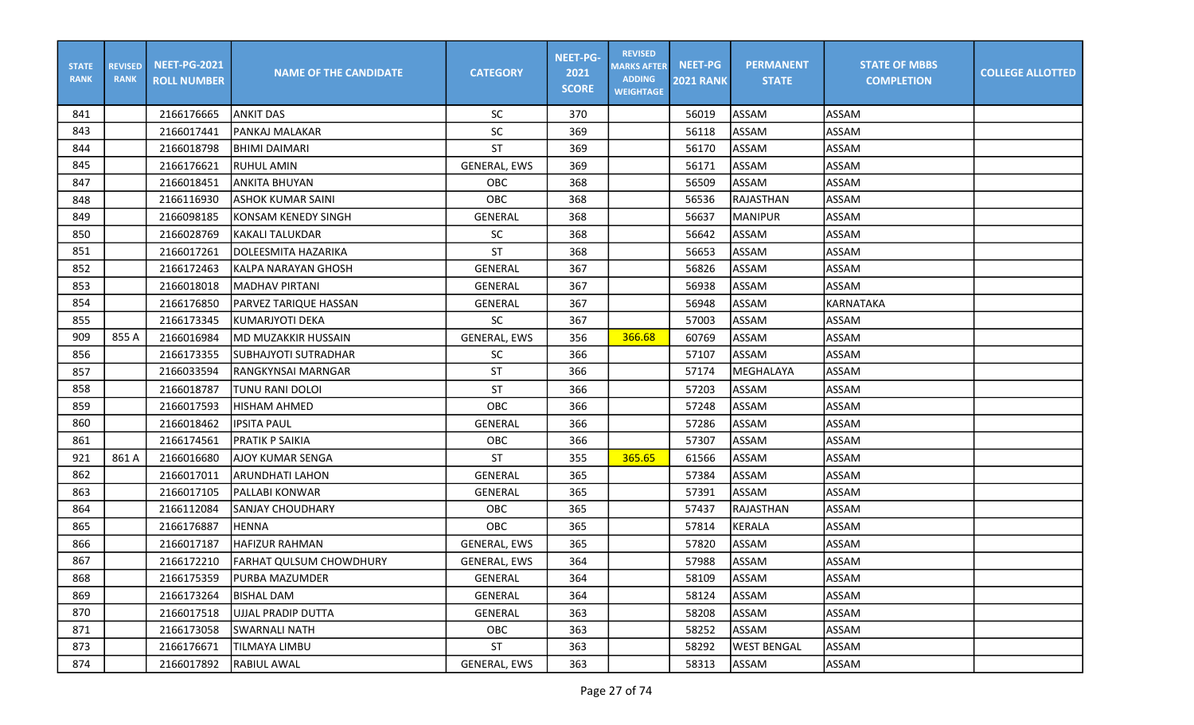| <b>STATE</b><br><b>RANK</b> | <b>REVISED</b><br><b>RANK</b> | <b>NEET-PG-2021</b><br><b>ROLL NUMBER</b> | <b>NAME OF THE CANDIDATE</b>   | <b>CATEGORY</b>     | <b>NEET-PG-</b><br>2021<br><b>SCORE</b> | <b>REVISED</b><br><b>MARKS AFTER</b><br><b>ADDING</b><br><b>WEIGHTAGE</b> | <b>NEET-PG</b><br><b>2021 RANK</b> | <b>PERMANENT</b><br><b>STATE</b> | <b>STATE OF MBBS</b><br><b>COMPLETION</b> | <b>COLLEGE ALLOTTED</b> |
|-----------------------------|-------------------------------|-------------------------------------------|--------------------------------|---------------------|-----------------------------------------|---------------------------------------------------------------------------|------------------------------------|----------------------------------|-------------------------------------------|-------------------------|
| 841                         |                               | 2166176665                                | <b>ANKIT DAS</b>               | <b>SC</b>           | 370                                     |                                                                           | 56019                              | ASSAM                            | ASSAM                                     |                         |
| 843                         |                               | 2166017441                                | PANKAJ MALAKAR                 | SC                  | 369                                     |                                                                           | 56118                              | ASSAM                            | ASSAM                                     |                         |
| 844                         |                               | 2166018798                                | <b>BHIMI DAIMARI</b>           | <b>ST</b>           | 369                                     |                                                                           | 56170                              | ASSAM                            | ASSAM                                     |                         |
| 845                         |                               | 2166176621                                | RUHUL AMIN                     | <b>GENERAL, EWS</b> | 369                                     |                                                                           | 56171                              | ASSAM                            | ASSAM                                     |                         |
| 847                         |                               | 2166018451                                | ANKITA BHUYAN                  | OBC                 | 368                                     |                                                                           | 56509                              | ASSAM                            | ASSAM                                     |                         |
| 848                         |                               | 2166116930                                | <b>ASHOK KUMAR SAINI</b>       | OBC                 | 368                                     |                                                                           | 56536                              | RAJASTHAN                        | ASSAM                                     |                         |
| 849                         |                               | 2166098185                                | <b>KONSAM KENEDY SINGH</b>     | GENERAL             | 368                                     |                                                                           | 56637                              | <b>MANIPUR</b>                   | ASSAM                                     |                         |
| 850                         |                               | 2166028769                                | <b>KAKALI TALUKDAR</b>         | SC                  | 368                                     |                                                                           | 56642                              | ASSAM                            | ASSAM                                     |                         |
| 851                         |                               | 2166017261                                | DOLEESMITA HAZARIKA            | <b>ST</b>           | 368                                     |                                                                           | 56653                              | ASSAM                            | ASSAM                                     |                         |
| 852                         |                               | 2166172463                                | KALPA NARAYAN GHOSH            | GENERAL             | 367                                     |                                                                           | 56826                              | ASSAM                            | ASSAM                                     |                         |
| 853                         |                               | 2166018018                                | MADHAV PIRTANI                 | GENERAL             | 367                                     |                                                                           | 56938                              | ASSAM                            | <b>ASSAM</b>                              |                         |
| 854                         |                               | 2166176850                                | PARVEZ TARIQUE HASSAN          | <b>GENERAL</b>      | 367                                     |                                                                           | 56948                              | ASSAM                            | KARNATAKA                                 |                         |
| 855                         |                               | 2166173345                                | KUMARJYOTI DEKA                | SC                  | 367                                     |                                                                           | 57003                              | ASSAM                            | ASSAM                                     |                         |
| 909                         | 855 A                         | 2166016984                                | <b>MD MUZAKKIR HUSSAIN</b>     | <b>GENERAL, EWS</b> | 356                                     | 366.68                                                                    | 60769                              | ASSAM                            | ASSAM                                     |                         |
| 856                         |                               | 2166173355                                | <b>SUBHAJYOTI SUTRADHAR</b>    | <b>SC</b>           | 366                                     |                                                                           | 57107                              | ASSAM                            | <b>ASSAM</b>                              |                         |
| 857                         |                               | 2166033594                                | RANGKYNSAI MARNGAR             | <b>ST</b>           | 366                                     |                                                                           | 57174                              | MEGHALAYA                        | ASSAM                                     |                         |
| 858                         |                               | 2166018787                                | TUNU RANI DOLOI                | <b>ST</b>           | 366                                     |                                                                           | 57203                              | ASSAM                            | <b>ASSAM</b>                              |                         |
| 859                         |                               | 2166017593                                | <b>HISHAM AHMED</b>            | OBC                 | 366                                     |                                                                           | 57248                              | ASSAM                            | ASSAM                                     |                         |
| 860                         |                               | 2166018462                                | <b>IPSITA PAUL</b>             | <b>GENERAL</b>      | 366                                     |                                                                           | 57286                              | ASSAM                            | ASSAM                                     |                         |
| 861                         |                               | 2166174561                                | PRATIK P SAIKIA                | OBC                 | 366                                     |                                                                           | 57307                              | ASSAM                            | ASSAM                                     |                         |
| 921                         | 861 A                         | 2166016680                                | AJOY KUMAR SENGA               | <b>ST</b>           | 355                                     | 365.65                                                                    | 61566                              | ASSAM                            | ASSAM                                     |                         |
| 862                         |                               | 2166017011                                | <b>ARUNDHATI LAHON</b>         | GENERAL             | 365                                     |                                                                           | 57384                              | ASSAM                            | ASSAM                                     |                         |
| 863                         |                               | 2166017105                                | PALLABI KONWAR                 | <b>GENERAL</b>      | 365                                     |                                                                           | 57391                              | ASSAM                            | ASSAM                                     |                         |
| 864                         |                               | 2166112084                                | SANJAY CHOUDHARY               | OBC                 | 365                                     |                                                                           | 57437                              | RAJASTHAN                        | ASSAM                                     |                         |
| 865                         |                               | 2166176887                                | <b>HENNA</b>                   | OBC                 | 365                                     |                                                                           | 57814                              | KERALA                           | ASSAM                                     |                         |
| 866                         |                               | 2166017187                                | <b>HAFIZUR RAHMAN</b>          | GENERAL, EWS        | 365                                     |                                                                           | 57820                              | ASSAM                            | ASSAM                                     |                         |
| 867                         |                               | 2166172210                                | <b>FARHAT QULSUM CHOWDHURY</b> | GENERAL, EWS        | 364                                     |                                                                           | 57988                              | ASSAM                            | ASSAM                                     |                         |
| 868                         |                               | 2166175359                                | PURBA MAZUMDER                 | GENERAL             | 364                                     |                                                                           | 58109                              | ASSAM                            | <b>ASSAM</b>                              |                         |
| 869                         |                               | 2166173264                                | <b>BISHAL DAM</b>              | GENERAL             | 364                                     |                                                                           | 58124                              | ASSAM                            | ASSAM                                     |                         |
| 870                         |                               | 2166017518                                | UJJAL PRADIP DUTTA             | GENERAL             | 363                                     |                                                                           | 58208                              | ASSAM                            | ASSAM                                     |                         |
| 871                         |                               | 2166173058                                | SWARNALI NATH                  | OBC                 | 363                                     |                                                                           | 58252                              | ASSAM                            | ASSAM                                     |                         |
| 873                         |                               | 2166176671                                | TILMAYA LIMBU                  | ST                  | 363                                     |                                                                           | 58292                              | <b>WEST BENGAL</b>               | ASSAM                                     |                         |
| 874                         |                               | 2166017892                                | RABIUL AWAL                    | GENERAL, EWS        | 363                                     |                                                                           | 58313                              | ASSAM                            | ASSAM                                     |                         |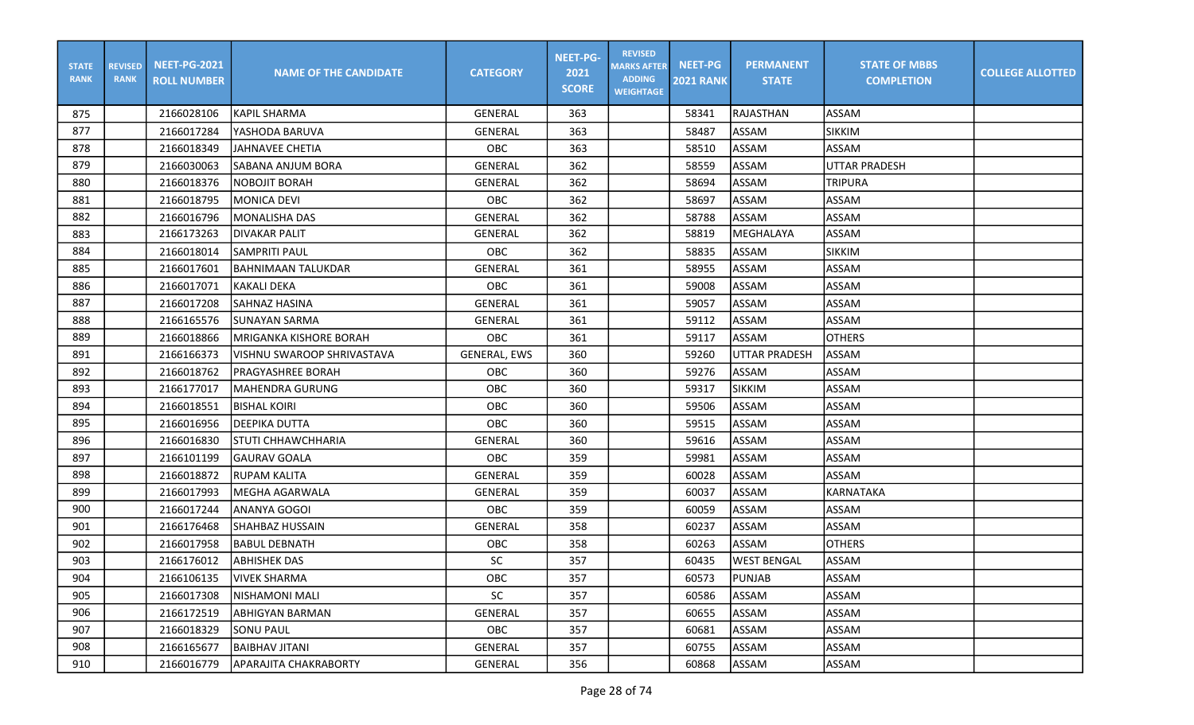| <b>STATE</b><br><b>RANK</b> | <b>REVISED</b><br><b>RANK</b> | <b>NEET-PG-2021</b><br><b>ROLL NUMBER</b> | <b>NAME OF THE CANDIDATE</b>  | <b>CATEGORY</b>     | <b>NEET-PG-</b><br>2021<br><b>SCORE</b> | <b>REVISED</b><br><b>MARKS AFTER</b><br><b>ADDING</b><br><b>WEIGHTAGE</b> | <b>NEET-PG</b><br><b>2021 RANK</b> | <b>PERMANENT</b><br><b>STATE</b> | <b>STATE OF MBBS</b><br><b>COMPLETION</b> | <b>COLLEGE ALLOTTED</b> |
|-----------------------------|-------------------------------|-------------------------------------------|-------------------------------|---------------------|-----------------------------------------|---------------------------------------------------------------------------|------------------------------------|----------------------------------|-------------------------------------------|-------------------------|
| 875                         |                               | 2166028106                                | IKAPIL SHARMA                 | <b>GENERAL</b>      | 363                                     |                                                                           | 58341                              | <b>RAJASTHAN</b>                 | ASSAM                                     |                         |
| 877                         |                               | 2166017284                                | YASHODA BARUVA                | GENERAL             | 363                                     |                                                                           | 58487                              | ASSAM                            | <b>SIKKIM</b>                             |                         |
| 878                         |                               | 2166018349                                | JAHNAVEE CHETIA               | OBC                 | 363                                     |                                                                           | 58510                              | ASSAM                            | ASSAM                                     |                         |
| 879                         |                               | 2166030063                                | <b>SABANA ANJUM BORA</b>      | GENERAL             | 362                                     |                                                                           | 58559                              | <b>ASSAM</b>                     | <b>UTTAR PRADESH</b>                      |                         |
| 880                         |                               | 2166018376                                | <b>NOBOJIT BORAH</b>          | GENERAL             | 362                                     |                                                                           | 58694                              | ASSAM                            | <b>TRIPURA</b>                            |                         |
| 881                         |                               | 2166018795                                | <b>MONICA DEVI</b>            | OBC                 | 362                                     |                                                                           | 58697                              | ASSAM                            | <b>ASSAM</b>                              |                         |
| 882                         |                               | 2166016796                                | MONALISHA DAS                 | GENERAL             | 362                                     |                                                                           | 58788                              | ASSAM                            | <b>ASSAM</b>                              |                         |
| 883                         |                               | 2166173263                                | <b>DIVAKAR PALIT</b>          | <b>GENERAL</b>      | 362                                     |                                                                           | 58819                              | MEGHALAYA                        | ASSAM                                     |                         |
| 884                         |                               | 2166018014                                | ISAMPRITI PAUL                | OBC                 | 362                                     |                                                                           | 58835                              | <b>ASSAM</b>                     | <b>SIKKIM</b>                             |                         |
| 885                         |                               | 2166017601                                | IBAHNIMAAN TALUKDAR           | GENERAL             | 361                                     |                                                                           | 58955                              | ASSAM                            | <b>ASSAM</b>                              |                         |
| 886                         |                               | 2166017071                                | lkakalı DEKA                  | OBC                 | 361                                     |                                                                           | 59008                              | ASSAM                            | <b>ASSAM</b>                              |                         |
| 887                         |                               | 2166017208                                | <b>SAHNAZ HASINA</b>          | <b>GENERAL</b>      | 361                                     |                                                                           | 59057                              | ASSAM                            | <b>ASSAM</b>                              |                         |
| 888                         |                               | 2166165576                                | <b>SUNAYAN SARMA</b>          | <b>GENERAL</b>      | 361                                     |                                                                           | 59112                              | ASSAM                            | <b>ASSAM</b>                              |                         |
| 889                         |                               | 2166018866                                | <b>MRIGANKA KISHORE BORAH</b> | OBC                 | 361                                     |                                                                           | 59117                              | ASSAM                            | <b>OTHERS</b>                             |                         |
| 891                         |                               | 2166166373                                | VISHNU SWAROOP SHRIVASTAVA    | <b>GENERAL, EWS</b> | 360                                     |                                                                           | 59260                              | <b>UTTAR PRADESH</b>             | <b>ASSAM</b>                              |                         |
| 892                         |                               | 2166018762                                | PRAGYASHREE BORAH             | OBC                 | 360                                     |                                                                           | 59276                              | ASSAM                            | <b>ASSAM</b>                              |                         |
| 893                         |                               | 2166177017                                | <b>MAHENDRA GURUNG</b>        | OBC                 | 360                                     |                                                                           | 59317                              | <b>SIKKIM</b>                    | ASSAM                                     |                         |
| 894                         |                               | 2166018551                                | <b>BISHAL KOIRI</b>           | OBC                 | 360                                     |                                                                           | 59506                              | ASSAM                            | <b>ASSAM</b>                              |                         |
| 895                         |                               | 2166016956                                | <b>DEEPIKA DUTTA</b>          | OBC                 | 360                                     |                                                                           | 59515                              | ASSAM                            | <b>ASSAM</b>                              |                         |
| 896                         |                               | 2166016830                                | <b>STUTI CHHAWCHHARIA</b>     | GENERAL             | 360                                     |                                                                           | 59616                              | ASSAM                            | <b>ASSAM</b>                              |                         |
| 897                         |                               | 2166101199                                | GAURAV GOALA                  | OBC                 | 359                                     |                                                                           | 59981                              | <b>ASSAM</b>                     | ASSAM                                     |                         |
| 898                         |                               | 2166018872                                | RUPAM KALITA                  | GENERAL             | 359                                     |                                                                           | 60028                              | ASSAM                            | <b>ASSAM</b>                              |                         |
| 899                         |                               | 2166017993                                | <b>MEGHA AGARWALA</b>         | GENERAL             | 359                                     |                                                                           | 60037                              | <b>ASSAM</b>                     | KARNATAKA                                 |                         |
| 900                         |                               | 2166017244                                | ANANYA GOGOI                  | OBC                 | 359                                     |                                                                           | 60059                              | ASSAM                            | ASSAM                                     |                         |
| 901                         |                               | 2166176468                                | <b>SHAHBAZ HUSSAIN</b>        | GENERAL             | 358                                     |                                                                           | 60237                              | ASSAM                            | <b>ASSAM</b>                              |                         |
| 902                         |                               | 2166017958                                | BABUL DEBNATH                 | OBC                 | 358                                     |                                                                           | 60263                              | ASSAM                            | <b>OTHERS</b>                             |                         |
| 903                         |                               | 2166176012                                | <b>ABHISHEK DAS</b>           | SC                  | 357                                     |                                                                           | 60435                              | <b>WEST BENGAL</b>               | ASSAM                                     |                         |
| 904                         |                               | 2166106135                                | <b>VIVEK SHARMA</b>           | OBC                 | 357                                     |                                                                           | 60573                              | PUNJAB                           | <b>ASSAM</b>                              |                         |
| 905                         |                               | 2166017308                                | <b>NISHAMONI MALI</b>         | SC                  | 357                                     |                                                                           | 60586                              | ASSAM                            | ASSAM                                     |                         |
| 906                         |                               | 2166172519                                | <b>ABHIGYAN BARMAN</b>        | GENERAL             | 357                                     |                                                                           | 60655                              | ASSAM                            | ASSAM                                     |                         |
| 907                         |                               | 2166018329                                | <b>SONU PAUL</b>              | OBC                 | 357                                     |                                                                           | 60681                              | ASSAM                            | ASSAM                                     |                         |
| 908                         |                               | 2166165677                                | <b>BAIBHAV JITANI</b>         | GENERAL             | 357                                     |                                                                           | 60755                              | ASSAM                            | ASSAM                                     |                         |
| 910                         |                               | 2166016779                                | <b>APARAJITA CHAKRABORTY</b>  | GENERAL             | 356                                     |                                                                           | 60868                              | ASSAM                            | ASSAM                                     |                         |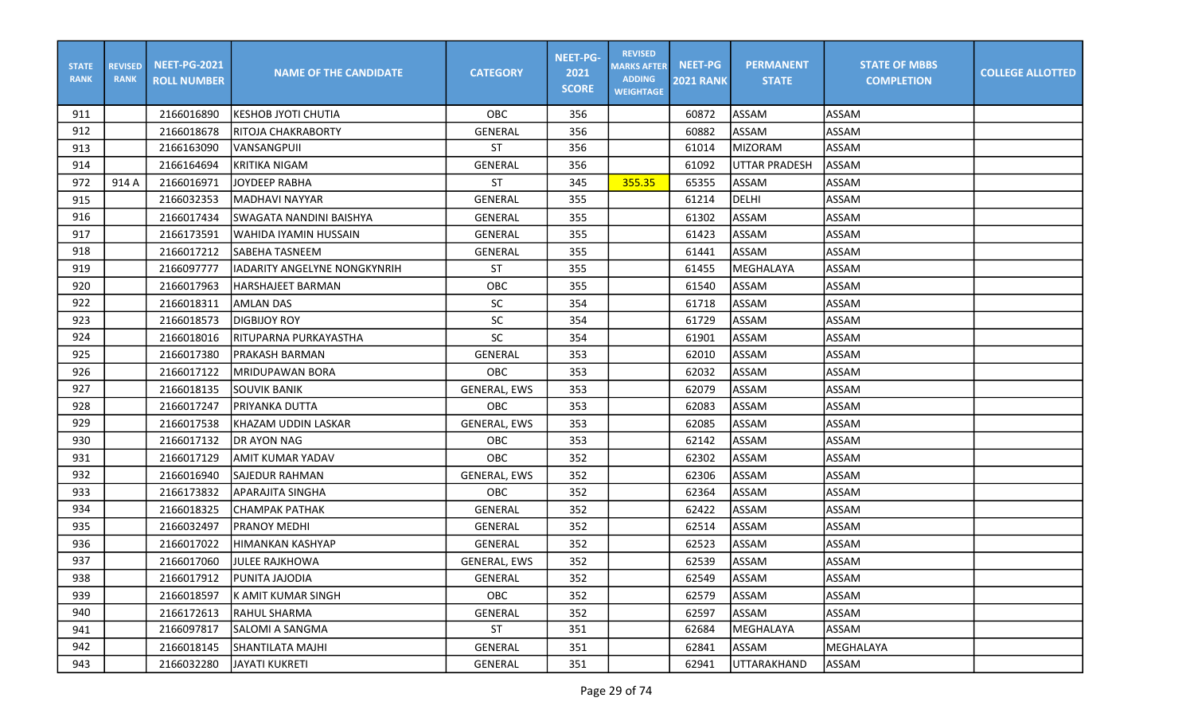| <b>STATE</b><br><b>RANK</b> | <b>REVISED</b><br><b>RANK</b> | <b>NEET-PG-2021</b><br><b>ROLL NUMBER</b> | <b>NAME OF THE CANDIDATE</b>  | <b>CATEGORY</b>     | <b>NEET-PG-</b><br>2021<br><b>SCORE</b> | <b>REVISED</b><br><b>MARKS AFTER</b><br><b>ADDING</b><br><b>WEIGHTAGE</b> | <b>NEET-PG</b><br><b>2021 RANK</b> | <b>PERMANENT</b><br><b>STATE</b> | <b>STATE OF MBBS</b><br><b>COMPLETION</b> | <b>COLLEGE ALLOTTED</b> |
|-----------------------------|-------------------------------|-------------------------------------------|-------------------------------|---------------------|-----------------------------------------|---------------------------------------------------------------------------|------------------------------------|----------------------------------|-------------------------------------------|-------------------------|
| 911                         |                               | 2166016890                                | <b>KESHOB JYOTI CHUTIA</b>    | OBC                 | 356                                     |                                                                           | 60872                              | ASSAM                            | ASSAM                                     |                         |
| 912                         |                               | 2166018678                                | RITOJA CHAKRABORTY            | GENERAL             | 356                                     |                                                                           | 60882                              | ASSAM                            | <b>ASSAM</b>                              |                         |
| 913                         |                               | 2166163090                                | VANSANGPUII                   | ST                  | 356                                     |                                                                           | 61014                              | <b>MIZORAM</b>                   | ASSAM                                     |                         |
| 914                         |                               | 2166164694                                | <b>KRITIKA NIGAM</b>          | <b>GENERAL</b>      | 356                                     |                                                                           | 61092                              | <b>UTTAR PRADESH</b>             | ASSAM                                     |                         |
| 972                         | 914 A                         | 2166016971                                | JOYDEEP RABHA                 | <b>ST</b>           | 345                                     | 355.35                                                                    | 65355                              | ASSAM                            | ASSAM                                     |                         |
| 915                         |                               | 2166032353                                | <b>MADHAVI NAYYAR</b>         | <b>GENERAL</b>      | 355                                     |                                                                           | 61214                              | <b>DELHI</b>                     | <b>ASSAM</b>                              |                         |
| 916                         |                               | 2166017434                                | SWAGATA NANDINI BAISHYA       | GENERAL             | 355                                     |                                                                           | 61302                              | ASSAM                            | ASSAM                                     |                         |
| 917                         |                               | 2166173591                                | WAHIDA IYAMIN HUSSAIN         | GENERAL             | 355                                     |                                                                           | 61423                              | ASSAM                            | <b>ASSAM</b>                              |                         |
| 918                         |                               | 2166017212                                | <b>SABEHA TASNEEM</b>         | GENERAL             | 355                                     |                                                                           | 61441                              | <b>ASSAM</b>                     | ASSAM                                     |                         |
| 919                         |                               | 2166097777                                | lIADARITY ANGELYNE NONGKYNRIH | <b>ST</b>           | 355                                     |                                                                           | 61455                              | MEGHALAYA                        | ASSAM                                     |                         |
| 920                         |                               | 2166017963                                | <b>HARSHAJEET BARMAN</b>      | OBC                 | 355                                     |                                                                           | 61540                              | ASSAM                            | ASSAM                                     |                         |
| 922                         |                               | 2166018311                                | <b>AMLAN DAS</b>              | SC                  | 354                                     |                                                                           | 61718                              | ASSAM                            | <b>ASSAM</b>                              |                         |
| 923                         |                               | 2166018573                                | <b>DIGBIJOY ROY</b>           | SC                  | 354                                     |                                                                           | 61729                              | ASSAM                            | <b>ASSAM</b>                              |                         |
| 924                         |                               | 2166018016                                | IRITUPARNA PURKAYASTHA        | $\sf SC$            | 354                                     |                                                                           | 61901                              | ASSAM                            | <b>ASSAM</b>                              |                         |
| 925                         |                               | 2166017380                                | <b>PRAKASH BARMAN</b>         | GENERAL             | 353                                     |                                                                           | 62010                              | ASSAM                            | <b>ASSAM</b>                              |                         |
| 926                         |                               | 2166017122                                | MRIDUPAWAN BORA               | OBC                 | 353                                     |                                                                           | 62032                              | <b>ASSAM</b>                     | ASSAM                                     |                         |
| 927                         |                               | 2166018135                                | <b>SOUVIK BANIK</b>           | <b>GENERAL, EWS</b> | 353                                     |                                                                           | 62079                              | ASSAM                            | ASSAM                                     |                         |
| 928                         |                               | 2166017247                                | PRIYANKA DUTTA                | OBC                 | 353                                     |                                                                           | 62083                              | ASSAM                            | <b>ASSAM</b>                              |                         |
| 929                         |                               | 2166017538                                | KHAZAM UDDIN LASKAR           | <b>GENERAL, EWS</b> | 353                                     |                                                                           | 62085                              | ASSAM                            | <b>ASSAM</b>                              |                         |
| 930                         |                               | 2166017132                                | <b>DR AYON NAG</b>            | OBC                 | 353                                     |                                                                           | 62142                              | ASSAM                            | <b>ASSAM</b>                              |                         |
| 931                         |                               | 2166017129                                | AMIT KUMAR YADAV              | OBC                 | 352                                     |                                                                           | 62302                              | ASSAM                            | ASSAM                                     |                         |
| 932                         |                               | 2166016940                                | <b>SAJEDUR RAHMAN</b>         | <b>GENERAL, EWS</b> | 352                                     |                                                                           | 62306                              | ASSAM                            | ASSAM                                     |                         |
| 933                         |                               | 2166173832                                | <b>APARAJITA SINGHA</b>       | OBC                 | 352                                     |                                                                           | 62364                              | ASSAM                            | ASSAM                                     |                         |
| 934                         |                               | 2166018325                                | ІСНАМРАК РАТНАК               | GENERAL             | 352                                     |                                                                           | 62422                              | ASSAM                            | <b>ASSAM</b>                              |                         |
| 935                         |                               | 2166032497                                | <b>PRANOY MEDHI</b>           | <b>GENERAL</b>      | 352                                     |                                                                           | 62514                              | ASSAM                            | <b>ASSAM</b>                              |                         |
| 936                         |                               | 2166017022                                | HIMANKAN KASHYAP              | GENERAL             | 352                                     |                                                                           | 62523                              | ASSAM                            | <b>ASSAM</b>                              |                         |
| 937                         |                               | 2166017060                                | <b>JULEE RAJKHOWA</b>         | <b>GENERAL, EWS</b> | 352                                     |                                                                           | 62539                              | ASSAM                            | ASSAM                                     |                         |
| 938                         |                               | 2166017912                                | <b>PUNITA JAJODIA</b>         | GENERAL             | 352                                     |                                                                           | 62549                              | ASSAM                            | <b>ASSAM</b>                              |                         |
| 939                         |                               | 2166018597                                | K AMIT KUMAR SINGH            | OBC                 | 352                                     |                                                                           | 62579                              | ASSAM                            | ASSAM                                     |                         |
| 940                         |                               | 2166172613                                | IRAHUL SHARMA                 | GENERAL             | 352                                     |                                                                           | 62597                              | ASSAM                            | ASSAM                                     |                         |
| 941                         |                               | 2166097817                                | SALOMI A SANGMA               | ST                  | 351                                     |                                                                           | 62684                              | MEGHALAYA                        | ASSAM                                     |                         |
| 942                         |                               | 2166018145                                | <b>SHANTILATA MAJHI</b>       | GENERAL             | 351                                     |                                                                           | 62841                              | ASSAM                            | MEGHALAYA                                 |                         |
| 943                         |                               | 2166032280                                | <b>JAYATI KUKRETI</b>         | GENERAL             | 351                                     |                                                                           | 62941                              | UTTARAKHAND                      | ASSAM                                     |                         |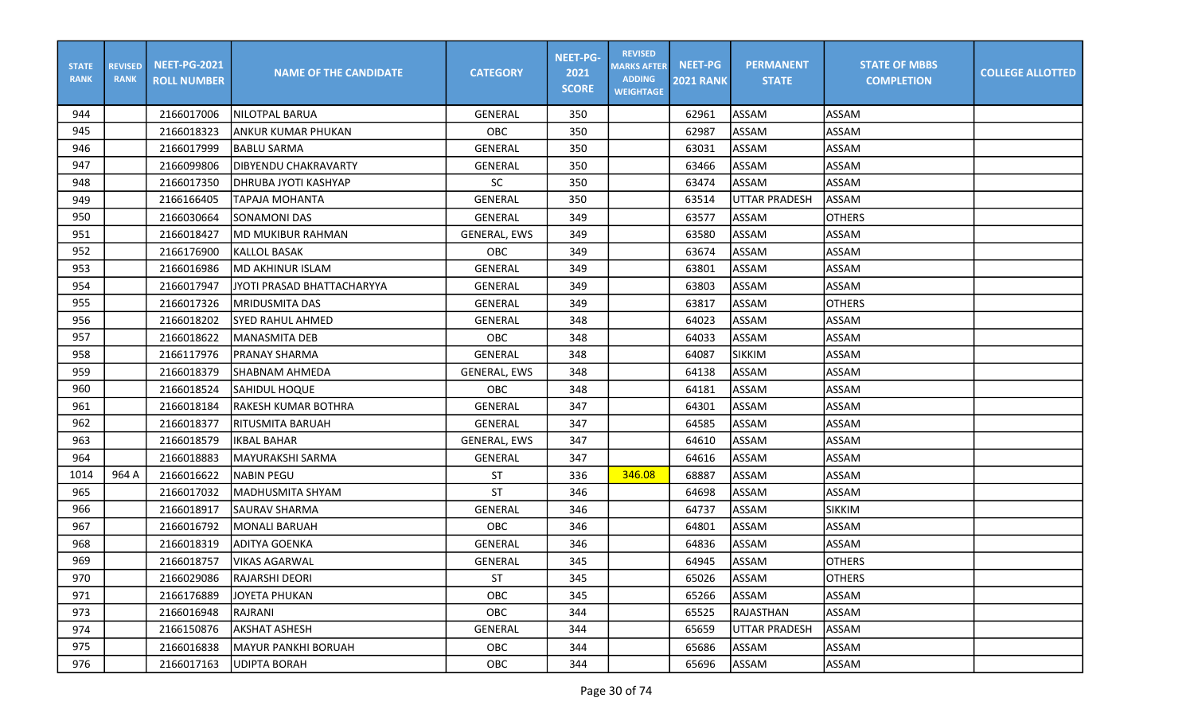| <b>STATE</b><br><b>RANK</b> | <b>REVISED</b><br><b>RANK</b> | <b>NEET-PG-2021</b><br><b>ROLL NUMBER</b> | <b>NAME OF THE CANDIDATE</b> | <b>CATEGORY</b>     | <b>NEET-PG-</b><br>2021<br><b>SCORE</b> | <b>REVISED</b><br><b>MARKS AFTER</b><br><b>ADDING</b><br><b>WEIGHTAGE</b> | <b>NEET-PG</b><br><b>2021 RANK</b> | <b>PERMANENT</b><br><b>STATE</b> | <b>STATE OF MBBS</b><br><b>COMPLETION</b> | <b>COLLEGE ALLOTTED</b> |
|-----------------------------|-------------------------------|-------------------------------------------|------------------------------|---------------------|-----------------------------------------|---------------------------------------------------------------------------|------------------------------------|----------------------------------|-------------------------------------------|-------------------------|
| 944                         |                               | 2166017006                                | INILOTPAL BARUA              | GENERAL             | 350                                     |                                                                           | 62961                              | ASSAM                            | ASSAM                                     |                         |
| 945                         |                               | 2166018323                                | ANKUR KUMAR PHUKAN           | OBC                 | 350                                     |                                                                           | 62987                              | ASSAM                            | <b>ASSAM</b>                              |                         |
| 946                         |                               | 2166017999                                | <b>BABLU SARMA</b>           | <b>GENERAL</b>      | 350                                     |                                                                           | 63031                              | ASSAM                            | ASSAM                                     |                         |
| 947                         |                               | 2166099806                                | <b>DIBYENDU CHAKRAVARTY</b>  | GENERAL             | 350                                     |                                                                           | 63466                              | ASSAM                            | ASSAM                                     |                         |
| 948                         |                               | 2166017350                                | DHRUBA JYOTI KASHYAP         | <b>SC</b>           | 350                                     |                                                                           | 63474                              | ASSAM                            | <b>ASSAM</b>                              |                         |
| 949                         |                               | 2166166405                                | <b>TAPAJA MOHANTA</b>        | <b>GENERAL</b>      | 350                                     |                                                                           | 63514                              | <b>UTTAR PRADESH</b>             | ASSAM                                     |                         |
| 950                         |                               | 2166030664                                | <b>SONAMONI DAS</b>          | GENERAL             | 349                                     |                                                                           | 63577                              | ASSAM                            | <b>OTHERS</b>                             |                         |
| 951                         |                               | 2166018427                                | <b>MD MUKIBUR RAHMAN</b>     | GENERAL, EWS        | 349                                     |                                                                           | 63580                              | ASSAM                            | <b>ASSAM</b>                              |                         |
| 952                         |                               | 2166176900                                | KALLOL BASAK                 | <b>OBC</b>          | 349                                     |                                                                           | 63674                              | ASSAM                            | ASSAM                                     |                         |
| 953                         |                               | 2166016986                                | IMD AKHINUR ISLAM            | GENERAL             | 349                                     |                                                                           | 63801                              | ASSAM                            | <b>ASSAM</b>                              |                         |
| 954                         |                               | 2166017947                                | JYOTI PRASAD BHATTACHARYYA   | GENERAL             | 349                                     |                                                                           | 63803                              | ASSAM                            | ASSAM                                     |                         |
| 955                         |                               | 2166017326                                | <b>MRIDUSMITA DAS</b>        | <b>GENERAL</b>      | 349                                     |                                                                           | 63817                              | ASSAM                            | <b>OTHERS</b>                             |                         |
| 956                         |                               | 2166018202                                | <b>SYED RAHUL AHMED</b>      | <b>GENERAL</b>      | 348                                     |                                                                           | 64023                              | ASSAM                            | <b>ASSAM</b>                              |                         |
| 957                         |                               | 2166018622                                | MANASMITA DEB                | OBC                 | 348                                     |                                                                           | 64033                              | ASSAM                            | <b>ASSAM</b>                              |                         |
| 958                         |                               | 2166117976                                | <b>PRANAY SHARMA</b>         | GENERAL             | 348                                     |                                                                           | 64087                              | <b>SIKKIM</b>                    | ASSAM                                     |                         |
| 959                         |                               | 2166018379                                | SHABNAM AHMEDA               | <b>GENERAL, EWS</b> | 348                                     |                                                                           | 64138                              | ASSAM                            | ASSAM                                     |                         |
| 960                         |                               | 2166018524                                | <b>SAHIDUL HOQUE</b>         | OBC.                | 348                                     |                                                                           | 64181                              | ASSAM                            | ASSAM                                     |                         |
| 961                         |                               | 2166018184                                | RAKESH KUMAR BOTHRA          | GENERAL             | 347                                     |                                                                           | 64301                              | ASSAM                            | <b>ASSAM</b>                              |                         |
| 962                         |                               | 2166018377                                | RITUSMITA BARUAH             | GENERAL             | 347                                     |                                                                           | 64585                              | ASSAM                            | <b>ASSAM</b>                              |                         |
| 963                         |                               | 2166018579                                | <b>IKBAL BAHAR</b>           | <b>GENERAL, EWS</b> | 347                                     |                                                                           | 64610                              | ASSAM                            | <b>ASSAM</b>                              |                         |
| 964                         |                               | 2166018883                                | MAYURAKSHI SARMA             | GENERAL             | 347                                     |                                                                           | 64616                              | ASSAM                            | ASSAM                                     |                         |
| 1014                        | 964 A                         | 2166016622                                | <b>NABIN PEGU</b>            | <b>ST</b>           | 336                                     | 346.08                                                                    | 68887                              | ASSAM                            | ASSAM                                     |                         |
| 965                         |                               | 2166017032                                | MADHUSMITA SHYAM             | <b>ST</b>           | 346                                     |                                                                           | 64698                              | ASSAM                            | ASSAM                                     |                         |
| 966                         |                               | 2166018917                                | <b>SAURAV SHARMA</b>         | <b>GENERAL</b>      | 346                                     |                                                                           | 64737                              | ASSAM                            | <b>SIKKIM</b>                             |                         |
| 967                         |                               | 2166016792                                | <b>MONALI BARUAH</b>         | OBC                 | 346                                     |                                                                           | 64801                              | ASSAM                            | <b>ASSAM</b>                              |                         |
| 968                         |                               | 2166018319                                | <b>ADITYA GOENKA</b>         | <b>GENERAL</b>      | 346                                     |                                                                           | 64836                              | ASSAM                            | <b>ASSAM</b>                              |                         |
| 969                         |                               | 2166018757                                | <b>VIKAS AGARWAL</b>         | GENERAL             | 345                                     |                                                                           | 64945                              | ASSAM                            | <b>OTHERS</b>                             |                         |
| 970                         |                               | 2166029086                                | <b>RAJARSHI DEORI</b>        | <b>ST</b>           | 345                                     |                                                                           | 65026                              | ASSAM                            | <b>OTHERS</b>                             |                         |
| 971                         |                               | 2166176889                                | JOYETA PHUKAN                | OBC                 | 345                                     |                                                                           | 65266                              | ASSAM                            | ASSAM                                     |                         |
| 973                         |                               | 2166016948                                | RAJRANI                      | OBC                 | 344                                     |                                                                           | 65525                              | <b>RAJASTHAN</b>                 | ASSAM                                     |                         |
| 974                         |                               | 2166150876                                | <b>AKSHAT ASHESH</b>         | GENERAL             | 344                                     |                                                                           | 65659                              | <b>UTTAR PRADESH</b>             | ASSAM                                     |                         |
| 975                         |                               | 2166016838                                | MAYUR PANKHI BORUAH          | OBC                 | 344                                     |                                                                           | 65686                              | ASSAM                            | ASSAM                                     |                         |
| 976                         |                               | 2166017163                                | UDIPTA BORAH                 | OBC                 | 344                                     |                                                                           | 65696                              | ASSAM                            | ASSAM                                     |                         |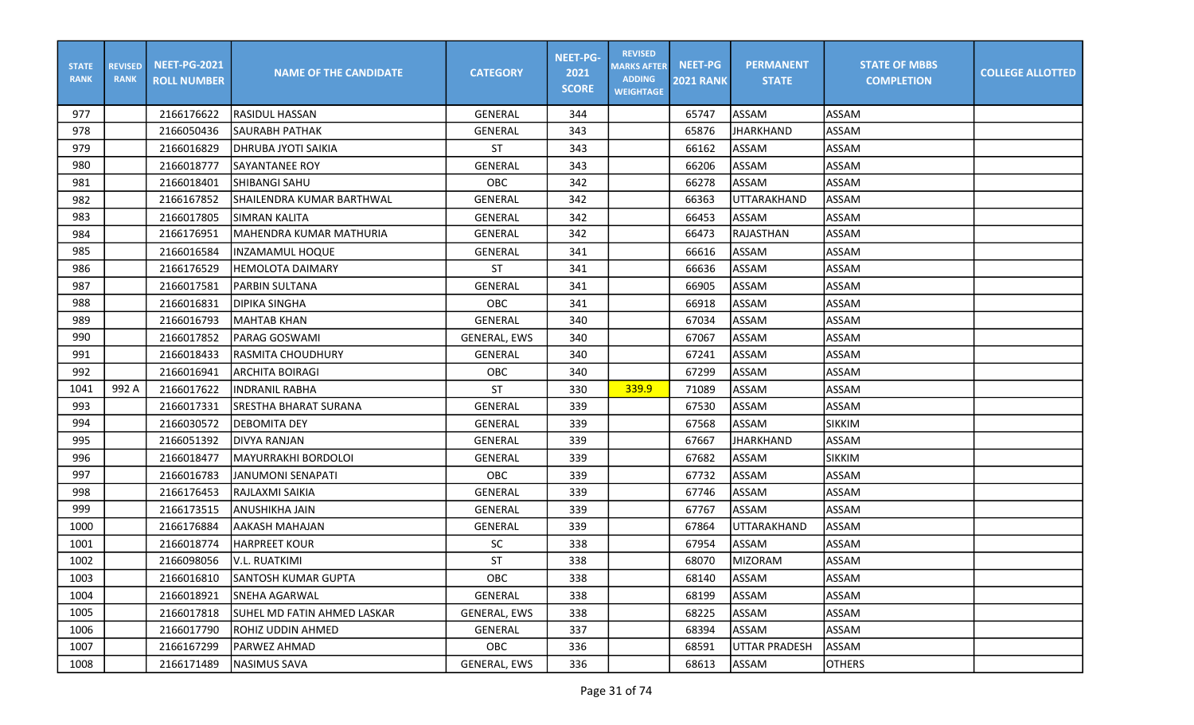| <b>STATE</b><br><b>RANK</b> | <b>REVISED</b><br><b>RANK</b> | <b>NEET-PG-2021</b><br><b>ROLL NUMBER</b> | <b>NAME OF THE CANDIDATE</b> | <b>CATEGORY</b>     | <b>NEET-PG-</b><br>2021<br><b>SCORE</b> | <b>REVISED</b><br><b>MARKS AFTER</b><br><b>ADDING</b><br><b>WEIGHTAGE</b> | <b>NEET-PG</b><br><b>2021 RANK</b> | <b>PERMANENT</b><br><b>STATE</b> | <b>STATE OF MBBS</b><br><b>COMPLETION</b> | <b>COLLEGE ALLOTTED</b> |
|-----------------------------|-------------------------------|-------------------------------------------|------------------------------|---------------------|-----------------------------------------|---------------------------------------------------------------------------|------------------------------------|----------------------------------|-------------------------------------------|-------------------------|
| 977                         |                               | 2166176622                                | lrasidul Hassan              | GENERAL             | 344                                     |                                                                           | 65747                              | ASSAM                            | ASSAM                                     |                         |
| 978                         |                               | 2166050436                                | <b>SAURABH PATHAK</b>        | <b>GENERAL</b>      | 343                                     |                                                                           | 65876                              | <b>JHARKHAND</b>                 | ASSAM                                     |                         |
| 979                         |                               | 2166016829                                | <b>DHRUBA JYOTI SAIKIA</b>   | ST                  | 343                                     |                                                                           | 66162                              | ASSAM                            | ASSAM                                     |                         |
| 980                         |                               | 2166018777                                | <b>SAYANTANEE ROY</b>        | GENERAL             | 343                                     |                                                                           | 66206                              | ASSAM                            | ASSAM                                     |                         |
| 981                         |                               | 2166018401                                | ISHIBANGI SAHU               | OBC                 | 342                                     |                                                                           | 66278                              | ASSAM                            | <b>ASSAM</b>                              |                         |
| 982                         |                               | 2166167852                                | SHAILENDRA KUMAR BARTHWAL    | <b>GENERAL</b>      | 342                                     |                                                                           | 66363                              | UTTARAKHAND                      | <b>ASSAM</b>                              |                         |
| 983                         |                               | 2166017805                                | <b>SIMRAN KALITA</b>         | GENERAL             | 342                                     |                                                                           | 66453                              | ASSAM                            | <b>ASSAM</b>                              |                         |
| 984                         |                               | 2166176951                                | MAHENDRA KUMAR MATHURIA      | <b>GENERAL</b>      | 342                                     |                                                                           | 66473                              | <b>RAJASTHAN</b>                 | ASSAM                                     |                         |
| 985                         |                               | 2166016584                                | IINZAMAMUL HOQUE             | GENERAL             | 341                                     |                                                                           | 66616                              | ASSAM                            | ASSAM                                     |                         |
| 986                         |                               | 2166176529                                | <b>HEMOLOTA DAIMARY</b>      | <b>ST</b>           | 341                                     |                                                                           | 66636                              | ASSAM                            | <b>ASSAM</b>                              |                         |
| 987                         |                               | 2166017581                                | PARBIN SULTANA               | GENERAL             | 341                                     |                                                                           | 66905                              | ASSAM                            | <b>ASSAM</b>                              |                         |
| 988                         |                               | 2166016831                                | IDIPIKA SINGHA               | <b>OBC</b>          | 341                                     |                                                                           | 66918                              | ASSAM                            | <b>ASSAM</b>                              |                         |
| 989                         |                               | 2166016793                                | MAHTAB KHAN                  | <b>GENERAL</b>      | 340                                     |                                                                           | 67034                              | <b>ASSAM</b>                     | <b>ASSAM</b>                              |                         |
| 990                         |                               | 2166017852                                | PARAG GOSWAMI                | <b>GENERAL, EWS</b> | 340                                     |                                                                           | 67067                              | ASSAM                            | <b>ASSAM</b>                              |                         |
| 991                         |                               | 2166018433                                | <b>RASMITA CHOUDHURY</b>     | <b>GENERAL</b>      | 340                                     |                                                                           | 67241                              | ASSAM                            | ASSAM                                     |                         |
| 992                         |                               | 2166016941                                | ARCHITA BOIRAGI              | OBC                 | 340                                     |                                                                           | 67299                              | ASSAM                            | ASSAM                                     |                         |
| 1041                        | 992 A                         | 2166017622                                | IINDRANIL RABHA              | <b>ST</b>           | 330                                     | 339.9                                                                     | 71089                              | ASSAM                            | ASSAM                                     |                         |
| 993                         |                               | 2166017331                                | SRESTHA BHARAT SURANA        | GENERAL             | 339                                     |                                                                           | 67530                              | ASSAM                            | <b>ASSAM</b>                              |                         |
| 994                         |                               | 2166030572                                | DEBOMITA DEY                 | GENERAL             | 339                                     |                                                                           | 67568                              | ASSAM                            | <b>SIKKIM</b>                             |                         |
| 995                         |                               | 2166051392                                | <b>DIVYA RANJAN</b>          | <b>GENERAL</b>      | 339                                     |                                                                           | 67667                              | <b>JHARKHAND</b>                 | ASSAM                                     |                         |
| 996                         |                               | 2166018477                                | MAYURRAKHI BORDOLOI          | GENERAL             | 339                                     |                                                                           | 67682                              | ASSAM                            | <b>SIKKIM</b>                             |                         |
| 997                         |                               | 2166016783                                | JANUMONI SENAPATI            | OBC                 | 339                                     |                                                                           | 67732                              | ASSAM                            | <b>ASSAM</b>                              |                         |
| 998                         |                               | 2166176453                                | RAJLAXMI SAIKIA              | GENERAL             | 339                                     |                                                                           | 67746                              | ASSAM                            | ASSAM                                     |                         |
| 999                         |                               | 2166173515                                | ANUSHIKHA JAIN               | GENERAL             | 339                                     |                                                                           | 67767                              | ASSAM                            | ASSAM                                     |                         |
| 1000                        |                               | 2166176884                                | <b>AAKASH MAHAJAN</b>        | <b>GENERAL</b>      | 339                                     |                                                                           | 67864                              | UTTARAKHAND                      | ASSAM                                     |                         |
| 1001                        |                               | 2166018774                                | <b>HARPREET KOUR</b>         | <b>SC</b>           | 338                                     |                                                                           | 67954                              | ASSAM                            | <b>ASSAM</b>                              |                         |
| 1002                        |                               | 2166098056                                | V.L. RUATKIMI                | <b>ST</b>           | 338                                     |                                                                           | 68070                              | <b>MIZORAM</b>                   | ASSAM                                     |                         |
| 1003                        |                               | 2166016810                                | <b>SANTOSH KUMAR GUPTA</b>   | OBC                 | 338                                     |                                                                           | 68140                              | ASSAM                            | <b>ASSAM</b>                              |                         |
| 1004                        |                               | 2166018921                                | <b>SNEHA AGARWAL</b>         | GENERAL             | 338                                     |                                                                           | 68199                              | ASSAM                            | ASSAM                                     |                         |
| 1005                        |                               | 2166017818                                | ISUHEL MD FATIN AHMED LASKAR | GENERAL, EWS        | 338                                     |                                                                           | 68225                              | ASSAM                            | ASSAM                                     |                         |
| 1006                        |                               | 2166017790                                | ROHIZ UDDIN AHMED            | GENERAL             | 337                                     |                                                                           | 68394                              | ASSAM                            | ASSAM                                     |                         |
| 1007                        |                               | 2166167299                                | <b>PARWEZ AHMAD</b>          | OBC                 | 336                                     |                                                                           | 68591                              | <b>UTTAR PRADESH</b>             | ASSAM                                     |                         |
| 1008                        |                               | 2166171489                                | NASIMUS SAVA                 | GENERAL, EWS        | 336                                     |                                                                           | 68613                              | ASSAM                            | <b>OTHERS</b>                             |                         |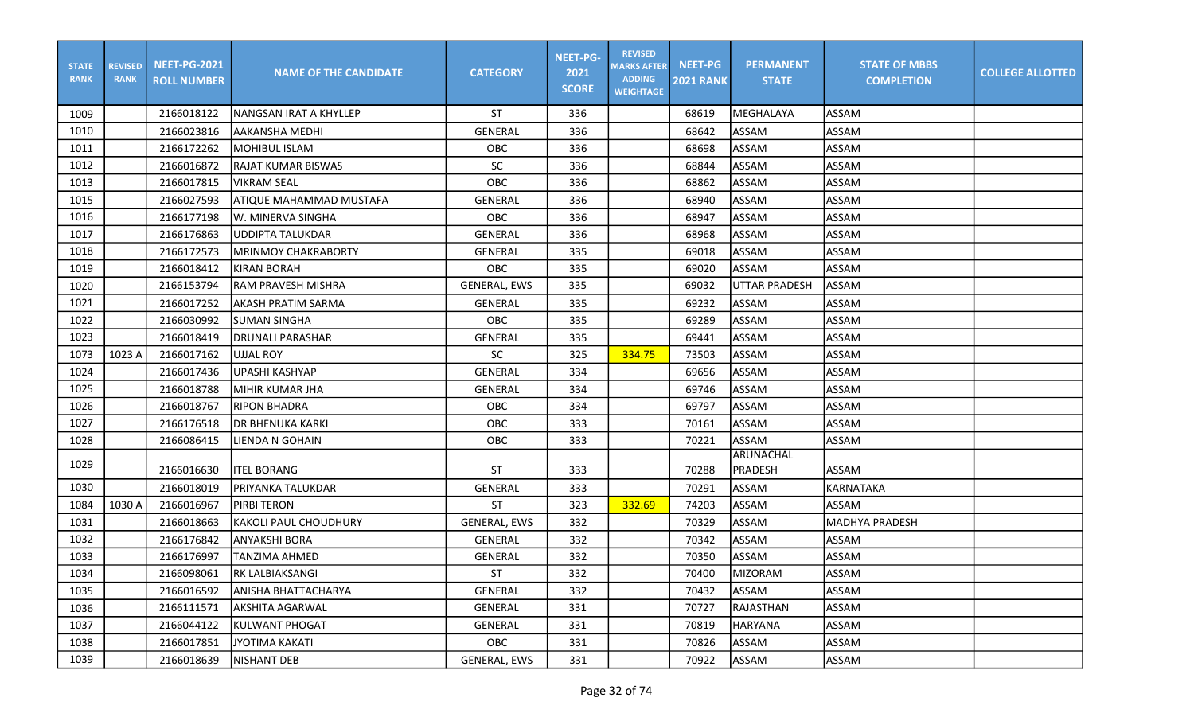| <b>STATE</b><br><b>RANK</b> | <b>REVISED</b><br><b>RANK</b> | <b>NEET-PG-2021</b><br><b>ROLL NUMBER</b> | <b>NAME OF THE CANDIDATE</b> | <b>CATEGORY</b>     | <b>NEET-PG-</b><br>2021<br><b>SCORE</b> | <b>REVISED</b><br><b>MARKS AFTER</b><br><b>ADDING</b><br><b>WEIGHTAGE</b> | <b>NEET-PG</b><br><b>2021 RANK</b> | <b>PERMANENT</b><br><b>STATE</b> | <b>STATE OF MBBS</b><br><b>COMPLETION</b> | <b>COLLEGE ALLOTTED</b> |
|-----------------------------|-------------------------------|-------------------------------------------|------------------------------|---------------------|-----------------------------------------|---------------------------------------------------------------------------|------------------------------------|----------------------------------|-------------------------------------------|-------------------------|
| 1009                        |                               | 2166018122                                | NANGSAN IRAT A KHYLLEP       | <b>ST</b>           | 336                                     |                                                                           | 68619                              | MEGHALAYA                        | ASSAM                                     |                         |
| 1010                        |                               | 2166023816                                | AAKANSHA MEDHI               | <b>GENERAL</b>      | 336                                     |                                                                           | 68642                              | ASSAM                            | ASSAM                                     |                         |
| 1011                        |                               | 2166172262                                | <b>MOHIBUL ISLAM</b>         | OBC                 | 336                                     |                                                                           | 68698                              | ASSAM                            | ASSAM                                     |                         |
| 1012                        |                               | 2166016872                                | <b>RAJAT KUMAR BISWAS</b>    | <b>SC</b>           | 336                                     |                                                                           | 68844                              | ASSAM                            | ASSAM                                     |                         |
| 1013                        |                               | 2166017815                                | VIKRAM SEAL                  | OBC                 | 336                                     |                                                                           | 68862                              | ASSAM                            | <b>ASSAM</b>                              |                         |
| 1015                        |                               | 2166027593                                | ATIQUE MAHAMMAD MUSTAFA      | <b>GENERAL</b>      | 336                                     |                                                                           | 68940                              | ASSAM                            | <b>ASSAM</b>                              |                         |
| 1016                        |                               | 2166177198                                | W. MINERVA SINGHA            | OBC                 | 336                                     |                                                                           | 68947                              | ASSAM                            | ASSAM                                     |                         |
| 1017                        |                               | 2166176863                                | <b>UDDIPTA TALUKDAR</b>      | <b>GENERAL</b>      | 336                                     |                                                                           | 68968                              | ASSAM                            | <b>ASSAM</b>                              |                         |
| 1018                        |                               | 2166172573                                | <b>MRINMOY CHAKRABORTY</b>   | <b>GENERAL</b>      | 335                                     |                                                                           | 69018                              | <b>ASSAM</b>                     | <b>ASSAM</b>                              |                         |
| 1019                        |                               | 2166018412                                | KIRAN BORAH                  | <b>OBC</b>          | 335                                     |                                                                           | 69020                              | ASSAM                            | <b>ASSAM</b>                              |                         |
| 1020                        |                               | 2166153794                                | <b>RAM PRAVESH MISHRA</b>    | <b>GENERAL, EWS</b> | 335                                     |                                                                           | 69032                              | UTTAR PRADESH                    | ASSAM                                     |                         |
| 1021                        |                               | 2166017252                                | <b>AKASH PRATIM SARMA</b>    | <b>GENERAL</b>      | 335                                     |                                                                           | 69232                              | ASSAM                            | <b>ASSAM</b>                              |                         |
| 1022                        |                               | 2166030992                                | <b>SUMAN SINGHA</b>          | OBC                 | 335                                     |                                                                           | 69289                              | ASSAM                            | <b>ASSAM</b>                              |                         |
| 1023                        |                               | 2166018419                                | DRUNALI PARASHAR             | <b>GENERAL</b>      | 335                                     |                                                                           | 69441                              | ASSAM                            | <b>ASSAM</b>                              |                         |
| 1073                        | 1023 A                        | 2166017162                                | <b>UJJAL ROY</b>             | <b>SC</b>           | 325                                     | 334.75                                                                    | 73503                              | ASSAM                            | <b>ASSAM</b>                              |                         |
| 1024                        |                               | 2166017436                                | UPASHI KASHYAP               | <b>GENERAL</b>      | 334                                     |                                                                           | 69656                              | <b>ASSAM</b>                     | ASSAM                                     |                         |
| 1025                        |                               | 2166018788                                | MIHIR KUMAR JHA              | <b>GENERAL</b>      | 334                                     |                                                                           | 69746                              | ASSAM                            | <b>ASSAM</b>                              |                         |
| 1026                        |                               | 2166018767                                | <b>RIPON BHADRA</b>          | OBC                 | 334                                     |                                                                           | 69797                              | ASSAM                            | <b>ASSAM</b>                              |                         |
| 1027                        |                               | 2166176518                                | <b>DR BHENUKA KARKI</b>      | OBC                 | 333                                     |                                                                           | 70161                              | ASSAM                            | <b>ASSAM</b>                              |                         |
| 1028                        |                               | 2166086415                                | LIENDA N GOHAIN              | OBC                 | 333                                     |                                                                           | 70221                              | ASSAM                            | <b>ASSAM</b>                              |                         |
| 1029                        |                               | 2166016630                                | <b>I</b> ITEL BORANG         | ST                  | 333                                     |                                                                           | 70288                              | ARUNACHAL<br>PRADESH             | <b>ASSAM</b>                              |                         |
| 1030                        |                               | 2166018019                                | PRIYANKA TALUKDAR            | <b>GENERAL</b>      | 333                                     |                                                                           | 70291                              | ASSAM                            | KARNATAKA                                 |                         |
| 1084                        | 1030 A                        | 2166016967                                | PIRBI TERON                  | ST                  | 323                                     | 332.69                                                                    | 74203                              | ASSAM                            | <b>ASSAM</b>                              |                         |
| 1031                        |                               | 2166018663                                | KAKOLI PAUL CHOUDHURY        | <b>GENERAL, EWS</b> | 332                                     |                                                                           | 70329                              | ASSAM                            | <b>MADHYA PRADESH</b>                     |                         |
| 1032                        |                               | 2166176842                                | ANYAKSHI BORA                | <b>GENERAL</b>      | 332                                     |                                                                           | 70342                              | ASSAM                            | ASSAM                                     |                         |
| 1033                        |                               | 2166176997                                | TANZIMA AHMED                | <b>GENERAL</b>      | 332                                     |                                                                           | 70350                              | <b>ASSAM</b>                     | ASSAM                                     |                         |
| 1034                        |                               | 2166098061                                | JRK LALBIAKSANGI             | ST.                 | 332                                     |                                                                           | 70400                              | <b>IMIZORAM</b>                  | ASSAM                                     |                         |
| 1035                        |                               | 2166016592                                | ANISHA BHATTACHARYA          | GENERAL             | 332                                     |                                                                           | 70432                              | ASSAM                            | <b>ASSAM</b>                              |                         |
| 1036                        |                               | 2166111571                                | AKSHITA AGARWAL              | GENERAL             | 331                                     |                                                                           | 70727                              | RAJASTHAN                        | ASSAM                                     |                         |
| 1037                        |                               | 2166044122                                | KULWANT PHOGAT               | GENERAL             | 331                                     |                                                                           | 70819                              | <b>HARYANA</b>                   | ASSAM                                     |                         |
| 1038                        |                               | 2166017851                                | <b>JYOTIMA KAKATI</b>        | <b>OBC</b>          | 331                                     |                                                                           | 70826                              | ASSAM                            | ASSAM                                     |                         |
| 1039                        |                               | 2166018639                                | NISHANT DEB                  | GENERAL, EWS        | 331                                     |                                                                           | 70922                              | ASSAM                            | ASSAM                                     |                         |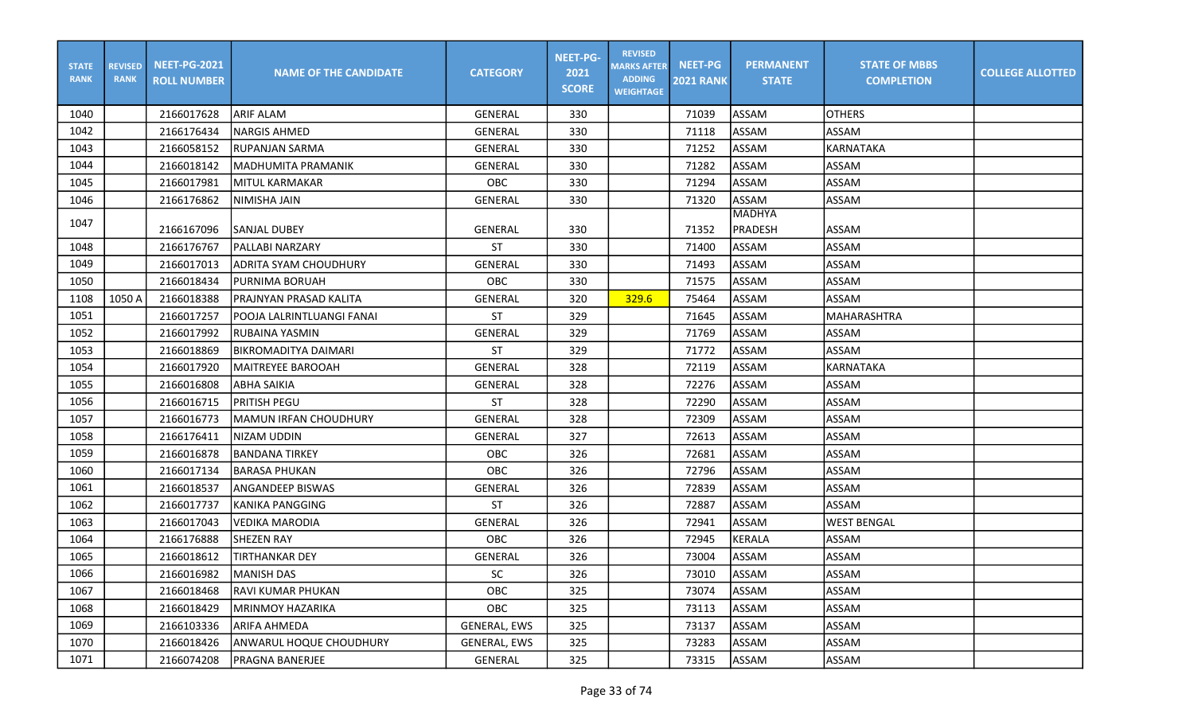| <b>STATE</b><br><b>RANK</b> | <b>REVISED</b><br><b>RANK</b> | <b>NEET-PG-2021</b><br><b>ROLL NUMBER</b> | <b>NAME OF THE CANDIDATE</b> | <b>CATEGORY</b> | <b>NEET-PG-</b><br>2021<br><b>SCORE</b> | <b>REVISED</b><br><b>MARKS AFTER</b><br><b>ADDING</b><br><b>WEIGHTAGE</b> | <b>NEET-PG</b><br><b>2021 RANK</b> | <b>PERMANENT</b><br><b>STATE</b> | <b>STATE OF MBBS</b><br><b>COMPLETION</b> | <b>COLLEGE ALLOTTED</b> |
|-----------------------------|-------------------------------|-------------------------------------------|------------------------------|-----------------|-----------------------------------------|---------------------------------------------------------------------------|------------------------------------|----------------------------------|-------------------------------------------|-------------------------|
| 1040                        |                               | 2166017628                                | <b>ARIF ALAM</b>             | <b>GENERAL</b>  | 330                                     |                                                                           | 71039                              | ASSAM                            | <b>OTHERS</b>                             |                         |
| 1042                        |                               | 2166176434                                | <b>I</b> NARGIS AHMED        | <b>GENERAL</b>  | 330                                     |                                                                           | 71118                              | ASSAM                            | ASSAM                                     |                         |
| 1043                        |                               | 2166058152                                | RUPANJAN SARMA               | <b>GENERAL</b>  | 330                                     |                                                                           | 71252                              | ASSAM                            | KARNATAKA                                 |                         |
| 1044                        |                               | 2166018142                                | IMADHUMITA PRAMANIK          | GENERAL         | 330                                     |                                                                           | 71282                              | <b>ASSAM</b>                     | ASSAM                                     |                         |
| 1045                        |                               | 2166017981                                | IMITUL KARMAKAR              | OBC             | 330                                     |                                                                           | 71294                              | ASSAM                            | ASSAM                                     |                         |
| 1046                        |                               | 2166176862                                | NIMISHA JAIN                 | <b>GENERAL</b>  | 330                                     |                                                                           | 71320                              | ASSAM                            | <b>ASSAM</b>                              |                         |
| 1047                        |                               |                                           |                              |                 |                                         |                                                                           |                                    | <b>MADHYA</b>                    |                                           |                         |
|                             |                               | 2166167096                                | SANJAL DUBEY                 | <b>GENERAL</b>  | 330                                     |                                                                           | 71352                              | PRADESH                          | ASSAM                                     |                         |
| 1048                        |                               | 2166176767                                | PALLABI NARZARY              | ST              | 330                                     |                                                                           | 71400                              | ASSAM                            | ASSAM                                     |                         |
| 1049                        |                               | 2166017013                                | IADRITA SYAM CHOUDHURY       | <b>GENERAL</b>  | 330                                     |                                                                           | 71493                              | ASSAM                            | <b>ASSAM</b>                              |                         |
| 1050                        |                               | 2166018434                                | PURNIMA BORUAH               | OBC             | 330                                     |                                                                           | 71575                              | ASSAM                            | ASSAM                                     |                         |
| 1108                        | 1050 A                        | 2166018388                                | PRAJNYAN PRASAD KALITA       | <b>GENERAL</b>  | 320                                     | 329.6                                                                     | 75464                              | ASSAM                            | ASSAM                                     |                         |
| 1051                        |                               | 2166017257                                | POOJA LALRINTLUANGI FANAI    | <b>ST</b>       | 329                                     |                                                                           | 71645                              | ASSAM                            | <b>MAHARASHTRA</b>                        |                         |
| 1052                        |                               | 2166017992                                | RUBAINA YASMIN               | <b>GENERAL</b>  | 329                                     |                                                                           | 71769                              | ASSAM                            | ASSAM                                     |                         |
| 1053                        |                               | 2166018869                                | BIKROMADITYA DAIMARI         | <b>ST</b>       | 329                                     |                                                                           | 71772                              | ASSAM                            | ASSAM                                     |                         |
| 1054                        |                               | 2166017920                                | IMAITREYEE BAROOAH           | <b>GENERAL</b>  | 328                                     |                                                                           | 72119                              | ASSAM                            | <b>KARNATAKA</b>                          |                         |
| 1055                        |                               | 2166016808                                | <b>ABHA SAIKIA</b>           | <b>GENERAL</b>  | 328                                     |                                                                           | 72276                              | ASSAM                            | <b>ASSAM</b>                              |                         |
| 1056                        |                               | 2166016715                                | <b>PRITISH PEGU</b>          | <b>ST</b>       | 328                                     |                                                                           | 72290                              | ASSAM                            | <b>ASSAM</b>                              |                         |
| 1057                        |                               | 2166016773                                | MAMUN IRFAN CHOUDHURY        | <b>GENERAL</b>  | 328                                     |                                                                           | 72309                              | ASSAM                            | ASSAM                                     |                         |
| 1058                        |                               | 2166176411                                | NIZAM UDDIN                  | GENERAL         | 327                                     |                                                                           | 72613                              | ASSAM                            | <b>ASSAM</b>                              |                         |
| 1059                        |                               | 2166016878                                | IBANDANA TIRKEY              | OBC             | 326                                     |                                                                           | 72681                              | ASSAM                            | ASSAM                                     |                         |
| 1060                        |                               | 2166017134                                | IBARASA PHUKAN               | <b>OBC</b>      | 326                                     |                                                                           | 72796                              | ASSAM                            | <b>ASSAM</b>                              |                         |
| 1061                        |                               | 2166018537                                | ANGANDEEP BISWAS             | <b>GENERAL</b>  | 326                                     |                                                                           | 72839                              | ASSAM                            | ASSAM                                     |                         |
| 1062                        |                               | 2166017737                                | <b>KANIKA PANGGING</b>       | <b>ST</b>       | 326                                     |                                                                           | 72887                              | <b>ASSAM</b>                     | <b>ASSAM</b>                              |                         |
| 1063                        |                               | 2166017043                                | VEDIKA MARODIA               | GENERAL         | 326                                     |                                                                           | 72941                              | <b>ASSAM</b>                     | <b>WEST BENGAL</b>                        |                         |
| 1064                        |                               | 2166176888                                | <b>SHEZEN RAY</b>            | OBC             | 326                                     |                                                                           | 72945                              | <b>KERALA</b>                    | ASSAM                                     |                         |
| 1065                        |                               | 2166018612                                | <b>TIRTHANKAR DEY</b>        | <b>GENERAL</b>  | 326                                     |                                                                           | 73004                              | ASSAM                            | ASSAM                                     |                         |
| 1066                        |                               | 2166016982                                | <b>MANISH DAS</b>            | <b>SC</b>       | 326                                     |                                                                           | 73010                              | <b>ASSAM</b>                     | ASSAM                                     |                         |
| 1067                        |                               | 2166018468                                | RAVI KUMAR PHUKAN            | OBC             | 325                                     |                                                                           | 73074                              | <b>ASSAM</b>                     | ASSAM                                     |                         |
| 1068                        |                               | 2166018429                                | MRINMOY HAZARIKA             | OBC             | 325                                     |                                                                           | 73113                              | ASSAM                            | ASSAM                                     |                         |
| 1069                        |                               | 2166103336                                | <b>ARIFA AHMEDA</b>          | GENERAL, EWS    | 325                                     |                                                                           | 73137                              | ASSAM                            | ASSAM                                     |                         |
| 1070                        |                               | 2166018426                                | ANWARUL HOQUE CHOUDHURY      | GENERAL, EWS    | 325                                     |                                                                           | 73283                              | ASSAM                            | ASSAM                                     |                         |
| 1071                        |                               | 2166074208                                | <b>PRAGNA BANERJEE</b>       | GENERAL         | 325                                     |                                                                           | 73315                              | ASSAM                            | ASSAM                                     |                         |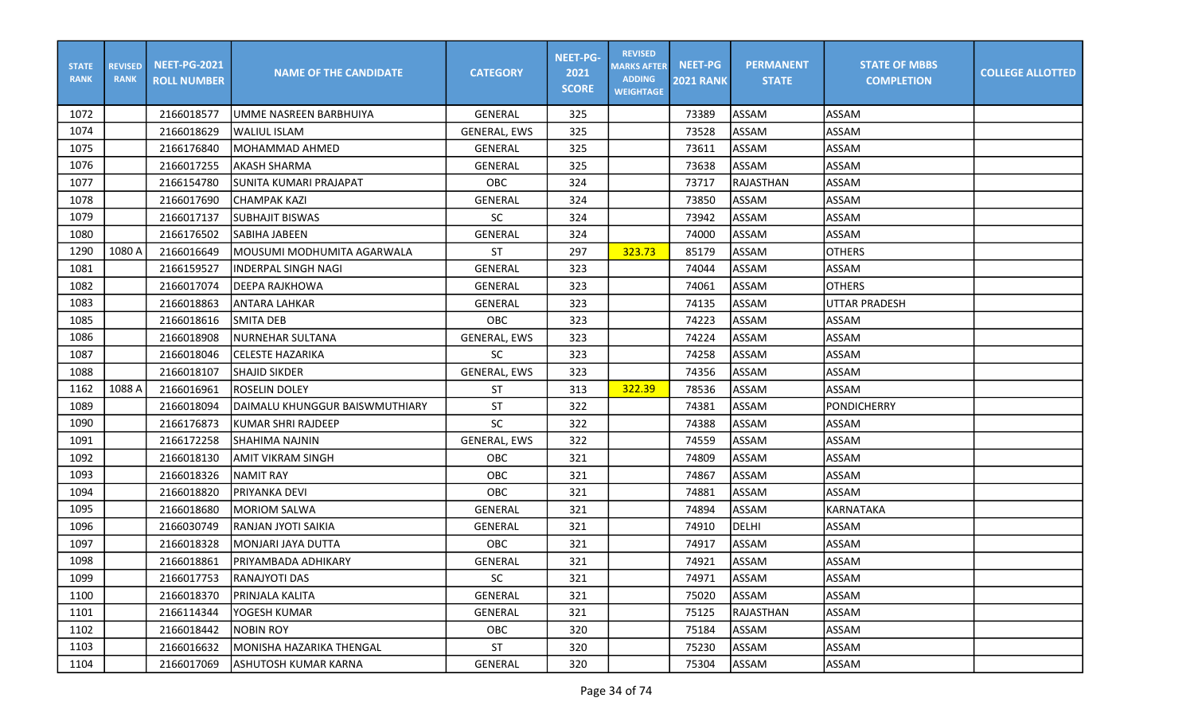| <b>STATE</b><br><b>RANK</b> | <b>REVISED</b><br><b>RANK</b> | <b>NEET-PG-2021</b><br><b>ROLL NUMBER</b> | <b>NAME OF THE CANDIDATE</b>   | <b>CATEGORY</b>     | <b>NEET-PG-</b><br>2021<br><b>SCORE</b> | <b>REVISED</b><br><b>MARKS AFTER</b><br><b>ADDING</b><br><b>WEIGHTAGE</b> | <b>NEET-PG</b><br><b>2021 RANK</b> | <b>PERMANENT</b><br><b>STATE</b> | <b>STATE OF MBBS</b><br><b>COMPLETION</b> | <b>COLLEGE ALLOTTED</b> |
|-----------------------------|-------------------------------|-------------------------------------------|--------------------------------|---------------------|-----------------------------------------|---------------------------------------------------------------------------|------------------------------------|----------------------------------|-------------------------------------------|-------------------------|
| 1072                        |                               | 2166018577                                | UMME NASREEN BARBHUIYA         | <b>GENERAL</b>      | 325                                     |                                                                           | 73389                              | <b>ASSAM</b>                     | ASSAM                                     |                         |
| 1074                        |                               | 2166018629                                | <b>WALIUL ISLAM</b>            | <b>GENERAL, EWS</b> | 325                                     |                                                                           | 73528                              | ASSAM                            | <b>ASSAM</b>                              |                         |
| 1075                        |                               | 2166176840                                | MOHAMMAD AHMED                 | <b>GENERAL</b>      | 325                                     |                                                                           | 73611                              | ASSAM                            | <b>ASSAM</b>                              |                         |
| 1076                        |                               | 2166017255                                | AKASH SHARMA                   | <b>GENERAL</b>      | 325                                     |                                                                           | 73638                              | ASSAM                            | <b>ASSAM</b>                              |                         |
| 1077                        |                               | 2166154780                                | SUNITA KUMARI PRAJAPAT         | OBC                 | 324                                     |                                                                           | 73717                              | RAJASTHAN                        | <b>ASSAM</b>                              |                         |
| 1078                        |                               | 2166017690                                | <b>CHAMPAK KAZI</b>            | <b>GENERAL</b>      | 324                                     |                                                                           | 73850                              | ASSAM                            | <b>ASSAM</b>                              |                         |
| 1079                        |                               | 2166017137                                | <b>SUBHAJIT BISWAS</b>         | <b>SC</b>           | 324                                     |                                                                           | 73942                              | ASSAM                            | <b>ASSAM</b>                              |                         |
| 1080                        |                               | 2166176502                                | <b>SABIHA JABEEN</b>           | <b>GENERAL</b>      | 324                                     |                                                                           | 74000                              | ASSAM                            | <b>ASSAM</b>                              |                         |
| 1290                        | 1080 A                        | 2166016649                                | MOUSUMI MODHUMITA AGARWALA     | <b>ST</b>           | 297                                     | 323.73                                                                    | 85179                              | <b>ASSAM</b>                     | <b>OTHERS</b>                             |                         |
| 1081                        |                               | 2166159527                                | INDERPAL SINGH NAGI            | <b>GENERAL</b>      | 323                                     |                                                                           | 74044                              | ASSAM                            | <b>ASSAM</b>                              |                         |
| 1082                        |                               | 2166017074                                | <b>DEEPA RAJKHOWA</b>          | <b>GENERAL</b>      | 323                                     |                                                                           | 74061                              | ASSAM                            | <b>OTHERS</b>                             |                         |
| 1083                        |                               | 2166018863                                | ANTARA LAHKAR                  | <b>GENERAL</b>      | 323                                     |                                                                           | 74135                              | ASSAM                            | <b>UTTAR PRADESH</b>                      |                         |
| 1085                        |                               | 2166018616                                | <b>SMITA DEB</b>               | OBC                 | 323                                     |                                                                           | 74223                              | ASSAM                            | ASSAM                                     |                         |
| 1086                        |                               | 2166018908                                | <b>NURNEHAR SULTANA</b>        | <b>GENERAL, EWS</b> | 323                                     |                                                                           | 74224                              | ASSAM                            | <b>ASSAM</b>                              |                         |
| 1087                        |                               | 2166018046                                | <b>CELESTE HAZARIKA</b>        | <b>SC</b>           | 323                                     |                                                                           | 74258                              | ASSAM                            | ASSAM                                     |                         |
| 1088                        |                               | 2166018107                                | <b>SHAJID SIKDER</b>           | <b>GENERAL, EWS</b> | 323                                     |                                                                           | 74356                              | ASSAM                            | <b>ASSAM</b>                              |                         |
| 1162                        | 1088 A                        | 2166016961                                | ROSELIN DOLEY                  | ST                  | 313                                     | 322.39                                                                    | 78536                              | ASSAM                            | ASSAM                                     |                         |
| 1089                        |                               | 2166018094                                | DAIMALU KHUNGGUR BAISWMUTHIARY | <b>ST</b>           | 322                                     |                                                                           | 74381                              | ASSAM                            | PONDICHERRY                               |                         |
| 1090                        |                               | 2166176873                                | KUMAR SHRI RAJDEEP             | SC                  | 322                                     |                                                                           | 74388                              | ASSAM                            | <b>ASSAM</b>                              |                         |
| 1091                        |                               | 2166172258                                | <b>SHAHIMA NAJNIN</b>          | <b>GENERAL, EWS</b> | 322                                     |                                                                           | 74559                              | ASSAM                            | <b>ASSAM</b>                              |                         |
| 1092                        |                               | 2166018130                                | <b>AMIT VIKRAM SINGH</b>       | OBC                 | 321                                     |                                                                           | 74809                              | ASSAM                            | <b>ASSAM</b>                              |                         |
| 1093                        |                               | 2166018326                                | <b>NAMIT RAY</b>               | OBC                 | 321                                     |                                                                           | 74867                              | ASSAM                            | <b>ASSAM</b>                              |                         |
| 1094                        |                               | 2166018820                                | PRIYANKA DEVI                  | OBC                 | 321                                     |                                                                           | 74881                              | ASSAM                            | <b>ASSAM</b>                              |                         |
| 1095                        |                               | 2166018680                                | <b>MORIOM SALWA</b>            | <b>GENERAL</b>      | 321                                     |                                                                           | 74894                              | ASSAM                            | KARNATAKA                                 |                         |
| 1096                        |                               | 2166030749                                | RANJAN JYOTI SAIKIA            | <b>GENERAL</b>      | 321                                     |                                                                           | 74910                              | <b>DELHI</b>                     | <b>ASSAM</b>                              |                         |
| 1097                        |                               | 2166018328                                | MONJARI JAYA DUTTA             | OBC                 | 321                                     |                                                                           | 74917                              | <b>ASSAM</b>                     | <b>ASSAM</b>                              |                         |
| 1098                        |                               | 2166018861                                | PRIYAMBADA ADHIKARY            | <b>GENERAL</b>      | 321                                     |                                                                           | 74921                              | ASSAM                            | ASSAM                                     |                         |
| 1099                        |                               | 2166017753                                | <b>RANAJYOTI DAS</b>           | SC                  | 321                                     |                                                                           | 74971                              | ASSAM                            | <b>ASSAM</b>                              |                         |
| 1100                        |                               | 2166018370                                | PRINJALA KALITA                | GENERAL             | 321                                     |                                                                           | 75020                              | ASSAM                            | ASSAM                                     |                         |
| 1101                        |                               | 2166114344                                | YOGESH KUMAR                   | <b>GENERAL</b>      | 321                                     |                                                                           | 75125                              | RAJASTHAN                        | ASSAM                                     |                         |
| 1102                        |                               | 2166018442                                | <b>NOBIN ROY</b>               | OBC                 | 320                                     |                                                                           | 75184                              | ASSAM                            | ASSAM                                     |                         |
| 1103                        |                               | 2166016632                                | MONISHA HAZARIKA THENGAL       | <b>ST</b>           | 320                                     |                                                                           | 75230                              | ASSAM                            | ASSAM                                     |                         |
| 1104                        |                               | 2166017069                                | ASHUTOSH KUMAR KARNA           | GENERAL             | 320                                     |                                                                           | 75304                              | ASSAM                            | ASSAM                                     |                         |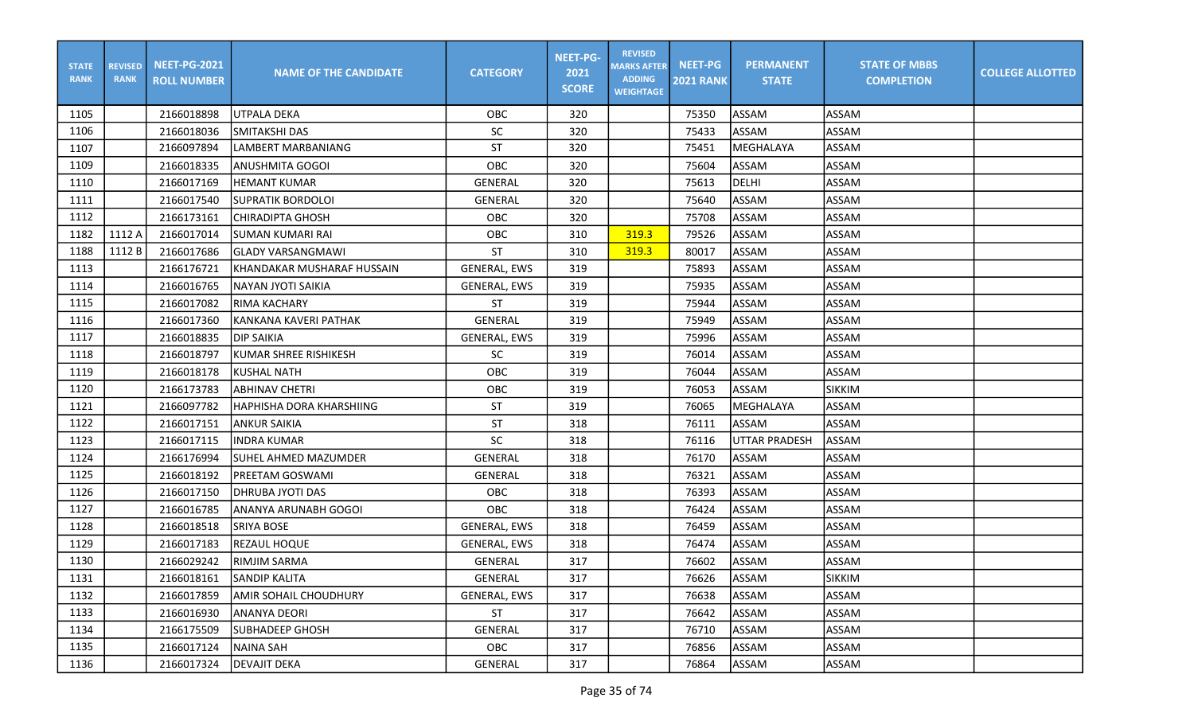| <b>STATE</b><br><b>RANK</b> | <b>REVISED</b><br><b>RANK</b> | <b>NEET-PG-2021</b><br><b>ROLL NUMBER</b> | <b>NAME OF THE CANDIDATE</b> | <b>CATEGORY</b>     | <b>NEET-PG-</b><br>2021<br><b>SCORE</b> | <b>REVISED</b><br><b>MARKS AFTER</b><br><b>ADDING</b><br><b>WEIGHTAGE</b> | <b>NEET-PG</b><br><b>2021 RANK</b> | <b>PERMANENT</b><br><b>STATE</b> | <b>STATE OF MBBS</b><br><b>COMPLETION</b> | <b>COLLEGE ALLOTTED</b> |
|-----------------------------|-------------------------------|-------------------------------------------|------------------------------|---------------------|-----------------------------------------|---------------------------------------------------------------------------|------------------------------------|----------------------------------|-------------------------------------------|-------------------------|
| 1105                        |                               | 2166018898                                | lutpala deka                 | OBC                 | 320                                     |                                                                           | 75350                              | ASSAM                            | ASSAM                                     |                         |
| 1106                        |                               | 2166018036                                | <b>SMITAKSHI DAS</b>         | <b>SC</b>           | 320                                     |                                                                           | 75433                              | <b>ASSAM</b>                     | <b>ASSAM</b>                              |                         |
| 1107                        |                               | 2166097894                                | LAMBERT MARBANIANG           | <b>ST</b>           | 320                                     |                                                                           | 75451                              | MEGHALAYA                        | <b>ASSAM</b>                              |                         |
| 1109                        |                               | 2166018335                                | ANUSHMITA GOGOI              | OBC                 | 320                                     |                                                                           | 75604                              | <b>ASSAM</b>                     | <b>ASSAM</b>                              |                         |
| 1110                        |                               | 2166017169                                | <b>HEMANT KUMAR</b>          | GENERAL             | 320                                     |                                                                           | 75613                              | <b>DELHI</b>                     | <b>ASSAM</b>                              |                         |
| 1111                        |                               | 2166017540                                | <b>SUPRATIK BORDOLOI</b>     | <b>GENERAL</b>      | 320                                     |                                                                           | 75640                              | <b>ASSAM</b>                     | <b>ASSAM</b>                              |                         |
| 1112                        |                               | 2166173161                                | CHIRADIPTA GHOSH             | OBC                 | 320                                     |                                                                           | 75708                              | ASSAM                            | <b>ASSAM</b>                              |                         |
| 1182                        | 1112 A                        | 2166017014                                | İSUMAN KUMARI RAI            | OBC                 | 310                                     | 319.3                                                                     | 79526                              | ASSAM                            | <b>ASSAM</b>                              |                         |
| 1188                        | 1112 B                        | 2166017686                                | GLADY VARSANGMAWI            | <b>ST</b>           | 310                                     | 319.3                                                                     | 80017                              | <b>ASSAM</b>                     | <b>ASSAM</b>                              |                         |
| 1113                        |                               | 2166176721                                | KHANDAKAR MUSHARAF HUSSAIN   | <b>GENERAL, EWS</b> | 319                                     |                                                                           | 75893                              | ASSAM                            | <b>ASSAM</b>                              |                         |
| 1114                        |                               | 2166016765                                | INAYAN JYOTI SAIKIA          | <b>GENERAL, EWS</b> | 319                                     |                                                                           | 75935                              | <b>ASSAM</b>                     | <b>ASSAM</b>                              |                         |
| 1115                        |                               | 2166017082                                | <b>RIMA KACHARY</b>          | <b>ST</b>           | 319                                     |                                                                           | 75944                              | <b>ASSAM</b>                     | <b>ASSAM</b>                              |                         |
| 1116                        |                               | 2166017360                                | KANKANA KAVERI PATHAK        | <b>GENERAL</b>      | 319                                     |                                                                           | 75949                              | ASSAM                            | <b>ASSAM</b>                              |                         |
| 1117                        |                               | 2166018835                                | <b>DIP SAIKIA</b>            | GENERAL, EWS        | 319                                     |                                                                           | 75996                              | <b>ASSAM</b>                     | <b>ASSAM</b>                              |                         |
| 1118                        |                               | 2166018797                                | lkumar shree rishikesh       | <b>SC</b>           | 319                                     |                                                                           | 76014                              | <b>ASSAM</b>                     | <b>ASSAM</b>                              |                         |
| 1119                        |                               | 2166018178                                | KUSHAL NATH                  | OBC                 | 319                                     |                                                                           | 76044                              | ASSAM                            | ASSAM                                     |                         |
| 1120                        |                               | 2166173783                                | <b>ABHINAV CHETRI</b>        | OBC                 | 319                                     |                                                                           | 76053                              | ASSAM                            | <b>SIKKIM</b>                             |                         |
| 1121                        |                               | 2166097782                                | HAPHISHA DORA KHARSHIING     | <b>ST</b>           | 319                                     |                                                                           | 76065                              | MEGHALAYA                        | <b>ASSAM</b>                              |                         |
| 1122                        |                               | 2166017151                                | ANKUR SAIKIA                 | <b>ST</b>           | 318                                     |                                                                           | 76111                              | ASSAM                            | <b>ASSAM</b>                              |                         |
| 1123                        |                               | 2166017115                                | <b>INDRA KUMAR</b>           | SC                  | 318                                     |                                                                           | 76116                              | <b>UTTAR PRADESH</b>             | ASSAM                                     |                         |
| 1124                        |                               | 2166176994                                | SUHEL AHMED MAZUMDER         | <b>GENERAL</b>      | 318                                     |                                                                           | 76170                              | <b>ASSAM</b>                     | <b>ASSAM</b>                              |                         |
| 1125                        |                               | 2166018192                                | PREETAM GOSWAMI              | <b>GENERAL</b>      | 318                                     |                                                                           | 76321                              | ASSAM                            | ASSAM                                     |                         |
| 1126                        |                               | 2166017150                                | <b>DHRUBA JYOTI DAS</b>      | OBC                 | 318                                     |                                                                           | 76393                              | <b>ASSAM</b>                     | <b>ASSAM</b>                              |                         |
| 1127                        |                               | 2166016785                                | ANANYA ARUNABH GOGOI         | OBC                 | 318                                     |                                                                           | 76424                              | ASSAM                            | <b>ASSAM</b>                              |                         |
| 1128                        |                               | 2166018518                                | <b>SRIYA BOSE</b>            | <b>GENERAL, EWS</b> | 318                                     |                                                                           | 76459                              | <b>ASSAM</b>                     | <b>ASSAM</b>                              |                         |
| 1129                        |                               | 2166017183                                | <b>REZAUL HOQUE</b>          | <b>GENERAL, EWS</b> | 318                                     |                                                                           | 76474                              | ASSAM                            | <b>ASSAM</b>                              |                         |
| 1130                        |                               | 2166029242                                | <b>RIMJIM SARMA</b>          | GENERAL             | 317                                     |                                                                           | 76602                              | ASSAM                            | <b>ASSAM</b>                              |                         |
| 1131                        |                               | 2166018161                                | <b>SANDIP KALITA</b>         | GENERAL             | 317                                     |                                                                           | 76626                              | ASSAM                            | SIKKIM                                    |                         |
| 1132                        |                               | 2166017859                                | AMIR SOHAIL CHOUDHURY        | GENERAL, EWS        | 317                                     |                                                                           | 76638                              | ASSAM                            | ASSAM                                     |                         |
| 1133                        |                               | 2166016930                                | ANANYA DEORI                 | <b>ST</b>           | 317                                     |                                                                           | 76642                              | ASSAM                            | ASSAM                                     |                         |
| 1134                        |                               | 2166175509                                | lSUBHADEEP GHOSH             | GENERAL             | 317                                     |                                                                           | 76710                              | ASSAM                            | ASSAM                                     |                         |
| 1135                        |                               | 2166017124                                | NAINA SAH                    | OBC                 | 317                                     |                                                                           | 76856                              | <b>ASSAM</b>                     | ASSAM                                     |                         |
| 1136                        |                               | 2166017324                                | <b>DEVAJIT DEKA</b>          | GENERAL             | 317                                     |                                                                           | 76864                              | ASSAM                            | ASSAM                                     |                         |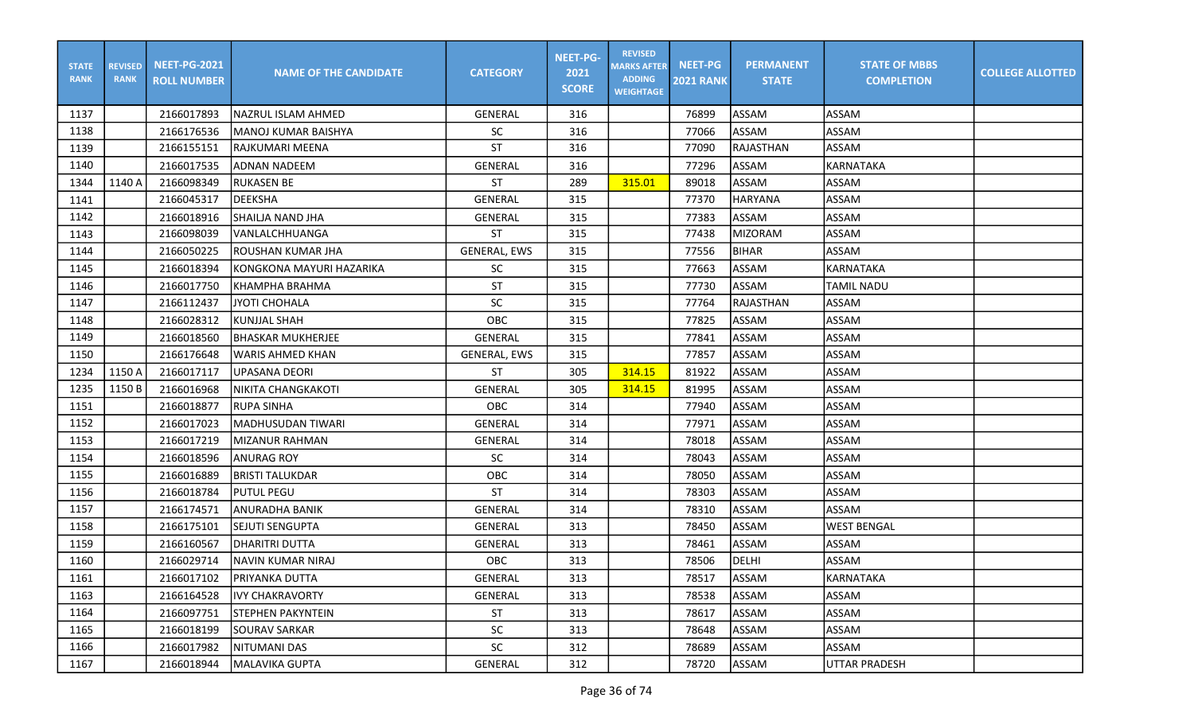| <b>STATE</b><br><b>RANK</b> | <b>REVISED</b><br><b>RANK</b> | <b>NEET-PG-2021</b><br><b>ROLL NUMBER</b> | <b>NAME OF THE CANDIDATE</b> | <b>CATEGORY</b>     | <b>NEET-PG-</b><br>2021<br><b>SCORE</b> | <b>REVISED</b><br><b>MARKS AFTER</b><br><b>ADDING</b><br><b>WEIGHTAGE</b> | <b>NEET-PG</b><br><b>2021 RANK</b> | <b>PERMANENT</b><br><b>STATE</b> | <b>STATE OF MBBS</b><br><b>COMPLETION</b> | <b>COLLEGE ALLOTTED</b> |
|-----------------------------|-------------------------------|-------------------------------------------|------------------------------|---------------------|-----------------------------------------|---------------------------------------------------------------------------|------------------------------------|----------------------------------|-------------------------------------------|-------------------------|
| 1137                        |                               | 2166017893                                | lNAZRUL ISLAM AHMED          | GENERAL             | 316                                     |                                                                           | 76899                              | ASSAM                            | ASSAM                                     |                         |
| 1138                        |                               | 2166176536                                | MANOJ KUMAR BAISHYA          | <b>SC</b>           | 316                                     |                                                                           | 77066                              | ASSAM                            | <b>ASSAM</b>                              |                         |
| 1139                        |                               | 2166155151                                | RAJKUMARI MEENA              | <b>ST</b>           | 316                                     |                                                                           | 77090                              | <b>RAJASTHAN</b>                 | ASSAM                                     |                         |
| 1140                        |                               | 2166017535                                | ladnan nadeem                | GENERAL             | 316                                     |                                                                           | 77296                              | ASSAM                            | KARNATAKA                                 |                         |
| 1344                        | 1140 A                        | 2166098349                                | <b>RUKASEN BE</b>            | <b>ST</b>           | 289                                     | 315.01                                                                    | 89018                              | ASSAM                            | ASSAM                                     |                         |
| 1141                        |                               | 2166045317                                | <b>DEEKSHA</b>               | <b>GENERAL</b>      | 315                                     |                                                                           | 77370                              | <b>HARYANA</b>                   | <b>ASSAM</b>                              |                         |
| 1142                        |                               | 2166018916                                | SHAILJA NAND JHA             | GENERAL             | 315                                     |                                                                           | 77383                              | ASSAM                            | <b>ASSAM</b>                              |                         |
| 1143                        |                               | 2166098039                                | <b>VANLALCHHUANGA</b>        | <b>ST</b>           | 315                                     |                                                                           | 77438                              | <b>MIZORAM</b>                   | <b>ASSAM</b>                              |                         |
| 1144                        |                               | 2166050225                                | ROUSHAN KUMAR JHA            | <b>GENERAL, EWS</b> | 315                                     |                                                                           | 77556                              | <b>BIHAR</b>                     | ASSAM                                     |                         |
| 1145                        |                               | 2166018394                                | KONGKONA MAYURI HAZARIKA     | <b>SC</b>           | 315                                     |                                                                           | 77663                              | ASSAM                            | KARNATAKA                                 |                         |
| 1146                        |                               | 2166017750                                | Ікнамрна вванма              | <b>ST</b>           | 315                                     |                                                                           | 77730                              | <b>ASSAM</b>                     | <b>TAMIL NADU</b>                         |                         |
| 1147                        |                               | 2166112437                                | <b>JYOTI CHOHALA</b>         | SC                  | 315                                     |                                                                           | 77764                              | RAJASTHAN                        | <b>ASSAM</b>                              |                         |
| 1148                        |                               | 2166028312                                | <b>KUNJJAL SHAH</b>          | OBC                 | 315                                     |                                                                           | 77825                              | ASSAM                            | <b>ASSAM</b>                              |                         |
| 1149                        |                               | 2166018560                                | IBHASKAR MUKHERJEE           | GENERAL             | 315                                     |                                                                           | 77841                              | ASSAM                            | <b>ASSAM</b>                              |                         |
| 1150                        |                               | 2166176648                                | <b>WARIS AHMED KHAN</b>      | <b>GENERAL, EWS</b> | 315                                     |                                                                           | 77857                              | ASSAM                            | ASSAM                                     |                         |
| 1234                        | 1150 A                        | 2166017117                                | lUPASANA DEORI               | <b>ST</b>           | 305                                     | 314.15                                                                    | 81922                              | <b>ASSAM</b>                     | ASSAM                                     |                         |
| 1235                        | 1150 B                        | 2166016968                                | NIKITA CHANGKAKOTI           | GENERAL             | 305                                     | 314.15                                                                    | 81995                              | ASSAM                            | ASSAM                                     |                         |
| 1151                        |                               | 2166018877                                | <b>RUPA SINHA</b>            | OBC                 | 314                                     |                                                                           | 77940                              | ASSAM                            | <b>ASSAM</b>                              |                         |
| 1152                        |                               | 2166017023                                | MADHUSUDAN TIWARI            | GENERAL             | 314                                     |                                                                           | 77971                              | ASSAM                            | <b>ASSAM</b>                              |                         |
| 1153                        |                               | 2166017219                                | <b>MIZANUR RAHMAN</b>        | GENERAL             | 314                                     |                                                                           | 78018                              | ASSAM                            | <b>ASSAM</b>                              |                         |
| 1154                        |                               | 2166018596                                | <b>ANURAG ROY</b>            | <b>SC</b>           | 314                                     |                                                                           | 78043                              | <b>ASSAM</b>                     | ASSAM                                     |                         |
| 1155                        |                               | 2166016889                                | <b>BRISTI TALUKDAR</b>       | OBC                 | 314                                     |                                                                           | 78050                              | ASSAM                            | ASSAM                                     |                         |
| 1156                        |                               | 2166018784                                | <b>PUTUL PEGU</b>            | <b>ST</b>           | 314                                     |                                                                           | 78303                              | ASSAM                            | ASSAM                                     |                         |
| 1157                        |                               | 2166174571                                | ANURADHA BANIK               | GENERAL             | 314                                     |                                                                           | 78310                              | ASSAM                            | ASSAM                                     |                         |
| 1158                        |                               | 2166175101                                | SEJUTI SENGUPTA              | <b>GENERAL</b>      | 313                                     |                                                                           | 78450                              | ASSAM                            | <b>WEST BENGAL</b>                        |                         |
| 1159                        |                               | 2166160567                                | DHARITRI DUTTA               | <b>GENERAL</b>      | 313                                     |                                                                           | 78461                              | ASSAM                            | <b>ASSAM</b>                              |                         |
| 1160                        |                               | 2166029714                                | NAVIN KUMAR NIRAJ            | OBC                 | 313                                     |                                                                           | 78506                              | DELHI                            | ASSAM                                     |                         |
| 1161                        |                               | 2166017102                                | <b>PRIYANKA DUTTA</b>        | GENERAL             | 313                                     |                                                                           | 78517                              | ASSAM                            | KARNATAKA                                 |                         |
| 1163                        |                               | 2166164528                                | <b>IVY CHAKRAVORTY</b>       | GENERAL             | 313                                     |                                                                           | 78538                              | ASSAM                            | ASSAM                                     |                         |
| 1164                        |                               | 2166097751                                | <b>STEPHEN PAKYNTEIN</b>     | ST                  | 313                                     |                                                                           | 78617                              | ASSAM                            | ASSAM                                     |                         |
| 1165                        |                               | 2166018199                                | <b>SOURAV SARKAR</b>         | SC                  | 313                                     |                                                                           | 78648                              | ASSAM                            | ASSAM                                     |                         |
| 1166                        |                               | 2166017982                                | NITUMANI DAS                 | SC                  | 312                                     |                                                                           | 78689                              | ASSAM                            | ASSAM                                     |                         |
| 1167                        |                               | 2166018944                                | MALAVIKA GUPTA               | GENERAL             | 312                                     |                                                                           | 78720                              | ASSAM                            | UTTAR PRADESH                             |                         |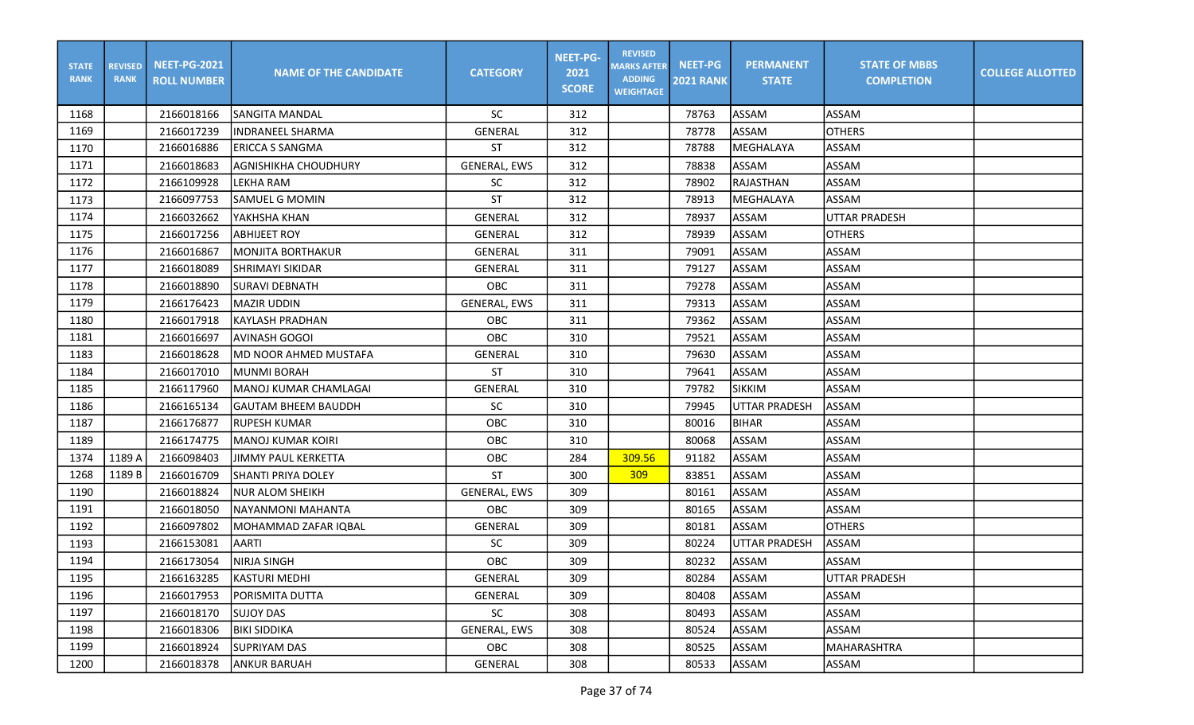| <b>STATE</b><br><b>RANK</b> | <b>REVISED</b><br><b>RANK</b> | <b>NEET-PG-2021</b><br><b>ROLL NUMBER</b> | <b>NAME OF THE CANDIDATE</b> | <b>CATEGORY</b>     | <b>NEET-PG-</b><br>2021<br><b>SCORE</b> | <b>REVISED</b><br><b>MARKS AFTER</b><br><b>ADDING</b><br><b>WEIGHTAGE</b> | <b>NEET-PG</b><br><b>2021 RANK</b> | <b>PERMANENT</b><br><b>STATE</b> | <b>STATE OF MBBS</b><br><b>COMPLETION</b> | <b>COLLEGE ALLOTTED</b> |
|-----------------------------|-------------------------------|-------------------------------------------|------------------------------|---------------------|-----------------------------------------|---------------------------------------------------------------------------|------------------------------------|----------------------------------|-------------------------------------------|-------------------------|
| 1168                        |                               | 2166018166                                | <b>SANGITA MANDAL</b>        | <b>SC</b>           | 312                                     |                                                                           | 78763                              | <b>ASSAM</b>                     | <b>ASSAM</b>                              |                         |
| 1169                        |                               | 2166017239                                | IINDRANEEL SHARMA            | <b>GENERAL</b>      | 312                                     |                                                                           | 78778                              | <b>ASSAM</b>                     | <b>OTHERS</b>                             |                         |
| 1170                        |                               | 2166016886                                | <b>ERICCA S SANGMA</b>       | <b>ST</b>           | 312                                     |                                                                           | 78788                              | MEGHALAYA                        | <b>ASSAM</b>                              |                         |
| 1171                        |                               | 2166018683                                | <b>AGNISHIKHA CHOUDHURY</b>  | <b>GENERAL, EWS</b> | 312                                     |                                                                           | 78838                              | ASSAM                            | ASSAM                                     |                         |
| 1172                        |                               | 2166109928                                | LEKHA RAM                    | <b>SC</b>           | 312                                     |                                                                           | 78902                              | RAJASTHAN                        | <b>ASSAM</b>                              |                         |
| 1173                        |                               | 2166097753                                | <b>SAMUEL G MOMIN</b>        | <b>ST</b>           | 312                                     |                                                                           | 78913                              | <b>MEGHALAYA</b>                 | ASSAM                                     |                         |
| 1174                        |                               | 2166032662                                | YAKHSHA KHAN                 | GENERAL             | 312                                     |                                                                           | 78937                              | ASSAM                            | UTTAR PRADESH                             |                         |
| 1175                        |                               | 2166017256                                | <b>ABHIJEET ROY</b>          | <b>GENERAL</b>      | 312                                     |                                                                           | 78939                              | ASSAM                            | <b>OTHERS</b>                             |                         |
| 1176                        |                               | 2166016867                                | İMONJITA BORTHAKUR           | <b>GENERAL</b>      | 311                                     |                                                                           | 79091                              | ASSAM                            | <b>ASSAM</b>                              |                         |
| 1177                        |                               | 2166018089                                | SHRIMAYI SIKIDAR             | <b>GENERAL</b>      | 311                                     |                                                                           | 79127                              | ASSAM                            | <b>ASSAM</b>                              |                         |
| 1178                        |                               | 2166018890                                | SURAVI DEBNATH               | <b>OBC</b>          | 311                                     |                                                                           | 79278                              | ASSAM                            | <b>ASSAM</b>                              |                         |
| 1179                        |                               | 2166176423                                | <b>MAZIR UDDIN</b>           | <b>GENERAL, EWS</b> | 311                                     |                                                                           | 79313                              | <b>ASSAM</b>                     | <b>ASSAM</b>                              |                         |
| 1180                        |                               | 2166017918                                | <b>KAYLASH PRADHAN</b>       | OBC                 | 311                                     |                                                                           | 79362                              | ASSAM                            | <b>ASSAM</b>                              |                         |
| 1181                        |                               | 2166016697                                | AVINASH GOGOI                | OBC                 | 310                                     |                                                                           | 79521                              | <b>ASSAM</b>                     | ASSAM                                     |                         |
| 1183                        |                               | 2166018628                                | lMD NOOR AHMED MUSTAFA       | <b>GENERAL</b>      | 310                                     |                                                                           | 79630                              | ASSAM                            | <b>ASSAM</b>                              |                         |
| 1184                        |                               | 2166017010                                | <b>MUNMI BORAH</b>           | <b>ST</b>           | 310                                     |                                                                           | 79641                              | <b>ASSAM</b>                     | ASSAM                                     |                         |
| 1185                        |                               | 2166117960                                | <b>MANOJ KUMAR CHAMLAGAI</b> | <b>GENERAL</b>      | 310                                     |                                                                           | 79782                              | <b>SIKKIM</b>                    | <b>ASSAM</b>                              |                         |
| 1186                        |                               | 2166165134                                | GAUTAM BHEEM BAUDDH          | SC                  | 310                                     |                                                                           | 79945                              | <b>UTTAR PRADESH</b>             | ASSAM                                     |                         |
| 1187                        |                               | 2166176877                                | RUPESH KUMAR                 | OBC                 | 310                                     |                                                                           | 80016                              | <b>BIHAR</b>                     | <b>ASSAM</b>                              |                         |
| 1189                        |                               | 2166174775                                | MANOJ KUMAR KOIRI            | OBC                 | 310                                     |                                                                           | 80068                              | ASSAM                            | <b>ASSAM</b>                              |                         |
| 1374                        | 1189 A                        | 2166098403                                | <b>JIMMY PAUL KERKETTA</b>   | OBC                 | 284                                     | 309.56                                                                    | 91182                              | ASSAM                            | <b>ASSAM</b>                              |                         |
| 1268                        | 1189B                         | 2166016709                                | <b>SHANTI PRIYA DOLEY</b>    | <b>ST</b>           | 300                                     | 309                                                                       | 83851                              | ASSAM                            | ASSAM                                     |                         |
| 1190                        |                               | 2166018824                                | <b>NUR ALOM SHEIKH</b>       | <b>GENERAL, EWS</b> | 309                                     |                                                                           | 80161                              | <b>ASSAM</b>                     | ASSAM                                     |                         |
| 1191                        |                               | 2166018050                                | NAYANMONI MAHANTA            | <b>OBC</b>          | 309                                     |                                                                           | 80165                              | ASSAM                            | ASSAM                                     |                         |
| 1192                        |                               | 2166097802                                | MOHAMMAD ZAFAR IQBAL         | <b>GENERAL</b>      | 309                                     |                                                                           | 80181                              | ASSAM                            | <b>OTHERS</b>                             |                         |
| 1193                        |                               | 2166153081                                | <b>AARTI</b>                 | <b>SC</b>           | 309                                     |                                                                           | 80224                              | <b>UTTAR PRADESH</b>             | ASSAM                                     |                         |
| 1194                        |                               | 2166173054                                | NIRJA SINGH                  | OBC                 | 309                                     |                                                                           | 80232                              | <b>ASSAM</b>                     | <b>ASSAM</b>                              |                         |
| 1195                        |                               | 2166163285                                | <b>KASTURI MEDHI</b>         | GENERAL             | 309                                     |                                                                           | 80284                              | ASSAM                            | UTTAR PRADESH                             |                         |
| 1196                        |                               | 2166017953                                | PORISMITA DUTTA              | GENERAL             | 309                                     |                                                                           | 80408                              | <b>ASSAM</b>                     | ASSAM                                     |                         |
| 1197                        |                               | 2166018170                                | <b>SUJOY DAS</b>             | SC                  | 308                                     |                                                                           | 80493                              | ASSAM                            | ASSAM                                     |                         |
| 1198                        |                               | 2166018306                                | <b>BIKI SIDDIKA</b>          | GENERAL, EWS        | 308                                     |                                                                           | 80524                              | ASSAM                            | ASSAM                                     |                         |
| 1199                        |                               | 2166018924                                | SUPRIYAM DAS                 | OBC                 | 308                                     |                                                                           | 80525                              | ASSAM                            | MAHARASHTRA                               |                         |
| 1200                        |                               | 2166018378                                | <b>ANKUR BARUAH</b>          | GENERAL             | 308                                     |                                                                           | 80533                              | ASSAM                            | ASSAM                                     |                         |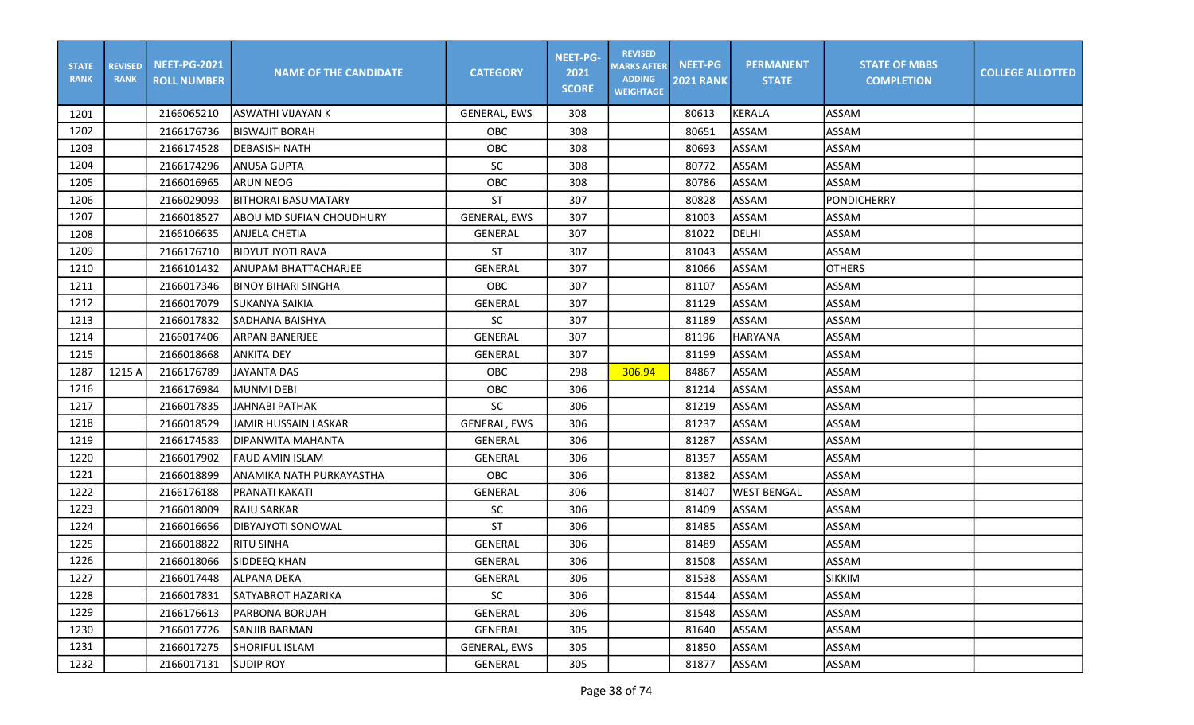| <b>STATE</b><br><b>RANK</b> | <b>REVISED</b><br><b>RANK</b> | <b>NEET-PG-2021</b><br><b>ROLL NUMBER</b> | <b>NAME OF THE CANDIDATE</b> | <b>CATEGORY</b>     | <b>NEET-PG-</b><br>2021<br><b>SCORE</b> | <b>REVISED</b><br><b>MARKS AFTER</b><br><b>ADDING</b><br><b>WEIGHTAGE</b> | <b>NEET-PG</b><br><b>2021 RANK</b> | <b>PERMANENT</b><br><b>STATE</b> | <b>STATE OF MBBS</b><br><b>COMPLETION</b> | <b>COLLEGE ALLOTTED</b> |
|-----------------------------|-------------------------------|-------------------------------------------|------------------------------|---------------------|-----------------------------------------|---------------------------------------------------------------------------|------------------------------------|----------------------------------|-------------------------------------------|-------------------------|
| 1201                        |                               | 2166065210                                | <b>ASWATHI VIJAYAN K</b>     | GENERAL, EWS        | 308                                     |                                                                           | 80613                              | KERALA                           | ASSAM                                     |                         |
| 1202                        |                               | 2166176736                                | <b>BISWAJIT BORAH</b>        | <b>OBC</b>          | 308                                     |                                                                           | 80651                              | ASSAM                            | <b>ASSAM</b>                              |                         |
| 1203                        |                               | 2166174528                                | <b>DEBASISH NATH</b>         | OBC                 | 308                                     |                                                                           | 80693                              | ASSAM                            | <b>ASSAM</b>                              |                         |
| 1204                        |                               | 2166174296                                | <b>ANUSA GUPTA</b>           | <b>SC</b>           | 308                                     |                                                                           | 80772                              | <b>ASSAM</b>                     | <b>ASSAM</b>                              |                         |
| 1205                        |                               | 2166016965                                | ARUN NEOG                    | OBC                 | 308                                     |                                                                           | 80786                              | ASSAM                            | <b>ASSAM</b>                              |                         |
| 1206                        |                               | 2166029093                                | <b>BITHORAI BASUMATARY</b>   | <b>ST</b>           | 307                                     |                                                                           | 80828                              | ASSAM                            | <b>PONDICHERRY</b>                        |                         |
| 1207                        |                               | 2166018527                                | ABOU MD SUFIAN CHOUDHURY     | <b>GENERAL, EWS</b> | 307                                     |                                                                           | 81003                              | ASSAM                            | ASSAM                                     |                         |
| 1208                        |                               | 2166106635                                | <b>ANJELA CHETIA</b>         | <b>GENERAL</b>      | 307                                     |                                                                           | 81022                              | DELHI                            | <b>ASSAM</b>                              |                         |
| 1209                        |                               | 2166176710                                | <b>BIDYUT JYOTI RAVA</b>     | <b>ST</b>           | 307                                     |                                                                           | 81043                              | <b>ASSAM</b>                     | <b>ASSAM</b>                              |                         |
| 1210                        |                               | 2166101432                                | ANUPAM BHATTACHARJEE         | GENERAL             | 307                                     |                                                                           | 81066                              | ASSAM                            | <b>OTHERS</b>                             |                         |
| 1211                        |                               | 2166017346                                | <b>BINOY BIHARI SINGHA</b>   | OBC                 | 307                                     |                                                                           | 81107                              | ASSAM                            | <b>ASSAM</b>                              |                         |
| 1212                        |                               | 2166017079                                | <b>SUKANYA SAIKIA</b>        | <b>GENERAL</b>      | 307                                     |                                                                           | 81129                              | ASSAM                            | <b>ASSAM</b>                              |                         |
| 1213                        |                               | 2166017832                                | SADHANA BAISHYA              | SC                  | 307                                     |                                                                           | 81189                              | ASSAM                            | <b>ASSAM</b>                              |                         |
| 1214                        |                               | 2166017406                                | <b>ARPAN BANERJEE</b>        | GENERAL             | 307                                     |                                                                           | 81196                              | <b>HARYANA</b>                   | <b>ASSAM</b>                              |                         |
| 1215                        |                               | 2166018668                                | <b>ANKITA DEY</b>            | <b>GENERAL</b>      | 307                                     |                                                                           | 81199                              | ASSAM                            | <b>ASSAM</b>                              |                         |
| 1287                        | 1215 A                        | 2166176789                                | <b>JAYANTA DAS</b>           | OBC                 | 298                                     | 306.94                                                                    | 84867                              | <b>ASSAM</b>                     | <b>ASSAM</b>                              |                         |
| 1216                        |                               | 2166176984                                | <b>MUNMI DEBI</b>            | OBC                 | 306                                     |                                                                           | 81214                              | ASSAM                            | <b>ASSAM</b>                              |                         |
| 1217                        |                               | 2166017835                                | <b>JAHNABI PATHAK</b>        | SC                  | 306                                     |                                                                           | 81219                              | ASSAM                            | <b>ASSAM</b>                              |                         |
| 1218                        |                               | 2166018529                                | JAMIR HUSSAIN LASKAR         | <b>GENERAL, EWS</b> | 306                                     |                                                                           | 81237                              | ASSAM                            | <b>ASSAM</b>                              |                         |
| 1219                        |                               | 2166174583                                | DIPANWITA MAHANTA            | <b>GENERAL</b>      | 306                                     |                                                                           | 81287                              | ASSAM                            | <b>ASSAM</b>                              |                         |
| 1220                        |                               | 2166017902                                | <b>FAUD AMIN ISLAM</b>       | <b>GENERAL</b>      | 306                                     |                                                                           | 81357                              | <b>ASSAM</b>                     | <b>ASSAM</b>                              |                         |
| 1221                        |                               | 2166018899                                | ANAMIKA NATH PURKAYASTHA     | OBC                 | 306                                     |                                                                           | 81382                              | <b>ASSAM</b>                     | ASSAM                                     |                         |
| 1222                        |                               | 2166176188                                | PRANATI KAKATI               | <b>GENERAL</b>      | 306                                     |                                                                           | 81407                              | <b>WEST BENGAL</b>               | <b>ASSAM</b>                              |                         |
| 1223                        |                               | 2166018009                                | RAJU SARKAR                  | SC                  | 306                                     |                                                                           | 81409                              | ASSAM                            | <b>ASSAM</b>                              |                         |
| 1224                        |                               | 2166016656                                | DIBYAJYOTI SONOWAL           | <b>ST</b>           | 306                                     |                                                                           | 81485                              | ASSAM                            | <b>ASSAM</b>                              |                         |
| 1225                        |                               | 2166018822                                | <b>RITU SINHA</b>            | <b>GENERAL</b>      | 306                                     |                                                                           | 81489                              | ASSAM                            | ASSAM                                     |                         |
| 1226                        |                               | 2166018066                                | SIDDEEQ KHAN                 | <b>GENERAL</b>      | 306                                     |                                                                           | 81508                              | ASSAM                            | <b>ASSAM</b>                              |                         |
| 1227                        |                               | 2166017448                                | <b>ALPANA DEKA</b>           | GENERAL             | 306                                     |                                                                           | 81538                              | ASSAM                            | SIKKIM                                    |                         |
| 1228                        |                               | 2166017831                                | SATYABROT HAZARIKA           | SC                  | 306                                     |                                                                           | 81544                              | ASSAM                            | ASSAM                                     |                         |
| 1229                        |                               | 2166176613                                | <b>PARBONA BORUAH</b>        | GENERAL             | 306                                     |                                                                           | 81548                              | ASSAM                            | ASSAM                                     |                         |
| 1230                        |                               | 2166017726                                | SANJIB BARMAN                | GENERAL             | 305                                     |                                                                           | 81640                              | ASSAM                            | ASSAM                                     |                         |
| 1231                        |                               | 2166017275                                | SHORIFUL ISLAM               | GENERAL, EWS        | 305                                     |                                                                           | 81850                              | ASSAM                            | ASSAM                                     |                         |
| 1232                        |                               | 2166017131                                | <b>SUDIP ROY</b>             | GENERAL             | 305                                     |                                                                           | 81877                              | ASSAM                            | ASSAM                                     |                         |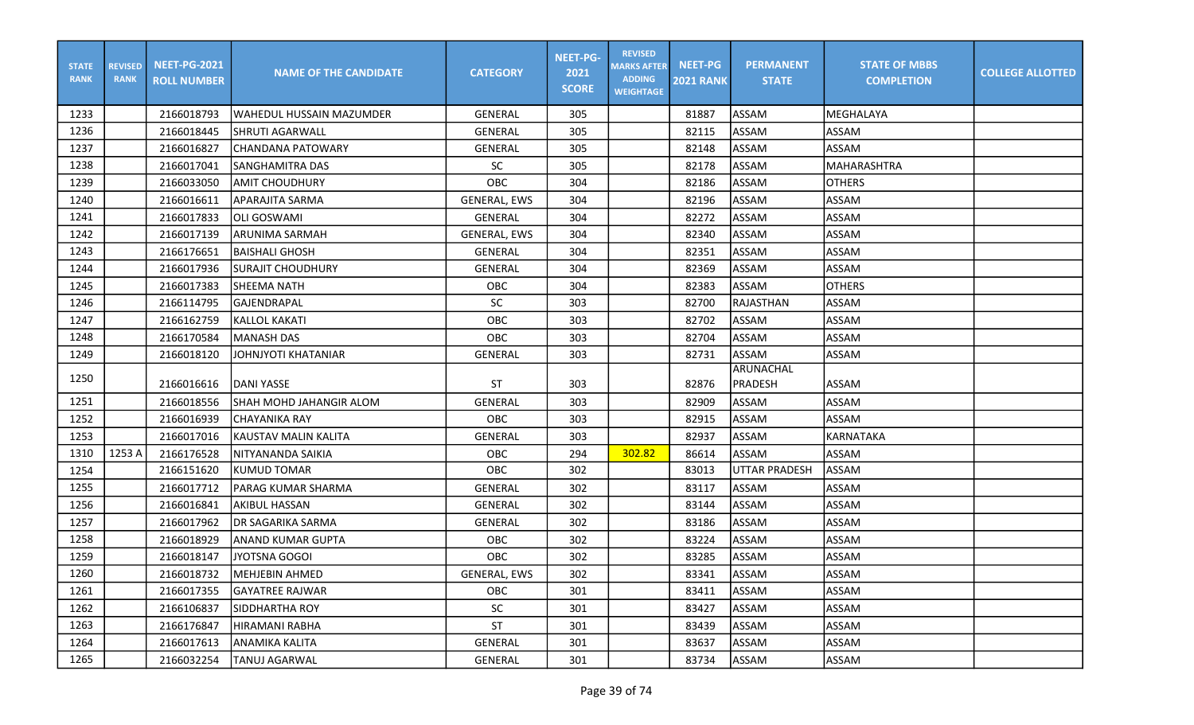| <b>STATE</b><br><b>RANK</b> | <b>REVISED</b><br><b>RANK</b> | <b>NEET-PG-2021</b><br><b>ROLL NUMBER</b> | <b>NAME OF THE CANDIDATE</b> | <b>CATEGORY</b>     | <b>NEET-PG-</b><br>2021<br><b>SCORE</b> | <b>REVISED</b><br><b>MARKS AFTER</b><br><b>ADDING</b><br><b>WEIGHTAGE</b> | <b>NEET-PG</b><br><b>2021 RANK</b> | <b>PERMANENT</b><br><b>STATE</b> | <b>STATE OF MBBS</b><br><b>COMPLETION</b> | <b>COLLEGE ALLOTTED</b> |
|-----------------------------|-------------------------------|-------------------------------------------|------------------------------|---------------------|-----------------------------------------|---------------------------------------------------------------------------|------------------------------------|----------------------------------|-------------------------------------------|-------------------------|
| 1233                        |                               | 2166018793                                | WAHEDUL HUSSAIN MAZUMDER     | <b>GENERAL</b>      | 305                                     |                                                                           | 81887                              | <b>ASSAM</b>                     | <b>MEGHALAYA</b>                          |                         |
| 1236                        |                               | 2166018445                                | SHRUTI AGARWALL              | <b>GENERAL</b>      | 305                                     |                                                                           | 82115                              | ASSAM                            | <b>ASSAM</b>                              |                         |
| 1237                        |                               | 2166016827                                | <b>CHANDANA PATOWARY</b>     | GENERAL             | 305                                     |                                                                           | 82148                              | ASSAM                            | ASSAM                                     |                         |
| 1238                        |                               | 2166017041                                | SANGHAMITRA DAS              | <b>SC</b>           | 305                                     |                                                                           | 82178                              | <b>ASSAM</b>                     | MAHARASHTRA                               |                         |
| 1239                        |                               | 2166033050                                | <b>AMIT CHOUDHURY</b>        | OBC                 | 304                                     |                                                                           | 82186                              | ASSAM                            | <b>OTHERS</b>                             |                         |
| 1240                        |                               | 2166016611                                | <b>APARAJITA SARMA</b>       | <b>GENERAL, EWS</b> | 304                                     |                                                                           | 82196                              | ASSAM                            | <b>ASSAM</b>                              |                         |
| 1241                        |                               | 2166017833                                | lOLI GOSWAMI                 | <b>GENERAL</b>      | 304                                     |                                                                           | 82272                              | <b>ASSAM</b>                     | <b>ASSAM</b>                              |                         |
| 1242                        |                               | 2166017139                                | <b>ARUNIMA SARMAH</b>        | <b>GENERAL, EWS</b> | 304                                     |                                                                           | 82340                              | ASSAM                            | <b>ASSAM</b>                              |                         |
| 1243                        |                               | 2166176651                                | <b>BAISHALI GHOSH</b>        | <b>GENERAL</b>      | 304                                     |                                                                           | 82351                              | <b>ASSAM</b>                     | ASSAM                                     |                         |
| 1244                        |                               | 2166017936                                | SURAJIT CHOUDHURY            | <b>GENERAL</b>      | 304                                     |                                                                           | 82369                              | ASSAM                            | <b>ASSAM</b>                              |                         |
| 1245                        |                               | 2166017383                                | SHEEMA NATH                  | OBC                 | 304                                     |                                                                           | 82383                              | <b>ASSAM</b>                     | <b>OTHERS</b>                             |                         |
| 1246                        |                               | 2166114795                                | GAJENDRAPAL                  | SC                  | 303                                     |                                                                           | 82700                              | RAJASTHAN                        | <b>ASSAM</b>                              |                         |
| 1247                        |                               | 2166162759                                | <b>KALLOL KAKATI</b>         | OBC                 | 303                                     |                                                                           | 82702                              | <b>ASSAM</b>                     | <b>ASSAM</b>                              |                         |
| 1248                        |                               | 2166170584                                | MANASH DAS                   | OBC                 | 303                                     |                                                                           | 82704                              | <b>ASSAM</b>                     | <b>ASSAM</b>                              |                         |
| 1249                        |                               | 2166018120                                | JOHNJYOTI KHATANIAR          | <b>GENERAL</b>      | 303                                     |                                                                           | 82731                              | ASSAM                            | ASSAM                                     |                         |
| 1250                        |                               | 2166016616                                | IDANI YASSE                  | ST                  | 303                                     |                                                                           | 82876                              | ARUNACHAL<br>PRADESH             | <b>ASSAM</b>                              |                         |
| 1251                        |                               | 2166018556                                | SHAH MOHD JAHANGIR ALOM      | <b>GENERAL</b>      | 303                                     |                                                                           | 82909                              | ASSAM                            | <b>ASSAM</b>                              |                         |
| 1252                        |                               | 2166016939                                | CHAYANIKA RAY                | <b>OBC</b>          | 303                                     |                                                                           | 82915                              | <b>ASSAM</b>                     | <b>ASSAM</b>                              |                         |
| 1253                        |                               | 2166017016                                | KAUSTAV MALIN KALITA         | <b>GENERAL</b>      | 303                                     |                                                                           | 82937                              | ASSAM                            | KARNATAKA                                 |                         |
| 1310                        | 1253 A                        | 2166176528                                | NITYANANDA SAIKIA            | <b>OBC</b>          | 294                                     | 302.82                                                                    | 86614                              | ASSAM                            | <b>ASSAM</b>                              |                         |
| 1254                        |                               | 2166151620                                | <b>KUMUD TOMAR</b>           | OBC                 | 302                                     |                                                                           | 83013                              | <b>UTTAR PRADESH</b>             | ASSAM                                     |                         |
| 1255                        |                               | 2166017712                                | PARAG KUMAR SHARMA           | <b>GENERAL</b>      | 302                                     |                                                                           | 83117                              | <b>ASSAM</b>                     | ASSAM                                     |                         |
| 1256                        |                               | 2166016841                                | <b>AKIBUL HASSAN</b>         | GENERAL             | 302                                     |                                                                           | 83144                              | ASSAM                            | <b>ASSAM</b>                              |                         |
| 1257                        |                               | 2166017962                                | IDR SAGARIKA SARMA           | <b>GENERAL</b>      | 302                                     |                                                                           | 83186                              | ASSAM                            | <b>ASSAM</b>                              |                         |
| 1258                        |                               | 2166018929                                | <b>ANAND KUMAR GUPTA</b>     | OBC                 | 302                                     |                                                                           | 83224                              | ASSAM                            | <b>ASSAM</b>                              |                         |
| 1259                        |                               | 2166018147                                | ljyotsna gogoi               | OBC                 | 302                                     |                                                                           | 83285                              | ASSAM                            | <b>ASSAM</b>                              |                         |
| 1260                        |                               | 2166018732                                | MEHJEBIN AHMED               | GENERAL, EWS        | 302                                     |                                                                           | 83341                              | IASSAM                           | ASSAM                                     |                         |
| 1261                        |                               | 2166017355                                | <b>GAYATREE RAJWAR</b>       | <b>OBC</b>          | 301                                     |                                                                           | 83411                              | <b>ASSAM</b>                     | ASSAM                                     |                         |
| 1262                        |                               | 2166106837                                | <b>SIDDHARTHA ROY</b>        | SC                  | 301                                     |                                                                           | 83427                              | ASSAM                            | ASSAM                                     |                         |
| 1263                        |                               | 2166176847                                | İHIRAMANI RABHA              | ST                  | 301                                     |                                                                           | 83439                              | ASSAM                            | ASSAM                                     |                         |
| 1264                        |                               | 2166017613                                | lanamika kalita              | GENERAL             | 301                                     |                                                                           | 83637                              | <b>ASSAM</b>                     | ASSAM                                     |                         |
| 1265                        |                               | 2166032254                                | <b>TANUJ AGARWAL</b>         | GENERAL             | 301                                     |                                                                           | 83734                              | ASSAM                            | ASSAM                                     |                         |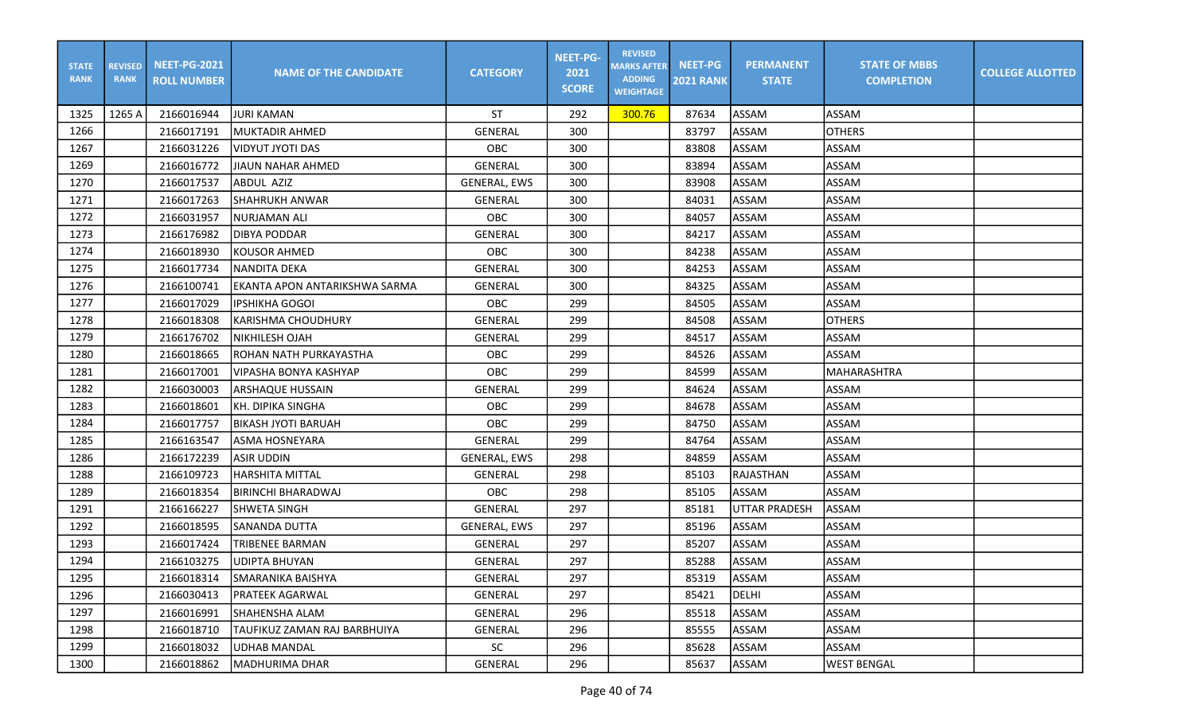| <b>STATE</b><br><b>RANK</b> | <b>REVISED</b><br><b>RANK</b> | <b>NEET-PG-2021</b><br><b>ROLL NUMBER</b> | <b>NAME OF THE CANDIDATE</b>  | <b>CATEGORY</b>     | <b>NEET-PG-</b><br>2021<br><b>SCORE</b> | <b>REVISED</b><br><b>MARKS AFTER</b><br><b>ADDING</b><br><b>WEIGHTAGE</b> | <b>NEET-PG</b><br><b>2021 RANK</b> | <b>PERMANENT</b><br><b>STATE</b> | <b>STATE OF MBBS</b><br><b>COMPLETION</b> | <b>COLLEGE ALLOTTED</b> |
|-----------------------------|-------------------------------|-------------------------------------------|-------------------------------|---------------------|-----------------------------------------|---------------------------------------------------------------------------|------------------------------------|----------------------------------|-------------------------------------------|-------------------------|
| 1325                        | 1265 A                        | 2166016944                                | JURI KAMAN                    | ST                  | 292                                     | 300.76                                                                    | 87634                              | ASSAM                            | ASSAM                                     |                         |
| 1266                        |                               | 2166017191                                | <b>MUKTADIR AHMED</b>         | <b>GENERAL</b>      | 300                                     |                                                                           | 83797                              | ASSAM                            | <b>OTHERS</b>                             |                         |
| 1267                        |                               | 2166031226                                | VIDYUT JYOTI DAS              | OBC                 | 300                                     |                                                                           | 83808                              | ASSAM                            | <b>ASSAM</b>                              |                         |
| 1269                        |                               | 2166016772                                | JIAUN NAHAR AHMED             | GENERAL             | 300                                     |                                                                           | 83894                              | ASSAM                            | <b>ASSAM</b>                              |                         |
| 1270                        |                               | 2166017537                                | ABDUL AZIZ                    | <b>GENERAL, EWS</b> | 300                                     |                                                                           | 83908                              | ASSAM                            | <b>ASSAM</b>                              |                         |
| 1271                        |                               | 2166017263                                | SHAHRUKH ANWAR                | <b>GENERAL</b>      | 300                                     |                                                                           | 84031                              | <b>ASSAM</b>                     | <b>ASSAM</b>                              |                         |
| 1272                        |                               | 2166031957                                | NURJAMAN ALI                  | OBC                 | 300                                     |                                                                           | 84057                              | ASSAM                            | <b>ASSAM</b>                              |                         |
| 1273                        |                               | 2166176982                                | <b>DIBYA PODDAR</b>           | <b>GENERAL</b>      | 300                                     |                                                                           | 84217                              | ASSAM                            | <b>ASSAM</b>                              |                         |
| 1274                        |                               | 2166018930                                | <b>KOUSOR AHMED</b>           | OBC                 | 300                                     |                                                                           | 84238                              | ASSAM                            | <b>ASSAM</b>                              |                         |
| 1275                        |                               | 2166017734                                | INANDITA DEKA                 | <b>GENERAL</b>      | 300                                     |                                                                           | 84253                              | ASSAM                            | <b>ASSAM</b>                              |                         |
| 1276                        |                               | 2166100741                                | EKANTA APON ANTARIKSHWA SARMA | <b>GENERAL</b>      | 300                                     |                                                                           | 84325                              | ASSAM                            | <b>ASSAM</b>                              |                         |
| 1277                        |                               | 2166017029                                | <b>IPSHIKHA GOGOI</b>         | OBC                 | 299                                     |                                                                           | 84505                              | <b>ASSAM</b>                     | <b>ASSAM</b>                              |                         |
| 1278                        |                               | 2166018308                                | <b>KARISHMA CHOUDHURY</b>     | <b>GENERAL</b>      | 299                                     |                                                                           | 84508                              | ASSAM                            | <b>OTHERS</b>                             |                         |
| 1279                        |                               | 2166176702                                | INIKHILESH OJAH               | GENERAL             | 299                                     |                                                                           | 84517                              | <b>ASSAM</b>                     | <b>ASSAM</b>                              |                         |
| 1280                        |                               | 2166018665                                | ROHAN NATH PURKAYASTHA        | OBC                 | 299                                     |                                                                           | 84526                              | ASSAM                            | <b>ASSAM</b>                              |                         |
| 1281                        |                               | 2166017001                                | VIPASHA BONYA KASHYAP         | OBC                 | 299                                     |                                                                           | 84599                              | ASSAM                            | MAHARASHTRA                               |                         |
| 1282                        |                               | 2166030003                                | <b>ARSHAQUE HUSSAIN</b>       | <b>GENERAL</b>      | 299                                     |                                                                           | 84624                              | ASSAM                            | <b>ASSAM</b>                              |                         |
| 1283                        |                               | 2166018601                                | KH. DIPIKA SINGHA             | OBC                 | 299                                     |                                                                           | 84678                              | ASSAM                            | <b>ASSAM</b>                              |                         |
| 1284                        |                               | 2166017757                                | <b>BIKASH JYOTI BARUAH</b>    | OBC                 | 299                                     |                                                                           | 84750                              | ASSAM                            | ASSAM                                     |                         |
| 1285                        |                               | 2166163547                                | <b>ASMA HOSNEYARA</b>         | <b>GENERAL</b>      | 299                                     |                                                                           | 84764                              | ASSAM                            | <b>ASSAM</b>                              |                         |
| 1286                        |                               | 2166172239                                | ASIR UDDIN                    | <b>GENERAL, EWS</b> | 298                                     |                                                                           | 84859                              | <b>ASSAM</b>                     | <b>ASSAM</b>                              |                         |
| 1288                        |                               | 2166109723                                | <b>HARSHITA MITTAL</b>        | <b>GENERAL</b>      | 298                                     |                                                                           | 85103                              | <b>RAJASTHAN</b>                 | <b>ASSAM</b>                              |                         |
| 1289                        |                               | 2166018354                                | BIRINCHI BHARADWAJ            | OBC                 | 298                                     |                                                                           | 85105                              | ASSAM                            | ASSAM                                     |                         |
| 1291                        |                               | 2166166227                                | <b>SHWETA SINGH</b>           | GENERAL             | 297                                     |                                                                           | 85181                              | <b>UTTAR PRADESH</b>             | ASSAM                                     |                         |
| 1292                        |                               | 2166018595                                | SANANDA DUTTA                 | <b>GENERAL, EWS</b> | 297                                     |                                                                           | 85196                              | ASSAM                            | ASSAM                                     |                         |
| 1293                        |                               | 2166017424                                | <b>TRIBENEE BARMAN</b>        | <b>GENERAL</b>      | 297                                     |                                                                           | 85207                              | ASSAM                            | ASSAM                                     |                         |
| 1294                        |                               | 2166103275                                | <b>UDIPTA BHUYAN</b>          | <b>GENERAL</b>      | 297                                     |                                                                           | 85288                              | ASSAM                            | <b>ASSAM</b>                              |                         |
| 1295                        |                               | 2166018314                                | <b>SMARANIKA BAISHYA</b>      | GENERAL             | 297                                     |                                                                           | 85319                              | ASSAM                            | ASSAM                                     |                         |
| 1296                        |                               | 2166030413                                | <b>PRATEEK AGARWAL</b>        | GENERAL             | 297                                     |                                                                           | 85421                              | DELHI                            | ASSAM                                     |                         |
| 1297                        |                               | 2166016991                                | SHAHENSHA ALAM                | GENERAL             | 296                                     |                                                                           | 85518                              | <b>ASSAM</b>                     | ASSAM                                     |                         |
| 1298                        |                               | 2166018710                                | TAUFIKUZ ZAMAN RAJ BARBHUIYA  | GENERAL             | 296                                     |                                                                           | 85555                              | ASSAM                            | ASSAM                                     |                         |
| 1299                        |                               | 2166018032                                | UDHAB MANDAL                  | SC                  | 296                                     |                                                                           | 85628                              | ASSAM                            | ASSAM                                     |                         |
| 1300                        |                               | 2166018862                                | <b>MADHURIMA DHAR</b>         | GENERAL             | 296                                     |                                                                           | 85637                              | <b>ASSAM</b>                     | <b>WEST BENGAL</b>                        |                         |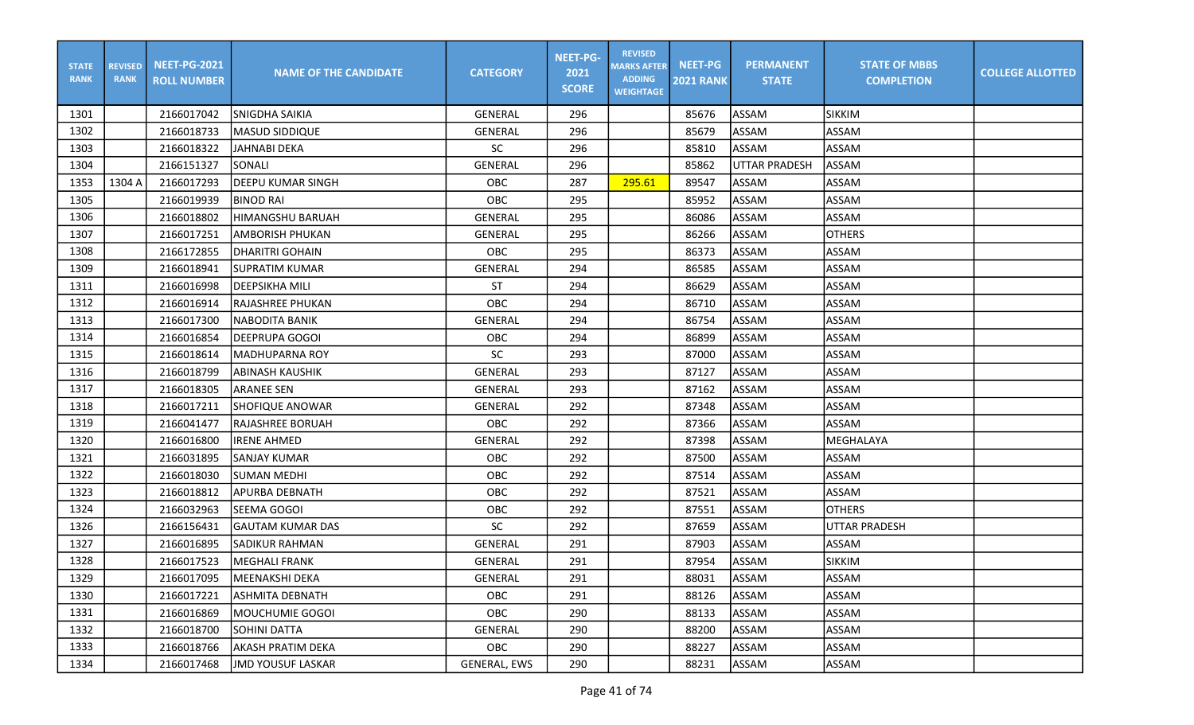| <b>STATE</b><br><b>RANK</b> | <b>REVISED</b><br><b>RANK</b> | <b>NEET-PG-2021</b><br><b>ROLL NUMBER</b> | <b>NAME OF THE CANDIDATE</b> | <b>CATEGORY</b> | <b>NEET-PG-</b><br>2021<br><b>SCORE</b> | <b>REVISED</b><br><b>MARKS AFTER</b><br><b>ADDING</b><br><b>WEIGHTAGE</b> | <b>NEET-PG</b><br><b>2021 RANK</b> | <b>PERMANENT</b><br><b>STATE</b> | <b>STATE OF MBBS</b><br><b>COMPLETION</b> | <b>COLLEGE ALLOTTED</b> |
|-----------------------------|-------------------------------|-------------------------------------------|------------------------------|-----------------|-----------------------------------------|---------------------------------------------------------------------------|------------------------------------|----------------------------------|-------------------------------------------|-------------------------|
| 1301                        |                               | 2166017042                                | <b>SNIGDHA SAIKIA</b>        | GENERAL         | 296                                     |                                                                           | 85676                              | ASSAM                            | <b>SIKKIM</b>                             |                         |
| 1302                        |                               | 2166018733                                | <b>IMASUD SIDDIQUE</b>       | <b>GENERAL</b>  | 296                                     |                                                                           | 85679                              | ASSAM                            | <b>ASSAM</b>                              |                         |
| 1303                        |                               | 2166018322                                | <b>JAHNABI DEKA</b>          | SC              | 296                                     |                                                                           | 85810                              | <b>ASSAM</b>                     | <b>ASSAM</b>                              |                         |
| 1304                        |                               | 2166151327                                | SONALI                       | <b>GENERAL</b>  | 296                                     |                                                                           | 85862                              | <b>UTTAR PRADESH</b>             | <b>ASSAM</b>                              |                         |
| 1353                        | 1304 A                        | 2166017293                                | DEEPU KUMAR SINGH            | <b>OBC</b>      | 287                                     | 295.61                                                                    | 89547                              | ASSAM                            | <b>ASSAM</b>                              |                         |
| 1305                        |                               | 2166019939                                | <b>BINOD RAI</b>             | OBC             | 295                                     |                                                                           | 85952                              | <b>ASSAM</b>                     | <b>ASSAM</b>                              |                         |
| 1306                        |                               | 2166018802                                | HIMANGSHU BARUAH             | GENERAL         | 295                                     |                                                                           | 86086                              | ASSAM                            | <b>ASSAM</b>                              |                         |
| 1307                        |                               | 2166017251                                | <b>AMBORISH PHUKAN</b>       | <b>GENERAL</b>  | 295                                     |                                                                           | 86266                              | <b>ASSAM</b>                     | <b>OTHERS</b>                             |                         |
| 1308                        |                               | 2166172855                                | DHARITRI GOHAIN              | OBC             | 295                                     |                                                                           | 86373                              | ASSAM                            | <b>ASSAM</b>                              |                         |
| 1309                        |                               | 2166018941                                | SUPRATIM KUMAR               | <b>GENERAL</b>  | 294                                     |                                                                           | 86585                              | ASSAM                            | <b>ASSAM</b>                              |                         |
| 1311                        |                               | 2166016998                                | <b>IDEEPSIKHA MILI</b>       | <b>ST</b>       | 294                                     |                                                                           | 86629                              | <b>ASSAM</b>                     | <b>ASSAM</b>                              |                         |
| 1312                        |                               | 2166016914                                | <b>RAJASHREE PHUKAN</b>      | OBC             | 294                                     |                                                                           | 86710                              | <b>ASSAM</b>                     | <b>ASSAM</b>                              |                         |
| 1313                        |                               | 2166017300                                | <b>NABODITA BANIK</b>        | <b>GENERAL</b>  | 294                                     |                                                                           | 86754                              | ASSAM                            | <b>ASSAM</b>                              |                         |
| 1314                        |                               | 2166016854                                | DEEPRUPA GOGOI               | OBC             | 294                                     |                                                                           | 86899                              | <b>ASSAM</b>                     | <b>ASSAM</b>                              |                         |
| 1315                        |                               | 2166018614                                | IMADHUPARNA ROY              | <b>SC</b>       | 293                                     |                                                                           | 87000                              | ASSAM                            | <b>ASSAM</b>                              |                         |
| 1316                        |                               | 2166018799                                | ABINASH KAUSHIK              | <b>GENERAL</b>  | 293                                     |                                                                           | 87127                              | ASSAM                            | ASSAM                                     |                         |
| 1317                        |                               | 2166018305                                | <b>ARANEE SEN</b>            | <b>GENERAL</b>  | 293                                     |                                                                           | 87162                              | ASSAM                            | <b>ASSAM</b>                              |                         |
| 1318                        |                               | 2166017211                                | <b>SHOFIQUE ANOWAR</b>       | <b>GENERAL</b>  | 292                                     |                                                                           | 87348                              | ASSAM                            | <b>ASSAM</b>                              |                         |
| 1319                        |                               | 2166041477                                | RAJASHREE BORUAH             | OBC             | 292                                     |                                                                           | 87366                              | ASSAM                            | ASSAM                                     |                         |
| 1320                        |                               | 2166016800                                | <b>IRENE AHMED</b>           | <b>GENERAL</b>  | 292                                     |                                                                           | 87398                              | ASSAM                            | MEGHALAYA                                 |                         |
| 1321                        |                               | 2166031895                                | SANJAY KUMAR                 | <b>OBC</b>      | 292                                     |                                                                           | 87500                              | ASSAM                            | <b>ASSAM</b>                              |                         |
| 1322                        |                               | 2166018030                                | ISUMAN MEDHI                 | OBC             | 292                                     |                                                                           | 87514                              | ASSAM                            | ASSAM                                     |                         |
| 1323                        |                               | 2166018812                                | APURBA DEBNATH               | OBC             | 292                                     |                                                                           | 87521                              | <b>ASSAM</b>                     | ASSAM                                     |                         |
| 1324                        |                               | 2166032963                                | SEEMA GOGOI                  | OBC             | 292                                     |                                                                           | 87551                              | ASSAM                            | <b>OTHERS</b>                             |                         |
| 1326                        |                               | 2166156431                                | <b>GAUTAM KUMAR DAS</b>      | <b>SC</b>       | 292                                     |                                                                           | 87659                              | <b>ASSAM</b>                     | <b>UTTAR PRADESH</b>                      |                         |
| 1327                        |                               | 2166016895                                | SADIKUR RAHMAN               | GENERAL         | 291                                     |                                                                           | 87903                              | ASSAM                            | <b>ASSAM</b>                              |                         |
| 1328                        |                               | 2166017523                                | MEGHALI FRANK                | <b>GENERAL</b>  | 291                                     |                                                                           | 87954                              | ASSAM                            | <b>SIKKIM</b>                             |                         |
| 1329                        |                               | 2166017095                                | MEENAKSHI DEKA               | GENERAL         | 291                                     |                                                                           | 88031                              | ASSAM                            | <b>ASSAM</b>                              |                         |
| 1330                        |                               | 2166017221                                | <b>ASHMITA DEBNATH</b>       | OBC             | 291                                     |                                                                           | 88126                              | ASSAM                            | ASSAM                                     |                         |
| 1331                        |                               | 2166016869                                | MOUCHUMIE GOGOI              | OBC             | 290                                     |                                                                           | 88133                              | <b>ASSAM</b>                     | ASSAM                                     |                         |
| 1332                        |                               | 2166018700                                | SOHINI DATTA                 | GENERAL         | 290                                     |                                                                           | 88200                              | ASSAM                            | ASSAM                                     |                         |
| 1333                        |                               | 2166018766                                | AKASH PRATIM DEKA            | OBC             | 290                                     |                                                                           | 88227                              | ASSAM                            | ASSAM                                     |                         |
| 1334                        |                               | 2166017468                                | JMD YOUSUF LASKAR            | GENERAL, EWS    | 290                                     |                                                                           | 88231                              | ASSAM                            | ASSAM                                     |                         |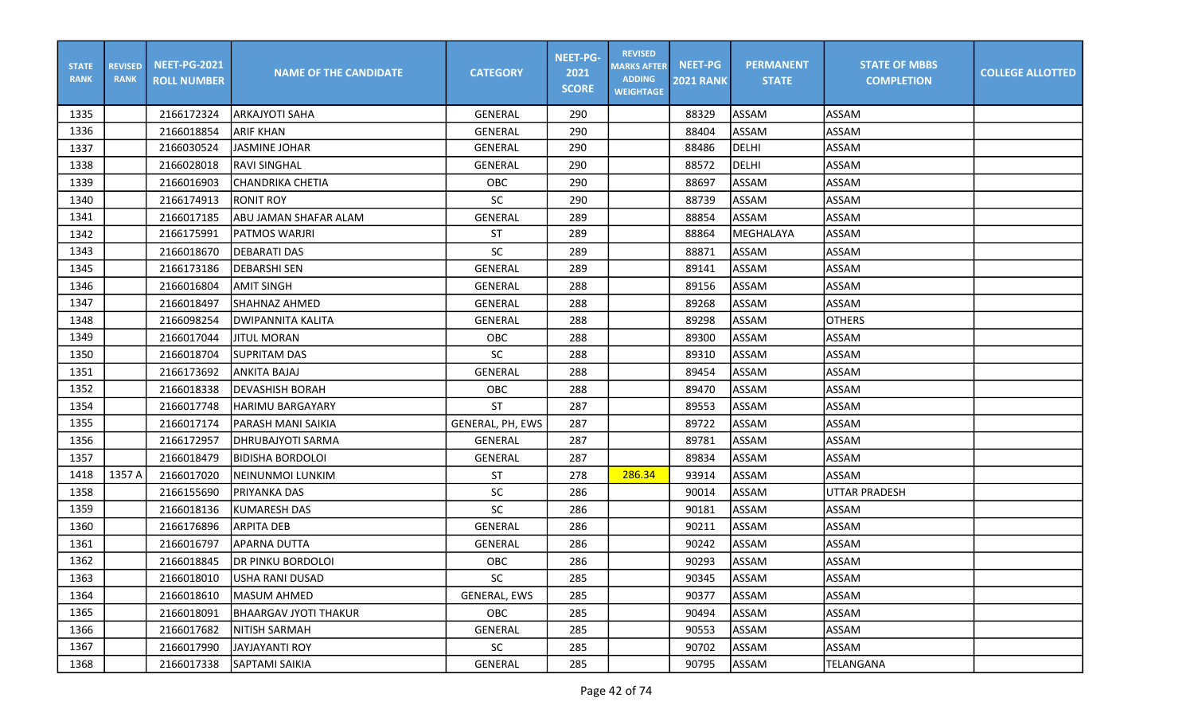| <b>STATE</b><br><b>RANK</b> | <b>REVISED</b><br><b>RANK</b> | <b>NEET-PG-2021</b><br><b>ROLL NUMBER</b> | <b>NAME OF THE CANDIDATE</b> | <b>CATEGORY</b>  | <b>NEET-PG-</b><br>2021<br><b>SCORE</b> | <b>REVISED</b><br><b>MARKS AFTER</b><br><b>ADDING</b><br><b>WEIGHTAGE</b> | <b>NEET-PG</b><br><b>2021 RANK</b> | <b>PERMANENT</b><br><b>STATE</b> | <b>STATE OF MBBS</b><br><b>COMPLETION</b> | <b>COLLEGE ALLOTTED</b> |
|-----------------------------|-------------------------------|-------------------------------------------|------------------------------|------------------|-----------------------------------------|---------------------------------------------------------------------------|------------------------------------|----------------------------------|-------------------------------------------|-------------------------|
| 1335                        |                               | 2166172324                                | <b>ARKAJYOTI SAHA</b>        | <b>GENERAL</b>   | 290                                     |                                                                           | 88329                              | ASSAM                            | <b>ASSAM</b>                              |                         |
| 1336                        |                               | 2166018854                                | <b>ARIF KHAN</b>             | <b>GENERAL</b>   | 290                                     |                                                                           | 88404                              | <b>ASSAM</b>                     | <b>ASSAM</b>                              |                         |
| 1337                        |                               | 2166030524                                | <b>JASMINE JOHAR</b>         | GENERAL          | 290                                     |                                                                           | 88486                              | DELHI                            | <b>ASSAM</b>                              |                         |
| 1338                        |                               | 2166028018                                | <b>RAVI SINGHAL</b>          | <b>GENERAL</b>   | 290                                     |                                                                           | 88572                              | DELHI                            | <b>ASSAM</b>                              |                         |
| 1339                        |                               | 2166016903                                | CHANDRIKA CHETIA             | <b>OBC</b>       | 290                                     |                                                                           | 88697                              | ASSAM                            | <b>ASSAM</b>                              |                         |
| 1340                        |                               | 2166174913                                | <b>RONIT ROY</b>             | <b>SC</b>        | 290                                     |                                                                           | 88739                              | ASSAM                            | <b>ASSAM</b>                              |                         |
| 1341                        |                               | 2166017185                                | ABU JAMAN SHAFAR ALAM        | GENERAL          | 289                                     |                                                                           | 88854                              | ASSAM                            | ASSAM                                     |                         |
| 1342                        |                               | 2166175991                                | PATMOS WARJRI                | ST               | 289                                     |                                                                           | 88864                              | MEGHALAYA                        | <b>ASSAM</b>                              |                         |
| 1343                        |                               | 2166018670                                | <b>DEBARATI DAS</b>          | <b>SC</b>        | 289                                     |                                                                           | 88871                              | <b>ASSAM</b>                     | <b>ASSAM</b>                              |                         |
| 1345                        |                               | 2166173186                                | <b>DEBARSHI SEN</b>          | GENERAL          | 289                                     |                                                                           | 89141                              | ASSAM                            | <b>ASSAM</b>                              |                         |
| 1346                        |                               | 2166016804                                | <b>AMIT SINGH</b>            | <b>GENERAL</b>   | 288                                     |                                                                           | 89156                              | ASSAM                            | <b>ASSAM</b>                              |                         |
| 1347                        |                               | 2166018497                                | SHAHNAZ AHMED                | <b>GENERAL</b>   | 288                                     |                                                                           | 89268                              | ASSAM                            | <b>ASSAM</b>                              |                         |
| 1348                        |                               | 2166098254                                | <b>DWIPANNITA KALITA</b>     | <b>GENERAL</b>   | 288                                     |                                                                           | 89298                              | ASSAM                            | <b>OTHERS</b>                             |                         |
| 1349                        |                               | 2166017044                                | <b>JITUL MORAN</b>           | <b>OBC</b>       | 288                                     |                                                                           | 89300                              | ASSAM                            | <b>ASSAM</b>                              |                         |
| 1350                        |                               | 2166018704                                | <b>SUPRITAM DAS</b>          | <b>SC</b>        | 288                                     |                                                                           | 89310                              | ASSAM                            | <b>ASSAM</b>                              |                         |
| 1351                        |                               | 2166173692                                | ANKITA BAJAJ                 | <b>GENERAL</b>   | 288                                     |                                                                           | 89454                              | <b>ASSAM</b>                     | ASSAM                                     |                         |
| 1352                        |                               | 2166018338                                | <b>DEVASHISH BORAH</b>       | <b>OBC</b>       | 288                                     |                                                                           | 89470                              | ASSAM                            | <b>ASSAM</b>                              |                         |
| 1354                        |                               | 2166017748                                | <b>HARIMU BARGAYARY</b>      | <b>ST</b>        | 287                                     |                                                                           | 89553                              | ASSAM                            | <b>ASSAM</b>                              |                         |
| 1355                        |                               | 2166017174                                | PARASH MANI SAIKIA           | GENERAL, PH, EWS | 287                                     |                                                                           | 89722                              | ASSAM                            | <b>ASSAM</b>                              |                         |
| 1356                        |                               | 2166172957                                | DHRUBAJYOTI SARMA            | <b>GENERAL</b>   | 287                                     |                                                                           | 89781                              | ASSAM                            | <b>ASSAM</b>                              |                         |
| 1357                        |                               | 2166018479                                | <b>BIDISHA BORDOLOI</b>      | <b>GENERAL</b>   | 287                                     |                                                                           | 89834                              | <b>ASSAM</b>                     | <b>ASSAM</b>                              |                         |
| 1418                        | 1357 A                        | 2166017020                                | NEINUNMOI LUNKIM             | ST               | 278                                     | 286.34                                                                    | 93914                              | ASSAM                            | ASSAM                                     |                         |
| 1358                        |                               | 2166155690                                | PRIYANKA DAS                 | <b>SC</b>        | 286                                     |                                                                           | 90014                              | <b>ASSAM</b>                     | UTTAR PRADESH                             |                         |
| 1359                        |                               | 2166018136                                | KUMARESH DAS                 | SC               | 286                                     |                                                                           | 90181                              | ASSAM                            | ASSAM                                     |                         |
| 1360                        |                               | 2166176896                                | <b>ARPITA DEB</b>            | <b>GENERAL</b>   | 286                                     |                                                                           | 90211                              | ASSAM                            | <b>ASSAM</b>                              |                         |
| 1361                        |                               | 2166016797                                | APARNA DUTTA                 | GENERAL          | 286                                     |                                                                           | 90242                              | ASSAM                            | ASSAM                                     |                         |
| 1362                        |                               | 2166018845                                | <b>DR PINKU BORDOLOI</b>     | OBC              | 286                                     |                                                                           | 90293                              | ASSAM                            | <b>ASSAM</b>                              |                         |
| 1363                        |                               | 2166018010                                | USHA RANI DUSAD              | SC               | 285                                     |                                                                           | 90345                              | ASSAM                            | ASSAM                                     |                         |
| 1364                        |                               | 2166018610                                | MASUM AHMED                  | GENERAL, EWS     | 285                                     |                                                                           | 90377                              | ASSAM                            | ASSAM                                     |                         |
| 1365                        |                               | 2166018091                                | <b>BHAARGAV JYOTI THAKUR</b> | <b>OBC</b>       | 285                                     |                                                                           | 90494                              | ASSAM                            | ASSAM                                     |                         |
| 1366                        |                               | 2166017682                                | NITISH SARMAH                | GENERAL          | 285                                     |                                                                           | 90553                              | ASSAM                            | ASSAM                                     |                         |
| 1367                        |                               | 2166017990                                | JAYJAYANTI ROY               | SC               | 285                                     |                                                                           | 90702                              | ASSAM                            | ASSAM                                     |                         |
| 1368                        |                               | 2166017338                                | SAPTAMI SAIKIA               | GENERAL          | 285                                     |                                                                           | 90795                              | ASSAM                            | TELANGANA                                 |                         |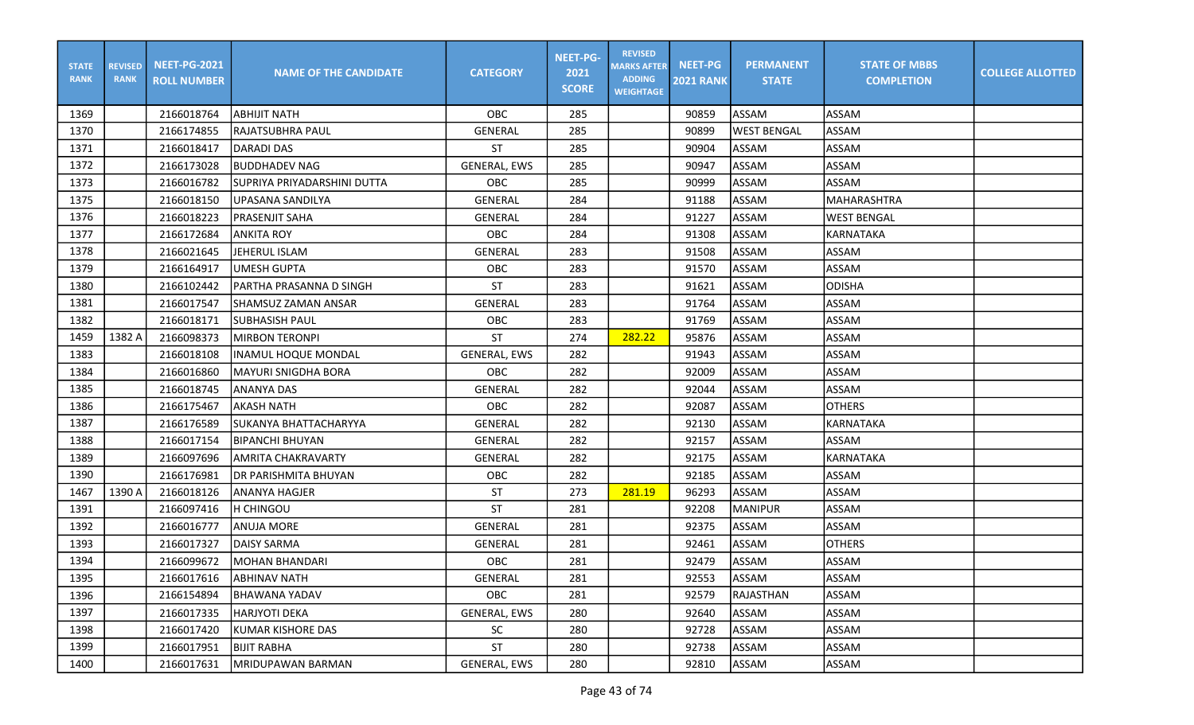| <b>STATE</b><br><b>RANK</b> | <b>REVISED</b><br><b>RANK</b> | <b>NEET-PG-2021</b><br><b>ROLL NUMBER</b> | <b>NAME OF THE CANDIDATE</b> | <b>CATEGORY</b>     | <b>NEET-PG-</b><br>2021<br><b>SCORE</b> | <b>REVISED</b><br><b>MARKS AFTER</b><br><b>ADDING</b><br><b>WEIGHTAGE</b> | <b>NEET-PG</b><br><b>2021 RANK</b> | <b>PERMANENT</b><br><b>STATE</b> | <b>STATE OF MBBS</b><br><b>COMPLETION</b> | <b>COLLEGE ALLOTTED</b> |
|-----------------------------|-------------------------------|-------------------------------------------|------------------------------|---------------------|-----------------------------------------|---------------------------------------------------------------------------|------------------------------------|----------------------------------|-------------------------------------------|-------------------------|
| 1369                        |                               | 2166018764                                | ІАВНІЈІТ NATH                | OBC                 | 285                                     |                                                                           | 90859                              | ASSAM                            | ASSAM                                     |                         |
| 1370                        |                               | 2166174855                                | <b>RAJATSUBHRA PAUL</b>      | <b>GENERAL</b>      | 285                                     |                                                                           | 90899                              | <b>WEST BENGAL</b>               | ASSAM                                     |                         |
| 1371                        |                               | 2166018417                                | <b>DARADI DAS</b>            | ST                  | 285                                     |                                                                           | 90904                              | ASSAM                            | ASSAM                                     |                         |
| 1372                        |                               | 2166173028                                | <b>BUDDHADEV NAG</b>         | <b>GENERAL, EWS</b> | 285                                     |                                                                           | 90947                              | <b>ASSAM</b>                     | ASSAM                                     |                         |
| 1373                        |                               | 2166016782                                | SUPRIYA PRIYADARSHINI DUTTA  | <b>OBC</b>          | 285                                     |                                                                           | 90999                              | ASSAM                            | ASSAM                                     |                         |
| 1375                        |                               | 2166018150                                | UPASANA SANDILYA             | <b>GENERAL</b>      | 284                                     |                                                                           | 91188                              | <b>ASSAM</b>                     | <b>MAHARASHTRA</b>                        |                         |
| 1376                        |                               | 2166018223                                | PRASENJIT SAHA               | GENERAL             | 284                                     |                                                                           | 91227                              | ASSAM                            | <b>WEST BENGAL</b>                        |                         |
| 1377                        |                               | 2166172684                                | <b>ANKITA ROY</b>            | OBC                 | 284                                     |                                                                           | 91308                              | <b>ASSAM</b>                     | <b>KARNATAKA</b>                          |                         |
| 1378                        |                               | 2166021645                                | JEHERUL ISLAM                | GENERAL             | 283                                     |                                                                           | 91508                              | ASSAM                            | <b>ASSAM</b>                              |                         |
| 1379                        |                               | 2166164917                                | JUMESH GUPTA                 | OBC                 | 283                                     |                                                                           | 91570                              | ASSAM                            | <b>ASSAM</b>                              |                         |
| 1380                        |                               | 2166102442                                | IPARTHA PRASANNA D SINGH     | <b>ST</b>           | 283                                     |                                                                           | 91621                              | ASSAM                            | ODISHA                                    |                         |
| 1381                        |                               | 2166017547                                | SHAMSUZ ZAMAN ANSAR          | <b>GENERAL</b>      | 283                                     |                                                                           | 91764                              | ASSAM                            | <b>ASSAM</b>                              |                         |
| 1382                        |                               | 2166018171                                | SUBHASISH PAUL               | OBC                 | 283                                     |                                                                           | 91769                              | ASSAM                            | <b>ASSAM</b>                              |                         |
| 1459                        | 1382 A                        | 2166098373                                | <b>MIRBON TERONPI</b>        | <b>ST</b>           | 274                                     | 282.22                                                                    | 95876                              | ASSAM                            | ASSAM                                     |                         |
| 1383                        |                               | 2166018108                                | lINAMUL HOQUE MONDAL         | <b>GENERAL, EWS</b> | 282                                     |                                                                           | 91943                              | ASSAM                            | <b>ASSAM</b>                              |                         |
| 1384                        |                               | 2166016860                                | MAYURI SNIGDHA BORA          | OBC                 | 282                                     |                                                                           | 92009                              | ASSAM                            | ASSAM                                     |                         |
| 1385                        |                               | 2166018745                                | ANANYA DAS                   | <b>GENERAL</b>      | 282                                     |                                                                           | 92044                              | ASSAM                            | ASSAM                                     |                         |
| 1386                        |                               | 2166175467                                | <b>AKASH NATH</b>            | OBC                 | 282                                     |                                                                           | 92087                              | ASSAM                            | <b>OTHERS</b>                             |                         |
| 1387                        |                               | 2166176589                                | SUKANYA BHATTACHARYYA        | GENERAL             | 282                                     |                                                                           | 92130                              | ASSAM                            | KARNATAKA                                 |                         |
| 1388                        |                               | 2166017154                                | <b>BIPANCHI BHUYAN</b>       | <b>GENERAL</b>      | 282                                     |                                                                           | 92157                              | ASSAM                            | <b>ASSAM</b>                              |                         |
| 1389                        |                               | 2166097696                                | <b>AMRITA CHAKRAVARTY</b>    | <b>GENERAL</b>      | 282                                     |                                                                           | 92175                              | ASSAM                            | KARNATAKA                                 |                         |
| 1390                        |                               | 2166176981                                | <b>DR PARISHMITA BHUYAN</b>  | OBC                 | 282                                     |                                                                           | 92185                              | ASSAM                            | ASSAM                                     |                         |
| 1467                        | 1390 A                        | 2166018126                                | <b>ANANYA HAGJER</b>         | <b>ST</b>           | 273                                     | 281.19                                                                    | 96293                              | ASSAM                            | <b>ASSAM</b>                              |                         |
| 1391                        |                               | 2166097416                                | H CHINGOU                    | <b>ST</b>           | 281                                     |                                                                           | 92208                              | <b>MANIPUR</b>                   | <b>ASSAM</b>                              |                         |
| 1392                        |                               | 2166016777                                | <b>ANUJA MORE</b>            | <b>GENERAL</b>      | 281                                     |                                                                           | 92375                              | ASSAM                            | <b>ASSAM</b>                              |                         |
| 1393                        |                               | 2166017327                                | DAISY SARMA                  | <b>GENERAL</b>      | 281                                     |                                                                           | 92461                              | ASSAM                            | <b>OTHERS</b>                             |                         |
| 1394                        |                               | 2166099672                                | <b>MOHAN BHANDARI</b>        | OBC                 | 281                                     |                                                                           | 92479                              | ASSAM                            | <b>ASSAM</b>                              |                         |
| 1395                        |                               | 2166017616                                | <b>ABHINAV NATH</b>          | GENERAL             | 281                                     |                                                                           | 92553                              | ASSAM                            | <b>ASSAM</b>                              |                         |
| 1396                        |                               | 2166154894                                | <b>BHAWANA YADAV</b>         | OBC                 | 281                                     |                                                                           | 92579                              | <b>RAJASTHAN</b>                 | ASSAM                                     |                         |
| 1397                        |                               | 2166017335                                | HARJYOTI DEKA                | GENERAL, EWS        | 280                                     |                                                                           | 92640                              | <b>ASSAM</b>                     | ASSAM                                     |                         |
| 1398                        |                               | 2166017420                                | IKUMAR KISHORE DAS           | SC                  | 280                                     |                                                                           | 92728                              | ASSAM                            | ASSAM                                     |                         |
| 1399                        |                               | 2166017951                                | <b>BIJIT RABHA</b>           | ST                  | 280                                     |                                                                           | 92738                              | ASSAM                            | ASSAM                                     |                         |
| 1400                        |                               | 2166017631                                | MRIDUPAWAN BARMAN            | GENERAL, EWS        | 280                                     |                                                                           | 92810                              | ASSAM                            | ASSAM                                     |                         |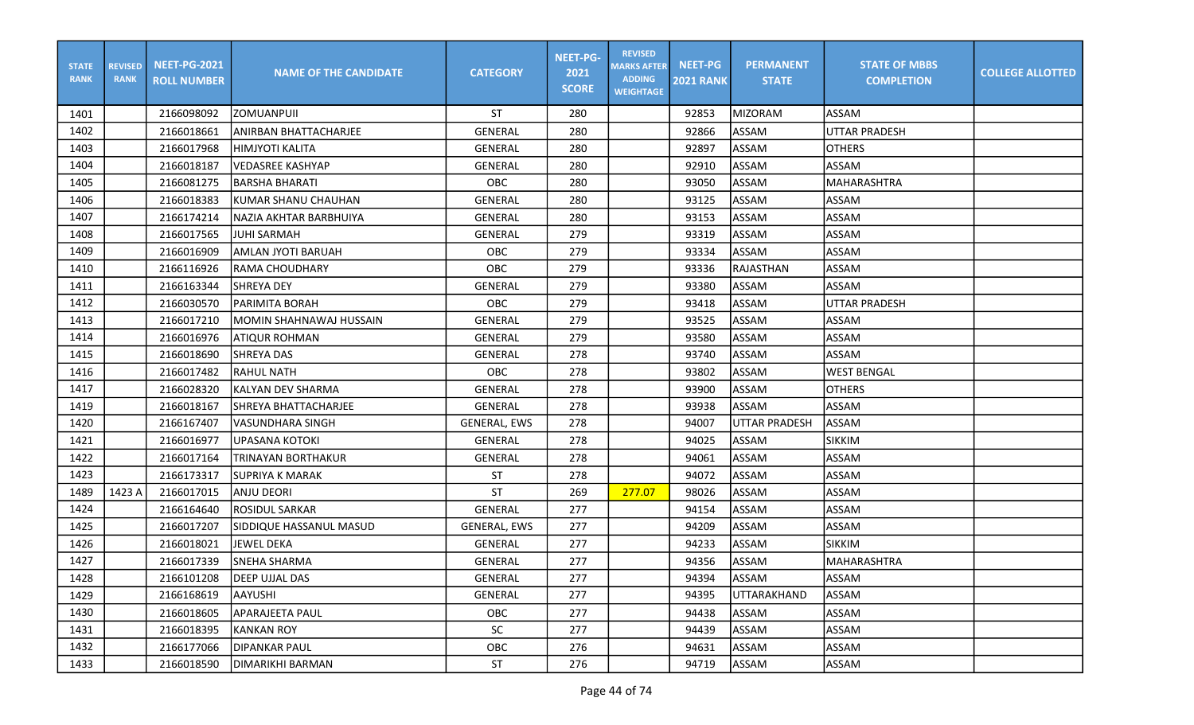| <b>STATE</b><br><b>RANK</b> | <b>REVISED</b><br><b>RANK</b> | <b>NEET-PG-2021</b><br><b>ROLL NUMBER</b> | <b>NAME OF THE CANDIDATE</b>  | <b>CATEGORY</b>     | <b>NEET-PG-</b><br>2021<br><b>SCORE</b> | <b>REVISED</b><br><b>MARKS AFTER</b><br><b>ADDING</b><br><b>WEIGHTAGE</b> | <b>NEET-PG</b><br><b>2021 RANK</b> | <b>PERMANENT</b><br><b>STATE</b> | <b>STATE OF MBBS</b><br><b>COMPLETION</b> | <b>COLLEGE ALLOTTED</b> |
|-----------------------------|-------------------------------|-------------------------------------------|-------------------------------|---------------------|-----------------------------------------|---------------------------------------------------------------------------|------------------------------------|----------------------------------|-------------------------------------------|-------------------------|
| 1401                        |                               | 2166098092                                | <b>ZOMUANPUIL</b>             | ST                  | 280                                     |                                                                           | 92853                              | <b>MIZORAM</b>                   | <b>ASSAM</b>                              |                         |
| 1402                        |                               | 2166018661                                | ANIRBAN BHATTACHARJEE         | GENERAL             | 280                                     |                                                                           | 92866                              | ASSAM                            | UTTAR PRADESH                             |                         |
| 1403                        |                               | 2166017968                                | HIMJYOTI KALITA               | GENERAL             | 280                                     |                                                                           | 92897                              | ASSAM                            | <b>OTHERS</b>                             |                         |
| 1404                        |                               | 2166018187                                | VEDASREE KASHYAP              | <b>GENERAL</b>      | 280                                     |                                                                           | 92910                              | ASSAM                            | ASSAM                                     |                         |
| 1405                        |                               | 2166081275                                | <b>BARSHA BHARATI</b>         | OBC                 | 280                                     |                                                                           | 93050                              | ASSAM                            | MAHARASHTRA                               |                         |
| 1406                        |                               | 2166018383                                | lkumar shanu chauhan          | <b>GENERAL</b>      | 280                                     |                                                                           | 93125                              | <b>ASSAM</b>                     | <b>ASSAM</b>                              |                         |
| 1407                        |                               | 2166174214                                | <b>NAZIA AKHTAR BARBHUIYA</b> | GENERAL             | 280                                     |                                                                           | 93153                              | ASSAM                            | <b>ASSAM</b>                              |                         |
| 1408                        |                               | 2166017565                                | <b>JUHI SARMAH</b>            | <b>GENERAL</b>      | 279                                     |                                                                           | 93319                              | <b>ASSAM</b>                     | ASSAM                                     |                         |
| 1409                        |                               | 2166016909                                | IAMLAN JYOTI BARUAH           | <b>OBC</b>          | 279                                     |                                                                           | 93334                              | ASSAM                            | <b>ASSAM</b>                              |                         |
| 1410                        |                               | 2166116926                                | RAMA CHOUDHARY                | OBC                 | 279                                     |                                                                           | 93336                              | <b>RAJASTHAN</b>                 | <b>ASSAM</b>                              |                         |
| 1411                        |                               | 2166163344                                | <b>I</b> SHREYA DEY           | GENERAL             | 279                                     |                                                                           | 93380                              | ASSAM                            | <b>ASSAM</b>                              |                         |
| 1412                        |                               | 2166030570                                | <b>PARIMITA BORAH</b>         | <b>OBC</b>          | 279                                     |                                                                           | 93418                              | <b>ASSAM</b>                     | <b>UTTAR PRADESH</b>                      |                         |
| 1413                        |                               | 2166017210                                | MOMIN SHAHNAWAJ HUSSAIN       | <b>GENERAL</b>      | 279                                     |                                                                           | 93525                              | ASSAM                            | <b>ASSAM</b>                              |                         |
| 1414                        |                               | 2166016976                                | ATIQUR ROHMAN                 | GENERAL             | 279                                     |                                                                           | 93580                              | ASSAM                            | <b>ASSAM</b>                              |                         |
| 1415                        |                               | 2166018690                                | <b>SHREYA DAS</b>             | <b>GENERAL</b>      | 278                                     |                                                                           | 93740                              | ASSAM                            | <b>ASSAM</b>                              |                         |
| 1416                        |                               | 2166017482                                | <b>RAHUL NATH</b>             | OBC                 | 278                                     |                                                                           | 93802                              | ASSAM                            | <b>WEST BENGAL</b>                        |                         |
| 1417                        |                               | 2166028320                                | lkalyan DEV SHARMA            | <b>GENERAL</b>      | 278                                     |                                                                           | 93900                              | ASSAM                            | <b>OTHERS</b>                             |                         |
| 1419                        |                               | 2166018167                                | SHREYA BHATTACHARJEE          | <b>GENERAL</b>      | 278                                     |                                                                           | 93938                              | ASSAM                            | <b>ASSAM</b>                              |                         |
| 1420                        |                               | 2166167407                                | <b>VASUNDHARA SINGH</b>       | <b>GENERAL, EWS</b> | 278                                     |                                                                           | 94007                              | <b>UTTAR PRADESH</b>             | <b>ASSAM</b>                              |                         |
| 1421                        |                               | 2166016977                                | <b>UPASANA KOTOKI</b>         | <b>GENERAL</b>      | 278                                     |                                                                           | 94025                              | ASSAM                            | <b>SIKKIM</b>                             |                         |
| 1422                        |                               | 2166017164                                | TRINAYAN BORTHAKUR            | <b>GENERAL</b>      | 278                                     |                                                                           | 94061                              | ASSAM                            | <b>ASSAM</b>                              |                         |
| 1423                        |                               | 2166173317                                | <b>SUPRIYA K MARAK</b>        | <b>ST</b>           | 278                                     |                                                                           | 94072                              | ASSAM                            | <b>ASSAM</b>                              |                         |
| 1489                        | 1423 A                        | 2166017015                                | ANJU DEORI                    | <b>ST</b>           | 269                                     | 277.07                                                                    | 98026                              | <b>ASSAM</b>                     | <b>ASSAM</b>                              |                         |
| 1424                        |                               | 2166164640                                | <b>ROSIDUL SARKAR</b>         | GENERAL             | 277                                     |                                                                           | 94154                              | ASSAM                            | ASSAM                                     |                         |
| 1425                        |                               | 2166017207                                | SIDDIQUE HASSANUL MASUD       | <b>GENERAL, EWS</b> | 277                                     |                                                                           | 94209                              | <b>ASSAM</b>                     | <b>ASSAM</b>                              |                         |
| 1426                        |                               | 2166018021                                | <b>JEWEL DEKA</b>             | <b>GENERAL</b>      | 277                                     |                                                                           | 94233                              | ASSAM                            | <b>SIKKIM</b>                             |                         |
| 1427                        |                               | 2166017339                                | <b>SNEHA SHARMA</b>           | <b>GENERAL</b>      | 277                                     |                                                                           | 94356                              | <b>ASSAM</b>                     | MAHARASHTRA                               |                         |
| 1428                        |                               | 2166101208                                | <b>DEEP UJJAL DAS</b>         | GENERAL             | 277                                     |                                                                           | 94394                              | ASSAM                            | ASSAM                                     |                         |
| 1429                        |                               | 2166168619                                | AAYUSHI                       | GENERAL             | 277                                     |                                                                           | 94395                              | UTTARAKHAND                      | ASSAM                                     |                         |
| 1430                        |                               | 2166018605                                | <b>APARAJEETA PAUL</b>        | OBC                 | 277                                     |                                                                           | 94438                              | <b>ASSAM</b>                     | ASSAM                                     |                         |
| 1431                        |                               | 2166018395                                | KANKAN ROY                    | SC                  | 277                                     |                                                                           | 94439                              | ASSAM                            | ASSAM                                     |                         |
| 1432                        |                               | 2166177066                                | <b>DIPANKAR PAUL</b>          | OBC                 | 276                                     |                                                                           | 94631                              | ASSAM                            | ASSAM                                     |                         |
| 1433                        |                               | 2166018590                                | DIMARIKHI BARMAN              | ST                  | 276                                     |                                                                           | 94719                              | ASSAM                            | ASSAM                                     |                         |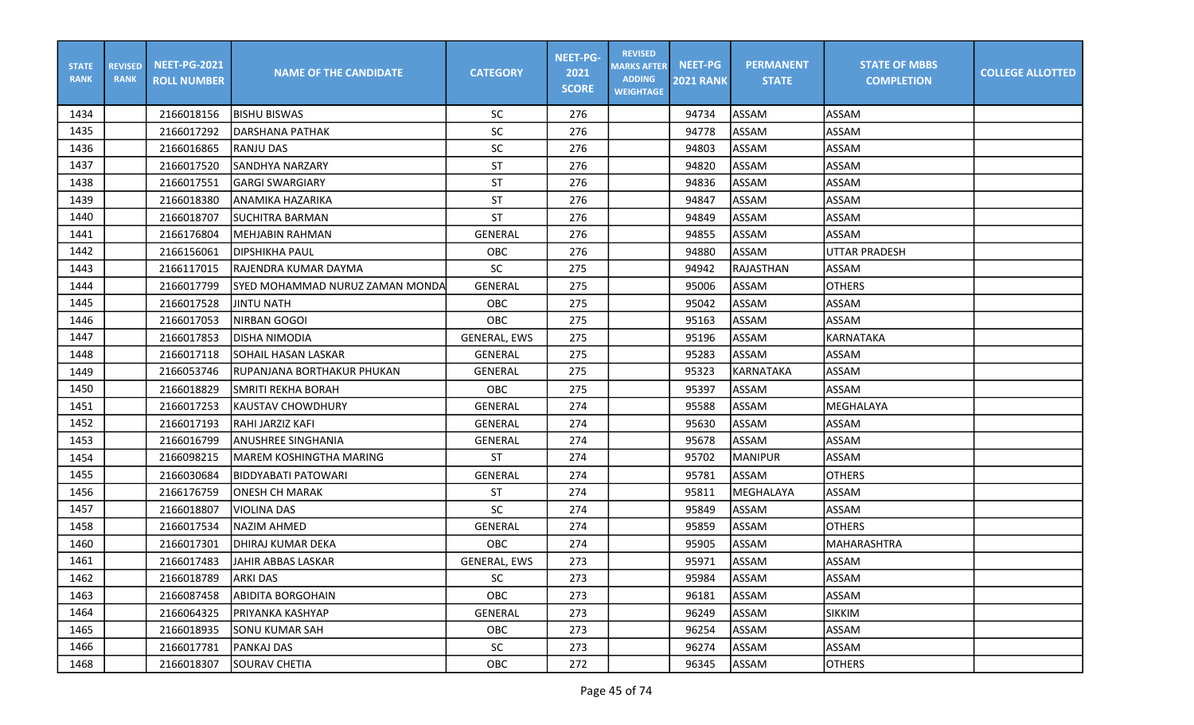| <b>STATE</b><br><b>RANK</b> | <b>REVISED</b><br><b>RANK</b> | <b>NEET-PG-2021</b><br><b>ROLL NUMBER</b> | <b>NAME OF THE CANDIDATE</b>    | <b>CATEGORY</b>     | <b>NEET-PG-</b><br>2021<br><b>SCORE</b> | <b>REVISED</b><br><b>MARKS AFTER</b><br><b>ADDING</b><br><b>WEIGHTAGE</b> | <b>NEET-PG</b><br><b>2021 RANK</b> | <b>PERMANENT</b><br><b>STATE</b> | <b>STATE OF MBBS</b><br><b>COMPLETION</b> | <b>COLLEGE ALLOTTED</b> |
|-----------------------------|-------------------------------|-------------------------------------------|---------------------------------|---------------------|-----------------------------------------|---------------------------------------------------------------------------|------------------------------------|----------------------------------|-------------------------------------------|-------------------------|
| 1434                        |                               | 2166018156                                | <b>BISHU BISWAS</b>             | <b>SC</b>           | 276                                     |                                                                           | 94734                              | ASSAM                            | ASSAM                                     |                         |
| 1435                        |                               | 2166017292                                | IDARSHANA PATHAK                | <b>SC</b>           | 276                                     |                                                                           | 94778                              | ASSAM                            | ASSAM                                     |                         |
| 1436                        |                               | 2166016865                                | RANJU DAS                       | <b>SC</b>           | 276                                     |                                                                           | 94803                              | ASSAM                            | ASSAM                                     |                         |
| 1437                        |                               | 2166017520                                | <b>SANDHYA NARZARY</b>          | <b>ST</b>           | 276                                     |                                                                           | 94820                              | <b>ASSAM</b>                     | <b>ASSAM</b>                              |                         |
| 1438                        |                               | 2166017551                                | <b>GARGI SWARGIARY</b>          | <b>ST</b>           | 276                                     |                                                                           | 94836                              | ASSAM                            | <b>ASSAM</b>                              |                         |
| 1439                        |                               | 2166018380                                | <b>ANAMIKA HAZARIKA</b>         | ST                  | 276                                     |                                                                           | 94847                              | ASSAM                            | <b>ASSAM</b>                              |                         |
| 1440                        |                               | 2166018707                                | SUCHITRA BARMAN                 | ST                  | 276                                     |                                                                           | 94849                              | ASSAM                            | <b>ASSAM</b>                              |                         |
| 1441                        |                               | 2166176804                                | İMEHJABIN RAHMAN                | <b>GENERAL</b>      | 276                                     |                                                                           | 94855                              | ASSAM                            | ASSAM                                     |                         |
| 1442                        |                               | 2166156061                                | DIPSHIKHA PAUL                  | OBC                 | 276                                     |                                                                           | 94880                              | ASSAM                            | UTTAR PRADESH                             |                         |
| 1443                        |                               | 2166117015                                | IRAJENDRA KUMAR DAYMA           | <b>SC</b>           | 275                                     |                                                                           | 94942                              | RAJASTHAN                        | ASSAM                                     |                         |
| 1444                        |                               | 2166017799                                | SYED MOHAMMAD NURUZ ZAMAN MONDA | GENERAL             | 275                                     |                                                                           | 95006                              | ASSAM                            | <b>OTHERS</b>                             |                         |
| 1445                        |                               | 2166017528                                | <b>JINTU NATH</b>               | OBC                 | 275                                     |                                                                           | 95042                              | ASSAM                            | ASSAM                                     |                         |
| 1446                        |                               | 2166017053                                | NIRBAN GOGOI                    | OBC                 | 275                                     |                                                                           | 95163                              | ASSAM                            | <b>ASSAM</b>                              |                         |
| 1447                        |                               | 2166017853                                | <b>DISHA NIMODIA</b>            | <b>GENERAL, EWS</b> | 275                                     |                                                                           | 95196                              | ASSAM                            | KARNATAKA                                 |                         |
| 1448                        |                               | 2166017118                                | <b>SOHAIL HASAN LASKAR</b>      | GENERAL             | 275                                     |                                                                           | 95283                              | ASSAM                            | ASSAM                                     |                         |
| 1449                        |                               | 2166053746                                | RUPANJANA BORTHAKUR PHUKAN      | <b>GENERAL</b>      | 275                                     |                                                                           | 95323                              | KARNATAKA                        | ASSAM                                     |                         |
| 1450                        |                               | 2166018829                                | <b>SMRITI REKHA BORAH</b>       | OBC                 | 275                                     |                                                                           | 95397                              | ASSAM                            | ASSAM                                     |                         |
| 1451                        |                               | 2166017253                                | <b>KAUSTAV CHOWDHURY</b>        | GENERAL             | 274                                     |                                                                           | 95588                              | ASSAM                            | MEGHALAYA                                 |                         |
| 1452                        |                               | 2166017193                                | RAHI JARZIZ KAFI                | GENERAL             | 274                                     |                                                                           | 95630                              | ASSAM                            | <b>ASSAM</b>                              |                         |
| 1453                        |                               | 2166016799                                | <b>ANUSHREE SINGHANIA</b>       | GENERAL             | 274                                     |                                                                           | 95678                              | ASSAM                            | <b>ASSAM</b>                              |                         |
| 1454                        |                               | 2166098215                                | <b>MAREM KOSHINGTHA MARING</b>  | <b>ST</b>           | 274                                     |                                                                           | 95702                              | <b>MANIPUR</b>                   | ASSAM                                     |                         |
| 1455                        |                               | 2166030684                                | <b>BIDDYABATI PATOWARI</b>      | GENERAL             | 274                                     |                                                                           | 95781                              | ASSAM                            | <b>OTHERS</b>                             |                         |
| 1456                        |                               | 2166176759                                | <b>ONESH CH MARAK</b>           | <b>ST</b>           | 274                                     |                                                                           | 95811                              | MEGHALAYA                        | <b>ASSAM</b>                              |                         |
| 1457                        |                               | 2166018807                                | <b>VIOLINA DAS</b>              | <b>SC</b>           | 274                                     |                                                                           | 95849                              | ASSAM                            | ASSAM                                     |                         |
| 1458                        |                               | 2166017534                                | <b>INAZIM AHMED</b>             | GENERAL             | 274                                     |                                                                           | 95859                              | ASSAM                            | <b>OTHERS</b>                             |                         |
| 1460                        |                               | 2166017301                                | DHIRAJ KUMAR DEKA               | OBC                 | 274                                     |                                                                           | 95905                              | ASSAM                            | MAHARASHTRA                               |                         |
| 1461                        |                               | 2166017483                                | JAHIR ABBAS LASKAR              | <b>GENERAL, EWS</b> | 273                                     |                                                                           | 95971                              | ASSAM                            | ASSAM                                     |                         |
| 1462                        |                               | 2166018789                                | <b>ARKI DAS</b>                 | SC                  | 273                                     |                                                                           | 95984                              | ASSAM                            | ASSAM                                     |                         |
| 1463                        |                               | 2166087458                                | <b>ABIDITA BORGOHAIN</b>        | OBC                 | 273                                     |                                                                           | 96181                              | ASSAM                            | ASSAM                                     |                         |
| 1464                        |                               | 2166064325                                | PRIYANKA KASHYAP                | <b>GENERAL</b>      | 273                                     |                                                                           | 96249                              | ASSAM                            | <b>SIKKIM</b>                             |                         |
| 1465                        |                               | 2166018935                                | <b>SONU KUMAR SAH</b>           | OBC                 | 273                                     |                                                                           | 96254                              | ASSAM                            | ASSAM                                     |                         |
| 1466                        |                               | 2166017781                                | <b>PANKAJ DAS</b>               | SC                  | 273                                     |                                                                           | 96274                              | ASSAM                            | ASSAM                                     |                         |
| 1468                        |                               | 2166018307                                | SOURAV CHETIA                   | OBC                 | 272                                     |                                                                           | 96345                              | ASSAM                            | <b>OTHERS</b>                             |                         |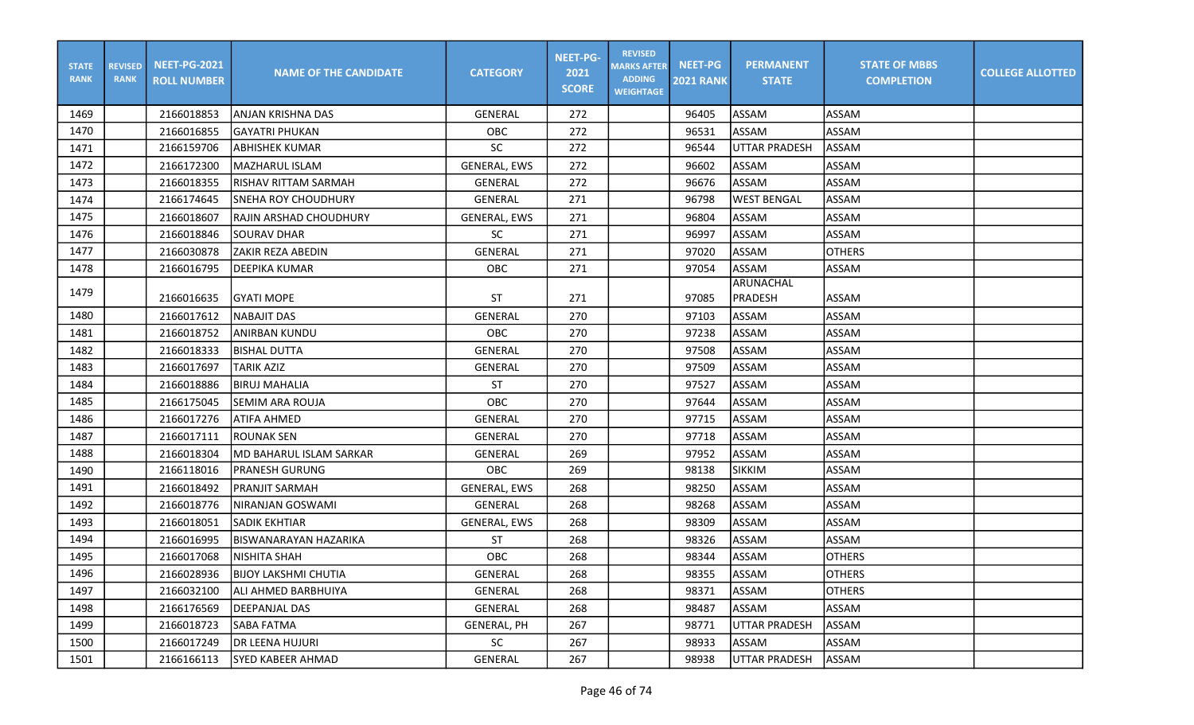| <b>STATE</b><br><b>RANK</b> | <b>REVISED</b><br><b>RANK</b> | <b>NEET-PG-2021</b><br><b>ROLL NUMBER</b> | <b>NAME OF THE CANDIDATE</b> | <b>CATEGORY</b>     | <b>NEET-PG-</b><br>2021<br><b>SCORE</b> | <b>REVISED</b><br><b>MARKS AFTER</b><br><b>ADDING</b><br><b>WEIGHTAGE</b> | <b>NEET-PG</b><br><b>2021 RANK</b> | <b>PERMANENT</b><br><b>STATE</b> | <b>STATE OF MBBS</b><br><b>COMPLETION</b> | <b>COLLEGE ALLOTTED</b> |
|-----------------------------|-------------------------------|-------------------------------------------|------------------------------|---------------------|-----------------------------------------|---------------------------------------------------------------------------|------------------------------------|----------------------------------|-------------------------------------------|-------------------------|
| 1469                        |                               | 2166018853                                | ANJAN KRISHNA DAS            | <b>GENERAL</b>      | 272                                     |                                                                           | 96405                              | ASSAM                            | ASSAM                                     |                         |
| 1470                        |                               | 2166016855                                | GAYATRI PHUKAN               | <b>OBC</b>          | 272                                     |                                                                           | 96531                              | <b>ASSAM</b>                     | ASSAM                                     |                         |
| 1471                        |                               | 2166159706                                | <b>ABHISHEK KUMAR</b>        | <b>SC</b>           | 272                                     |                                                                           | 96544                              | <b>UTTAR PRADESH</b>             | ASSAM                                     |                         |
| 1472                        |                               | 2166172300                                | <b>IMAZHARUL ISLAM</b>       | <b>GENERAL, EWS</b> | 272                                     |                                                                           | 96602                              | ASSAM                            | ASSAM                                     |                         |
| 1473                        |                               | 2166018355                                | RISHAV RITTAM SARMAH         | <b>GENERAL</b>      | 272                                     |                                                                           | 96676                              | ASSAM                            | <b>ASSAM</b>                              |                         |
| 1474                        |                               | 2166174645                                | <b>SNEHA ROY CHOUDHURY</b>   | <b>GENERAL</b>      | 271                                     |                                                                           | 96798                              | <b>WEST BENGAL</b>               | <b>ASSAM</b>                              |                         |
| 1475                        |                               | 2166018607                                | RAJIN ARSHAD CHOUDHURY       | GENERAL, EWS        | 271                                     |                                                                           | 96804                              | ASSAM                            | <b>ASSAM</b>                              |                         |
| 1476                        |                               | 2166018846                                | <b>SOURAV DHAR</b>           | <b>SC</b>           | 271                                     |                                                                           | 96997                              | ASSAM                            | ASSAM                                     |                         |
| 1477                        |                               | 2166030878                                | ZAKIR REZA ABEDIN            | <b>GENERAL</b>      | 271                                     |                                                                           | 97020                              | <b>ASSAM</b>                     | <b>OTHERS</b>                             |                         |
| 1478                        |                               | 2166016795                                | <b>JDEEPIKA KUMAR</b>        | OBC                 | 271                                     |                                                                           | 97054                              | ASSAM                            | <b>ASSAM</b>                              |                         |
| 1479                        |                               | 2166016635                                | IGYATI MOPE                  | ST                  | 271                                     |                                                                           | 97085                              | ARUNACHAL<br>PRADESH             | <b>ASSAM</b>                              |                         |
| 1480                        |                               | 2166017612                                | <b>NABAJIT DAS</b>           | <b>GENERAL</b>      | 270                                     |                                                                           | 97103                              | ASSAM                            | <b>ASSAM</b>                              |                         |
| 1481                        |                               | 2166018752                                | <b>ANIRBAN KUNDU</b>         | OBC                 | 270                                     |                                                                           | 97238                              | <b>ASSAM</b>                     | ASSAM                                     |                         |
| 1482                        |                               | 2166018333                                | <b>BISHAL DUTTA</b>          | <b>GENERAL</b>      | 270                                     |                                                                           | 97508                              | ASSAM                            | ASSAM                                     |                         |
| 1483                        |                               | 2166017697                                | <b>TARIK AZIZ</b>            | <b>GENERAL</b>      | 270                                     |                                                                           | 97509                              | ASSAM                            | <b>ASSAM</b>                              |                         |
| 1484                        |                               | 2166018886                                | <b>BIRUJ MAHALIA</b>         | <b>ST</b>           | 270                                     |                                                                           | 97527                              | <b>ASSAM</b>                     | <b>ASSAM</b>                              |                         |
| 1485                        |                               | 2166175045                                | SEMIM ARA ROUJA              | OBC                 | 270                                     |                                                                           | 97644                              | ASSAM                            | <b>ASSAM</b>                              |                         |
| 1486                        |                               | 2166017276                                | ATIFA AHMED                  | <b>GENERAL</b>      | 270                                     |                                                                           | 97715                              | ASSAM                            | <b>ASSAM</b>                              |                         |
| 1487                        |                               | 2166017111                                | IROUNAK SEN                  | <b>GENERAL</b>      | 270                                     |                                                                           | 97718                              | ASSAM                            | <b>ASSAM</b>                              |                         |
| 1488                        |                               | 2166018304                                | lMD BAHARUL ISLAM SARKAR     | <b>GENERAL</b>      | 269                                     |                                                                           | 97952                              | ASSAM                            | <b>ASSAM</b>                              |                         |
| 1490                        |                               | 2166118016                                | <b>PRANESH GURUNG</b>        | OBC                 | 269                                     |                                                                           | 98138                              | <b>SIKKIM</b>                    | <b>ASSAM</b>                              |                         |
| 1491                        |                               | 2166018492                                | PRANJIT SARMAH               | <b>GENERAL, EWS</b> | 268                                     |                                                                           | 98250                              | ASSAM                            | ASSAM                                     |                         |
| 1492                        |                               | 2166018776                                | <b>NIRANJAN GOSWAMI</b>      | GENERAL             | 268                                     |                                                                           | 98268                              | <b>ASSAM</b>                     | <b>ASSAM</b>                              |                         |
| 1493                        |                               | 2166018051                                | <b>SADIK EKHTIAR</b>         | GENERAL, EWS        | 268                                     |                                                                           | 98309                              | ASSAM                            | ASSAM                                     |                         |
| 1494                        |                               | 2166016995                                | <b>BISWANARAYAN HAZARIKA</b> | <b>ST</b>           | 268                                     |                                                                           | 98326                              | ASSAM                            | ASSAM                                     |                         |
| 1495                        |                               | 2166017068                                | NISHITA SHAH                 | OBC                 | 268                                     |                                                                           | 98344                              | ASSAM                            | <b>OTHERS</b>                             |                         |
| 1496                        |                               | 2166028936                                | <b>BIJOY LAKSHMI CHUTIA</b>  | GENERAL             | 268                                     |                                                                           | 98355                              | <b>ASSAM</b>                     | <b>JOTHERS</b>                            |                         |
| 1497                        |                               | 2166032100                                | lali ahmed barbhuiya         | GENERAL             | 268                                     |                                                                           | 98371                              | <b>ASSAM</b>                     | <b>OTHERS</b>                             |                         |
| 1498                        |                               | 2166176569                                | <b>DEEPANJAL DAS</b>         | GENERAL             | 268                                     |                                                                           | 98487                              | ASSAM                            | <b>ASSAM</b>                              |                         |
| 1499                        |                               | 2166018723                                | <b>SABA FATMA</b>            | <b>GENERAL, PH</b>  | 267                                     |                                                                           | 98771                              | <b>UTTAR PRADESH</b>             | ASSAM                                     |                         |
| 1500                        |                               | 2166017249                                | <b>DR LEENA HUJURI</b>       | SC                  | 267                                     |                                                                           | 98933                              | ASSAM                            | ASSAM                                     |                         |
| 1501                        |                               | 2166166113                                | SYED KABEER AHMAD            | GENERAL             | 267                                     |                                                                           | 98938                              | <b>UTTAR PRADESH</b>             | ASSAM                                     |                         |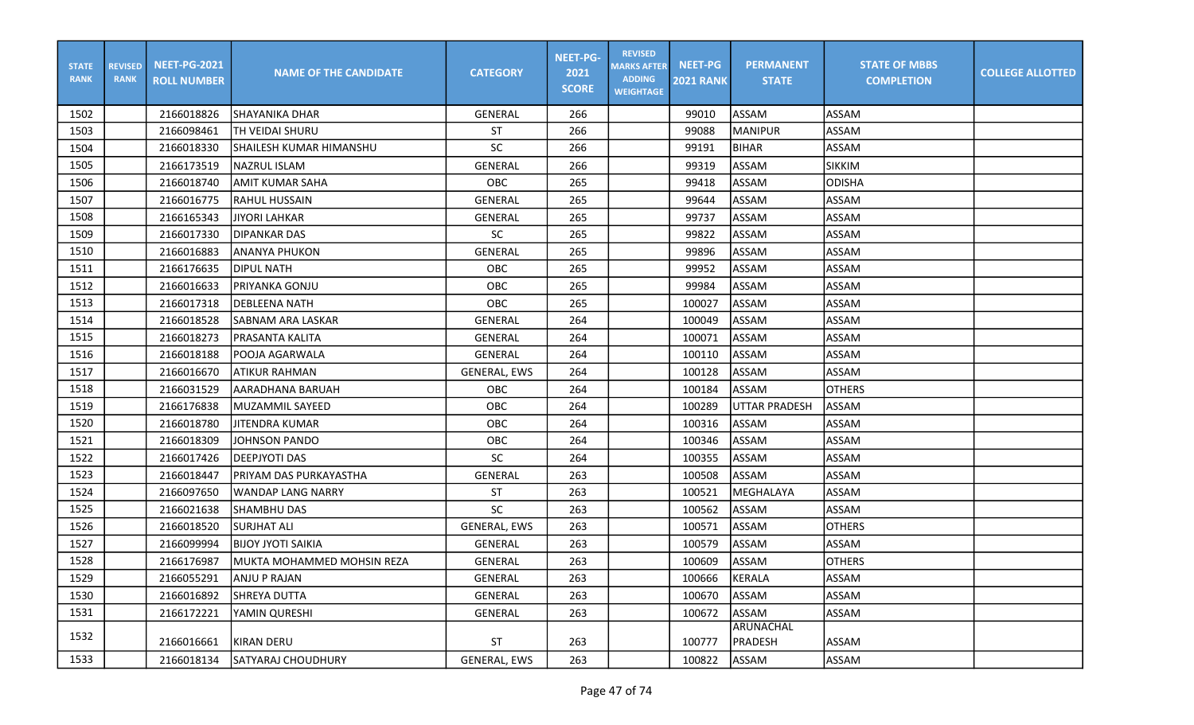| <b>STATE</b><br><b>RANK</b> | <b>REVISED</b><br><b>RANK</b> | <b>NEET-PG-2021</b><br><b>ROLL NUMBER</b> | <b>NAME OF THE CANDIDATE</b> | <b>CATEGORY</b>     | <b>NEET-PG-</b><br>2021<br><b>SCORE</b> | <b>REVISED</b><br><b>MARKS AFTER</b><br><b>ADDING</b><br><b>WEIGHTAGE</b> | <b>NEET-PG</b><br><b>2021 RANK</b> | <b>PERMANENT</b><br><b>STATE</b> | <b>STATE OF MBBS</b><br><b>COMPLETION</b> | <b>COLLEGE ALLOTTED</b> |
|-----------------------------|-------------------------------|-------------------------------------------|------------------------------|---------------------|-----------------------------------------|---------------------------------------------------------------------------|------------------------------------|----------------------------------|-------------------------------------------|-------------------------|
| 1502                        |                               | 2166018826                                | <b>SHAYANIKA DHAR</b>        | GENERAL             | 266                                     |                                                                           | 99010                              | ASSAM                            | ASSAM                                     |                         |
| 1503                        |                               | 2166098461                                | TH VEIDAI SHURU              | ST                  | 266                                     |                                                                           | 99088                              | <b>MANIPUR</b>                   | ASSAM                                     |                         |
| 1504                        |                               | 2166018330                                | SHAILESH KUMAR HIMANSHU      | <b>SC</b>           | 266                                     |                                                                           | 99191                              | <b>BIHAR</b>                     | <b>ASSAM</b>                              |                         |
| 1505                        |                               | 2166173519                                | <b>NAZRUL ISLAM</b>          | <b>GENERAL</b>      | 266                                     |                                                                           | 99319                              | ASSAM                            | <b>SIKKIM</b>                             |                         |
| 1506                        |                               | 2166018740                                | AMIT KUMAR SAHA              | OBC                 | 265                                     |                                                                           | 99418                              | ASSAM                            | <b>ODISHA</b>                             |                         |
| 1507                        |                               | 2166016775                                | <b>RAHUL HUSSAIN</b>         | <b>GENERAL</b>      | 265                                     |                                                                           | 99644                              | <b>ASSAM</b>                     | <b>ASSAM</b>                              |                         |
| 1508                        |                               | 2166165343                                | <b>JIYORI LAHKAR</b>         | GENERAL             | 265                                     |                                                                           | 99737                              | ASSAM                            | <b>ASSAM</b>                              |                         |
| 1509                        |                               | 2166017330                                | <b>DIPANKAR DAS</b>          | <b>SC</b>           | 265                                     |                                                                           | 99822                              | ASSAM                            | ASSAM                                     |                         |
| 1510                        |                               | 2166016883                                | ANANYA PHUKON                | <b>GENERAL</b>      | 265                                     |                                                                           | 99896                              | ASSAM                            | <b>ASSAM</b>                              |                         |
| 1511                        |                               | 2166176635                                | IDIPUL NATH                  | OBC                 | 265                                     |                                                                           | 99952                              | ASSAM                            | <b>ASSAM</b>                              |                         |
| 1512                        |                               | 2166016633                                | PRIYANKA GONJU               | OBC                 | 265                                     |                                                                           | 99984                              | ASSAM                            | <b>ASSAM</b>                              |                         |
| 1513                        |                               | 2166017318                                | ldebleena nath               | OBC                 | 265                                     |                                                                           | 100027                             | ASSAM                            | <b>ASSAM</b>                              |                         |
| 1514                        |                               | 2166018528                                | SABNAM ARA LASKAR            | <b>GENERAL</b>      | 264                                     |                                                                           | 100049                             | ASSAM                            | <b>ASSAM</b>                              |                         |
| 1515                        |                               | 2166018273                                | PRASANTA KALITA              | GENERAL             | 264                                     |                                                                           | 100071                             | ASSAM                            | ASSAM                                     |                         |
| 1516                        |                               | 2166018188                                | POOJA AGARWALA               | <b>GENERAL</b>      | 264                                     |                                                                           | 100110                             | ASSAM                            | <b>ASSAM</b>                              |                         |
| 1517                        |                               | 2166016670                                | ATIKUR RAHMAN                | <b>GENERAL, EWS</b> | 264                                     |                                                                           | 100128                             | <b>ASSAM</b>                     | ASSAM                                     |                         |
| 1518                        |                               | 2166031529                                | AARADHANA BARUAH             | <b>OBC</b>          | 264                                     |                                                                           | 100184                             | ASSAM                            | <b>OTHERS</b>                             |                         |
| 1519                        |                               | 2166176838                                | MUZAMMIL SAYEED              | OBC                 | 264                                     |                                                                           | 100289                             | <b>UTTAR PRADESH</b>             | ASSAM                                     |                         |
| 1520                        |                               | 2166018780                                | <b>JITENDRA KUMAR</b>        | OBC                 | 264                                     |                                                                           | 100316                             | ASSAM                            | ASSAM                                     |                         |
| 1521                        |                               | 2166018309                                | JOHNSON PANDO                | OBC                 | 264                                     |                                                                           | 100346                             | ASSAM                            | <b>ASSAM</b>                              |                         |
| 1522                        |                               | 2166017426                                | DEEPJYOTI DAS                | <b>SC</b>           | 264                                     |                                                                           | 100355                             | ASSAM                            | <b>ASSAM</b>                              |                         |
| 1523                        |                               | 2166018447                                | PRIYAM DAS PURKAYASTHA       | <b>GENERAL</b>      | 263                                     |                                                                           | 100508                             | ASSAM                            | ASSAM                                     |                         |
| 1524                        |                               | 2166097650                                | <b>WANDAP LANG NARRY</b>     | ST                  | 263                                     |                                                                           | 100521                             | MEGHALAYA                        | <b>ASSAM</b>                              |                         |
| 1525                        |                               | 2166021638                                | <b>SHAMBHU DAS</b>           | <b>SC</b>           | 263                                     |                                                                           | 100562                             | ASSAM                            | ASSAM                                     |                         |
| 1526                        |                               | 2166018520                                | <b>SURJHAT ALI</b>           | GENERAL, EWS        | 263                                     |                                                                           | 100571                             | ASSAM                            | <b>OTHERS</b>                             |                         |
| 1527                        |                               | 2166099994                                | <b>BIJOY JYOTI SAIKIA</b>    | <b>GENERAL</b>      | 263                                     |                                                                           | 100579                             | ASSAM                            | <b>ASSAM</b>                              |                         |
| 1528                        |                               | 2166176987                                | lmukta mohammed mohsin reza  | <b>GENERAL</b>      | 263                                     |                                                                           | 100609                             | <b>ASSAM</b>                     | <b>OTHERS</b>                             |                         |
| 1529                        |                               | 2166055291                                | <b>ANJU P RAJAN</b>          | GENERAL             | 263                                     |                                                                           | 100666                             | KERALA                           | <b>ASSAM</b>                              |                         |
| 1530                        |                               | 2166016892                                | SHREYA DUTTA                 | GENERAL             | 263                                     |                                                                           | 100670                             | ASSAM                            | ASSAM                                     |                         |
| 1531                        |                               | 2166172221                                | YAMIN QURESHI                | GENERAL             | 263                                     |                                                                           | 100672                             | ASSAM                            | ASSAM                                     |                         |
| 1532                        |                               | 2166016661                                | KIRAN DERU                   | <b>ST</b>           | 263                                     |                                                                           | 100777                             | <b>ARUNACHAL</b><br>PRADESH      | ASSAM                                     |                         |
| 1533                        |                               | 2166018134                                | SATYARAJ CHOUDHURY           | GENERAL, EWS        | 263                                     |                                                                           | 100822                             | ASSAM                            | ASSAM                                     |                         |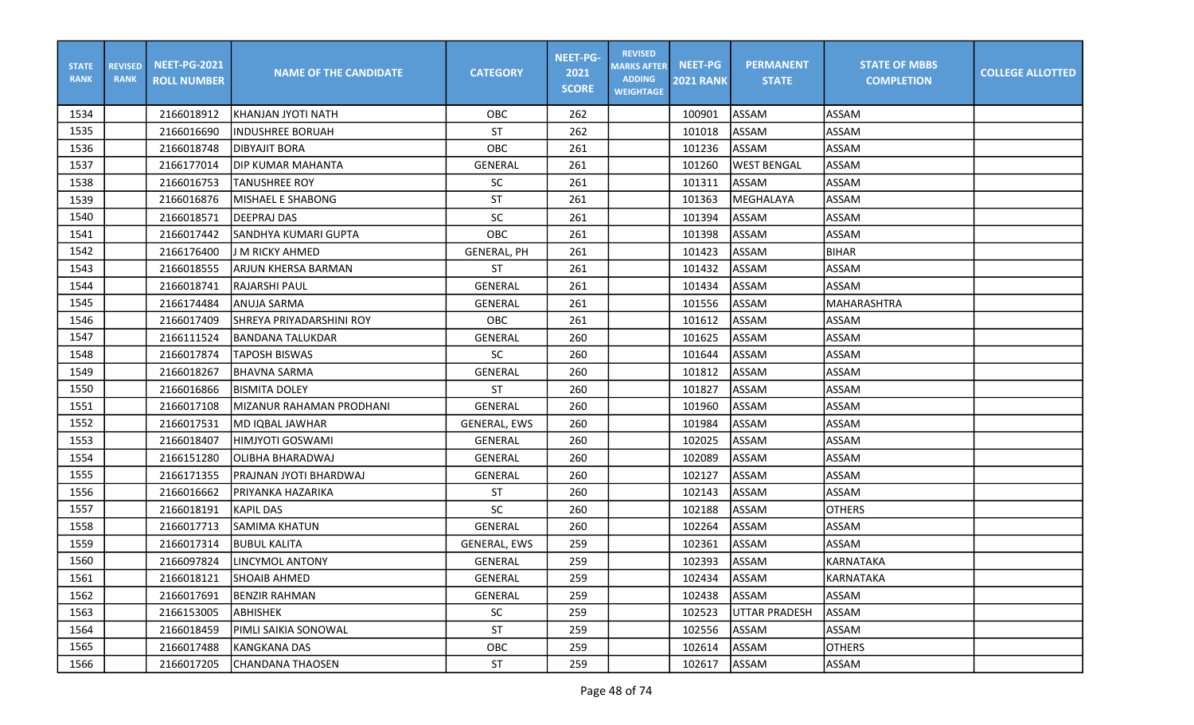| <b>STATE</b><br><b>RANK</b> | <b>REVISED</b><br><b>RANK</b> | <b>NEET-PG-2021</b><br><b>ROLL NUMBER</b> | <b>NAME OF THE CANDIDATE</b> | <b>CATEGORY</b>     | <b>NEET-PG-</b><br>2021<br><b>SCORE</b> | <b>REVISED</b><br><b>MARKS AFTER</b><br><b>ADDING</b><br><b>WEIGHTAGE</b> | <b>NEET-PG</b><br><b>2021 RANK</b> | <b>PERMANENT</b><br><b>STATE</b> | <b>STATE OF MBBS</b><br><b>COMPLETION</b> | <b>COLLEGE ALLOTTED</b> |
|-----------------------------|-------------------------------|-------------------------------------------|------------------------------|---------------------|-----------------------------------------|---------------------------------------------------------------------------|------------------------------------|----------------------------------|-------------------------------------------|-------------------------|
| 1534                        |                               | 2166018912                                | KHANJAN JYOTI NATH           | <b>OBC</b>          | 262                                     |                                                                           | 100901                             | ASSAM                            | ASSAM                                     |                         |
| 1535                        |                               | 2166016690                                | <b>INDUSHREE BORUAH</b>      | <b>ST</b>           | 262                                     |                                                                           | 101018                             | <b>ASSAM</b>                     | <b>ASSAM</b>                              |                         |
| 1536                        |                               | 2166018748                                | <b>DIBYAJIT BORA</b>         | OBC                 | 261                                     |                                                                           | 101236                             | ASSAM                            | <b>ASSAM</b>                              |                         |
| 1537                        |                               | 2166177014                                | IDIP KUMAR MAHANTA           | <b>GENERAL</b>      | 261                                     |                                                                           | 101260                             | <b>WEST BENGAL</b>               | <b>ASSAM</b>                              |                         |
| 1538                        |                               | 2166016753                                | TANUSHREE ROY                | <b>SC</b>           | 261                                     |                                                                           | 101311                             | ASSAM                            | <b>ASSAM</b>                              |                         |
| 1539                        |                               | 2166016876                                | <b>MISHAEL E SHABONG</b>     | ST                  | 261                                     |                                                                           | 101363                             | MEGHALAYA                        | <b>ASSAM</b>                              |                         |
| 1540                        |                               | 2166018571                                | <b>DEEPRAJ DAS</b>           | <b>SC</b>           | 261                                     |                                                                           | 101394                             | <b>ASSAM</b>                     | ASSAM                                     |                         |
| 1541                        |                               | 2166017442                                | lsandhya kumari Gupta        | OBC                 | 261                                     |                                                                           | 101398                             | ASSAM                            | <b>ASSAM</b>                              |                         |
| 1542                        |                               | 2166176400                                | J M RICKY AHMED              | <b>GENERAL, PH</b>  | 261                                     |                                                                           | 101423                             | ASSAM                            | <b>BIHAR</b>                              |                         |
| 1543                        |                               | 2166018555                                | ARJUN KHERSA BARMAN          | <b>ST</b>           | 261                                     |                                                                           | 101432                             | ASSAM                            | <b>ASSAM</b>                              |                         |
| 1544                        |                               | 2166018741                                | <b>RAJARSHI PAUL</b>         | GENERAL             | 261                                     |                                                                           | 101434                             | ASSAM                            | <b>ASSAM</b>                              |                         |
| 1545                        |                               | 2166174484                                | <b>ANUJA SARMA</b>           | <b>GENERAL</b>      | 261                                     |                                                                           | 101556                             | ASSAM                            | MAHARASHTRA                               |                         |
| 1546                        |                               | 2166017409                                | SHREYA PRIYADARSHINI ROY     | OBC                 | 261                                     |                                                                           | 101612                             | ASSAM                            | ASSAM                                     |                         |
| 1547                        |                               | 2166111524                                | BANDANA TALUKDAR             | <b>GENERAL</b>      | 260                                     |                                                                           | 101625                             | <b>ASSAM</b>                     | <b>ASSAM</b>                              |                         |
| 1548                        |                               | 2166017874                                | <b>TAPOSH BISWAS</b>         | <b>SC</b>           | 260                                     |                                                                           | 101644                             | ASSAM                            | <b>ASSAM</b>                              |                         |
| 1549                        |                               | 2166018267                                | <b>BHAVNA SARMA</b>          | GENERAL             | 260                                     |                                                                           | 101812                             | ASSAM                            | ASSAM                                     |                         |
| 1550                        |                               | 2166016866                                | <b>BISMITA DOLEY</b>         | <b>ST</b>           | 260                                     |                                                                           | 101827                             | ASSAM                            | ASSAM                                     |                         |
| 1551                        |                               | 2166017108                                | MIZANUR RAHAMAN PRODHANI     | GENERAL             | 260                                     |                                                                           | 101960                             | <b>ASSAM</b>                     | <b>ASSAM</b>                              |                         |
| 1552                        |                               | 2166017531                                | MD IQBAL JAWHAR              | <b>GENERAL, EWS</b> | 260                                     |                                                                           | 101984                             | ASSAM                            | <b>ASSAM</b>                              |                         |
| 1553                        |                               | 2166018407                                | İHIMJYOTI GOSWAMI            | <b>GENERAL</b>      | 260                                     |                                                                           | 102025                             | ASSAM                            | <b>ASSAM</b>                              |                         |
| 1554                        |                               | 2166151280                                | OLIBHA BHARADWAJ             | <b>GENERAL</b>      | 260                                     |                                                                           | 102089                             | <b>ASSAM</b>                     | <b>ASSAM</b>                              |                         |
| 1555                        |                               | 2166171355                                | PRAJNAN JYOTI BHARDWAJ       | <b>GENERAL</b>      | 260                                     |                                                                           | 102127                             | ASSAM                            | <b>ASSAM</b>                              |                         |
| 1556                        |                               | 2166016662                                | PRIYANKA HAZARIKA            | <b>ST</b>           | 260                                     |                                                                           | 102143                             | ASSAM                            | <b>ASSAM</b>                              |                         |
| 1557                        |                               | 2166018191                                | KAPIL DAS                    | <b>SC</b>           | 260                                     |                                                                           | 102188                             | ASSAM                            | <b>OTHERS</b>                             |                         |
| 1558                        |                               | 2166017713                                | SAMIMA KHATUN                | <b>GENERAL</b>      | 260                                     |                                                                           | 102264                             | ASSAM                            | <b>ASSAM</b>                              |                         |
| 1559                        |                               | 2166017314                                | <b>BUBUL KALITA</b>          | <b>GENERAL, EWS</b> | 259                                     |                                                                           | 102361                             | ASSAM                            | ASSAM                                     |                         |
| 1560                        |                               | 2166097824                                | LINCYMOL ANTONY              | <b>GENERAL</b>      | 259                                     |                                                                           | 102393                             | ASSAM                            | <b>KARNATAKA</b>                          |                         |
| 1561                        |                               | 2166018121                                | <b>SHOAIB AHMED</b>          | GENERAL             | 259                                     |                                                                           | 102434                             | ASSAM                            | KARNATAKA                                 |                         |
| 1562                        |                               | 2166017691                                | <b>BENZIR RAHMAN</b>         | GENERAL             | 259                                     |                                                                           | 102438                             | ASSAM                            | ASSAM                                     |                         |
| 1563                        |                               | 2166153005                                | ABHISHEK                     | SC                  | 259                                     |                                                                           | 102523                             | <b>UTTAR PRADESH</b>             | <b>ASSAM</b>                              |                         |
| 1564                        |                               | 2166018459                                | PIMLI SAIKIA SONOWAL         | ST                  | 259                                     |                                                                           | 102556                             | <b>ASSAM</b>                     | ASSAM                                     |                         |
| 1565                        |                               | 2166017488                                | KANGKANA DAS                 | OBC                 | 259                                     |                                                                           | 102614                             | ASSAM                            | <b>OTHERS</b>                             |                         |
| 1566                        |                               | 2166017205                                | CHANDANA THAOSEN             | ST                  | 259                                     |                                                                           | 102617                             | ASSAM                            | ASSAM                                     |                         |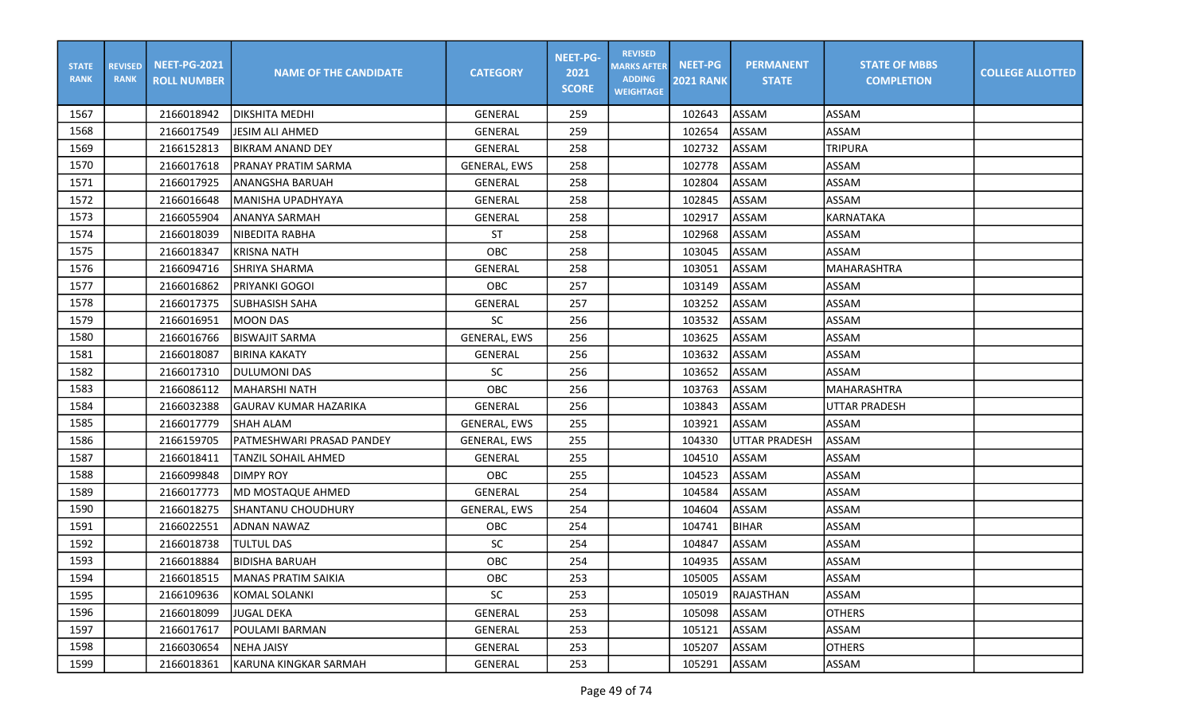| <b>STATE</b><br><b>RANK</b> | <b>REVISED</b><br><b>RANK</b> | <b>NEET-PG-2021</b><br><b>ROLL NUMBER</b> | <b>NAME OF THE CANDIDATE</b> | <b>CATEGORY</b>     | <b>NEET-PG-</b><br>2021<br><b>SCORE</b> | <b>REVISED</b><br><b>MARKS AFTER</b><br><b>ADDING</b><br><b>WEIGHTAGE</b> | <b>NEET-PG</b><br><b>2021 RANK</b> | <b>PERMANENT</b><br><b>STATE</b> | <b>STATE OF MBBS</b><br><b>COMPLETION</b> | <b>COLLEGE ALLOTTED</b> |
|-----------------------------|-------------------------------|-------------------------------------------|------------------------------|---------------------|-----------------------------------------|---------------------------------------------------------------------------|------------------------------------|----------------------------------|-------------------------------------------|-------------------------|
| 1567                        |                               | 2166018942                                | IDIKSHITA MEDHI              | <b>GENERAL</b>      | 259                                     |                                                                           | 102643                             | ASSAM                            | ASSAM                                     |                         |
| 1568                        |                               | 2166017549                                | <b>JESIM ALI AHMED</b>       | GENERAL             | 259                                     |                                                                           | 102654                             | <b>ASSAM</b>                     | <b>ASSAM</b>                              |                         |
| 1569                        |                               | 2166152813                                | <b>BIKRAM ANAND DEY</b>      | GENERAL             | 258                                     |                                                                           | 102732                             | <b>ASSAM</b>                     | <b>TRIPURA</b>                            |                         |
| 1570                        |                               | 2166017618                                | PRANAY PRATIM SARMA          | <b>GENERAL, EWS</b> | 258                                     |                                                                           | 102778                             | ASSAM                            | <b>ASSAM</b>                              |                         |
| 1571                        |                               | 2166017925                                | ANANGSHA BARUAH              | GENERAL             | 258                                     |                                                                           | 102804                             | ASSAM                            | <b>ASSAM</b>                              |                         |
| 1572                        |                               | 2166016648                                | MANISHA UPADHYAYA            | <b>GENERAL</b>      | 258                                     |                                                                           | 102845                             | ASSAM                            | <b>ASSAM</b>                              |                         |
| 1573                        |                               | 2166055904                                | ANANYA SARMAH                | GENERAL             | 258                                     |                                                                           | 102917                             | ASSAM                            | KARNATAKA                                 |                         |
| 1574                        |                               | 2166018039                                | NIBEDITA RABHA               | <b>ST</b>           | 258                                     |                                                                           | 102968                             | ASSAM                            | ASSAM                                     |                         |
| 1575                        |                               | 2166018347                                | <b>KRISNA NATH</b>           | OBC                 | 258                                     |                                                                           | 103045                             | <b>ASSAM</b>                     | <b>ASSAM</b>                              |                         |
| 1576                        |                               | 2166094716                                | SHRIYA SHARMA                | GENERAL             | 258                                     |                                                                           | 103051                             | ASSAM                            | MAHARASHTRA                               |                         |
| 1577                        |                               | 2166016862                                | PRIYANKI GOGOI               | OBC                 | 257                                     |                                                                           | 103149                             | <b>ASSAM</b>                     | <b>ASSAM</b>                              |                         |
| 1578                        |                               | 2166017375                                | <b>SUBHASISH SAHA</b>        | <b>GENERAL</b>      | 257                                     |                                                                           | 103252                             | ASSAM                            | <b>ASSAM</b>                              |                         |
| 1579                        |                               | 2166016951                                | <b>MOON DAS</b>              | SC                  | 256                                     |                                                                           | 103532                             | ASSAM                            | <b>ASSAM</b>                              |                         |
| 1580                        |                               | 2166016766                                | <b>BISWAJIT SARMA</b>        | <b>GENERAL, EWS</b> | 256                                     |                                                                           | 103625                             | ASSAM                            | <b>ASSAM</b>                              |                         |
| 1581                        |                               | 2166018087                                | <b>BIRINA KAKATY</b>         | <b>GENERAL</b>      | 256                                     |                                                                           | 103632                             | <b>ASSAM</b>                     | <b>ASSAM</b>                              |                         |
| 1582                        |                               | 2166017310                                | DULUMONI DAS                 | <b>SC</b>           | 256                                     |                                                                           | 103652                             | ASSAM                            | ASSAM                                     |                         |
| 1583                        |                               | 2166086112                                | MAHARSHI NATH                | <b>OBC</b>          | 256                                     |                                                                           | 103763                             | ASSAM                            | <b>MAHARASHTRA</b>                        |                         |
| 1584                        |                               | 2166032388                                | <b>GAURAV KUMAR HAZARIKA</b> | <b>GENERAL</b>      | 256                                     |                                                                           | 103843                             | ASSAM                            | <b>UTTAR PRADESH</b>                      |                         |
| 1585                        |                               | 2166017779                                | <b>SHAH ALAM</b>             | <b>GENERAL, EWS</b> | 255                                     |                                                                           | 103921                             | ASSAM                            | ASSAM                                     |                         |
| 1586                        |                               | 2166159705                                | PATMESHWARI PRASAD PANDEY    | <b>GENERAL, EWS</b> | 255                                     |                                                                           | 104330                             | UTTAR PRADESH                    | <b>ASSAM</b>                              |                         |
| 1587                        |                               | 2166018411                                | TANZIL SOHAIL AHMED          | <b>GENERAL</b>      | 255                                     |                                                                           | 104510                             | ASSAM                            | <b>ASSAM</b>                              |                         |
| 1588                        |                               | 2166099848                                | <b>DIMPY ROY</b>             | OBC                 | 255                                     |                                                                           | 104523                             | <b>ASSAM</b>                     | <b>ASSAM</b>                              |                         |
| 1589                        |                               | 2166017773                                | MD MOSTAQUE AHMED            | GENERAL             | 254                                     |                                                                           | 104584                             | <b>ASSAM</b>                     | <b>ASSAM</b>                              |                         |
| 1590                        |                               | 2166018275                                | <b>SHANTANU CHOUDHURY</b>    | <b>GENERAL, EWS</b> | 254                                     |                                                                           | 104604                             | ASSAM                            | <b>ASSAM</b>                              |                         |
| 1591                        |                               | 2166022551                                | <b>ADNAN NAWAZ</b>           | OBC                 | 254                                     |                                                                           | 104741                             | <b>BIHAR</b>                     | <b>ASSAM</b>                              |                         |
| 1592                        |                               | 2166018738                                | <b>TULTUL DAS</b>            | SC                  | 254                                     |                                                                           | 104847                             | ASSAM                            | <b>ASSAM</b>                              |                         |
| 1593                        |                               | 2166018884                                | <b>BIDISHA BARUAH</b>        | OBC                 | 254                                     |                                                                           | 104935                             | ASSAM                            | <b>ASSAM</b>                              |                         |
| 1594                        |                               | 2166018515                                | <b>MANAS PRATIM SAIKIA</b>   | OBC                 | 253                                     |                                                                           | 105005                             | ASSAM                            | ASSAM                                     |                         |
| 1595                        |                               | 2166109636                                | KOMAL SOLANKI                | SC                  | 253                                     |                                                                           | 105019                             | RAJASTHAN                        | ASSAM                                     |                         |
| 1596                        |                               | 2166018099                                | <b>JUGAL DEKA</b>            | GENERAL             | 253                                     |                                                                           | 105098                             | ASSAM                            | <b>OTHERS</b>                             |                         |
| 1597                        |                               | 2166017617                                | POULAMI BARMAN               | GENERAL             | 253                                     |                                                                           | 105121                             | ASSAM                            | ASSAM                                     |                         |
| 1598                        |                               | 2166030654                                | <b>NEHA JAISY</b>            | GENERAL             | 253                                     |                                                                           | 105207                             | ASSAM                            | <b>OTHERS</b>                             |                         |
| 1599                        |                               | 2166018361                                | KARUNA KINGKAR SARMAH        | GENERAL             | 253                                     |                                                                           | 105291                             | ASSAM                            | ASSAM                                     |                         |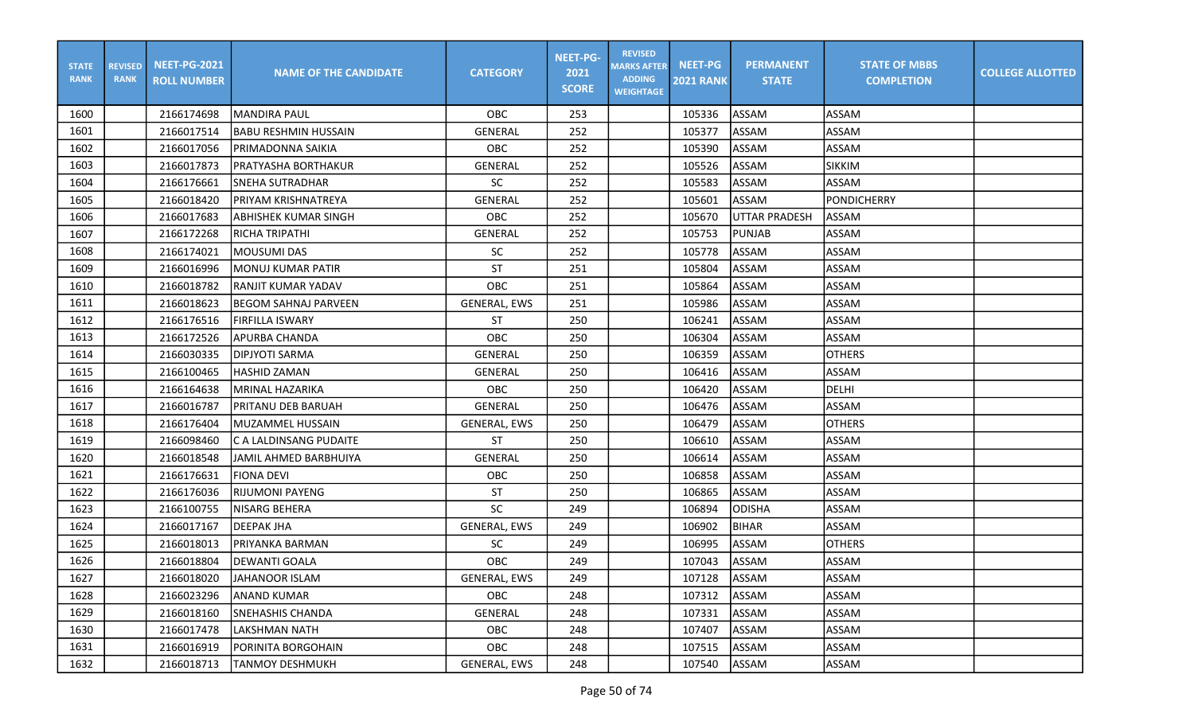| <b>STATE</b><br><b>RANK</b> | <b>REVISED</b><br><b>RANK</b> | <b>NEET-PG-2021</b><br><b>ROLL NUMBER</b> | <b>NAME OF THE CANDIDATE</b> | <b>CATEGORY</b>     | <b>NEET-PG-</b><br>2021<br><b>SCORE</b> | <b>REVISED</b><br><b>MARKS AFTER</b><br><b>ADDING</b><br><b>WEIGHTAGE</b> | <b>NEET-PG</b><br><b>2021 RANK</b> | <b>PERMANENT</b><br><b>STATE</b> | <b>STATE OF MBBS</b><br><b>COMPLETION</b> | <b>COLLEGE ALLOTTED</b> |
|-----------------------------|-------------------------------|-------------------------------------------|------------------------------|---------------------|-----------------------------------------|---------------------------------------------------------------------------|------------------------------------|----------------------------------|-------------------------------------------|-------------------------|
| 1600                        |                               | 2166174698                                | <b>MANDIRA PAUL</b>          | OBC                 | 253                                     |                                                                           | 105336                             | ASSAM                            | ASSAM                                     |                         |
| 1601                        |                               | 2166017514                                | <b>BABU RESHMIN HUSSAIN</b>  | GENERAL             | 252                                     |                                                                           | 105377                             | <b>ASSAM</b>                     | <b>ASSAM</b>                              |                         |
| 1602                        |                               | 2166017056                                | PRIMADONNA SAIKIA            | OBC                 | 252                                     |                                                                           | 105390                             | ASSAM                            | <b>ASSAM</b>                              |                         |
| 1603                        |                               | 2166017873                                | PRATYASHA BORTHAKUR          | GENERAL             | 252                                     |                                                                           | 105526                             | ASSAM                            | <b>SIKKIM</b>                             |                         |
| 1604                        |                               | 2166176661                                | <b>SNEHA SUTRADHAR</b>       | <b>SC</b>           | 252                                     |                                                                           | 105583                             | ASSAM                            | <b>ASSAM</b>                              |                         |
| 1605                        |                               | 2166018420                                | PRIYAM KRISHNATREYA          | <b>GENERAL</b>      | 252                                     |                                                                           | 105601                             | ASSAM                            | <b>PONDICHERRY</b>                        |                         |
| 1606                        |                               | 2166017683                                | <b>ABHISHEK KUMAR SINGH</b>  | OBC                 | 252                                     |                                                                           | 105670                             | <b>UTTAR PRADESH</b>             | ASSAM                                     |                         |
| 1607                        |                               | 2166172268                                | RICHA TRIPATHI               | <b>GENERAL</b>      | 252                                     |                                                                           | 105753                             | <b>PUNJAB</b>                    | <b>ASSAM</b>                              |                         |
| 1608                        |                               | 2166174021                                | MOUSUMI DAS                  | <b>SC</b>           | 252                                     |                                                                           | 105778                             | <b>ASSAM</b>                     | <b>ASSAM</b>                              |                         |
| 1609                        |                               | 2166016996                                | <b>MONUJ KUMAR PATIR</b>     | <b>ST</b>           | 251                                     |                                                                           | 105804                             | ASSAM                            | <b>ASSAM</b>                              |                         |
| 1610                        |                               | 2166018782                                | <b>RANJIT KUMAR YADAV</b>    | OBC                 | 251                                     |                                                                           | 105864                             | <b>ASSAM</b>                     | <b>ASSAM</b>                              |                         |
| 1611                        |                               | 2166018623                                | <b>BEGOM SAHNAJ PARVEEN</b>  | <b>GENERAL, EWS</b> | 251                                     |                                                                           | 105986                             | ASSAM                            | <b>ASSAM</b>                              |                         |
| 1612                        |                               | 2166176516                                | FIRFILLA ISWARY              | <b>ST</b>           | 250                                     |                                                                           | 106241                             | ASSAM                            | <b>ASSAM</b>                              |                         |
| 1613                        |                               | 2166172526                                | APURBA CHANDA                | OBC                 | 250                                     |                                                                           | 106304                             | ASSAM                            | <b>ASSAM</b>                              |                         |
| 1614                        |                               | 2166030335                                | <b>DIPJYOTI SARMA</b>        | <b>GENERAL</b>      | 250                                     |                                                                           | 106359                             | ASSAM                            | <b>OTHERS</b>                             |                         |
| 1615                        |                               | 2166100465                                | <b>HASHID ZAMAN</b>          | <b>GENERAL</b>      | 250                                     |                                                                           | 106416                             | ASSAM                            | ASSAM                                     |                         |
| 1616                        |                               | 2166164638                                | MRINAL HAZARIKA              | <b>OBC</b>          | 250                                     |                                                                           | 106420                             | ASSAM                            | DELHI                                     |                         |
| 1617                        |                               | 2166016787                                | PRITANU DEB BARUAH           | <b>GENERAL</b>      | 250                                     |                                                                           | 106476                             | ASSAM                            | <b>ASSAM</b>                              |                         |
| 1618                        |                               | 2166176404                                | MUZAMMEL HUSSAIN             | <b>GENERAL, EWS</b> | 250                                     |                                                                           | 106479                             | ASSAM                            | <b>OTHERS</b>                             |                         |
| 1619                        |                               | 2166098460                                | C A LALDINSANG PUDAITE       | <b>ST</b>           | 250                                     |                                                                           | 106610                             | ASSAM                            | <b>ASSAM</b>                              |                         |
| 1620                        |                               | 2166018548                                | <b>JAMIL AHMED BARBHUIYA</b> | <b>GENERAL</b>      | 250                                     |                                                                           | 106614                             | ASSAM                            | <b>ASSAM</b>                              |                         |
| 1621                        |                               | 2166176631                                | <b>FIONA DEVI</b>            | OBC                 | 250                                     |                                                                           | 106858                             | ASSAM                            | <b>ASSAM</b>                              |                         |
| 1622                        |                               | 2166176036                                | <b>RIJUMONI PAYENG</b>       | ST                  | 250                                     |                                                                           | 106865                             | ASSAM                            | <b>ASSAM</b>                              |                         |
| 1623                        |                               | 2166100755                                | <b>NISARG BEHERA</b>         | SC                  | 249                                     |                                                                           | 106894                             | <b>ODISHA</b>                    | <b>ASSAM</b>                              |                         |
| 1624                        |                               | 2166017167                                | <b>DEEPAK JHA</b>            | GENERAL, EWS        | 249                                     |                                                                           | 106902                             | <b>BIHAR</b>                     | <b>ASSAM</b>                              |                         |
| 1625                        |                               | 2166018013                                | PRIYANKA BARMAN              | <b>SC</b>           | 249                                     |                                                                           | 106995                             | ASSAM                            | <b>OTHERS</b>                             |                         |
| 1626                        |                               | 2166018804                                | <b>DEWANTI GOALA</b>         | OBC                 | 249                                     |                                                                           | 107043                             | ASSAM                            | <b>ASSAM</b>                              |                         |
| 1627                        |                               | 2166018020                                | JAHANOOR ISLAM               | GENERAL, EWS        | 249                                     |                                                                           | 107128                             | ASSAM                            | ASSAM                                     |                         |
| 1628                        |                               | 2166023296                                | <b>ANAND KUMAR</b>           | OBC                 | 248                                     |                                                                           | 107312                             | ASSAM                            | ASSAM                                     |                         |
| 1629                        |                               | 2166018160                                | <b>SNEHASHIS CHANDA</b>      | GENERAL             | 248                                     |                                                                           | 107331                             | ASSAM                            | ASSAM                                     |                         |
| 1630                        |                               | 2166017478                                | LAKSHMAN NATH                | OBC                 | 248                                     |                                                                           | 107407                             | ASSAM                            | ASSAM                                     |                         |
| 1631                        |                               | 2166016919                                | PORINITA BORGOHAIN           | <b>OBC</b>          | 248                                     |                                                                           | 107515                             | ASSAM                            | ASSAM                                     |                         |
| 1632                        |                               | 2166018713                                | <b>TANMOY DESHMUKH</b>       | GENERAL, EWS        | 248                                     |                                                                           | 107540                             | ASSAM                            | ASSAM                                     |                         |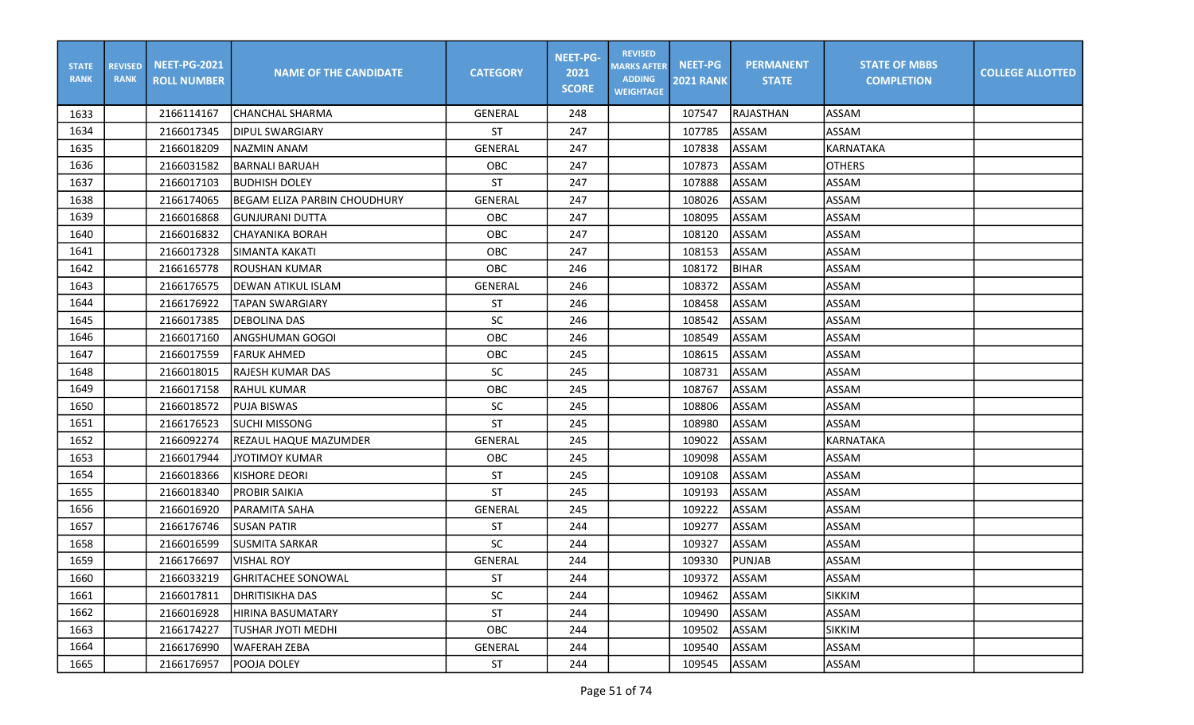| <b>STATE</b><br><b>RANK</b> | <b>REVISED</b><br><b>RANK</b> | <b>NEET-PG-2021</b><br><b>ROLL NUMBER</b> | <b>NAME OF THE CANDIDATE</b> | <b>CATEGORY</b> | <b>NEET-PG-</b><br>2021<br><b>SCORE</b> | <b>REVISED</b><br><b>MARKS AFTER</b><br><b>ADDING</b><br><b>WEIGHTAGE</b> | <b>NEET-PG</b><br><b>2021 RANK</b> | <b>PERMANENT</b><br><b>STATE</b> | <b>STATE OF MBBS</b><br><b>COMPLETION</b> | <b>COLLEGE ALLOTTED</b> |
|-----------------------------|-------------------------------|-------------------------------------------|------------------------------|-----------------|-----------------------------------------|---------------------------------------------------------------------------|------------------------------------|----------------------------------|-------------------------------------------|-------------------------|
| 1633                        |                               | 2166114167                                | CHANCHAL SHARMA              | <b>GENERAL</b>  | 248                                     |                                                                           | 107547                             | <b>RAJASTHAN</b>                 | ASSAM                                     |                         |
| 1634                        |                               | 2166017345                                | IDIPUL SWARGIARY             | <b>ST</b>       | 247                                     |                                                                           | 107785                             | <b>ASSAM</b>                     | <b>ASSAM</b>                              |                         |
| 1635                        |                               | 2166018209                                | NAZMIN ANAM                  | <b>GENERAL</b>  | 247                                     |                                                                           | 107838                             | ASSAM                            | KARNATAKA                                 |                         |
| 1636                        |                               | 2166031582                                | <b>BARNALI BARUAH</b>        | OBC             | 247                                     |                                                                           | 107873                             | ASSAM                            | <b>OTHERS</b>                             |                         |
| 1637                        |                               | 2166017103                                | IBUDHISH DOLEY               | <b>ST</b>       | 247                                     |                                                                           | 107888                             | ASSAM                            | ASSAM                                     |                         |
| 1638                        |                               | 2166174065                                | BEGAM ELIZA PARBIN CHOUDHURY | <b>GENERAL</b>  | 247                                     |                                                                           | 108026                             | ASSAM                            | <b>ASSAM</b>                              |                         |
| 1639                        |                               | 2166016868                                | GUNJURANI DUTTA              | OBC             | 247                                     |                                                                           | 108095                             | ASSAM                            | <b>ASSAM</b>                              |                         |
| 1640                        |                               | 2166016832                                | İCHAYANIKA BORAH             | OBC             | 247                                     |                                                                           | 108120                             | ASSAM                            | <b>ASSAM</b>                              |                         |
| 1641                        |                               | 2166017328                                | <b>SIMANTA KAKATI</b>        | OBC             | 247                                     |                                                                           | 108153                             | ASSAM                            | ASSAM                                     |                         |
| 1642                        |                               | 2166165778                                | <b>ROUSHAN KUMAR</b>         | OBC             | 246                                     |                                                                           | 108172                             | <b>BIHAR</b>                     | <b>ASSAM</b>                              |                         |
| 1643                        |                               | 2166176575                                | <b>DEWAN ATIKUL ISLAM</b>    | <b>GENERAL</b>  | 246                                     |                                                                           | 108372                             | ASSAM                            | <b>ASSAM</b>                              |                         |
| 1644                        |                               | 2166176922                                | <b>TAPAN SWARGIARY</b>       | ST              | 246                                     |                                                                           | 108458                             | ASSAM                            | <b>ASSAM</b>                              |                         |
| 1645                        |                               | 2166017385                                | <b>DEBOLINA DAS</b>          | SC              | 246                                     |                                                                           | 108542                             | ASSAM                            | <b>ASSAM</b>                              |                         |
| 1646                        |                               | 2166017160                                | <b>ANGSHUMAN GOGOI</b>       | OBC             | 246                                     |                                                                           | 108549                             | ASSAM                            | <b>ASSAM</b>                              |                         |
| 1647                        |                               | 2166017559                                | FARUK AHMED                  | OBC             | 245                                     |                                                                           | 108615                             | ASSAM                            | ASSAM                                     |                         |
| 1648                        |                               | 2166018015                                | RAJESH KUMAR DAS             | SC              | 245                                     |                                                                           | 108731                             | ASSAM                            | ASSAM                                     |                         |
| 1649                        |                               | 2166017158                                | <b>RAHUL KUMAR</b>           | OBC             | 245                                     |                                                                           | 108767                             | ASSAM                            | ASSAM                                     |                         |
| 1650                        |                               | 2166018572                                | <b>PUJA BISWAS</b>           | <b>SC</b>       | 245                                     |                                                                           | 108806                             | ASSAM                            | <b>ASSAM</b>                              |                         |
| 1651                        |                               | 2166176523                                | ISUCHI MISSONG               | <b>ST</b>       | 245                                     |                                                                           | 108980                             | ASSAM                            | <b>ASSAM</b>                              |                         |
| 1652                        |                               | 2166092274                                | REZAUL HAQUE MAZUMDER        | <b>GENERAL</b>  | 245                                     |                                                                           | 109022                             | ASSAM                            | <b>KARNATAKA</b>                          |                         |
| 1653                        |                               | 2166017944                                | <b>JYOTIMOY KUMAR</b>        | OBC             | 245                                     |                                                                           | 109098                             | <b>ASSAM</b>                     | <b>ASSAM</b>                              |                         |
| 1654                        |                               | 2166018366                                | <b>KISHORE DEORI</b>         | <b>ST</b>       | 245                                     |                                                                           | 109108                             | ASSAM                            | <b>ASSAM</b>                              |                         |
| 1655                        |                               | 2166018340                                | PROBIR SAIKIA                | <b>ST</b>       | 245                                     |                                                                           | 109193                             | ASSAM                            | <b>ASSAM</b>                              |                         |
| 1656                        |                               | 2166016920                                | IPARAMITA SAHA               | <b>GENERAL</b>  | 245                                     |                                                                           | 109222                             | ASSAM                            | <b>ASSAM</b>                              |                         |
| 1657                        |                               | 2166176746                                | <b>SUSAN PATIR</b>           | <b>ST</b>       | 244                                     |                                                                           | 109277                             | ASSAM                            | <b>ASSAM</b>                              |                         |
| 1658                        |                               | 2166016599                                | <b>SUSMITA SARKAR</b>        | <b>SC</b>       | 244                                     |                                                                           | 109327                             | ASSAM                            | <b>ASSAM</b>                              |                         |
| 1659                        |                               | 2166176697                                | VISHAL ROY                   | GENERAL         | 244                                     |                                                                           | 109330                             | <b>PUNJAB</b>                    | <b>ASSAM</b>                              |                         |
| 1660                        |                               | 2166033219                                | <b>GHRITACHEE SONOWAL</b>    | <b>ST</b>       | 244                                     |                                                                           | 109372                             | ASSAM                            | <b>ASSAM</b>                              |                         |
| 1661                        |                               | 2166017811                                | DHRITISIKHA DAS              | SC              | 244                                     |                                                                           | 109462                             | <b>ASSAM</b>                     | <b>SIKKIM</b>                             |                         |
| 1662                        |                               | 2166016928                                | HIRINA BASUMATARY            | ST              | 244                                     |                                                                           | 109490                             | <b>ASSAM</b>                     | ASSAM                                     |                         |
| 1663                        |                               | 2166174227                                | <b>TUSHAR JYOTI MEDHI</b>    | OBC             | 244                                     |                                                                           | 109502                             | <b>ASSAM</b>                     | <b>SIKKIM</b>                             |                         |
| 1664                        |                               | 2166176990                                | <b>WAFERAH ZEBA</b>          | GENERAL         | 244                                     |                                                                           | 109540                             | ASSAM                            | ASSAM                                     |                         |
| 1665                        |                               | 2166176957                                | POOJA DOLEY                  | ST              | 244                                     |                                                                           | 109545                             | ASSAM                            | ASSAM                                     |                         |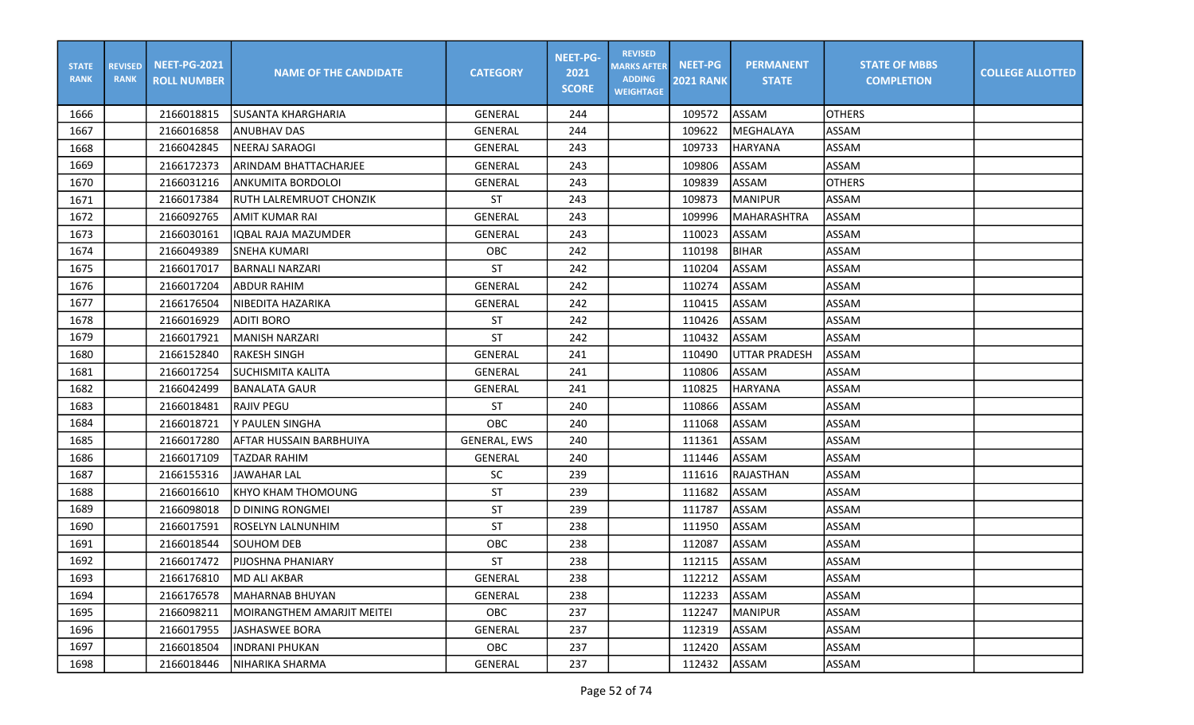| <b>STATE</b><br><b>RANK</b> | <b>REVISED</b><br><b>RANK</b> | <b>NEET-PG-2021</b><br><b>ROLL NUMBER</b> | <b>NAME OF THE CANDIDATE</b>   | <b>CATEGORY</b>     | <b>NEET-PG-</b><br>2021<br><b>SCORE</b> | <b>REVISED</b><br><b>MARKS AFTER</b><br><b>ADDING</b><br><b>WEIGHTAGE</b> | <b>NEET-PG</b><br><b>2021 RANK</b> | <b>PERMANENT</b><br><b>STATE</b> | <b>STATE OF MBBS</b><br><b>COMPLETION</b> | <b>COLLEGE ALLOTTED</b> |
|-----------------------------|-------------------------------|-------------------------------------------|--------------------------------|---------------------|-----------------------------------------|---------------------------------------------------------------------------|------------------------------------|----------------------------------|-------------------------------------------|-------------------------|
| 1666                        |                               | 2166018815                                | SUSANTA KHARGHARIA             | <b>GENERAL</b>      | 244                                     |                                                                           | 109572                             | ASSAM                            | <b>OTHERS</b>                             |                         |
| 1667                        |                               | 2166016858                                | ANUBHAV DAS                    | GENERAL             | 244                                     |                                                                           | 109622                             | MEGHALAYA                        | <b>ASSAM</b>                              |                         |
| 1668                        |                               | 2166042845                                | <b>NEERAJ SARAOGI</b>          | GENERAL             | 243                                     |                                                                           | 109733                             | <b>HARYANA</b>                   | <b>ASSAM</b>                              |                         |
| 1669                        |                               | 2166172373                                | ARINDAM BHATTACHARJEE          | GENERAL             | 243                                     |                                                                           | 109806                             | ASSAM                            | ASSAM                                     |                         |
| 1670                        |                               | 2166031216                                | ANKUMITA BORDOLOI              | GENERAL             | 243                                     |                                                                           | 109839                             | ASSAM                            | <b>OTHERS</b>                             |                         |
| 1671                        |                               | 2166017384                                | <b>RUTH LALREMRUOT CHONZIK</b> | ST                  | 243                                     |                                                                           | 109873                             | <b>MANIPUR</b>                   | <b>ASSAM</b>                              |                         |
| 1672                        |                               | 2166092765                                | AMIT KUMAR RAI                 | <b>GENERAL</b>      | 243                                     |                                                                           | 109996                             | MAHARASHTRA                      | ASSAM                                     |                         |
| 1673                        |                               | 2166030161                                | <b>IQBAL RAJA MAZUMDER</b>     | <b>GENERAL</b>      | 243                                     |                                                                           | 110023                             | ASSAM                            | <b>ASSAM</b>                              |                         |
| 1674                        |                               | 2166049389                                | <b>SNEHA KUMARI</b>            | OBC                 | 242                                     |                                                                           | 110198                             | <b>BIHAR</b>                     | <b>ASSAM</b>                              |                         |
| 1675                        |                               | 2166017017                                | BARNALI NARZARI                | ST                  | 242                                     |                                                                           | 110204                             | ASSAM                            | <b>ASSAM</b>                              |                         |
| 1676                        |                               | 2166017204                                | ABDUR RAHIM                    | <b>GENERAL</b>      | 242                                     |                                                                           | 110274                             | ASSAM                            | <b>ASSAM</b>                              |                         |
| 1677                        |                               | 2166176504                                | NIBEDITA HAZARIKA              | <b>GENERAL</b>      | 242                                     |                                                                           | 110415                             | ASSAM                            | <b>ASSAM</b>                              |                         |
| 1678                        |                               | 2166016929                                | <b>ADITI BORO</b>              | <b>ST</b>           | 242                                     |                                                                           | 110426                             | ASSAM                            | <b>ASSAM</b>                              |                         |
| 1679                        |                               | 2166017921                                | <b>MANISH NARZARI</b>          | <b>ST</b>           | 242                                     |                                                                           | 110432                             | ASSAM                            | ASSAM                                     |                         |
| 1680                        |                               | 2166152840                                | <b>RAKESH SINGH</b>            | <b>GENERAL</b>      | 241                                     |                                                                           | 110490                             | <b>UTTAR PRADESH</b>             | <b>ASSAM</b>                              |                         |
| 1681                        |                               | 2166017254                                | ISUCHISMITA KALITA             | <b>GENERAL</b>      | 241                                     |                                                                           | 110806                             | ASSAM                            | ASSAM                                     |                         |
| 1682                        |                               | 2166042499                                | <b>BANALATA GAUR</b>           | <b>GENERAL</b>      | 241                                     |                                                                           | 110825                             | <b>HARYANA</b>                   | <b>ASSAM</b>                              |                         |
| 1683                        |                               | 2166018481                                | <b>RAJIV PEGU</b>              | <b>ST</b>           | 240                                     |                                                                           | 110866                             | ASSAM                            | <b>ASSAM</b>                              |                         |
| 1684                        |                               | 2166018721                                | Y PAULEN SINGHA                | OBC                 | 240                                     |                                                                           | 111068                             | ASSAM                            | ASSAM                                     |                         |
| 1685                        |                               | 2166017280                                | AFTAR HUSSAIN BARBHUIYA        | <b>GENERAL, EWS</b> | 240                                     |                                                                           | 111361                             | ASSAM                            | <b>ASSAM</b>                              |                         |
| 1686                        |                               | 2166017109                                | TAZDAR RAHIM                   | <b>GENERAL</b>      | 240                                     |                                                                           | 111446                             | ASSAM                            | <b>ASSAM</b>                              |                         |
| 1687                        |                               | 2166155316                                | JAWAHAR LAL                    | SC                  | 239                                     |                                                                           | 111616                             | RAJASTHAN                        | <b>ASSAM</b>                              |                         |
| 1688                        |                               | 2166016610                                | KHYO KHAM THOMOUNG             | <b>ST</b>           | 239                                     |                                                                           | 111682                             | ASSAM                            | <b>ASSAM</b>                              |                         |
| 1689                        |                               | 2166098018                                | <b>D DINING RONGMEI</b>        | <b>ST</b>           | 239                                     |                                                                           | 111787                             | ASSAM                            | ASSAM                                     |                         |
| 1690                        |                               | 2166017591                                | ROSELYN LALNUNHIM              | <b>ST</b>           | 238                                     |                                                                           | 111950                             | ASSAM                            | <b>ASSAM</b>                              |                         |
| 1691                        |                               | 2166018544                                | <b>SOUHOM DEB</b>              | OBC                 | 238                                     |                                                                           | 112087                             | ASSAM                            | ASSAM                                     |                         |
| 1692                        |                               | 2166017472                                | PIJOSHNA PHANIARY              | <b>ST</b>           | 238                                     |                                                                           | 112115                             | <b>ASSAM</b>                     | <b>ASSAM</b>                              |                         |
| 1693                        |                               | 2166176810                                | MD ALI AKBAR                   | GENERAL             | 238                                     |                                                                           | 112212                             | ASSAM                            | ASSAM                                     |                         |
| 1694                        |                               | 2166176578                                | MAHARNAB BHUYAN                | GENERAL             | 238                                     |                                                                           | 112233                             | ASSAM                            | ASSAM                                     |                         |
| 1695                        |                               | 2166098211                                | MOIRANGTHEM AMARJIT MEITEI     | OBC                 | 237                                     |                                                                           | 112247                             | MANIPUR                          | ASSAM                                     |                         |
| 1696                        |                               | 2166017955                                | <b>JASHASWEE BORA</b>          | <b>GENERAL</b>      | 237                                     |                                                                           | 112319                             | ASSAM                            | ASSAM                                     |                         |
| 1697                        |                               | 2166018504                                | <b>INDRANI PHUKAN</b>          | OBC                 | 237                                     |                                                                           | 112420                             | ASSAM                            | ASSAM                                     |                         |
| 1698                        |                               | 2166018446                                | NIHARIKA SHARMA                | GENERAL             | 237                                     |                                                                           | 112432                             | ASSAM                            | ASSAM                                     |                         |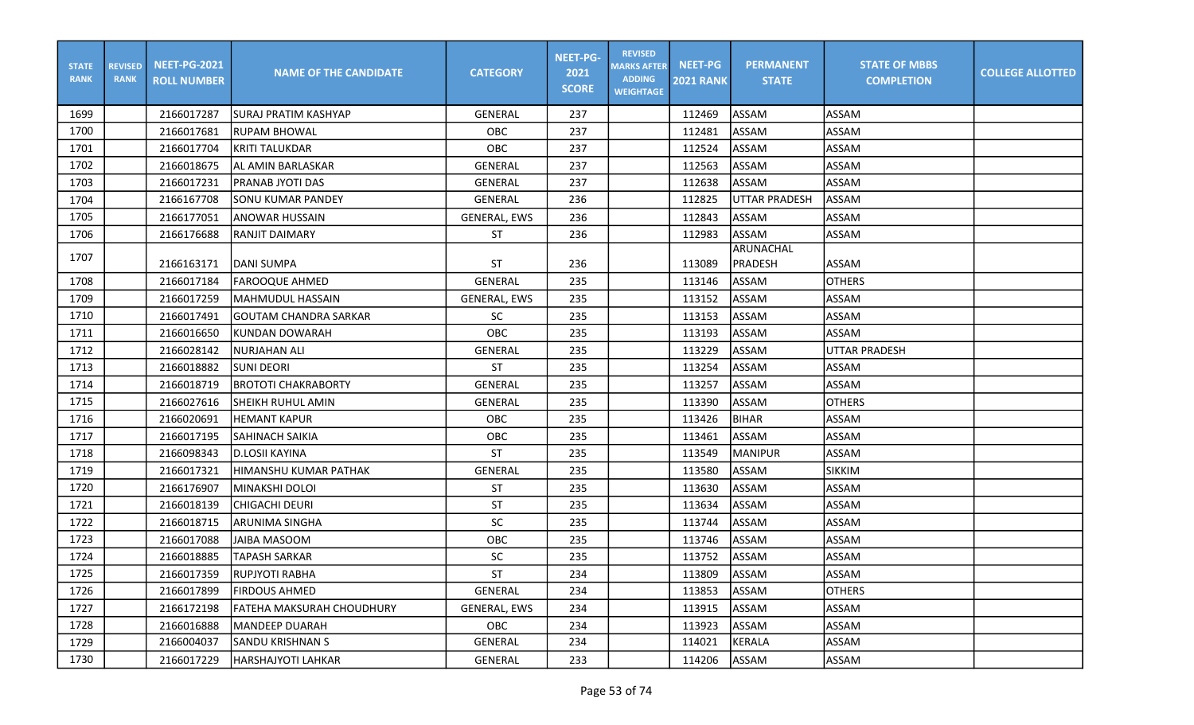| <b>STATE</b><br><b>RANK</b> | <b>REVISED</b><br><b>RANK</b> | <b>NEET-PG-2021</b><br><b>ROLL NUMBER</b> | <b>NAME OF THE CANDIDATE</b>     | <b>CATEGORY</b> | <b>NEET-PG-</b><br>2021<br><b>SCORE</b> | <b>REVISED</b><br><b>MARKS AFTER</b><br><b>ADDING</b><br><b>WEIGHTAGE</b> | <b>NEET-PG</b><br><b>2021 RANK</b> | <b>PERMANENT</b><br><b>STATE</b> | <b>STATE OF MBBS</b><br><b>COMPLETION</b> | <b>COLLEGE ALLOTTED</b> |
|-----------------------------|-------------------------------|-------------------------------------------|----------------------------------|-----------------|-----------------------------------------|---------------------------------------------------------------------------|------------------------------------|----------------------------------|-------------------------------------------|-------------------------|
| 1699                        |                               | 2166017287                                | ISURAJ PRATIM KASHYAP            | <b>GENERAL</b>  | 237                                     |                                                                           | 112469                             | <b>ASSAM</b>                     | <b>ASSAM</b>                              |                         |
| 1700                        |                               | 2166017681                                | <b>IRUPAM BHOWAL</b>             | OBC             | 237                                     |                                                                           | 112481                             | <b>ASSAM</b>                     | <b>ASSAM</b>                              |                         |
| 1701                        |                               | 2166017704                                | KRITI TALUKDAR                   | OBC             | 237                                     |                                                                           | 112524                             | ASSAM                            | <b>ASSAM</b>                              |                         |
| 1702                        |                               | 2166018675                                | AL AMIN BARLASKAR                | <b>GENERAL</b>  | 237                                     |                                                                           | 112563                             | ASSAM                            | <b>ASSAM</b>                              |                         |
| 1703                        |                               | 2166017231                                | IPRANAB JYOTI DAS                | <b>GENERAL</b>  | 237                                     |                                                                           | 112638                             | ASSAM                            | <b>ASSAM</b>                              |                         |
| 1704                        |                               | 2166167708                                | <b>SONU KUMAR PANDEY</b>         | <b>GENERAL</b>  | 236                                     |                                                                           | 112825                             | <b>UTTAR PRADESH</b>             | <b>ASSAM</b>                              |                         |
| 1705                        |                               | 2166177051                                | ANOWAR HUSSAIN                   | GENERAL, EWS    | 236                                     |                                                                           | 112843                             | <b>ASSAM</b>                     | <b>ASSAM</b>                              |                         |
| 1706                        |                               | 2166176688                                | <b>RANJIT DAIMARY</b>            | <b>ST</b>       | 236                                     |                                                                           | 112983                             | ASSAM                            | ASSAM                                     |                         |
| 1707                        |                               |                                           |                                  |                 |                                         |                                                                           |                                    | <b>ARUNACHAL</b>                 |                                           |                         |
|                             |                               | 2166163171                                | DANI SUMPA                       | <b>ST</b>       | 236                                     |                                                                           | 113089                             | PRADESH                          | ASSAM                                     |                         |
| 1708                        |                               | 2166017184                                | <b>FAROOQUE AHMED</b>            | <b>GENERAL</b>  | 235                                     |                                                                           | 113146                             | ASSAM                            | <b>OTHERS</b>                             |                         |
| 1709                        |                               | 2166017259                                | lMAHMUDUL HASSAIN                | GENERAL, EWS    | 235                                     |                                                                           | 113152                             | <b>ASSAM</b>                     | <b>ASSAM</b>                              |                         |
| 1710                        |                               | 2166017491                                | GOUTAM CHANDRA SARKAR            | <b>SC</b>       | 235                                     |                                                                           | 113153                             | <b>ASSAM</b>                     | <b>ASSAM</b>                              |                         |
| 1711                        |                               | 2166016650                                | IKUNDAN DOWARAH                  | OBC             | 235                                     |                                                                           | 113193                             | ASSAM                            | ASSAM                                     |                         |
| 1712                        |                               | 2166028142                                | NURJAHAN ALI                     | GENERAL         | 235                                     |                                                                           | 113229                             | <b>ASSAM</b>                     | UTTAR PRADESH                             |                         |
| 1713                        |                               | 2166018882                                | ISUNI DEORI                      | <b>ST</b>       | 235                                     |                                                                           | 113254                             | ASSAM                            | ASSAM                                     |                         |
| 1714                        |                               | 2166018719                                | <b>BROTOTI CHAKRABORTY</b>       | <b>GENERAL</b>  | 235                                     |                                                                           | 113257                             | <b>ASSAM</b>                     | <b>ASSAM</b>                              |                         |
| 1715                        |                               | 2166027616                                | İSHEIKH RUHUL AMIN               | <b>GENERAL</b>  | 235                                     |                                                                           | 113390                             | <b>ASSAM</b>                     | <b>OTHERS</b>                             |                         |
| 1716                        |                               | 2166020691                                | <b>HEMANT KAPUR</b>              | OBC             | 235                                     |                                                                           | 113426                             | <b>BIHAR</b>                     | <b>ASSAM</b>                              |                         |
| 1717                        |                               | 2166017195                                | SAHINACH SAIKIA                  | OBC             | 235                                     |                                                                           | 113461                             | ASSAM                            | ASSAM                                     |                         |
| 1718                        |                               | 2166098343                                | ID.LOSII KAYINA                  | <b>ST</b>       | 235                                     |                                                                           | 113549                             | <b>MANIPUR</b>                   | <b>ASSAM</b>                              |                         |
| 1719                        |                               | 2166017321                                | İHIMANSHU KUMAR PATHAK           | <b>GENERAL</b>  | 235                                     |                                                                           | 113580                             | <b>ASSAM</b>                     | <b>SIKKIM</b>                             |                         |
| 1720                        |                               | 2166176907                                | MINAKSHI DOLOI                   | <b>ST</b>       | 235                                     |                                                                           | 113630                             | <b>ASSAM</b>                     | <b>ASSAM</b>                              |                         |
| 1721                        |                               | 2166018139                                | <b>CHIGACHI DEURI</b>            | <b>ST</b>       | 235                                     |                                                                           | 113634                             | ASSAM                            | <b>ASSAM</b>                              |                         |
| 1722                        |                               | 2166018715                                | ARUNIMA SINGHA                   | <b>SC</b>       | 235                                     |                                                                           | 113744                             | ASSAM                            | <b>ASSAM</b>                              |                         |
| 1723                        |                               | 2166017088                                | <b>JAIBA MASOOM</b>              | OBC             | 235                                     |                                                                           | 113746                             | ASSAM                            | <b>ASSAM</b>                              |                         |
| 1724                        |                               | 2166018885                                | TAPASH SARKAR                    | <b>SC</b>       | 235                                     |                                                                           | 113752                             | ASSAM                            | <b>ASSAM</b>                              |                         |
| 1725                        |                               | 2166017359                                | <b>RUPJYOTI RABHA</b>            | <b>ST</b>       | 234                                     |                                                                           | 113809                             | <b>JASSAM</b>                    | ASSAM                                     |                         |
| 1726                        |                               | 2166017899                                | <b>FIRDOUS AHMED</b>             | GENERAL         | 234                                     |                                                                           | 113853                             | <b>ASSAM</b>                     | <b>OTHERS</b>                             |                         |
| 1727                        |                               | 2166172198                                | <b>FATEHA MAKSURAH CHOUDHURY</b> | GENERAL, EWS    | 234                                     |                                                                           | 113915                             | ASSAM                            | ASSAM                                     |                         |
| 1728                        |                               | 2166016888                                | <b>MANDEEP DUARAH</b>            | OBC             | 234                                     |                                                                           | 113923                             | ASSAM                            | ASSAM                                     |                         |
| 1729                        |                               | 2166004037                                | SANDU KRISHNAN S                 | GENERAL         | 234                                     |                                                                           | 114021                             | <b>KERALA</b>                    | ASSAM                                     |                         |
| 1730                        |                               | 2166017229                                | HARSHAJYOTI LAHKAR               | GENERAL         | 233                                     |                                                                           | 114206                             | ASSAM                            | ASSAM                                     |                         |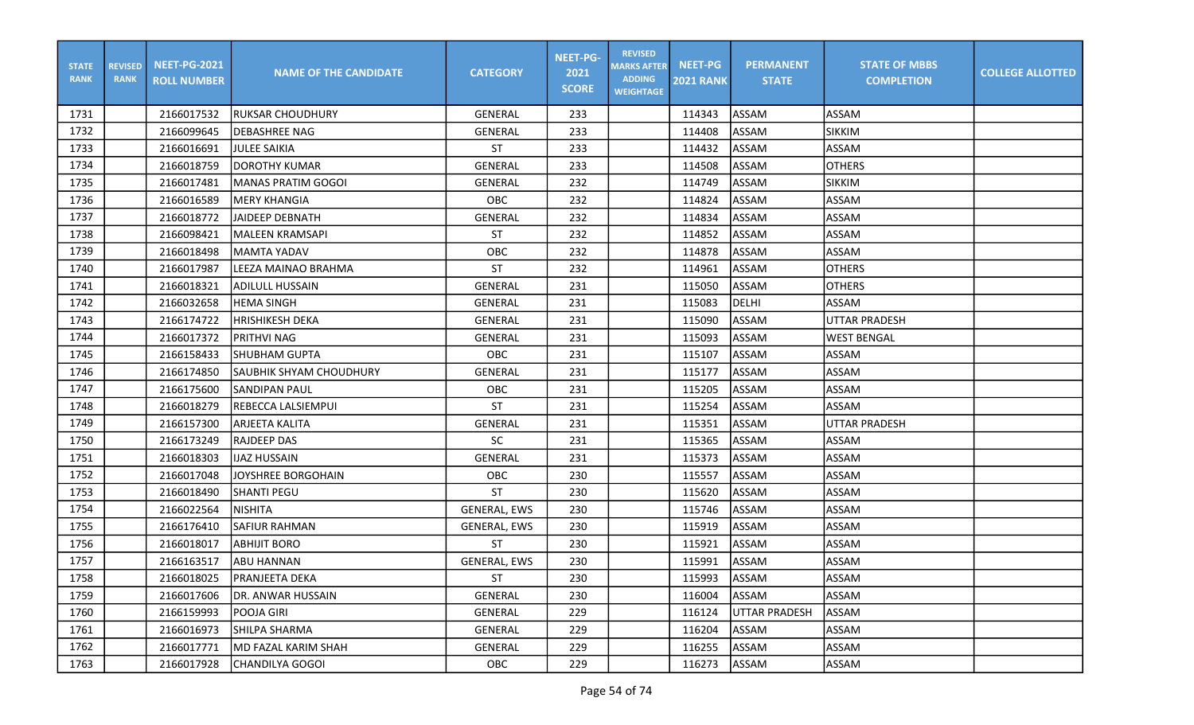| <b>STATE</b><br><b>RANK</b> | <b>REVISED</b><br><b>RANK</b> | <b>NEET-PG-2021</b><br><b>ROLL NUMBER</b> | <b>NAME OF THE CANDIDATE</b> | <b>CATEGORY</b>     | <b>NEET-PG-</b><br>2021<br><b>SCORE</b> | <b>REVISED</b><br><b>MARKS AFTER</b><br><b>ADDING</b><br><b>WEIGHTAGE</b> | <b>NEET-PG</b><br><b>2021 RANK</b> | <b>PERMANENT</b><br><b>STATE</b> | <b>STATE OF MBBS</b><br><b>COMPLETION</b> | <b>COLLEGE ALLOTTED</b> |
|-----------------------------|-------------------------------|-------------------------------------------|------------------------------|---------------------|-----------------------------------------|---------------------------------------------------------------------------|------------------------------------|----------------------------------|-------------------------------------------|-------------------------|
| 1731                        |                               | 2166017532                                | IRUKSAR CHOUDHURY            | <b>GENERAL</b>      | 233                                     |                                                                           | 114343                             | ASSAM                            | ASSAM                                     |                         |
| 1732                        |                               | 2166099645                                | DEBASHREE NAG                | GENERAL             | 233                                     |                                                                           | 114408                             | <b>ASSAM</b>                     | <b>SIKKIM</b>                             |                         |
| 1733                        |                               | 2166016691                                | JULEE SAIKIA                 | <b>ST</b>           | 233                                     |                                                                           | 114432                             | <b>ASSAM</b>                     | <b>ASSAM</b>                              |                         |
| 1734                        |                               | 2166018759                                | <b>IDOROTHY KUMAR</b>        | GENERAL             | 233                                     |                                                                           | 114508                             | <b>ASSAM</b>                     | <b>OTHERS</b>                             |                         |
| 1735                        |                               | 2166017481                                | IMANAS PRATIM GOGOI          | GENERAL             | 232                                     |                                                                           | 114749                             | ASSAM                            | <b>SIKKIM</b>                             |                         |
| 1736                        |                               | 2166016589                                | <b>MERY KHANGIA</b>          | OBC                 | 232                                     |                                                                           | 114824                             | <b>ASSAM</b>                     | <b>ASSAM</b>                              |                         |
| 1737                        |                               | 2166018772                                | <b>JAIDEEP DEBNATH</b>       | GENERAL             | 232                                     |                                                                           | 114834                             | ASSAM                            | <b>ASSAM</b>                              |                         |
| 1738                        |                               | 2166098421                                | lmaleen kramsapi             | <b>ST</b>           | 232                                     |                                                                           | 114852                             | ASSAM                            | ASSAM                                     |                         |
| 1739                        |                               | 2166018498                                | MAMTA YADAV                  | OBC                 | 232                                     |                                                                           | 114878                             | <b>ASSAM</b>                     | ASSAM                                     |                         |
| 1740                        |                               | 2166017987                                | lLEEZA MAINAO BRAHMA         | <b>ST</b>           | 232                                     |                                                                           | 114961                             | ASSAM                            | <b>OTHERS</b>                             |                         |
| 1741                        |                               | 2166018321                                | ADILULL HUSSAIN              | <b>GENERAL</b>      | 231                                     |                                                                           | 115050                             | <b>ASSAM</b>                     | <b>OTHERS</b>                             |                         |
| 1742                        |                               | 2166032658                                | <b>HEMA SINGH</b>            | <b>GENERAL</b>      | 231                                     |                                                                           | 115083                             | <b>DELHI</b>                     | ASSAM                                     |                         |
| 1743                        |                               | 2166174722                                | <b>HRISHIKESH DEKA</b>       | <b>GENERAL</b>      | 231                                     |                                                                           | 115090                             | ASSAM                            | <b>UTTAR PRADESH</b>                      |                         |
| 1744                        |                               | 2166017372                                | <b>PRITHVI NAG</b>           | GENERAL             | 231                                     |                                                                           | 115093                             | <b>ASSAM</b>                     | <b>WEST BENGAL</b>                        |                         |
| 1745                        |                               | 2166158433                                | lshubham Gupta               | OBC                 | 231                                     |                                                                           | 115107                             | ASSAM                            | <b>ASSAM</b>                              |                         |
| 1746                        |                               | 2166174850                                | SAUBHIK SHYAM CHOUDHURY      | <b>GENERAL</b>      | 231                                     |                                                                           | 115177                             | <b>ASSAM</b>                     | ASSAM                                     |                         |
| 1747                        |                               | 2166175600                                | <b>SANDIPAN PAUL</b>         | <b>OBC</b>          | 231                                     |                                                                           | 115205                             | ASSAM                            | ASSAM                                     |                         |
| 1748                        |                               | 2166018279                                | <b>REBECCA LALSIEMPUI</b>    | ST                  | 231                                     |                                                                           | 115254                             | ASSAM                            | <b>ASSAM</b>                              |                         |
| 1749                        |                               | 2166157300                                | <b>ARJEETA KALITA</b>        | GENERAL             | 231                                     |                                                                           | 115351                             | ASSAM                            | <b>UTTAR PRADESH</b>                      |                         |
| 1750                        |                               | 2166173249                                | <b>RAJDEEP DAS</b>           | <b>SC</b>           | 231                                     |                                                                           | 115365                             | ASSAM                            | <b>ASSAM</b>                              |                         |
| 1751                        |                               | 2166018303                                | <b>IIJAZ HUSSAIN</b>         | <b>GENERAL</b>      | 231                                     |                                                                           | 115373                             | <b>ASSAM</b>                     | <b>ASSAM</b>                              |                         |
| 1752                        |                               | 2166017048                                | JOYSHREE BORGOHAIN           | OBC                 | 230                                     |                                                                           | 115557                             | ASSAM                            | <b>ASSAM</b>                              |                         |
| 1753                        |                               | 2166018490                                | <b>SHANTI PEGU</b>           | <b>ST</b>           | 230                                     |                                                                           | 115620                             | <b>ASSAM</b>                     | <b>ASSAM</b>                              |                         |
| 1754                        |                               | 2166022564                                | Inishita                     | <b>GENERAL, EWS</b> | 230                                     |                                                                           | 115746                             | ASSAM                            | ASSAM                                     |                         |
| 1755                        |                               | 2166176410                                | <b>SAFIUR RAHMAN</b>         | <b>GENERAL, EWS</b> | 230                                     |                                                                           | 115919                             | <b>ASSAM</b>                     | <b>ASSAM</b>                              |                         |
| 1756                        |                               | 2166018017                                | <b>ABHIJIT BORO</b>          | <b>ST</b>           | 230                                     |                                                                           | 115921                             | ASSAM                            | <b>ASSAM</b>                              |                         |
| 1757                        |                               | 2166163517                                | <b>ABU HANNAN</b>            | GENERAL, EWS        | 230                                     |                                                                           | 115991                             | ASSAM                            | <b>ASSAM</b>                              |                         |
| 1758                        |                               | 2166018025                                | <b>PRANJEETA DEKA</b>        | ST                  | 230                                     |                                                                           | 115993                             | ASSAM                            | ASSAM                                     |                         |
| 1759                        |                               | 2166017606                                | DR. ANWAR HUSSAIN            | GENERAL             | 230                                     |                                                                           | 116004                             | ASSAM                            | ASSAM                                     |                         |
| 1760                        |                               | 2166159993                                | POOJA GIRI                   | GENERAL             | 229                                     |                                                                           | 116124                             | <b>UTTAR PRADESH</b>             | <b>ASSAM</b>                              |                         |
| 1761                        |                               | 2166016973                                | SHILPA SHARMA                | GENERAL             | 229                                     |                                                                           | 116204                             | ASSAM                            | ASSAM                                     |                         |
| 1762                        |                               | 2166017771                                | MD FAZAL KARIM SHAH          | GENERAL             | 229                                     |                                                                           | 116255                             | ASSAM                            | ASSAM                                     |                         |
| 1763                        |                               | 2166017928                                | CHANDILYA GOGOI              | OBC                 | 229                                     |                                                                           | 116273                             | ASSAM                            | ASSAM                                     |                         |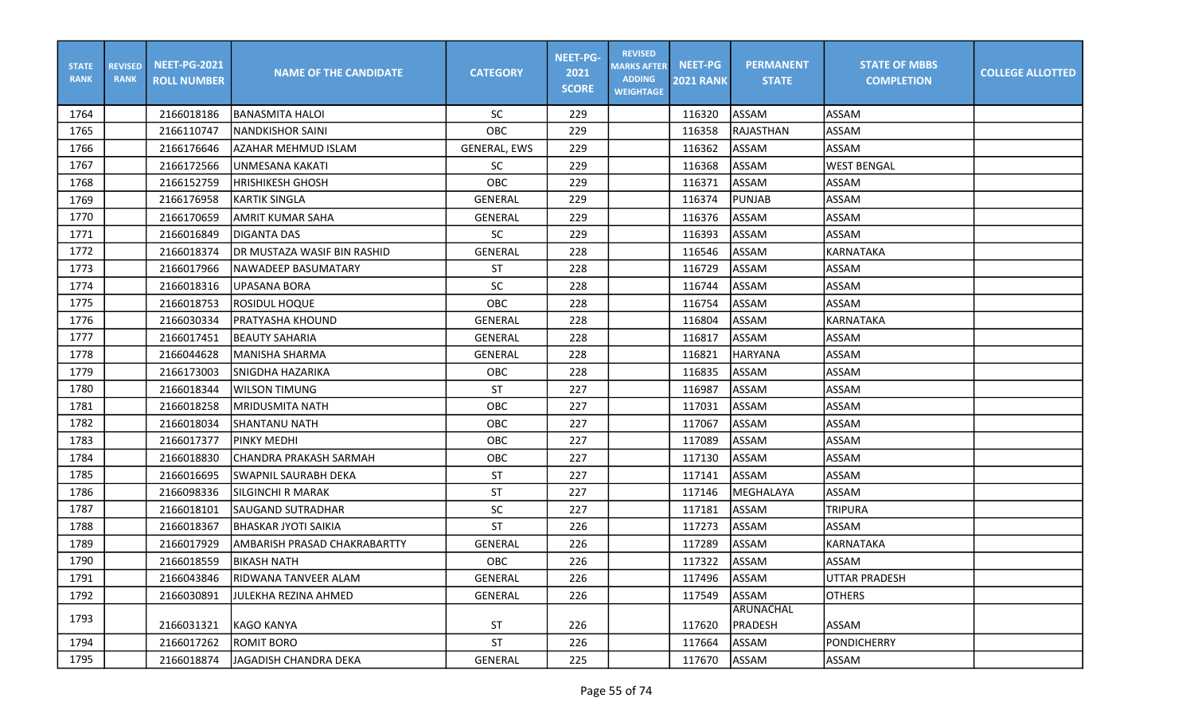| <b>STATE</b><br><b>RANK</b> | <b>REVISED</b><br><b>RANK</b> | <b>NEET-PG-2021</b><br><b>ROLL NUMBER</b> | <b>NAME OF THE CANDIDATE</b>  | <b>CATEGORY</b>     | <b>NEET-PG-</b><br>2021<br><b>SCORE</b> | <b>REVISED</b><br><b>MARKS AFTER</b><br><b>ADDING</b><br><b>WEIGHTAGE</b> | <b>NEET-PG</b><br><b>2021 RANK</b> | <b>PERMANENT</b><br><b>STATE</b> | <b>STATE OF MBBS</b><br><b>COMPLETION</b> | <b>COLLEGE ALLOTTED</b> |
|-----------------------------|-------------------------------|-------------------------------------------|-------------------------------|---------------------|-----------------------------------------|---------------------------------------------------------------------------|------------------------------------|----------------------------------|-------------------------------------------|-------------------------|
| 1764                        |                               | 2166018186                                | <b>BANASMITA HALOI</b>        | <b>SC</b>           | 229                                     |                                                                           | 116320                             | <b>ASSAM</b>                     | ASSAM                                     |                         |
| 1765                        |                               | 2166110747                                | NANDKISHOR SAINI              | OBC                 | 229                                     |                                                                           | 116358                             | <b>RAJASTHAN</b>                 | ASSAM                                     |                         |
| 1766                        |                               | 2166176646                                | AZAHAR MEHMUD ISLAM           | <b>GENERAL, EWS</b> | 229                                     |                                                                           | 116362                             | <b>ASSAM</b>                     | <b>ASSAM</b>                              |                         |
| 1767                        |                               | 2166172566                                | UNMESANA KAKATI               | <b>SC</b>           | 229                                     |                                                                           | 116368                             | <b>ASSAM</b>                     | <b>WEST BENGAL</b>                        |                         |
| 1768                        |                               | 2166152759                                | <b>HRISHIKESH GHOSH</b>       | OBC                 | 229                                     |                                                                           | 116371                             | <b>ASSAM</b>                     | ASSAM                                     |                         |
| 1769                        |                               | 2166176958                                | <b>KARTIK SINGLA</b>          | <b>GENERAL</b>      | 229                                     |                                                                           | 116374                             | <b>PUNJAB</b>                    | ASSAM                                     |                         |
| 1770                        |                               | 2166170659                                | <b>AMRIT KUMAR SAHA</b>       | GENERAL             | 229                                     |                                                                           | 116376                             | <b>ASSAM</b>                     | ASSAM                                     |                         |
| 1771                        |                               | 2166016849                                | DIGANTA DAS                   | <b>SC</b>           | 229                                     |                                                                           | 116393                             | ASSAM                            | ASSAM                                     |                         |
| 1772                        |                               | 2166018374                                | IDR MUSTAZA WASIF BIN RASHID  | GENERAL             | 228                                     |                                                                           | 116546                             | <b>ASSAM</b>                     | KARNATAKA                                 |                         |
| 1773                        |                               | 2166017966                                | NAWADEEP BASUMATARY           | ST                  | 228                                     |                                                                           | 116729                             | <b>ASSAM</b>                     | ASSAM                                     |                         |
| 1774                        |                               | 2166018316                                | UPASANA BORA                  | <b>SC</b>           | 228                                     |                                                                           | 116744                             | ASSAM                            | ASSAM                                     |                         |
| 1775                        |                               | 2166018753                                | IROSIDUL HOQUE                | OBC                 | 228                                     |                                                                           | 116754                             | ASSAM                            | ASSAM                                     |                         |
| 1776                        |                               | 2166030334                                | PRATYASHA KHOUND              | <b>GENERAL</b>      | 228                                     |                                                                           | 116804                             | <b>ASSAM</b>                     | <b>KARNATAKA</b>                          |                         |
| 1777                        |                               | 2166017451                                | IBEAUTY SAHARIA               | GENERAL             | 228                                     |                                                                           | 116817                             | <b>ASSAM</b>                     | ASSAM                                     |                         |
| 1778                        |                               | 2166044628                                | MANISHA SHARMA                | <b>GENERAL</b>      | 228                                     |                                                                           | 116821                             | <b>HARYANA</b>                   | <b>ASSAM</b>                              |                         |
| 1779                        |                               | 2166173003                                | SNIGDHA HAZARIKA              | OBC                 | 228                                     |                                                                           | 116835                             | <b>ASSAM</b>                     | <b>ASSAM</b>                              |                         |
| 1780                        |                               | 2166018344                                | <b>WILSON TIMUNG</b>          | <b>ST</b>           | 227                                     |                                                                           | 116987                             | <b>ASSAM</b>                     | ASSAM                                     |                         |
| 1781                        |                               | 2166018258                                | <b>MRIDUSMITA NATH</b>        | OBC                 | 227                                     |                                                                           | 117031                             | <b>ASSAM</b>                     | ASSAM                                     |                         |
| 1782                        |                               | 2166018034                                | <b>SHANTANU NATH</b>          | OBC                 | 227                                     |                                                                           | 117067                             | ASSAM                            | ASSAM                                     |                         |
| 1783                        |                               | 2166017377                                | PINKY MEDHI                   | OBC                 | 227                                     |                                                                           | 117089                             | ASSAM                            | ASSAM                                     |                         |
| 1784                        |                               | 2166018830                                | <b>CHANDRA PRAKASH SARMAH</b> | OBC                 | 227                                     |                                                                           | 117130                             | <b>ASSAM</b>                     | ASSAM                                     |                         |
| 1785                        |                               | 2166016695                                | SWAPNIL SAURABH DEKA          | <b>ST</b>           | 227                                     |                                                                           | 117141                             | <b>ASSAM</b>                     | <b>ASSAM</b>                              |                         |
| 1786                        |                               | 2166098336                                | <b>SILGINCHI R MARAK</b>      | <b>ST</b>           | 227                                     |                                                                           | 117146                             | MEGHALAYA                        | ASSAM                                     |                         |
| 1787                        |                               | 2166018101                                | <b>SAUGAND SUTRADHAR</b>      | <b>SC</b>           | 227                                     |                                                                           | 117181                             | ASSAM                            | TRIPURA                                   |                         |
| 1788                        |                               | 2166018367                                | <b>BHASKAR JYOTI SAIKIA</b>   | <b>ST</b>           | 226                                     |                                                                           | 117273                             | ASSAM                            | ASSAM                                     |                         |
| 1789                        |                               | 2166017929                                | AMBARISH PRASAD CHAKRABARTTY  | <b>GENERAL</b>      | 226                                     |                                                                           | 117289                             | <b>ASSAM</b>                     | KARNATAKA                                 |                         |
| 1790                        |                               | 2166018559                                | BIKASH NATH                   | OBC                 | 226                                     |                                                                           | 117322                             | <b>ASSAM</b>                     | ASSAM                                     |                         |
| 1791                        |                               | 2166043846                                | <b>RIDWANA TANVEER ALAM</b>   | GENERAL             | 226                                     |                                                                           | 117496                             | ASSAM                            | UTTAR PRADESH                             |                         |
| 1792                        |                               | 2166030891                                | JULEKHA REZINA AHMED          | GENERAL             | 226                                     |                                                                           | 117549                             | ASSAM                            | <b>OTHERS</b>                             |                         |
| 1793                        |                               |                                           |                               |                     |                                         |                                                                           |                                    | ARUNACHAL                        |                                           |                         |
|                             |                               | 2166031321                                | KAGO KANYA                    | ST                  | 226                                     |                                                                           | 117620                             | <b>PRADESH</b>                   | ASSAM                                     |                         |
| 1794                        |                               | 2166017262                                | <b>ROMIT BORO</b>             | ST                  | 226                                     |                                                                           | 117664                             | ASSAM                            | PONDICHERRY                               |                         |
| 1795                        |                               | 2166018874                                | JAGADISH CHANDRA DEKA         | GENERAL             | 225                                     |                                                                           | 117670                             | ASSAM                            | ASSAM                                     |                         |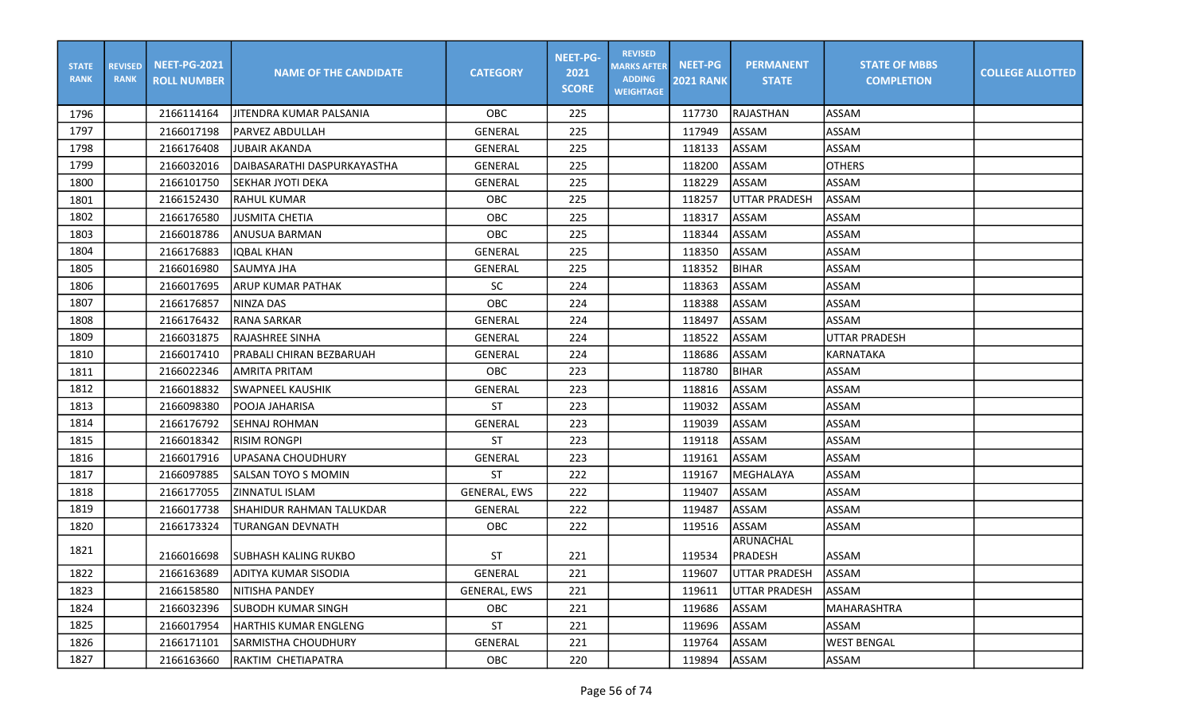| <b>STATE</b><br><b>RANK</b> | <b>REVISED</b><br><b>RANK</b> | <b>NEET-PG-2021</b><br><b>ROLL NUMBER</b> | <b>NAME OF THE CANDIDATE</b> | <b>CATEGORY</b>     | <b>NEET-PG-</b><br>2021<br><b>SCORE</b> | <b>REVISED</b><br><b>MARKS AFTER</b><br><b>ADDING</b><br><b>WEIGHTAGE</b> | <b>NEET-PG</b><br><b>2021 RANK</b> | <b>PERMANENT</b><br><b>STATE</b> | <b>STATE OF MBBS</b><br><b>COMPLETION</b> | <b>COLLEGE ALLOTTED</b> |
|-----------------------------|-------------------------------|-------------------------------------------|------------------------------|---------------------|-----------------------------------------|---------------------------------------------------------------------------|------------------------------------|----------------------------------|-------------------------------------------|-------------------------|
| 1796                        |                               | 2166114164                                | JITENDRA KUMAR PALSANIA      | OBC.                | 225                                     |                                                                           | 117730                             | RAJASTHAN                        | ASSAM                                     |                         |
| 1797                        |                               | 2166017198                                | <b>PARVEZ ABDULLAH</b>       | <b>GENERAL</b>      | 225                                     |                                                                           | 117949                             | <b>ASSAM</b>                     | <b>ASSAM</b>                              |                         |
| 1798                        |                               | 2166176408                                | <b>JUBAIR AKANDA</b>         | <b>GENERAL</b>      | 225                                     |                                                                           | 118133                             | <b>ASSAM</b>                     | ASSAM                                     |                         |
| 1799                        |                               | 2166032016                                | DAIBASARATHI DASPURKAYASTHA  | GENERAL             | 225                                     |                                                                           | 118200                             | ASSAM                            | <b>OTHERS</b>                             |                         |
| 1800                        |                               | 2166101750                                | SEKHAR JYOTI DEKA            | GENERAL             | 225                                     |                                                                           | 118229                             | ASSAM                            | ASSAM                                     |                         |
| 1801                        |                               | 2166152430                                | <b>RAHUL KUMAR</b>           | OBC                 | 225                                     |                                                                           | 118257                             | <b>UTTAR PRADESH</b>             | <b>ASSAM</b>                              |                         |
| 1802                        |                               | 2166176580                                | <b>JUSMITA CHETIA</b>        | OBC                 | 225                                     |                                                                           | 118317                             | ASSAM                            | <b>ASSAM</b>                              |                         |
| 1803                        |                               | 2166018786                                | <b>ANUSUA BARMAN</b>         | <b>OBC</b>          | 225                                     |                                                                           | 118344                             | ASSAM                            | ASSAM                                     |                         |
| 1804                        |                               | 2166176883                                | <b>IOBAL KHAN</b>            | <b>GENERAL</b>      | 225                                     |                                                                           | 118350                             | <b>ASSAM</b>                     | <b>ASSAM</b>                              |                         |
| 1805                        |                               | 2166016980                                | SAUMYA JHA                   | GENERAL             | 225                                     |                                                                           | 118352                             | <b>BIHAR</b>                     | <b>ASSAM</b>                              |                         |
| 1806                        |                               | 2166017695                                | ARUP KUMAR PATHAK            | SC                  | 224                                     |                                                                           | 118363                             | <b>ASSAM</b>                     | <b>ASSAM</b>                              |                         |
| 1807                        |                               | 2166176857                                | <b>NINZA DAS</b>             | OBC                 | 224                                     |                                                                           | 118388                             | ASSAM                            | <b>ASSAM</b>                              |                         |
| 1808                        |                               | 2166176432                                | <b>RANA SARKAR</b>           | GENERAL             | 224                                     |                                                                           | 118497                             | ASSAM                            | <b>ASSAM</b>                              |                         |
| 1809                        |                               | 2166031875                                | RAJASHREE SINHA              | <b>GENERAL</b>      | 224                                     |                                                                           | 118522                             | ASSAM                            | <b>UTTAR PRADESH</b>                      |                         |
| 1810                        |                               | 2166017410                                | PRABALI CHIRAN BEZBARUAH     | <b>GENERAL</b>      | 224                                     |                                                                           | 118686                             | ASSAM                            | <b>KARNATAKA</b>                          |                         |
| 1811                        |                               | 2166022346                                | AMRITA PRITAM                | OBC                 | 223                                     |                                                                           | 118780                             | <b>BIHAR</b>                     | <b>ASSAM</b>                              |                         |
| 1812                        |                               | 2166018832                                | <b>SWAPNEEL KAUSHIK</b>      | <b>GENERAL</b>      | 223                                     |                                                                           | 118816                             | ASSAM                            | <b>ASSAM</b>                              |                         |
| 1813                        |                               | 2166098380                                | POOJA JAHARISA               | ST                  | 223                                     |                                                                           | 119032                             | ASSAM                            | <b>ASSAM</b>                              |                         |
| 1814                        |                               | 2166176792                                | SEHNAJ ROHMAN                | GENERAL             | 223                                     |                                                                           | 119039                             | ASSAM                            | ASSAM                                     |                         |
| 1815                        |                               | 2166018342                                | <b>RISIM RONGPI</b>          | <b>ST</b>           | 223                                     |                                                                           | 119118                             | ASSAM                            | <b>ASSAM</b>                              |                         |
| 1816                        |                               | 2166017916                                | <b>UPASANA CHOUDHURY</b>     | <b>GENERAL</b>      | 223                                     |                                                                           | 119161                             | ASSAM                            | <b>ASSAM</b>                              |                         |
| 1817                        |                               | 2166097885                                | SALSAN TOYO S MOMIN          | <b>ST</b>           | 222                                     |                                                                           | 119167                             | MEGHALAYA                        | <b>ASSAM</b>                              |                         |
| 1818                        |                               | 2166177055                                | ZINNATUL ISLAM               | <b>GENERAL, EWS</b> | 222                                     |                                                                           | 119407                             | <b>ASSAM</b>                     | ASSAM                                     |                         |
| 1819                        |                               | 2166017738                                | SHAHIDUR RAHMAN TALUKDAR     | <b>GENERAL</b>      | 222                                     |                                                                           | 119487                             | ASSAM                            | <b>ASSAM</b>                              |                         |
| 1820                        |                               | 2166173324                                | TURANGAN DEVNATH             | OBC                 | 222                                     |                                                                           | 119516                             | ASSAM                            | <b>ASSAM</b>                              |                         |
| 1821                        |                               | 2166016698                                | ISUBHASH KALING RUKBO        | ST                  | 221                                     |                                                                           | 119534                             | ARUNACHAL<br><b>PRADESH</b>      | ASSAM                                     |                         |
| 1822                        |                               | 2166163689                                | ADITYA KUMAR SISODIA         | GENERAL             | 221                                     |                                                                           | 119607                             | UTTAR PRADESH                    | <b>JASSAM</b>                             |                         |
| 1823                        |                               | 2166158580                                | NITISHA PANDEY               | GENERAL, EWS        | 221                                     |                                                                           | 119611                             | UTTAR PRADESH                    | ASSAM                                     |                         |
| 1824                        |                               | 2166032396                                | <b>SUBODH KUMAR SINGH</b>    | OBC                 | 221                                     |                                                                           | 119686                             | ASSAM                            | MAHARASHTRA                               |                         |
| 1825                        |                               | 2166017954                                | <b>HARTHIS KUMAR ENGLENG</b> | ST                  | 221                                     |                                                                           | 119696                             | ASSAM                            | ASSAM                                     |                         |
| 1826                        |                               | 2166171101                                | SARMISTHA CHOUDHURY          | GENERAL             | 221                                     |                                                                           | 119764                             | ASSAM                            | <b>WEST BENGAL</b>                        |                         |
| 1827                        |                               | 2166163660                                | RAKTIM CHETIAPATRA           | OBC                 | 220                                     |                                                                           | 119894                             | ASSAM                            | ASSAM                                     |                         |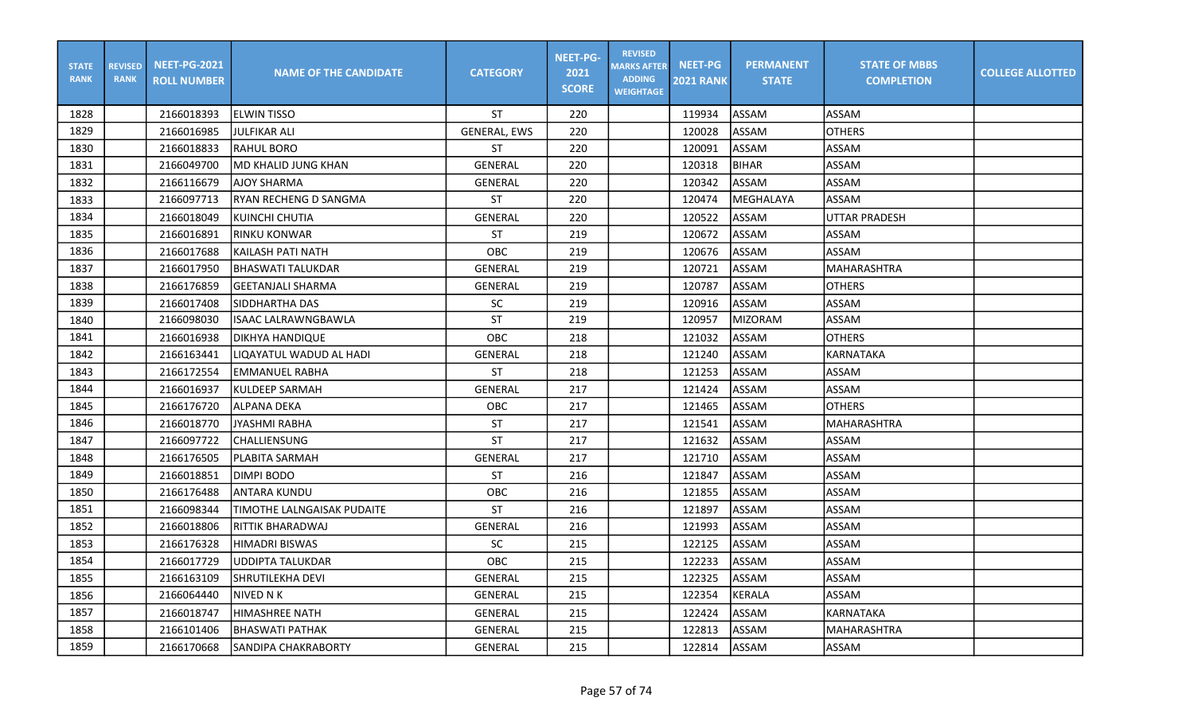| <b>STATE</b><br><b>RANK</b> | <b>REVISED</b><br><b>RANK</b> | <b>NEET-PG-2021</b><br><b>ROLL NUMBER</b> | <b>NAME OF THE CANDIDATE</b>      | <b>CATEGORY</b>     | <b>NEET-PG-</b><br>2021<br><b>SCORE</b> | <b>REVISED</b><br><b>MARKS AFTER</b><br><b>ADDING</b><br><b>WEIGHTAGE</b> | <b>NEET-PG</b><br><b>2021 RANK</b> | <b>PERMANENT</b><br><b>STATE</b> | <b>STATE OF MBBS</b><br><b>COMPLETION</b> | <b>COLLEGE ALLOTTED</b> |
|-----------------------------|-------------------------------|-------------------------------------------|-----------------------------------|---------------------|-----------------------------------------|---------------------------------------------------------------------------|------------------------------------|----------------------------------|-------------------------------------------|-------------------------|
| 1828                        |                               | 2166018393                                | <b>IELWIN TISSO</b>               | <b>ST</b>           | 220                                     |                                                                           | 119934                             | <b>ASSAM</b>                     | <b>ASSAM</b>                              |                         |
| 1829                        |                               | 2166016985                                | <b>JULFIKAR ALI</b>               | <b>GENERAL, EWS</b> | 220                                     |                                                                           | 120028                             | ASSAM                            | <b>OTHERS</b>                             |                         |
| 1830                        |                               | 2166018833                                | <b>RAHUL BORO</b>                 | <b>ST</b>           | 220                                     |                                                                           | 120091                             | ASSAM                            | ASSAM                                     |                         |
| 1831                        |                               | 2166049700                                | lMD KHALID JUNG KHAN              | <b>GENERAL</b>      | 220                                     |                                                                           | 120318                             | <b>BIHAR</b>                     | ASSAM                                     |                         |
| 1832                        |                               | 2166116679                                | <b>AJOY SHARMA</b>                | GENERAL             | 220                                     |                                                                           | 120342                             | ASSAM                            | <b>ASSAM</b>                              |                         |
| 1833                        |                               | 2166097713                                | <b>RYAN RECHENG D SANGMA</b>      | <b>ST</b>           | 220                                     |                                                                           | 120474                             | MEGHALAYA                        | <b>ASSAM</b>                              |                         |
| 1834                        |                               | 2166018049                                | KUINCHI CHUTIA                    | <b>GENERAL</b>      | 220                                     |                                                                           | 120522                             | ASSAM                            | luttar pradesh                            |                         |
| 1835                        |                               | 2166016891                                | <b>RINKU KONWAR</b>               | <b>ST</b>           | 219                                     |                                                                           | 120672                             | ASSAM                            | ASSAM                                     |                         |
| 1836                        |                               | 2166017688                                | KAILASH PATI NATH                 | OBC                 | 219                                     |                                                                           | 120676                             | ASSAM                            | <b>ASSAM</b>                              |                         |
| 1837                        |                               | 2166017950                                | <b>BHASWATI TALUKDAR</b>          | <b>GENERAL</b>      | 219                                     |                                                                           | 120721                             | ASSAM                            | MAHARASHTRA                               |                         |
| 1838                        |                               | 2166176859                                | <b>GEETANJALI SHARMA</b>          | <b>GENERAL</b>      | 219                                     |                                                                           | 120787                             | ASSAM                            | <b>OTHERS</b>                             |                         |
| 1839                        |                               | 2166017408                                | SIDDHARTHA DAS                    | SC                  | 219                                     |                                                                           | 120916                             | ASSAM                            | ASSAM                                     |                         |
| 1840                        |                               | 2166098030                                | <b>ISAAC LALRAWNGBAWLA</b>        | <b>ST</b>           | 219                                     |                                                                           | 120957                             | <b>MIZORAM</b>                   | <b>ASSAM</b>                              |                         |
| 1841                        |                               | 2166016938                                | <b>DIKHYA HANDIQUE</b>            | OBC                 | 218                                     |                                                                           | 121032                             | ASSAM                            | <b>OTHERS</b>                             |                         |
| 1842                        |                               | 2166163441                                | LIQAYATUL WADUD AL HADI           | <b>GENERAL</b>      | 218                                     |                                                                           | 121240                             | ASSAM                            | KARNATAKA                                 |                         |
| 1843                        |                               | 2166172554                                | <b>EMMANUEL RABHA</b>             | <b>ST</b>           | 218                                     |                                                                           | 121253                             | ASSAM                            | <b>ASSAM</b>                              |                         |
| 1844                        |                               | 2166016937                                | <b>KULDEEP SARMAH</b>             | <b>GENERAL</b>      | 217                                     |                                                                           | 121424                             | ASSAM                            | ASSAM                                     |                         |
| 1845                        |                               | 2166176720                                | <b>ALPANA DEKA</b>                | OBC                 | 217                                     |                                                                           | 121465                             | <b>ASSAM</b>                     | <b>OTHERS</b>                             |                         |
| 1846                        |                               | 2166018770                                | <b>JYASHMI RABHA</b>              | <b>ST</b>           | 217                                     |                                                                           | 121541                             | <b>ASSAM</b>                     | <b>MAHARASHTRA</b>                        |                         |
| 1847                        |                               | 2166097722                                | <b>CHALLIENSUNG</b>               | <b>ST</b>           | 217                                     |                                                                           | 121632                             | <b>ASSAM</b>                     | <b>ASSAM</b>                              |                         |
| 1848                        |                               | 2166176505                                | PLABITA SARMAH                    | <b>GENERAL</b>      | 217                                     |                                                                           | 121710                             | ASSAM                            | <b>ASSAM</b>                              |                         |
| 1849                        |                               | 2166018851                                | DIMPI BODO                        | <b>ST</b>           | 216                                     |                                                                           | 121847                             | ASSAM                            | ASSAM                                     |                         |
| 1850                        |                               | 2166176488                                | <b>ANTARA KUNDU</b>               | OBC                 | 216                                     |                                                                           | 121855                             | ASSAM                            | <b>ASSAM</b>                              |                         |
| 1851                        |                               | 2166098344                                | <b>TIMOTHE LALNGAISAK PUDAITE</b> | <b>ST</b>           | 216                                     |                                                                           | 121897                             | ASSAM                            | <b>ASSAM</b>                              |                         |
| 1852                        |                               | 2166018806                                | <b>RITTIK BHARADWAJ</b>           | <b>GENERAL</b>      | 216                                     |                                                                           | 121993                             | <b>ASSAM</b>                     | <b>ASSAM</b>                              |                         |
| 1853                        |                               | 2166176328                                | <b>HIMADRI BISWAS</b>             | SC                  | 215                                     |                                                                           | 122125                             | ASSAM                            | ASSAM                                     |                         |
| 1854                        |                               | 2166017729                                | <b>UDDIPTA TALUKDAR</b>           | OBC                 | 215                                     |                                                                           | 122233                             | ASSAM                            | ASSAM                                     |                         |
| 1855                        |                               | 2166163109                                | <b>SHRUTILEKHA DEVI</b>           | GENERAL             | 215                                     |                                                                           | 122325                             | ASSAM                            | ASSAM                                     |                         |
| 1856                        |                               | 2166064440                                | NIVED N K                         | <b>GENERAL</b>      | 215                                     |                                                                           | 122354                             | KERALA                           | ASSAM                                     |                         |
| 1857                        |                               | 2166018747                                | <b>HIMASHREE NATH</b>             | <b>GENERAL</b>      | 215                                     |                                                                           | 122424                             | ASSAM                            | KARNATAKA                                 |                         |
| 1858                        |                               | 2166101406                                | lbhaswati pathak                  | GENERAL             | 215                                     |                                                                           | 122813                             | ASSAM                            | <b>MAHARASHTRA</b>                        |                         |
| 1859                        |                               | 2166170668                                | ISANDIPA CHAKRABORTY              | <b>GENERAL</b>      | 215                                     |                                                                           | 122814                             | <b>ASSAM</b>                     | <b>ASSAM</b>                              |                         |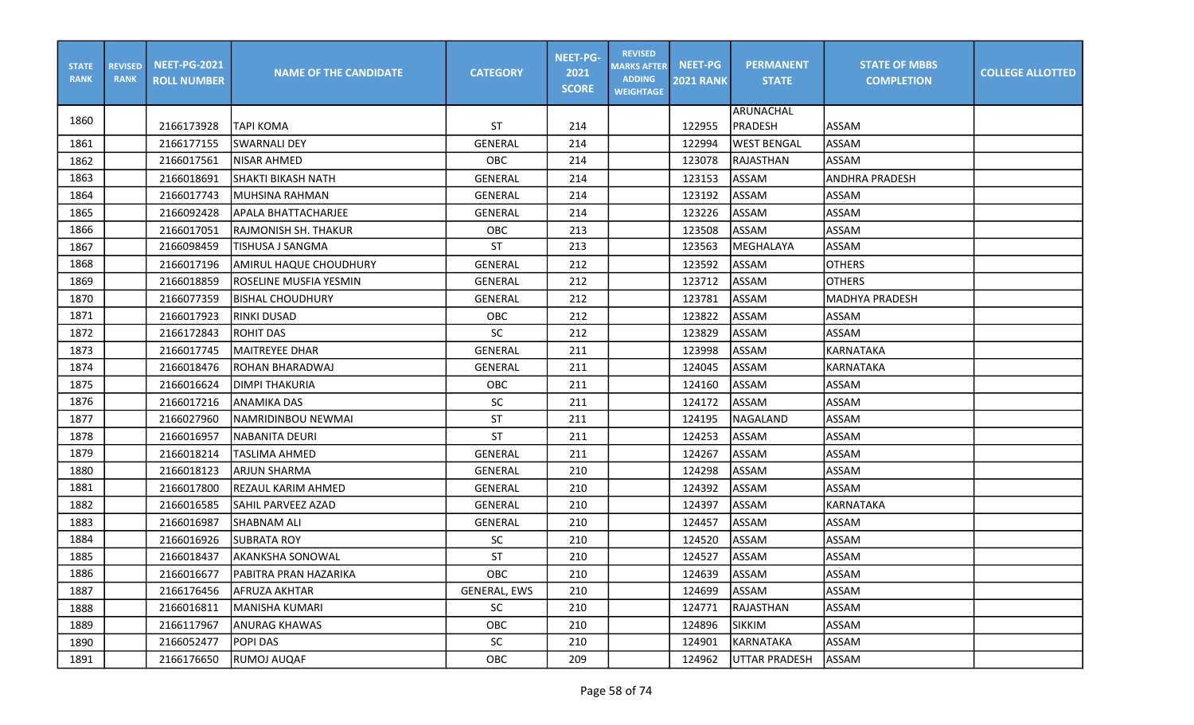| <b>STATE</b><br><b>RANK</b> | <b>REVISED</b><br><b>RANK</b> | <b>NEET-PG-2021</b><br><b>ROLL NUMBER</b> | <b>NAME OF THE CANDIDATE</b> | <b>CATEGORY</b> | <b>NEET-PG-</b><br>2021<br><b>SCORE</b> | <b>REVISED</b><br><b>MARKS AFTER</b><br><b>ADDING</b><br><b>WEIGHTAGE</b> | <b>NEET-PG</b><br><b>2021 RANK</b> | <b>PERMANENT</b><br><b>STATE</b> | <b>STATE OF MBBS</b><br><b>COMPLETION</b> | <b>COLLEGE ALLOTTED</b> |
|-----------------------------|-------------------------------|-------------------------------------------|------------------------------|-----------------|-----------------------------------------|---------------------------------------------------------------------------|------------------------------------|----------------------------------|-------------------------------------------|-------------------------|
| 1860                        |                               |                                           |                              |                 |                                         |                                                                           |                                    | ARUNACHAL                        |                                           |                         |
|                             |                               | 2166173928                                | <b>TAPI KOMA</b>             | ST              | 214                                     |                                                                           | 122955                             | <b>PRADESH</b>                   | <b>ASSAM</b>                              |                         |
| 1861                        |                               | 2166177155                                | <b>SWARNALI DEY</b>          | <b>GENERAL</b>  | 214                                     |                                                                           | 122994                             | <b>WEST BENGAL</b>               | ASSAM                                     |                         |
| 1862                        |                               | 2166017561                                | NISAR AHMED                  | OBC             | 214                                     |                                                                           | 123078                             | RAJASTHAN                        | ASSAM                                     |                         |
| 1863                        |                               | 2166018691                                | <b>SHAKTI BIKASH NATH</b>    | <b>GENERAL</b>  | 214                                     |                                                                           | 123153                             | ASSAM                            | <b>ANDHRA PRADESH</b>                     |                         |
| 1864                        |                               | 2166017743                                | MUHSINA RAHMAN               | <b>GENERAL</b>  | 214                                     |                                                                           | 123192                             | <b>ASSAM</b>                     | ASSAM                                     |                         |
| 1865                        |                               | 2166092428                                | APALA BHATTACHARJEE          | <b>GENERAL</b>  | 214                                     |                                                                           | 123226                             | ASSAM                            | <b>ASSAM</b>                              |                         |
| 1866                        |                               | 2166017051                                | RAJMONISH SH. THAKUR         | <b>OBC</b>      | 213                                     |                                                                           | 123508                             | ASSAM                            | <b>ASSAM</b>                              |                         |
| 1867                        |                               | 2166098459                                | TISHUSA J SANGMA             | ST              | 213                                     |                                                                           | 123563                             | MEGHALAYA                        | <b>ASSAM</b>                              |                         |
| 1868                        |                               | 2166017196                                | AMIRUL HAQUE CHOUDHURY       | GENERAL         | 212                                     |                                                                           | 123592                             | ASSAM                            | <b>OTHERS</b>                             |                         |
| 1869                        |                               | 2166018859                                | ROSELINE MUSFIA YESMIN       | <b>GENERAL</b>  | 212                                     |                                                                           | 123712                             | ASSAM                            | <b>OTHERS</b>                             |                         |
| 1870                        |                               | 2166077359                                | <b>BISHAL CHOUDHURY</b>      | <b>GENERAL</b>  | 212                                     |                                                                           | 123781                             | ASSAM                            | lMADHYA PRADESH                           |                         |
| 1871                        |                               | 2166017923                                | <b>RINKI DUSAD</b>           | OBC             | 212                                     |                                                                           | 123822                             | <b>ASSAM</b>                     | ASSAM                                     |                         |
| 1872                        |                               | 2166172843                                | ROHIT DAS                    | <b>SC</b>       | 212                                     |                                                                           | 123829                             | ASSAM                            | ASSAM                                     |                         |
| 1873                        |                               | 2166017745                                | <b>MAITREYEE DHAR</b>        | <b>GENERAL</b>  | 211                                     |                                                                           | 123998                             | <b>ASSAM</b>                     | <b>KARNATAKA</b>                          |                         |
| 1874                        |                               | 2166018476                                | ROHAN BHARADWAJ              | <b>GENERAL</b>  | 211                                     |                                                                           | 124045                             | ASSAM                            | KARNATAKA                                 |                         |
| 1875                        |                               | 2166016624                                | <b>DIMPI THAKURIA</b>        | OBC             | 211                                     |                                                                           | 124160                             | ASSAM                            | <b>ASSAM</b>                              |                         |
| 1876                        |                               | 2166017216                                | <b>ANAMIKA DAS</b>           | SC              | 211                                     |                                                                           | 124172                             | ASSAM                            | <b>ASSAM</b>                              |                         |
| 1877                        |                               | 2166027960                                | NAMRIDINBOU NEWMAI           | ST              | 211                                     |                                                                           | 124195                             | NAGALAND                         | <b>ASSAM</b>                              |                         |
| 1878                        |                               | 2166016957                                | <b>NABANITA DEURI</b>        | <b>ST</b>       | 211                                     |                                                                           | 124253                             | <b>ASSAM</b>                     | <b>ASSAM</b>                              |                         |
| 1879                        |                               | 2166018214                                | TASLIMA AHMED                | <b>GENERAL</b>  | 211                                     |                                                                           | 124267                             | ASSAM                            | <b>ASSAM</b>                              |                         |
| 1880                        |                               | 2166018123                                | <b>ARJUN SHARMA</b>          | <b>GENERAL</b>  | 210                                     |                                                                           | 124298                             | ASSAM                            | <b>ASSAM</b>                              |                         |
| 1881                        |                               | 2166017800                                | REZAUL KARIM AHMED           | GENERAL         | 210                                     |                                                                           | 124392                             | ASSAM                            | <b>ASSAM</b>                              |                         |
| 1882                        |                               | 2166016585                                | SAHIL PARVEEZ AZAD           | <b>GENERAL</b>  | 210                                     |                                                                           | 124397                             | ASSAM                            | <b>KARNATAKA</b>                          |                         |
| 1883                        |                               | 2166016987                                | <b>SHABNAM ALI</b>           | <b>GENERAL</b>  | 210                                     |                                                                           | 124457                             | ASSAM                            | ASSAM                                     |                         |
| 1884                        |                               | 2166016926                                | <b>SUBRATA ROY</b>           | <b>SC</b>       | 210                                     |                                                                           | 124520                             | ASSAM                            | <b>ASSAM</b>                              |                         |
| 1885                        |                               | 2166018437                                | <b>AKANKSHA SONOWAL</b>      | <b>ST</b>       | 210                                     |                                                                           | 124527                             | ASSAM                            | <b>ASSAM</b>                              |                         |
| 1886                        |                               | 2166016677                                | PABITRA PRAN HAZARIKA        | <b>OBC</b>      | 210                                     |                                                                           | 124639                             | ASSAM                            | ASSAM                                     |                         |
| 1887                        |                               | 2166176456                                | AFRUZA AKHTAR                | GENERAL, EWS    | 210                                     |                                                                           | 124699                             | <b>ASSAM</b>                     | ASSAM                                     |                         |
| 1888                        |                               | 2166016811                                | MANISHA KUMARI               | SC              | 210                                     |                                                                           | 124771                             | RAJASTHAN                        | ASSAM                                     |                         |
| 1889                        |                               | 2166117967                                | ANURAG KHAWAS                | OBC             | 210                                     |                                                                           | 124896                             | <b>SIKKIM</b>                    | ASSAM                                     |                         |
| 1890                        |                               | 2166052477                                | POPI DAS                     | SC              | 210                                     |                                                                           | 124901                             | KARNATAKA                        | ASSAM                                     |                         |
| 1891                        |                               | 2166176650                                | RUMOJ AUQAF                  | OBC             | 209                                     |                                                                           | 124962                             | UTTAR PRADESH                    | ASSAM                                     |                         |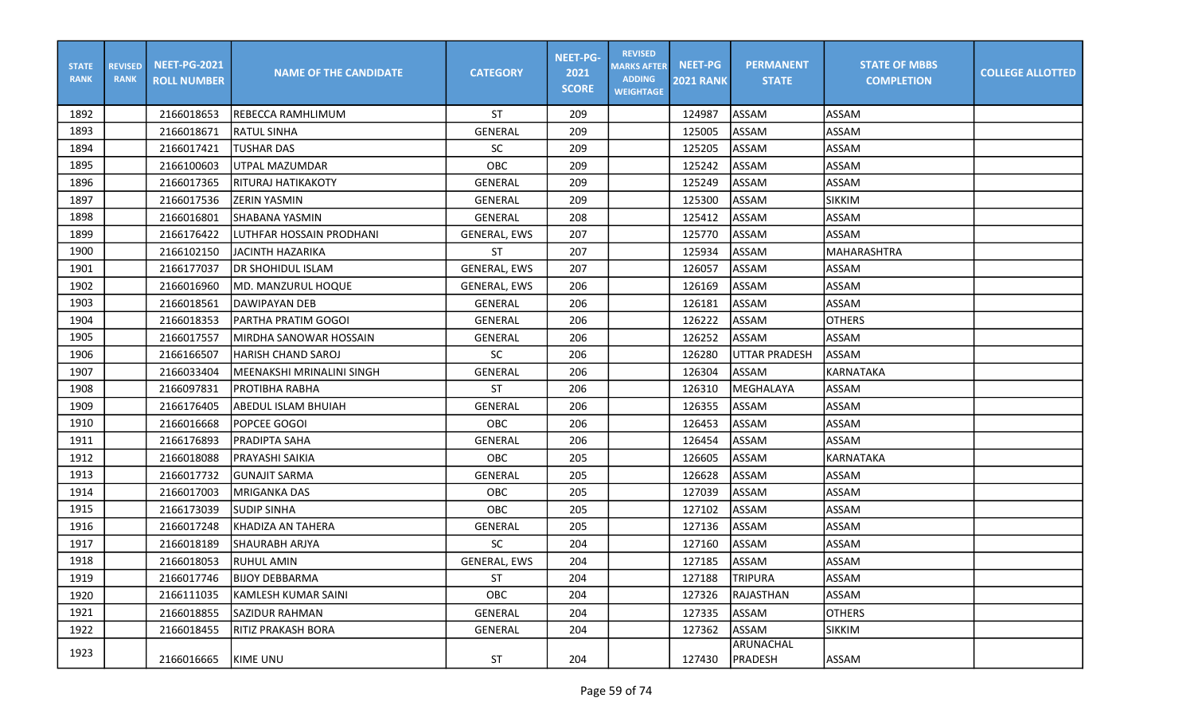| <b>STATE</b><br><b>RANK</b> | <b>REVISED</b><br><b>RANK</b> | <b>NEET-PG-2021</b><br><b>ROLL NUMBER</b> | <b>NAME OF THE CANDIDATE</b> | <b>CATEGORY</b>     | <b>NEET-PG-</b><br>2021<br><b>SCORE</b> | <b>REVISED</b><br><b>MARKS AFTER</b><br><b>ADDING</b><br><b>WEIGHTAGE</b> | <b>NEET-PG</b><br><b>2021 RANK</b> | <b>PERMANENT</b><br><b>STATE</b> | <b>STATE OF MBBS</b><br><b>COMPLETION</b> | <b>COLLEGE ALLOTTED</b> |
|-----------------------------|-------------------------------|-------------------------------------------|------------------------------|---------------------|-----------------------------------------|---------------------------------------------------------------------------|------------------------------------|----------------------------------|-------------------------------------------|-------------------------|
| 1892                        |                               | 2166018653                                | IREBECCA RAMHLIMUM           | ST                  | 209                                     |                                                                           | 124987                             | ASSAM                            | ASSAM                                     |                         |
| 1893                        |                               | 2166018671                                | <b>RATUL SINHA</b>           | GENERAL             | 209                                     |                                                                           | 125005                             | <b>ASSAM</b>                     | <b>ASSAM</b>                              |                         |
| 1894                        |                               | 2166017421                                | <b>TUSHAR DAS</b>            | <b>SC</b>           | 209                                     |                                                                           | 125205                             | ASSAM                            | <b>ASSAM</b>                              |                         |
| 1895                        |                               | 2166100603                                | UTPAL MAZUMDAR               | OBC                 | 209                                     |                                                                           | 125242                             | ASSAM                            | <b>ASSAM</b>                              |                         |
| 1896                        |                               | 2166017365                                | IRITURAJ HATIKAKOTY          | <b>GENERAL</b>      | 209                                     |                                                                           | 125249                             | ASSAM                            | <b>ASSAM</b>                              |                         |
| 1897                        |                               | 2166017536                                | <b>ZERIN YASMIN</b>          | <b>GENERAL</b>      | 209                                     |                                                                           | 125300                             | <b>ASSAM</b>                     | <b>SIKKIM</b>                             |                         |
| 1898                        |                               | 2166016801                                | SHABANA YASMIN               | GENERAL             | 208                                     |                                                                           | 125412                             | ASSAM                            | <b>ASSAM</b>                              |                         |
| 1899                        |                               | 2166176422                                | LUTHFAR HOSSAIN PRODHANI     | <b>GENERAL, EWS</b> | 207                                     |                                                                           | 125770                             | <b>ASSAM</b>                     | <b>ASSAM</b>                              |                         |
| 1900                        |                               | 2166102150                                | <b>JACINTH HAZARIKA</b>      | <b>ST</b>           | 207                                     |                                                                           | 125934                             | <b>ASSAM</b>                     | MAHARASHTRA                               |                         |
| 1901                        |                               | 2166177037                                | <b>IDR SHOHIDUL ISLAM</b>    | <b>GENERAL, EWS</b> | 207                                     |                                                                           | 126057                             | ASSAM                            | <b>ASSAM</b>                              |                         |
| 1902                        |                               | 2166016960                                | <b>IMD. MANZURUL HOQUE</b>   | <b>GENERAL, EWS</b> | 206                                     |                                                                           | 126169                             | ASSAM                            | <b>ASSAM</b>                              |                         |
| 1903                        |                               | 2166018561                                | IDAWIPAYAN DEB               | <b>GENERAL</b>      | 206                                     |                                                                           | 126181                             | <b>ASSAM</b>                     | <b>ASSAM</b>                              |                         |
| 1904                        |                               | 2166018353                                | PARTHA PRATIM GOGOI          | <b>GENERAL</b>      | 206                                     |                                                                           | 126222                             | <b>ASSAM</b>                     | <b>OTHERS</b>                             |                         |
| 1905                        |                               | 2166017557                                | lMIRDHA SANOWAR HOSSAIN      | GENERAL             | 206                                     |                                                                           | 126252                             | ASSAM                            | ASSAM                                     |                         |
| 1906                        |                               | 2166166507                                | <b>HARISH CHAND SAROJ</b>    | <b>SC</b>           | 206                                     |                                                                           | 126280                             | <b>UTTAR PRADESH</b>             | <b>ASSAM</b>                              |                         |
| 1907                        |                               | 2166033404                                | MEENAKSHI MRINALINI SINGH    | <b>GENERAL</b>      | 206                                     |                                                                           | 126304                             | ASSAM                            | <b>KARNATAKA</b>                          |                         |
| 1908                        |                               | 2166097831                                | <b>PROTIBHA RABHA</b>        | ST                  | 206                                     |                                                                           | 126310                             | MEGHALAYA                        | ASSAM                                     |                         |
| 1909                        |                               | 2166176405                                | ABEDUL ISLAM BHUIAH          | <b>GENERAL</b>      | 206                                     |                                                                           | 126355                             | <b>ASSAM</b>                     | <b>ASSAM</b>                              |                         |
| 1910                        |                               | 2166016668                                | POPCEE GOGOI                 | OBC                 | 206                                     |                                                                           | 126453                             | ASSAM                            | <b>ASSAM</b>                              |                         |
| 1911                        |                               | 2166176893                                | PRADIPTA SAHA                | <b>GENERAL</b>      | 206                                     |                                                                           | 126454                             | ASSAM                            | <b>ASSAM</b>                              |                         |
| 1912                        |                               | 2166018088                                | PRAYASHI SAIKIA              | <b>OBC</b>          | 205                                     |                                                                           | 126605                             | <b>ASSAM</b>                     | KARNATAKA                                 |                         |
| 1913                        |                               | 2166017732                                | GUNAJIT SARMA                | <b>GENERAL</b>      | 205                                     |                                                                           | 126628                             | ASSAM                            | ASSAM                                     |                         |
| 1914                        |                               | 2166017003                                | MRIGANKA DAS                 | OBC                 | 205                                     |                                                                           | 127039                             | ASSAM                            | ASSAM                                     |                         |
| 1915                        |                               | 2166173039                                | <b>SUDIP SINHA</b>           | OBC                 | 205                                     |                                                                           | 127102                             | ASSAM                            | ASSAM                                     |                         |
| 1916                        |                               | 2166017248                                | KHADIZA AN TAHERA            | <b>GENERAL</b>      | 205                                     |                                                                           | 127136                             | <b>ASSAM</b>                     | <b>ASSAM</b>                              |                         |
| 1917                        |                               | 2166018189                                | <b>SHAURABH ARJYA</b>        | <b>SC</b>           | 204                                     |                                                                           | 127160                             | ASSAM                            | <b>ASSAM</b>                              |                         |
| 1918                        |                               | 2166018053                                | <b>RUHUL AMIN</b>            | <b>GENERAL, EWS</b> | 204                                     |                                                                           | 127185                             | ASSAM                            | <b>ASSAM</b>                              |                         |
| 1919                        |                               | 2166017746                                | <b>BIJOY DEBBARMA</b>        | <b>ST</b>           | 204                                     |                                                                           | 127188                             | <b>TRIPURA</b>                   | <b>ASSAM</b>                              |                         |
| 1920                        |                               | 2166111035                                | KAMLESH KUMAR SAINI          | OBC                 | 204                                     |                                                                           | 127326                             | RAJASTHAN                        | ASSAM                                     |                         |
| 1921                        |                               | 2166018855                                | <b>SAZIDUR RAHMAN</b>        | GENERAL             | 204                                     |                                                                           | 127335                             | ASSAM                            | <b>OTHERS</b>                             |                         |
| 1922                        |                               | 2166018455                                | IRITIZ PRAKASH BORA          | GENERAL             | 204                                     |                                                                           | 127362                             | ASSAM                            | <b>SIKKIM</b>                             |                         |
| 1923                        |                               | 2166016665                                | KIME UNU                     | ST                  | 204                                     |                                                                           | 127430                             | ARUNACHAL<br>PRADESH             | ASSAM                                     |                         |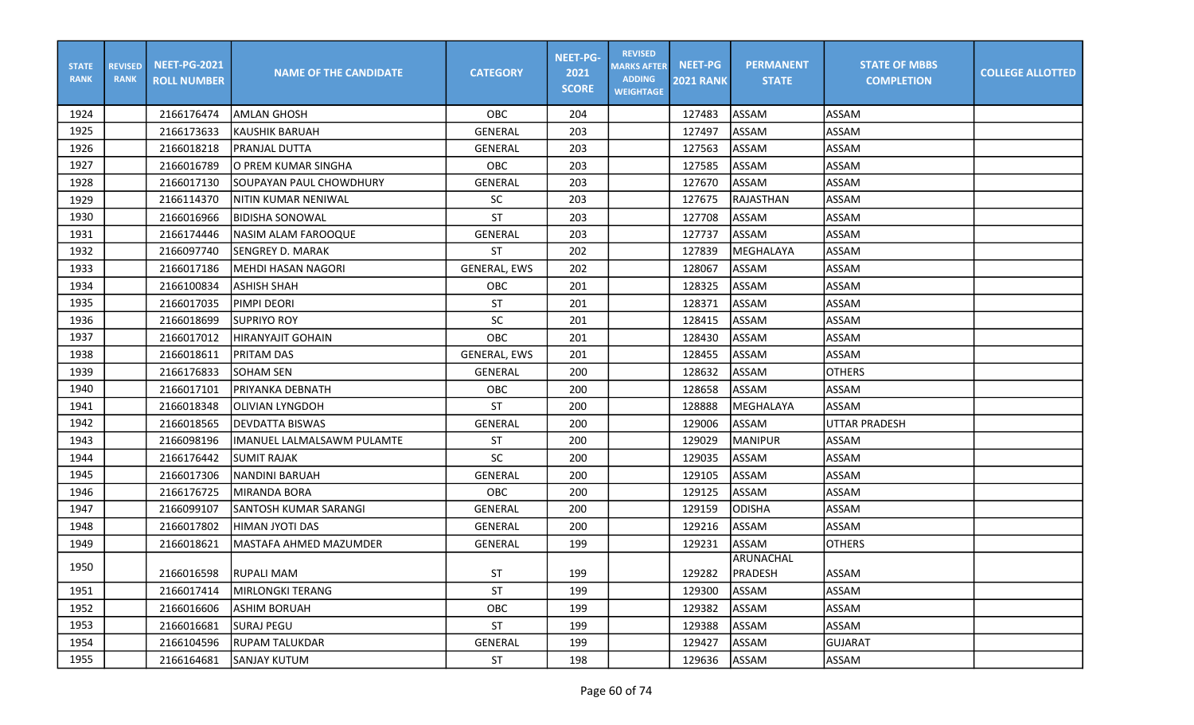| <b>STATE</b><br><b>RANK</b> | <b>REVISED</b><br><b>RANK</b> | <b>NEET-PG-2021</b><br><b>ROLL NUMBER</b> | <b>NAME OF THE CANDIDATE</b> | <b>CATEGORY</b>     | <b>NEET-PG-</b><br>2021<br><b>SCORE</b> | <b>REVISED</b><br><b>MARKS AFTER</b><br><b>ADDING</b><br><b>WEIGHTAGE</b> | <b>NEET-PG</b><br><b>2021 RANK</b> | <b>PERMANENT</b><br><b>STATE</b> | <b>STATE OF MBBS</b><br><b>COMPLETION</b> | <b>COLLEGE ALLOTTED</b> |
|-----------------------------|-------------------------------|-------------------------------------------|------------------------------|---------------------|-----------------------------------------|---------------------------------------------------------------------------|------------------------------------|----------------------------------|-------------------------------------------|-------------------------|
| 1924                        |                               | 2166176474                                | <b>AMLAN GHOSH</b>           | OBC                 | 204                                     |                                                                           | 127483                             | ASSAM                            | ASSAM                                     |                         |
| 1925                        |                               | 2166173633                                | <b>KAUSHIK BARUAH</b>        | <b>GENERAL</b>      | 203                                     |                                                                           | 127497                             | <b>ASSAM</b>                     | <b>ASSAM</b>                              |                         |
| 1926                        |                               | 2166018218                                | PRANJAL DUTTA                | <b>GENERAL</b>      | 203                                     |                                                                           | 127563                             | <b>ASSAM</b>                     | <b>ASSAM</b>                              |                         |
| 1927                        |                               | 2166016789                                | O PREM KUMAR SINGHA          | OBC                 | 203                                     |                                                                           | 127585                             | ASSAM                            | <b>ASSAM</b>                              |                         |
| 1928                        |                               | 2166017130                                | SOUPAYAN PAUL CHOWDHURY      | GENERAL             | 203                                     |                                                                           | 127670                             | ASSAM                            | <b>ASSAM</b>                              |                         |
| 1929                        |                               | 2166114370                                | NITIN KUMAR NENIWAL          | <b>SC</b>           | 203                                     |                                                                           | 127675                             | RAJASTHAN                        | <b>ASSAM</b>                              |                         |
| 1930                        |                               | 2166016966                                | <b>BIDISHA SONOWAL</b>       | <b>ST</b>           | 203                                     |                                                                           | 127708                             | ASSAM                            | <b>ASSAM</b>                              |                         |
| 1931                        |                               | 2166174446                                | <b>NASIM ALAM FAROOQUE</b>   | <b>GENERAL</b>      | 203                                     |                                                                           | 127737                             | <b>ASSAM</b>                     | <b>ASSAM</b>                              |                         |
| 1932                        |                               | 2166097740                                | <b>SENGREY D. MARAK</b>      | <b>ST</b>           | 202                                     |                                                                           | 127839                             | MEGHALAYA                        | ASSAM                                     |                         |
| 1933                        |                               | 2166017186                                | MEHDI HASAN NAGORI           | GENERAL, EWS        | 202                                     |                                                                           | 128067                             | ASSAM                            | <b>ASSAM</b>                              |                         |
| 1934                        |                               | 2166100834                                | <b>ASHISH SHAH</b>           | <b>OBC</b>          | 201                                     |                                                                           | 128325                             | <b>ASSAM</b>                     | <b>ASSAM</b>                              |                         |
| 1935                        |                               | 2166017035                                | PIMPI DEORI                  | <b>ST</b>           | 201                                     |                                                                           | 128371                             | ASSAM                            | <b>ASSAM</b>                              |                         |
| 1936                        |                               | 2166018699                                | <b>SUPRIYO ROY</b>           | SC                  | 201                                     |                                                                           | 128415                             | ASSAM                            | <b>ASSAM</b>                              |                         |
| 1937                        |                               | 2166017012                                | <b>HIRANYAJIT GOHAIN</b>     | OBC                 | 201                                     |                                                                           | 128430                             | ASSAM                            | <b>ASSAM</b>                              |                         |
| 1938                        |                               | 2166018611                                | PRITAM DAS                   | <b>GENERAL, EWS</b> | 201                                     |                                                                           | 128455                             | ASSAM                            | <b>ASSAM</b>                              |                         |
| 1939                        |                               | 2166176833                                | <b>SOHAM SEN</b>             | <b>GENERAL</b>      | 200                                     |                                                                           | 128632                             | ASSAM                            | <b>OTHERS</b>                             |                         |
| 1940                        |                               | 2166017101                                | PRIYANKA DEBNATH             | OBC                 | 200                                     |                                                                           | 128658                             | ASSAM                            | ASSAM                                     |                         |
| 1941                        |                               | 2166018348                                | <b>OLIVIAN LYNGDOH</b>       | <b>ST</b>           | 200                                     |                                                                           | 128888                             | <b>MEGHALAYA</b>                 | <b>ASSAM</b>                              |                         |
| 1942                        |                               | 2166018565                                | <b>DEVDATTA BISWAS</b>       | GENERAL             | 200                                     |                                                                           | 129006                             | ASSAM                            | <b>UTTAR PRADESH</b>                      |                         |
| 1943                        |                               | 2166098196                                | IMANUEL LALMALSAWM PULAMTE   | ST                  | 200                                     |                                                                           | 129029                             | <b>MANIPUR</b>                   | ASSAM                                     |                         |
| 1944                        |                               | 2166176442                                | <b>SUMIT RAJAK</b>           | <b>SC</b>           | 200                                     |                                                                           | 129035                             | <b>ASSAM</b>                     | <b>ASSAM</b>                              |                         |
| 1945                        |                               | 2166017306                                | <b>NANDINI BARUAH</b>        | <b>GENERAL</b>      | 200                                     |                                                                           | 129105                             | <b>ASSAM</b>                     | ASSAM                                     |                         |
| 1946                        |                               | 2166176725                                | MIRANDA BORA                 | OBC                 | 200                                     |                                                                           | 129125                             | ASSAM                            | <b>ASSAM</b>                              |                         |
| 1947                        |                               | 2166099107                                | SANTOSH KUMAR SARANGI        | GENERAL             | 200                                     |                                                                           | 129159                             | <b>ODISHA</b>                    | <b>ASSAM</b>                              |                         |
| 1948                        |                               | 2166017802                                | HIMAN JYOTI DAS              | <b>GENERAL</b>      | 200                                     |                                                                           | 129216                             | ASSAM                            | <b>ASSAM</b>                              |                         |
| 1949                        |                               | 2166018621                                | MASTAFA AHMED MAZUMDER       | <b>GENERAL</b>      | 199                                     |                                                                           | 129231                             | ASSAM                            | <b>OTHERS</b>                             |                         |
| 1950                        |                               | 2166016598                                | <b>RUPALI MAM</b>            | <b>ST</b>           | 199                                     |                                                                           | 129282                             | ARUNACHAL<br><b>IPRADESH</b>     | JASSAM                                    |                         |
| 1951                        |                               | 2166017414                                | MIRLONGKI TERANG             | ST                  | 199                                     |                                                                           | 129300                             | <b>ASSAM</b>                     | ASSAM                                     |                         |
| 1952                        |                               | 2166016606                                | <b>ASHIM BORUAH</b>          | OBC                 | 199                                     |                                                                           | 129382                             | ASSAM                            | ASSAM                                     |                         |
| 1953                        |                               | 2166016681                                | <b>SURAJ PEGU</b>            | ST                  | 199                                     |                                                                           | 129388                             | ASSAM                            | ASSAM                                     |                         |
| 1954                        |                               | 2166104596                                | <b>RUPAM TALUKDAR</b>        | GENERAL             | 199                                     |                                                                           | 129427                             | ASSAM                            | <b>GUJARAT</b>                            |                         |
| 1955                        |                               | 2166164681                                | ISANJAY KUTUM                | ST                  | 198                                     |                                                                           | 129636                             | ASSAM                            | ASSAM                                     |                         |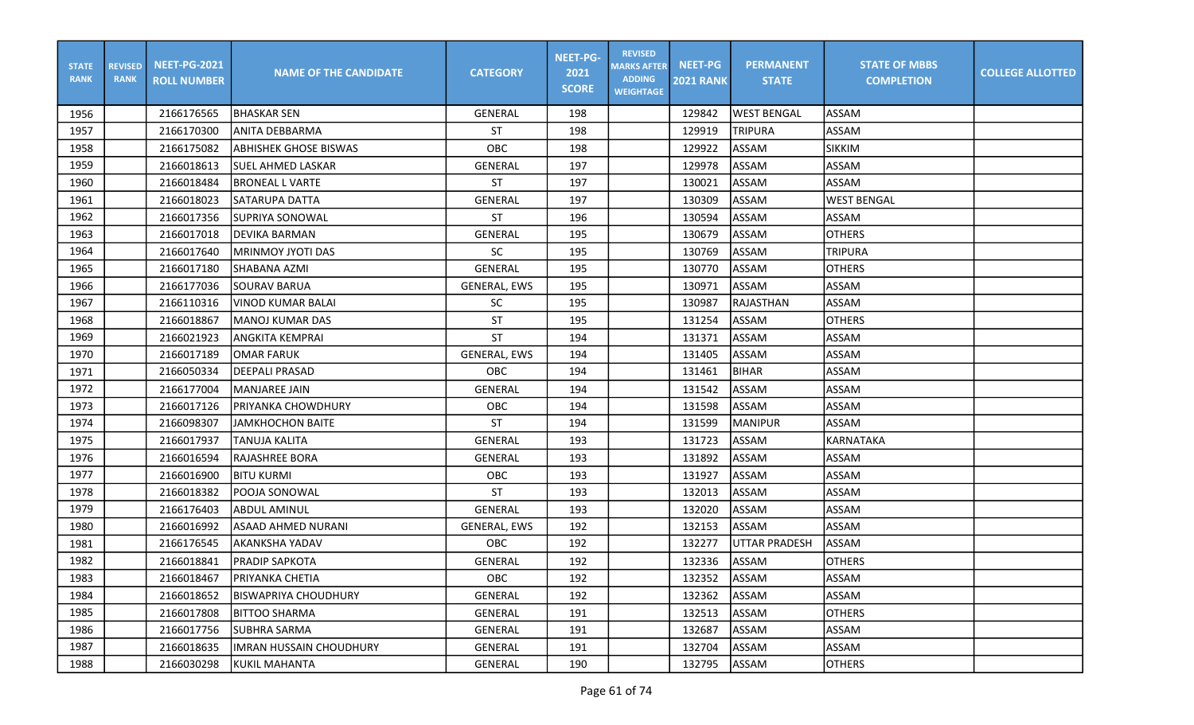| <b>STATE</b><br><b>RANK</b> | <b>REVISED</b><br><b>RANK</b> | <b>NEET-PG-2021</b><br><b>ROLL NUMBER</b> | <b>NAME OF THE CANDIDATE</b>   | <b>CATEGORY</b>     | <b>NEET-PG-</b><br>2021<br><b>SCORE</b> | <b>REVISED</b><br><b>MARKS AFTER</b><br><b>ADDING</b><br><b>WEIGHTAGE</b> | <b>NEET-PG</b><br><b>2021 RANK</b> | <b>PERMANENT</b><br><b>STATE</b> | <b>STATE OF MBBS</b><br><b>COMPLETION</b> | <b>COLLEGE ALLOTTED</b> |
|-----------------------------|-------------------------------|-------------------------------------------|--------------------------------|---------------------|-----------------------------------------|---------------------------------------------------------------------------|------------------------------------|----------------------------------|-------------------------------------------|-------------------------|
| 1956                        |                               | 2166176565                                | <b>IBHASKAR SEN</b>            | GENERAL             | 198                                     |                                                                           | 129842                             | <b>WEST BENGAL</b>               | ASSAM                                     |                         |
| 1957                        |                               | 2166170300                                | ANITA DEBBARMA                 | <b>ST</b>           | 198                                     |                                                                           | 129919                             | <b>TRIPURA</b>                   | ASSAM                                     |                         |
| 1958                        |                               | 2166175082                                | <b>ABHISHEK GHOSE BISWAS</b>   | OBC                 | 198                                     |                                                                           | 129922                             | ASSAM                            | <b>SIKKIM</b>                             |                         |
| 1959                        |                               | 2166018613                                | lSUEL AHMED LASKAR             | GENERAL             | 197                                     |                                                                           | 129978                             | ASSAM                            | <b>ASSAM</b>                              |                         |
| 1960                        |                               | 2166018484                                | <b>BRONEAL L VARTE</b>         | <b>ST</b>           | 197                                     |                                                                           | 130021                             | ASSAM                            | <b>ASSAM</b>                              |                         |
| 1961                        |                               | 2166018023                                | SATARUPA DATTA                 | <b>GENERAL</b>      | 197                                     |                                                                           | 130309                             | ASSAM                            | <b>WEST BENGAL</b>                        |                         |
| 1962                        |                               | 2166017356                                | SUPRIYA SONOWAL                | <b>ST</b>           | 196                                     |                                                                           | 130594                             | ASSAM                            | <b>ASSAM</b>                              |                         |
| 1963                        |                               | 2166017018                                | <b>DEVIKA BARMAN</b>           | <b>GENERAL</b>      | 195                                     |                                                                           | 130679                             | ASSAM                            | <b>OTHERS</b>                             |                         |
| 1964                        |                               | 2166017640                                | MRINMOY JYOTI DAS              | <b>SC</b>           | 195                                     |                                                                           | 130769                             | <b>ASSAM</b>                     | <b>TRIPURA</b>                            |                         |
| 1965                        |                               | 2166017180                                | SHABANA AZMI                   | GENERAL             | 195                                     |                                                                           | 130770                             | ASSAM                            | <b>OTHERS</b>                             |                         |
| 1966                        |                               | 2166177036                                | <b>SOURAV BARUA</b>            | <b>GENERAL, EWS</b> | 195                                     |                                                                           | 130971                             | ASSAM                            | <b>ASSAM</b>                              |                         |
| 1967                        |                               | 2166110316                                | <b>VINOD KUMAR BALAI</b>       | <b>SC</b>           | 195                                     |                                                                           | 130987                             | <b>RAJASTHAN</b>                 | <b>ASSAM</b>                              |                         |
| 1968                        |                               | 2166018867                                | MANOJ KUMAR DAS                | ST                  | 195                                     |                                                                           | 131254                             | <b>ASSAM</b>                     | <b>OTHERS</b>                             |                         |
| 1969                        |                               | 2166021923                                | <b>ANGKITA KEMPRAI</b>         | <b>ST</b>           | 194                                     |                                                                           | 131371                             | ASSAM                            | <b>ASSAM</b>                              |                         |
| 1970                        |                               | 2166017189                                | OMAR FARUK                     | <b>GENERAL, EWS</b> | 194                                     |                                                                           | 131405                             | <b>ASSAM</b>                     | <b>ASSAM</b>                              |                         |
| 1971                        |                               | 2166050334                                | DEEPALI PRASAD                 | OBC                 | 194                                     |                                                                           | 131461                             | <b>BIHAR</b>                     | <b>ASSAM</b>                              |                         |
| 1972                        |                               | 2166177004                                | <b>MANJAREE JAIN</b>           | <b>GENERAL</b>      | 194                                     |                                                                           | 131542                             | ASSAM                            | <b>ASSAM</b>                              |                         |
| 1973                        |                               | 2166017126                                | PRIYANKA CHOWDHURY             | OBC                 | 194                                     |                                                                           | 131598                             | <b>ASSAM</b>                     | <b>ASSAM</b>                              |                         |
| 1974                        |                               | 2166098307                                | <b>JAMKHOCHON BAITE</b>        | ST                  | 194                                     |                                                                           | 131599                             | <b>MANIPUR</b>                   | ASSAM                                     |                         |
| 1975                        |                               | 2166017937                                | TANUJA KALITA                  | <b>GENERAL</b>      | 193                                     |                                                                           | 131723                             | ASSAM                            | <b>KARNATAKA</b>                          |                         |
| 1976                        |                               | 2166016594                                | <b>RAJASHREE BORA</b>          | <b>GENERAL</b>      | 193                                     |                                                                           | 131892                             | <b>ASSAM</b>                     | <b>ASSAM</b>                              |                         |
| 1977                        |                               | 2166016900                                | <b>BITU KURMI</b>              | OBC                 | 193                                     |                                                                           | 131927                             | ASSAM                            | <b>ASSAM</b>                              |                         |
| 1978                        |                               | 2166018382                                | POOJA SONOWAL                  | <b>ST</b>           | 193                                     |                                                                           | 132013                             | ASSAM                            | <b>ASSAM</b>                              |                         |
| 1979                        |                               | 2166176403                                | <b>ABDUL AMINUL</b>            | GENERAL             | 193                                     |                                                                           | 132020                             | ASSAM                            | <b>ASSAM</b>                              |                         |
| 1980                        |                               | 2166016992                                | <b>ASAAD AHMED NURANI</b>      | <b>GENERAL, EWS</b> | 192                                     |                                                                           | 132153                             | <b>ASSAM</b>                     | <b>ASSAM</b>                              |                         |
| 1981                        |                               | 2166176545                                | <b>AKANKSHA YADAV</b>          | OBC                 | 192                                     |                                                                           | 132277                             | <b>UTTAR PRADESH</b>             | ASSAM                                     |                         |
| 1982                        |                               | 2166018841                                | <b>PRADIP SAPKOTA</b>          | <b>GENERAL</b>      | 192                                     |                                                                           | 132336                             | ASSAM                            | <b>OTHERS</b>                             |                         |
| 1983                        |                               | 2166018467                                | <b>PRIYANKA CHETIA</b>         | OBC                 | 192                                     |                                                                           | 132352                             | ASSAM                            | <b>ASSAM</b>                              |                         |
| 1984                        |                               | 2166018652                                | <b>BISWAPRIYA CHOUDHURY</b>    | GENERAL             | 192                                     |                                                                           | 132362                             | ASSAM                            | ASSAM                                     |                         |
| 1985                        |                               | 2166017808                                | <b>BITTOO SHARMA</b>           | GENERAL             | 191                                     |                                                                           | 132513                             | ASSAM                            | <b>OTHERS</b>                             |                         |
| 1986                        |                               | 2166017756                                | ISUBHRA SARMA                  | GENERAL             | 191                                     |                                                                           | 132687                             | ASSAM                            | ASSAM                                     |                         |
| 1987                        |                               | 2166018635                                | <b>IMRAN HUSSAIN CHOUDHURY</b> | GENERAL             | 191                                     |                                                                           | 132704                             | ASSAM                            | ASSAM                                     |                         |
| 1988                        |                               | 2166030298                                | KUKIL MAHANTA                  | GENERAL             | 190                                     |                                                                           | 132795                             | ASSAM                            | <b>OTHERS</b>                             |                         |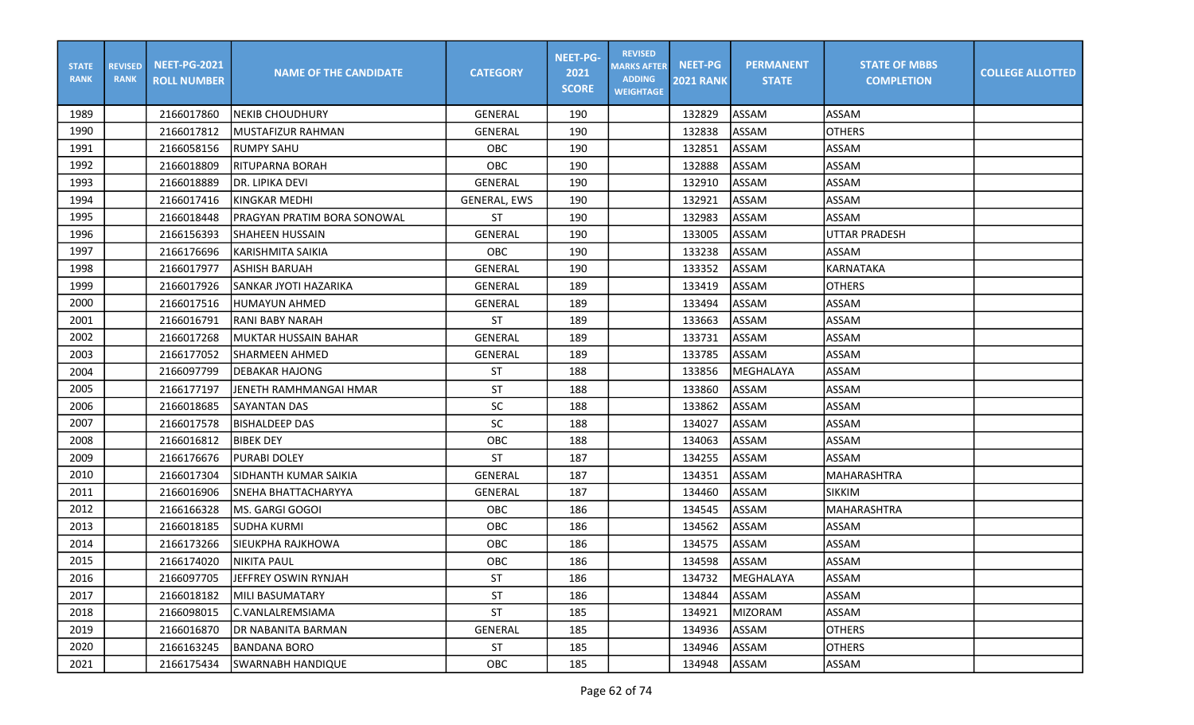| <b>STATE</b><br><b>RANK</b> | <b>REVISED</b><br><b>RANK</b> | <b>NEET-PG-2021</b><br><b>ROLL NUMBER</b> | <b>NAME OF THE CANDIDATE</b> | <b>CATEGORY</b>     | <b>NEET-PG-</b><br>2021<br><b>SCORE</b> | <b>REVISED</b><br><b>MARKS AFTER</b><br><b>ADDING</b><br><b>WEIGHTAGE</b> | <b>NEET-PG</b><br><b>2021 RANK</b> | <b>PERMANENT</b><br><b>STATE</b> | <b>STATE OF MBBS</b><br><b>COMPLETION</b> | <b>COLLEGE ALLOTTED</b> |
|-----------------------------|-------------------------------|-------------------------------------------|------------------------------|---------------------|-----------------------------------------|---------------------------------------------------------------------------|------------------------------------|----------------------------------|-------------------------------------------|-------------------------|
| 1989                        |                               | 2166017860                                | <b>NEKIB CHOUDHURY</b>       | <b>GENERAL</b>      | 190                                     |                                                                           | 132829                             | ASSAM                            | ASSAM                                     |                         |
| 1990                        |                               | 2166017812                                | MUSTAFIZUR RAHMAN            | <b>GENERAL</b>      | 190                                     |                                                                           | 132838                             | ASSAM                            | <b>OTHERS</b>                             |                         |
| 1991                        |                               | 2166058156                                | <b>RUMPY SAHU</b>            | OBC                 | 190                                     |                                                                           | 132851                             | ASSAM                            | ASSAM                                     |                         |
| 1992                        |                               | 2166018809                                | <b>RITUPARNA BORAH</b>       | OBC                 | 190                                     |                                                                           | 132888                             | <b>ASSAM</b>                     | <b>ASSAM</b>                              |                         |
| 1993                        |                               | 2166018889                                | DR. LIPIKA DEVI              | <b>GENERAL</b>      | 190                                     |                                                                           | 132910                             | ASSAM                            | <b>ASSAM</b>                              |                         |
| 1994                        |                               | 2166017416                                | <b>KINGKAR MEDHI</b>         | <b>GENERAL, EWS</b> | 190                                     |                                                                           | 132921                             | ASSAM                            | <b>ASSAM</b>                              |                         |
| 1995                        |                               | 2166018448                                | PRAGYAN PRATIM BORA SONOWAL  | <b>ST</b>           | 190                                     |                                                                           | 132983                             | ASSAM                            | <b>ASSAM</b>                              |                         |
| 1996                        |                               | 2166156393                                | SHAHEEN HUSSAIN              | <b>GENERAL</b>      | 190                                     |                                                                           | 133005                             | ASSAM                            | <b>UTTAR PRADESH</b>                      |                         |
| 1997                        |                               | 2166176696                                | KARISHMITA SAIKIA            | <b>OBC</b>          | 190                                     |                                                                           | 133238                             | <b>ASSAM</b>                     | <b>ASSAM</b>                              |                         |
| 1998                        |                               | 2166017977                                | <b>ASHISH BARUAH</b>         | <b>GENERAL</b>      | 190                                     |                                                                           | 133352                             | ASSAM                            | KARNATAKA                                 |                         |
| 1999                        |                               | 2166017926                                | SANKAR JYOTI HAZARIKA        | <b>GENERAL</b>      | 189                                     |                                                                           | 133419                             | ASSAM                            | <b>OTHERS</b>                             |                         |
| 2000                        |                               | 2166017516                                | <b>HUMAYUN AHMED</b>         | <b>GENERAL</b>      | 189                                     |                                                                           | 133494                             | ASSAM                            | <b>ASSAM</b>                              |                         |
| 2001                        |                               | 2166016791                                | <b>RANI BABY NARAH</b>       | ST                  | 189                                     |                                                                           | 133663                             | ASSAM                            | <b>ASSAM</b>                              |                         |
| 2002                        |                               | 2166017268                                | MUKTAR HUSSAIN BAHAR         | <b>GENERAL</b>      | 189                                     |                                                                           | 133731                             | ASSAM                            | <b>ASSAM</b>                              |                         |
| 2003                        |                               | 2166177052                                | <b>SHARMEEN AHMED</b>        | <b>GENERAL</b>      | 189                                     |                                                                           | 133785                             | <b>ASSAM</b>                     | <b>ASSAM</b>                              |                         |
| 2004                        |                               | 2166097799                                | DEBAKAR HAJONG               | ST                  | 188                                     |                                                                           | 133856                             | MEGHALAYA                        | <b>ASSAM</b>                              |                         |
| 2005                        |                               | 2166177197                                | JENETH RAMHMANGAI HMAR       | <b>ST</b>           | 188                                     |                                                                           | 133860                             | ASSAM                            | ASSAM                                     |                         |
| 2006                        |                               | 2166018685                                | <b>SAYANTAN DAS</b>          | SC                  | 188                                     |                                                                           | 133862                             | ASSAM                            | <b>ASSAM</b>                              |                         |
| 2007                        |                               | 2166017578                                | <b>BISHALDEEP DAS</b>        | <b>SC</b>           | 188                                     |                                                                           | 134027                             | ASSAM                            | ASSAM                                     |                         |
| 2008                        |                               | 2166016812                                | <b>BIBEK DEY</b>             | OBC                 | 188                                     |                                                                           | 134063                             | ASSAM                            | <b>ASSAM</b>                              |                         |
| 2009                        |                               | 2166176676                                | <b>PURABI DOLEY</b>          | <b>ST</b>           | 187                                     |                                                                           | 134255                             | ASSAM                            | <b>ASSAM</b>                              |                         |
| 2010                        |                               | 2166017304                                | SIDHANTH KUMAR SAIKIA        | <b>GENERAL</b>      | 187                                     |                                                                           | 134351                             | ASSAM                            | MAHARASHTRA                               |                         |
| 2011                        |                               | 2166016906                                | SNEHA BHATTACHARYYA          | <b>GENERAL</b>      | 187                                     |                                                                           | 134460                             | <b>ASSAM</b>                     | <b>SIKKIM</b>                             |                         |
| 2012                        |                               | 2166166328                                | MS. GARGI GOGOI              | OBC                 | 186                                     |                                                                           | 134545                             | ASSAM                            | <b>MAHARASHTRA</b>                        |                         |
| 2013                        |                               | 2166018185                                | <b>SUDHA KURMI</b>           | OBC                 | 186                                     |                                                                           | 134562                             | ASSAM                            | <b>ASSAM</b>                              |                         |
| 2014                        |                               | 2166173266                                | SIEUKPHA RAJKHOWA            | OBC                 | 186                                     |                                                                           | 134575                             | ASSAM                            | ASSAM                                     |                         |
| 2015                        |                               | 2166174020                                | <b>NIKITA PAUL</b>           | OBC                 | 186                                     |                                                                           | 134598                             | <b>ASSAM</b>                     | <b>ASSAM</b>                              |                         |
| 2016                        |                               | 2166097705                                | JEFFREY OSWIN RYNJAH         | ST                  | 186                                     |                                                                           | 134732                             | MEGHALAYA                        | <b>ASSAM</b>                              |                         |
| 2017                        |                               | 2166018182                                | MILI BASUMATARY              | <b>ST</b>           | 186                                     |                                                                           | 134844                             | ASSAM                            | ASSAM                                     |                         |
| 2018                        |                               | 2166098015                                | C.VANLALREMSIAMA             | ST                  | 185                                     |                                                                           | 134921                             | MIZORAM                          | ASSAM                                     |                         |
| 2019                        |                               | 2166016870                                | DR NABANITA BARMAN           | GENERAL             | 185                                     |                                                                           | 134936                             | ASSAM                            | <b>OTHERS</b>                             |                         |
| 2020                        |                               | 2166163245                                | BANDANA BORO                 | ST                  | 185                                     |                                                                           | 134946                             | ASSAM                            | <b>OTHERS</b>                             |                         |
| 2021                        |                               | 2166175434                                | <b>SWARNABH HANDIQUE</b>     | OBC                 | 185                                     |                                                                           | 134948                             | ASSAM                            | ASSAM                                     |                         |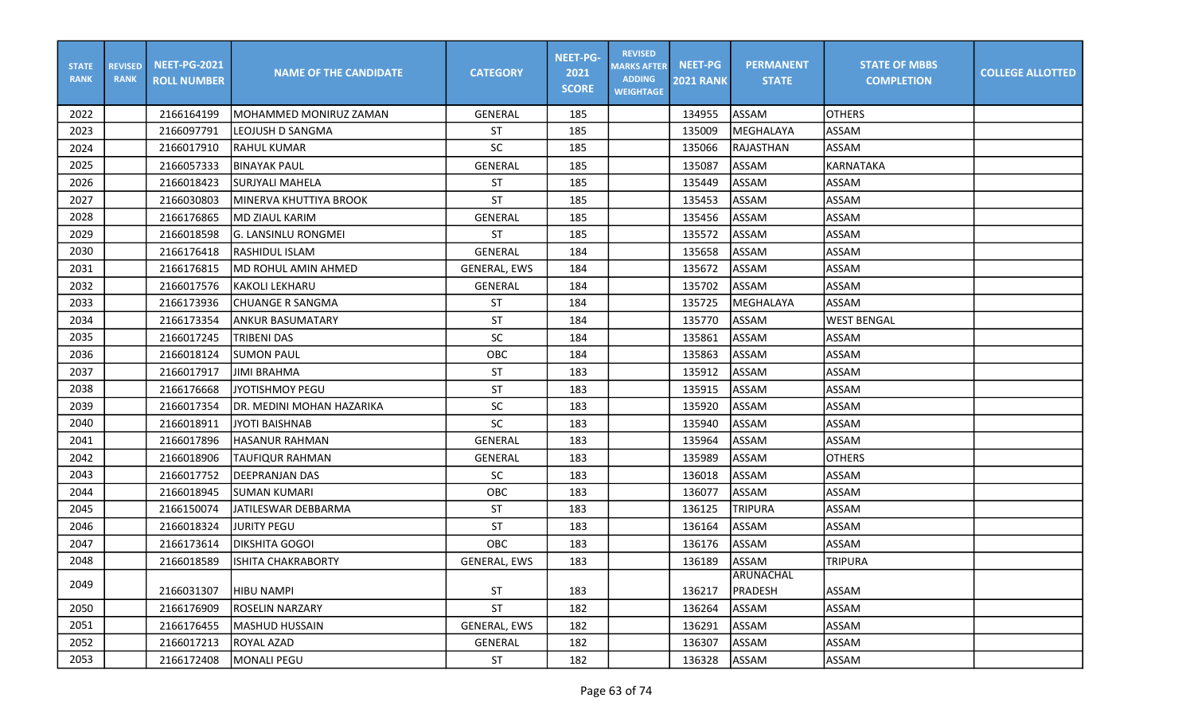| <b>STATE</b><br><b>RANK</b> | <b>REVISED</b><br><b>RANK</b> | <b>NEET-PG-2021</b><br><b>ROLL NUMBER</b> | <b>NAME OF THE CANDIDATE</b> | <b>CATEGORY</b>     | <b>NEET-PG-</b><br>2021<br><b>SCORE</b> | <b>REVISED</b><br><b>MARKS AFTER</b><br><b>ADDING</b><br><b>WEIGHTAGE</b> | <b>NEET-PG</b><br><b>2021 RANK</b> | <b>PERMANENT</b><br><b>STATE</b> | <b>STATE OF MBBS</b><br><b>COMPLETION</b> | <b>COLLEGE ALLOTTED</b> |
|-----------------------------|-------------------------------|-------------------------------------------|------------------------------|---------------------|-----------------------------------------|---------------------------------------------------------------------------|------------------------------------|----------------------------------|-------------------------------------------|-------------------------|
| 2022                        |                               | 2166164199                                | MOHAMMED MONIRUZ ZAMAN       | <b>GENERAL</b>      | 185                                     |                                                                           | 134955                             | ASSAM                            | <b>OTHERS</b>                             |                         |
| 2023                        |                               | 2166097791                                | lleojush d sangma            | ST                  | 185                                     |                                                                           | 135009                             | MEGHALAYA                        | ASSAM                                     |                         |
| 2024                        |                               | 2166017910                                | <b>RAHUL KUMAR</b>           | SC                  | 185                                     |                                                                           | 135066                             | RAJASTHAN                        | ASSAM                                     |                         |
| 2025                        |                               | 2166057333                                | <b>BINAYAK PAUL</b>          | GENERAL             | 185                                     |                                                                           | 135087                             | ASSAM                            | <b>KARNATAKA</b>                          |                         |
| 2026                        |                               | 2166018423                                | <b>SURJYALI MAHELA</b>       | ST                  | 185                                     |                                                                           | 135449                             | ASSAM                            | <b>ASSAM</b>                              |                         |
| 2027                        |                               | 2166030803                                | MINERVA KHUTTIYA BROOK       | <b>ST</b>           | 185                                     |                                                                           | 135453                             | ASSAM                            | ASSAM                                     |                         |
| 2028                        |                               | 2166176865                                | <b>MD ZIAUL KARIM</b>        | GENERAL             | 185                                     |                                                                           | 135456                             | <b>ASSAM</b>                     | <b>ASSAM</b>                              |                         |
| 2029                        |                               | 2166018598                                | <b>G. LANSINLU RONGMEI</b>   | <b>ST</b>           | 185                                     |                                                                           | 135572                             | <b>ASSAM</b>                     | <b>ASSAM</b>                              |                         |
| 2030                        |                               | 2166176418                                | RASHIDUL ISLAM               | <b>GENERAL</b>      | 184                                     |                                                                           | 135658                             | <b>ASSAM</b>                     | <b>ASSAM</b>                              |                         |
| 2031                        |                               | 2166176815                                | MD ROHUL AMIN AHMED          | GENERAL, EWS        | 184                                     |                                                                           | 135672                             | ASSAM                            | <b>ASSAM</b>                              |                         |
| 2032                        |                               | 2166017576                                | <b>KAKOLI LEKHARU</b>        | <b>GENERAL</b>      | 184                                     |                                                                           | 135702                             | <b>ASSAM</b>                     | <b>ASSAM</b>                              |                         |
| 2033                        |                               | 2166173936                                | <b>CHUANGE R SANGMA</b>      | ST                  | 184                                     |                                                                           | 135725                             | MEGHALAYA                        | ASSAM                                     |                         |
| 2034                        |                               | 2166173354                                | ANKUR BASUMATARY             | <b>ST</b>           | 184                                     |                                                                           | 135770                             | ASSAM                            | <b>WEST BENGAL</b>                        |                         |
| 2035                        |                               | 2166017245                                | TRIBENI DAS                  | SC                  | 184                                     |                                                                           | 135861                             | ASSAM                            | <b>ASSAM</b>                              |                         |
| 2036                        |                               | 2166018124                                | <b>SUMON PAUL</b>            | OBC                 | 184                                     |                                                                           | 135863                             | <b>ASSAM</b>                     | <b>ASSAM</b>                              |                         |
| 2037                        |                               | 2166017917                                | <b>JIMI BRAHMA</b>           | <b>ST</b>           | 183                                     |                                                                           | 135912                             | ASSAM                            | ASSAM                                     |                         |
| 2038                        |                               | 2166176668                                | <b>JYOTISHMOY PEGU</b>       | <b>ST</b>           | 183                                     |                                                                           | 135915                             | ASSAM                            | <b>ASSAM</b>                              |                         |
| 2039                        |                               | 2166017354                                | DR. MEDINI MOHAN HAZARIKA    | SC                  | 183                                     |                                                                           | 135920                             | ASSAM                            | <b>ASSAM</b>                              |                         |
| 2040                        |                               | 2166018911                                | <b>JYOTI BAISHNAB</b>        | SC                  | 183                                     |                                                                           | 135940                             | ASSAM                            | ASSAM                                     |                         |
| 2041                        |                               | 2166017896                                | HASANUR RAHMAN               | <b>GENERAL</b>      | 183                                     |                                                                           | 135964                             | <b>ASSAM</b>                     | <b>ASSAM</b>                              |                         |
| 2042                        |                               | 2166018906                                | <b>TAUFIQUR RAHMAN</b>       | <b>GENERAL</b>      | 183                                     |                                                                           | 135989                             | ASSAM                            | <b>OTHERS</b>                             |                         |
| 2043                        |                               | 2166017752                                | <b>DEEPRANJAN DAS</b>        | <b>SC</b>           | 183                                     |                                                                           | 136018                             | ASSAM                            | <b>ASSAM</b>                              |                         |
| 2044                        |                               | 2166018945                                | <b>SUMAN KUMARI</b>          | OBC                 | 183                                     |                                                                           | 136077                             | <b>ASSAM</b>                     | <b>ASSAM</b>                              |                         |
| 2045                        |                               | 2166150074                                | JATILESWAR DEBBARMA          | ST                  | 183                                     |                                                                           | 136125                             | <b>TRIPURA</b>                   | <b>ASSAM</b>                              |                         |
| 2046                        |                               | 2166018324                                | <b>JURITY PEGU</b>           | <b>ST</b>           | 183                                     |                                                                           | 136164                             | ASSAM                            | <b>ASSAM</b>                              |                         |
| 2047                        |                               | 2166173614                                | <b>DIKSHITA GOGOI</b>        | OBC                 | 183                                     |                                                                           | 136176                             | ASSAM                            | ASSAM                                     |                         |
| 2048                        |                               | 2166018589                                | <b>ISHITA CHAKRABORTY</b>    | <b>GENERAL, EWS</b> | 183                                     |                                                                           | 136189                             | ASSAM                            | <b>TRIPURA</b>                            |                         |
| 2049                        |                               | 2166031307                                | <b>HIBU NAMPI</b>            | <b>ST</b>           | 183                                     |                                                                           | 136217                             | ARUNACHAL<br>PRADESH             | <b>ASSAM</b>                              |                         |
| 2050                        |                               | 2166176909                                | ROSELIN NARZARY              | ST                  | 182                                     |                                                                           | 136264                             | ASSAM                            | ASSAM                                     |                         |
| 2051                        |                               | 2166176455                                | <b>MASHUD HUSSAIN</b>        | <b>GENERAL, EWS</b> | 182                                     |                                                                           | 136291                             | ASSAM                            | ASSAM                                     |                         |
| 2052                        |                               | 2166017213                                | <b>ROYAL AZAD</b>            | GENERAL             | 182                                     |                                                                           | 136307                             | ASSAM                            | ASSAM                                     |                         |
| 2053                        |                               | 2166172408                                | <b>MONALI PEGU</b>           | ST                  | 182                                     |                                                                           | 136328                             | ASSAM                            | ASSAM                                     |                         |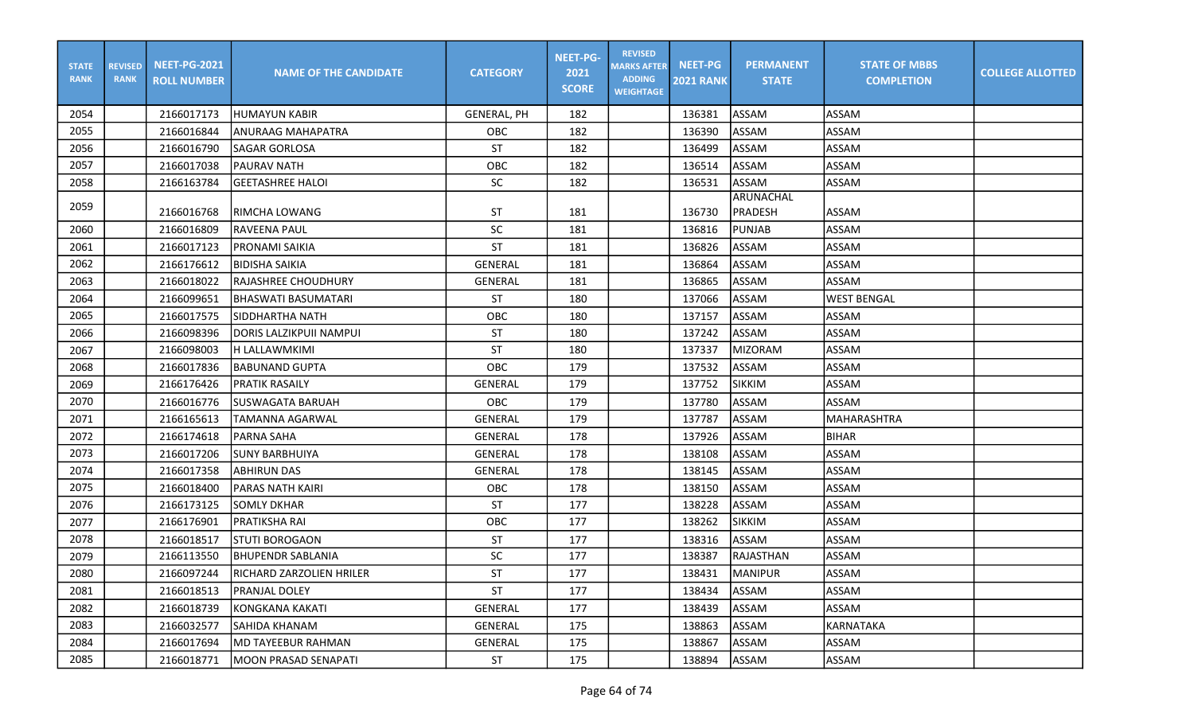| <b>STATE</b><br><b>RANK</b> | <b>REVISED</b><br><b>RANK</b> | <b>NEET-PG-2021</b><br><b>ROLL NUMBER</b> | <b>NAME OF THE CANDIDATE</b> | <b>CATEGORY</b>    | <b>NEET-PG-</b><br>2021<br><b>SCORE</b> | <b>REVISED</b><br><b>MARKS AFTER</b><br><b>ADDING</b><br><b>WEIGHTAGE</b> | <b>NEET-PG</b><br><b>2021 RANK</b> | <b>PERMANENT</b><br><b>STATE</b> | <b>STATE OF MBBS</b><br><b>COMPLETION</b> | <b>COLLEGE ALLOTTED</b> |
|-----------------------------|-------------------------------|-------------------------------------------|------------------------------|--------------------|-----------------------------------------|---------------------------------------------------------------------------|------------------------------------|----------------------------------|-------------------------------------------|-------------------------|
| 2054                        |                               | 2166017173                                | <b>IHUMAYUN KABIR</b>        | <b>GENERAL, PH</b> | 182                                     |                                                                           | 136381                             | <b>ASSAM</b>                     | ASSAM                                     |                         |
| 2055                        |                               | 2166016844                                | ANURAAG MAHAPATRA            | <b>OBC</b>         | 182                                     |                                                                           | 136390                             | <b>ASSAM</b>                     | ASSAM                                     |                         |
| 2056                        |                               | 2166016790                                | <b>SAGAR GORLOSA</b>         | <b>ST</b>          | 182                                     |                                                                           | 136499                             | <b>ASSAM</b>                     | ASSAM                                     |                         |
| 2057                        |                               | 2166017038                                | IPAURAV NATH                 | OBC                | 182                                     |                                                                           | 136514                             | ASSAM                            | <b>ASSAM</b>                              |                         |
| 2058                        |                               | 2166163784                                | GEETASHREE HALOI             | <b>SC</b>          | 182                                     |                                                                           | 136531                             | ASSAM                            | <b>ASSAM</b>                              |                         |
| 2059                        |                               | 2166016768                                | RIMCHA LOWANG                | ST                 | 181                                     |                                                                           | 136730                             | ARUNACHAL<br><b>PRADESH</b>      | <b>ASSAM</b>                              |                         |
| 2060                        |                               | 2166016809                                | lraveena paul                | SC                 | 181                                     |                                                                           | 136816                             | <b>PUNJAB</b>                    | ASSAM                                     |                         |
| 2061                        |                               | 2166017123                                | PRONAMI SAIKIA               | <b>ST</b>          | 181                                     |                                                                           | 136826                             | ASSAM                            | <b>ASSAM</b>                              |                         |
| 2062                        |                               | 2166176612                                | <b>BIDISHA SAIKIA</b>        | <b>GENERAL</b>     | 181                                     |                                                                           | 136864                             | <b>ASSAM</b>                     | <b>ASSAM</b>                              |                         |
| 2063                        |                               | 2166018022                                | <b>RAJASHREE CHOUDHURY</b>   | GENERAL            | 181                                     |                                                                           | 136865                             | ASSAM                            | ASSAM                                     |                         |
| 2064                        |                               | 2166099651                                | İBHASWATI BASUMATARI         | <b>ST</b>          | 180                                     |                                                                           | 137066                             | ASSAM                            | <b>WEST BENGAL</b>                        |                         |
| 2065                        |                               | 2166017575                                | <b>SIDDHARTHA NATH</b>       | OBC                | 180                                     |                                                                           | 137157                             | <b>ASSAM</b>                     | <b>ASSAM</b>                              |                         |
| 2066                        |                               | 2166098396                                | DORIS LALZIKPUII NAMPUI      | <b>ST</b>          | 180                                     |                                                                           | 137242                             | ASSAM                            | ASSAM                                     |                         |
| 2067                        |                               | 2166098003                                | H LALLAWMKIMI                | ST                 | 180                                     |                                                                           | 137337                             | <b>MIZORAM</b>                   | ASSAM                                     |                         |
| 2068                        |                               | 2166017836                                | IBABUNAND GUPTA              | OBC                | 179                                     |                                                                           | 137532                             | ASSAM                            | <b>ASSAM</b>                              |                         |
| 2069                        |                               | 2166176426                                | IPRATIK RASAILY              | <b>GENERAL</b>     | 179                                     |                                                                           | 137752                             | <b>SIKKIM</b>                    | <b>ASSAM</b>                              |                         |
| 2070                        |                               | 2166016776                                | <b>SUSWAGATA BARUAH</b>      | OBC                | 179                                     |                                                                           | 137780                             | ASSAM                            | ASSAM                                     |                         |
| 2071                        |                               | 2166165613                                | <b>TAMANNA AGARWAL</b>       | <b>GENERAL</b>     | 179                                     |                                                                           | 137787                             | <b>ASSAM</b>                     | MAHARASHTRA                               |                         |
| 2072                        |                               | 2166174618                                | PARNA SAHA                   | <b>GENERAL</b>     | 178                                     |                                                                           | 137926                             | <b>ASSAM</b>                     | BIHAR                                     |                         |
| 2073                        |                               | 2166017206                                | <b>I</b> SUNY BARBHUIYA      | <b>GENERAL</b>     | 178                                     |                                                                           | 138108                             | ASSAM                            | <b>ASSAM</b>                              |                         |
| 2074                        |                               | 2166017358                                | <b>ABHIRUN DAS</b>           | GENERAL            | 178                                     |                                                                           | 138145                             | ASSAM                            | <b>ASSAM</b>                              |                         |
| 2075                        |                               | 2166018400                                | PARAS NATH KAIRI             | OBC                | 178                                     |                                                                           | 138150                             | ASSAM                            | ASSAM                                     |                         |
| 2076                        |                               | 2166173125                                | <b>SOMLY DKHAR</b>           | <b>ST</b>          | 177                                     |                                                                           | 138228                             | <b>ASSAM</b>                     | <b>ASSAM</b>                              |                         |
| 2077                        |                               | 2166176901                                | PRATIKSHA RAI                | OBC                | 177                                     |                                                                           | 138262                             | <b>SIKKIM</b>                    | <b>ASSAM</b>                              |                         |
| 2078                        |                               | 2166018517                                | <b>STUTI BOROGAON</b>        | <b>ST</b>          | 177                                     |                                                                           | 138316                             | ASSAM                            | <b>ASSAM</b>                              |                         |
| 2079                        |                               | 2166113550                                | <b>BHUPENDR SABLANIA</b>     | SC                 | 177                                     |                                                                           | 138387                             | <b>RAJASTHAN</b>                 | ASSAM                                     |                         |
| 2080                        |                               | 2166097244                                | RICHARD ZARZOLIEN HRILER     | <b>ST</b>          | 177                                     |                                                                           | 138431                             | <b>IMANIPUR</b>                  | ASSAM                                     |                         |
| 2081                        |                               | 2166018513                                | <b>PRANJAL DOLEY</b>         | <b>ST</b>          | 177                                     |                                                                           | 138434                             | <b>ASSAM</b>                     | ASSAM                                     |                         |
| 2082                        |                               | 2166018739                                | KONGKANA KAKATI              | GENERAL            | 177                                     |                                                                           | 138439                             | <b>ASSAM</b>                     | ASSAM                                     |                         |
| 2083                        |                               | 2166032577                                | SAHIDA KHANAM                | GENERAL            | 175                                     |                                                                           | 138863                             | ASSAM                            | KARNATAKA                                 |                         |
| 2084                        |                               | 2166017694                                | MD TAYEEBUR RAHMAN           | GENERAL            | 175                                     |                                                                           | 138867                             | ASSAM                            | ASSAM                                     |                         |
| 2085                        |                               | 2166018771                                | <b>MOON PRASAD SENAPATI</b>  | ST                 | 175                                     |                                                                           | 138894                             | ASSAM                            | ASSAM                                     |                         |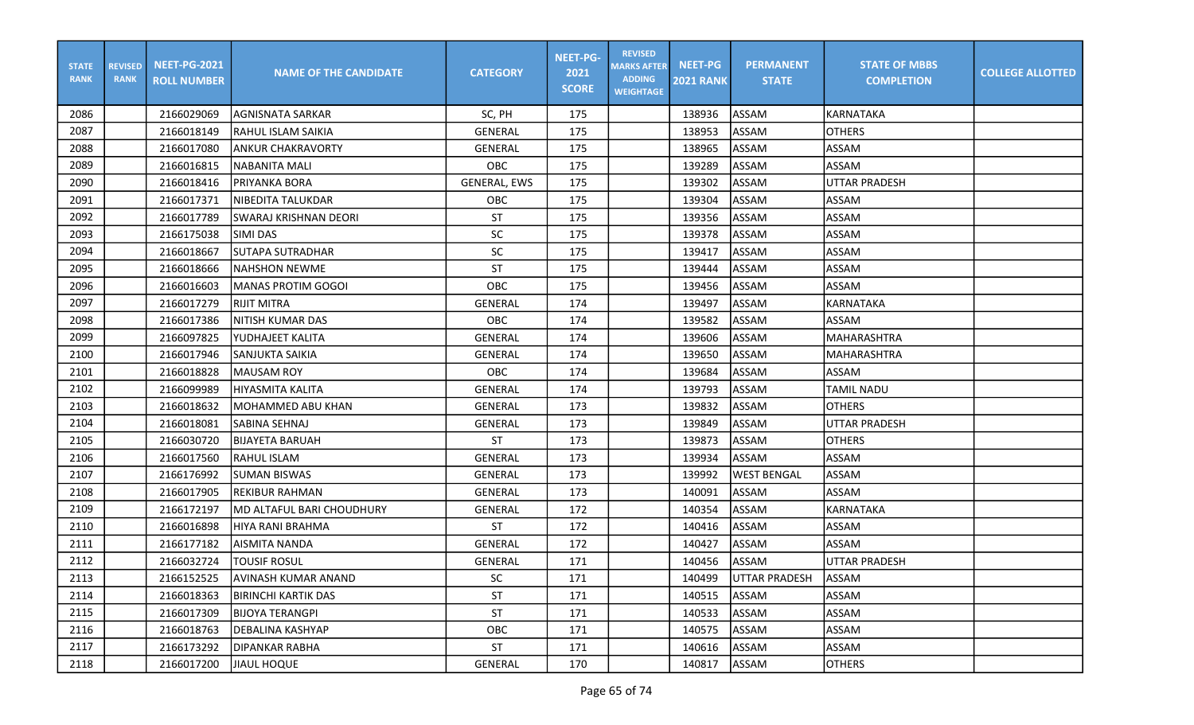| <b>STATE</b><br><b>RANK</b> | <b>REVISED</b><br><b>RANK</b> | <b>NEET-PG-2021</b><br><b>ROLL NUMBER</b> | <b>NAME OF THE CANDIDATE</b> | <b>CATEGORY</b>     | <b>NEET-PG-</b><br>2021<br><b>SCORE</b> | <b>REVISED</b><br><b>MARKS AFTER</b><br><b>ADDING</b><br><b>WEIGHTAGE</b> | <b>NEET-PG</b><br><b>2021 RANK</b> | <b>PERMANENT</b><br><b>STATE</b> | <b>STATE OF MBBS</b><br><b>COMPLETION</b> | <b>COLLEGE ALLOTTED</b> |
|-----------------------------|-------------------------------|-------------------------------------------|------------------------------|---------------------|-----------------------------------------|---------------------------------------------------------------------------|------------------------------------|----------------------------------|-------------------------------------------|-------------------------|
| 2086                        |                               | 2166029069                                | <b>AGNISNATA SARKAR</b>      | SC, PH              | 175                                     |                                                                           | 138936                             | ASSAM                            | <b>KARNATAKA</b>                          |                         |
| 2087                        |                               | 2166018149                                | <b>RAHUL ISLAM SAIKIA</b>    | <b>GENERAL</b>      | 175                                     |                                                                           | 138953                             | <b>ASSAM</b>                     | <b>OTHERS</b>                             |                         |
| 2088                        |                               | 2166017080                                | <b>ANKUR CHAKRAVORTY</b>     | <b>GENERAL</b>      | 175                                     |                                                                           | 138965                             | <b>ASSAM</b>                     | ASSAM                                     |                         |
| 2089                        |                               | 2166016815                                | <b>NABANITA MALI</b>         | OBC                 | 175                                     |                                                                           | 139289                             | <b>ASSAM</b>                     | <b>ASSAM</b>                              |                         |
| 2090                        |                               | 2166018416                                | PRIYANKA BORA                | <b>GENERAL, EWS</b> | 175                                     |                                                                           | 139302                             | ASSAM                            | luttar pradesh                            |                         |
| 2091                        |                               | 2166017371                                | <b>NIBEDITA TALUKDAR</b>     | OBC                 | 175                                     |                                                                           | 139304                             | ASSAM                            | <b>ASSAM</b>                              |                         |
| 2092                        |                               | 2166017789                                | SWARAJ KRISHNAN DEORI        | <b>ST</b>           | 175                                     |                                                                           | 139356                             | ASSAM                            | <b>ASSAM</b>                              |                         |
| 2093                        |                               | 2166175038                                | SIMI DAS                     | SC                  | 175                                     |                                                                           | 139378                             | ASSAM                            | <b>ASSAM</b>                              |                         |
| 2094                        |                               | 2166018667                                | <b>SUTAPA SUTRADHAR</b>      | SC                  | 175                                     |                                                                           | 139417                             | <b>ASSAM</b>                     | <b>ASSAM</b>                              |                         |
| 2095                        |                               | 2166018666                                | <b>NAHSHON NEWME</b>         | <b>ST</b>           | 175                                     |                                                                           | 139444                             | ASSAM                            | <b>ASSAM</b>                              |                         |
| 2096                        |                               | 2166016603                                | <b>MANAS PROTIM GOGOI</b>    | OBC                 | 175                                     |                                                                           | 139456                             | <b>ASSAM</b>                     | <b>ASSAM</b>                              |                         |
| 2097                        |                               | 2166017279                                | <b>RIJIT MITRA</b>           | <b>GENERAL</b>      | 174                                     |                                                                           | 139497                             | ASSAM                            | KARNATAKA                                 |                         |
| 2098                        |                               | 2166017386                                | NITISH KUMAR DAS             | OBC                 | 174                                     |                                                                           | 139582                             | ASSAM                            | <b>ASSAM</b>                              |                         |
| 2099                        |                               | 2166097825                                | YUDHAJEET KALITA             | <b>GENERAL</b>      | 174                                     |                                                                           | 139606                             | ASSAM                            | MAHARASHTRA                               |                         |
| 2100                        |                               | 2166017946                                | SANJUKTA SAIKIA              | <b>GENERAL</b>      | 174                                     |                                                                           | 139650                             | <b>ASSAM</b>                     | IMAHARASHTRA                              |                         |
| 2101                        |                               | 2166018828                                | <b>MAUSAM ROY</b>            | OBC                 | 174                                     |                                                                           | 139684                             | <b>ASSAM</b>                     | ASSAM                                     |                         |
| 2102                        |                               | 2166099989                                | HIYASMITA KALITA             | <b>GENERAL</b>      | 174                                     |                                                                           | 139793                             | ASSAM                            | TAMIL NADU                                |                         |
| 2103                        |                               | 2166018632                                | MOHAMMED ABU KHAN            | <b>GENERAL</b>      | 173                                     |                                                                           | 139832                             | ASSAM                            | <b>OTHERS</b>                             |                         |
| 2104                        |                               | 2166018081                                | <b>SABINA SEHNAJ</b>         | GENERAL             | 173                                     |                                                                           | 139849                             | ASSAM                            | <b>UTTAR PRADESH</b>                      |                         |
| 2105                        |                               | 2166030720                                | <b>BIJAYETA BARUAH</b>       | <b>ST</b>           | 173                                     |                                                                           | 139873                             | ASSAM                            | <b>OTHERS</b>                             |                         |
| 2106                        |                               | 2166017560                                | RAHUL ISLAM                  | <b>GENERAL</b>      | 173                                     |                                                                           | 139934                             | ASSAM                            | <b>ASSAM</b>                              |                         |
| 2107                        |                               | 2166176992                                | <b>SUMAN BISWAS</b>          | GENERAL             | 173                                     |                                                                           | 139992                             | <b>WEST BENGAL</b>               | ASSAM                                     |                         |
| 2108                        |                               | 2166017905                                | <b>REKIBUR RAHMAN</b>        | <b>GENERAL</b>      | 173                                     |                                                                           | 140091                             | <b>ASSAM</b>                     | <b>ASSAM</b>                              |                         |
| 2109                        |                               | 2166172197                                | MD ALTAFUL BARI CHOUDHURY    | <b>GENERAL</b>      | 172                                     |                                                                           | 140354                             | ASSAM                            | KARNATAKA                                 |                         |
| 2110                        |                               | 2166016898                                | HIYA RANI BRAHMA             | <b>ST</b>           | 172                                     |                                                                           | 140416                             | ASSAM                            | <b>ASSAM</b>                              |                         |
| 2111                        |                               | 2166177182                                | AISMITA NANDA                | GENERAL             | 172                                     |                                                                           | 140427                             | ASSAM                            | ASSAM                                     |                         |
| 2112                        |                               | 2166032724                                | <b>TOUSIF ROSUL</b>          | <b>GENERAL</b>      | 171                                     |                                                                           | 140456                             | ASSAM                            | UTTAR PRADESH                             |                         |
| 2113                        |                               | 2166152525                                | AVINASH KUMAR ANAND          | ${\sf SC}$          | 171                                     |                                                                           | 140499                             | UTTAR PRADESH                    | ASSAM                                     |                         |
| 2114                        |                               | 2166018363                                | <b>BIRINCHI KARTIK DAS</b>   | <b>ST</b>           | 171                                     |                                                                           | 140515                             | ASSAM                            | ASSAM                                     |                         |
| 2115                        |                               | 2166017309                                | IBIJOYA TERANGPI             | ST                  | 171                                     |                                                                           | 140533                             | ASSAM                            | ASSAM                                     |                         |
| 2116                        |                               | 2166018763                                | <b>DEBALINA KASHYAP</b>      | OBC                 | 171                                     |                                                                           | 140575                             | ASSAM                            | ASSAM                                     |                         |
| 2117                        |                               | 2166173292                                | <b>DIPANKAR RABHA</b>        | ST                  | 171                                     |                                                                           | 140616                             | ASSAM                            | ASSAM                                     |                         |
| 2118                        |                               | 2166017200                                | JIAUL HOQUE                  | GENERAL             | 170                                     |                                                                           | 140817                             | ASSAM                            | <b>OTHERS</b>                             |                         |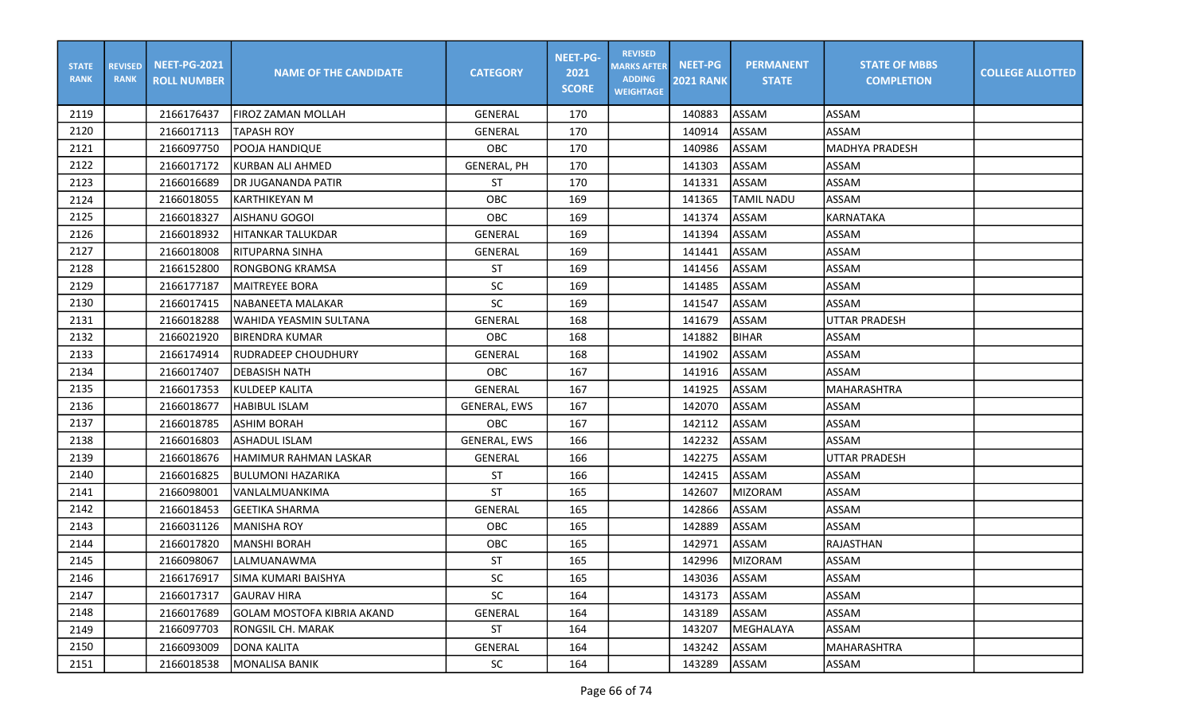| <b>STATE</b><br><b>RANK</b> | <b>REVISED</b><br><b>RANK</b> | <b>NEET-PG-2021</b><br><b>ROLL NUMBER</b> | <b>NAME OF THE CANDIDATE</b>      | <b>CATEGORY</b>     | <b>NEET-PG-</b><br>2021<br><b>SCORE</b> | <b>REVISED</b><br><b>MARKS AFTER</b><br><b>ADDING</b><br><b>WEIGHTAGE</b> | <b>NEET-PG</b><br><b>2021 RANK</b> | <b>PERMANENT</b><br><b>STATE</b> | <b>STATE OF MBBS</b><br><b>COMPLETION</b> | <b>COLLEGE ALLOTTED</b> |
|-----------------------------|-------------------------------|-------------------------------------------|-----------------------------------|---------------------|-----------------------------------------|---------------------------------------------------------------------------|------------------------------------|----------------------------------|-------------------------------------------|-------------------------|
| 2119                        |                               | 2166176437                                | FIROZ ZAMAN MOLLAH                | <b>GENERAL</b>      | 170                                     |                                                                           | 140883                             | ASSAM                            | ASSAM                                     |                         |
| 2120                        |                               | 2166017113                                | <b>TAPASH ROY</b>                 | <b>GENERAL</b>      | 170                                     |                                                                           | 140914                             | <b>ASSAM</b>                     | <b>ASSAM</b>                              |                         |
| 2121                        |                               | 2166097750                                | POOJA HANDIQUE                    | OBC                 | 170                                     |                                                                           | 140986                             | <b>ASSAM</b>                     | <b>MADHYA PRADESH</b>                     |                         |
| 2122                        |                               | 2166017172                                | KURBAN ALI AHMED                  | <b>GENERAL, PH</b>  | 170                                     |                                                                           | 141303                             | <b>ASSAM</b>                     | ASSAM                                     |                         |
| 2123                        |                               | 2166016689                                | DR JUGANANDA PATIR                | ST                  | 170                                     |                                                                           | 141331                             | ASSAM                            | <b>ASSAM</b>                              |                         |
| 2124                        |                               | 2166018055                                | <b>KARTHIKEYAN M</b>              | OBC                 | 169                                     |                                                                           | 141365                             | <b>TAMIL NADU</b>                | <b>ASSAM</b>                              |                         |
| 2125                        |                               | 2166018327                                | AISHANU GOGOI                     | OBC                 | 169                                     |                                                                           | 141374                             | ASSAM                            | <b>KARNATAKA</b>                          |                         |
| 2126                        |                               | 2166018932                                | <b>HITANKAR TALUKDAR</b>          | <b>GENERAL</b>      | 169                                     |                                                                           | 141394                             | ASSAM                            | ASSAM                                     |                         |
| 2127                        |                               | 2166018008                                | <b>RITUPARNA SINHA</b>            | <b>GENERAL</b>      | 169                                     |                                                                           | 141441                             | <b>ASSAM</b>                     | <b>ASSAM</b>                              |                         |
| 2128                        |                               | 2166152800                                | RONGBONG KRAMSA                   | <b>ST</b>           | 169                                     |                                                                           | 141456                             | ASSAM                            | <b>ASSAM</b>                              |                         |
| 2129                        |                               | 2166177187                                | <b>MAITREYEE BORA</b>             | SC                  | 169                                     |                                                                           | 141485                             | <b>ASSAM</b>                     | <b>ASSAM</b>                              |                         |
| 2130                        |                               | 2166017415                                | NABANEETA MALAKAR                 | <b>SC</b>           | 169                                     |                                                                           | 141547                             | ASSAM                            | <b>ASSAM</b>                              |                         |
| 2131                        |                               | 2166018288                                | WAHIDA YEASMIN SULTANA            | <b>GENERAL</b>      | 168                                     |                                                                           | 141679                             | ASSAM                            | UTTAR PRADESH                             |                         |
| 2132                        |                               | 2166021920                                | IBIRENDRA KUMAR                   | OBC                 | 168                                     |                                                                           | 141882                             | <b>BIHAR</b>                     | <b>ASSAM</b>                              |                         |
| 2133                        |                               | 2166174914                                | <b>RUDRADEEP CHOUDHURY</b>        | <b>GENERAL</b>      | 168                                     |                                                                           | 141902                             | ASSAM                            | <b>ASSAM</b>                              |                         |
| 2134                        |                               | 2166017407                                | <b>DEBASISH NATH</b>              | OBC                 | 167                                     |                                                                           | 141916                             | <b>ASSAM</b>                     | <b>ASSAM</b>                              |                         |
| 2135                        |                               | 2166017353                                | <b>KULDEEP KALITA</b>             | GENERAL             | 167                                     |                                                                           | 141925                             | ASSAM                            | <b>MAHARASHTRA</b>                        |                         |
| 2136                        |                               | 2166018677                                | <b>HABIBUL ISLAM</b>              | <b>GENERAL, EWS</b> | 167                                     |                                                                           | 142070                             | ASSAM                            | <b>ASSAM</b>                              |                         |
| 2137                        |                               | 2166018785                                | <b>ASHIM BORAH</b>                | OBC                 | 167                                     |                                                                           | 142112                             | ASSAM                            | <b>ASSAM</b>                              |                         |
| 2138                        |                               | 2166016803                                | <b>ASHADUL ISLAM</b>              | GENERAL, EWS        | 166                                     |                                                                           | 142232                             | <b>ASSAM</b>                     | <b>ASSAM</b>                              |                         |
| 2139                        |                               | 2166018676                                | HAMIMUR RAHMAN LASKAR             | <b>GENERAL</b>      | 166                                     |                                                                           | 142275                             | <b>ASSAM</b>                     | <b>UTTAR PRADESH</b>                      |                         |
| 2140                        |                               | 2166016825                                | <b>BULUMONI HAZARIKA</b>          | <b>ST</b>           | 166                                     |                                                                           | 142415                             | <b>ASSAM</b>                     | ASSAM                                     |                         |
| 2141                        |                               | 2166098001                                | VANLALMUANKIMA                    | <b>ST</b>           | 165                                     |                                                                           | 142607                             | <b>MIZORAM</b>                   | <b>ASSAM</b>                              |                         |
| 2142                        |                               | 2166018453                                | <b>GEETIKA SHARMA</b>             | <b>GENERAL</b>      | 165                                     |                                                                           | 142866                             | ASSAM                            | ASSAM                                     |                         |
| 2143                        |                               | 2166031126                                | <b>MANISHA ROY</b>                | OBC                 | 165                                     |                                                                           | 142889                             | ASSAM                            | <b>ASSAM</b>                              |                         |
| 2144                        |                               | 2166017820                                | <b>MANSHI BORAH</b>               | OBC                 | 165                                     |                                                                           | 142971                             | ASSAM                            | <b>RAJASTHAN</b>                          |                         |
| 2145                        |                               | 2166098067                                | LALMUANAWMA                       | ST                  | 165                                     |                                                                           | 142996                             | MIZORAM                          | ASSAM                                     |                         |
| 2146                        |                               | 2166176917                                | SIMA KUMARI BAISHYA               | SC                  | 165                                     |                                                                           | 143036                             | ASSAM                            | ASSAM                                     |                         |
| 2147                        |                               | 2166017317                                | <b>GAURAV HIRA</b>                | SC                  | 164                                     |                                                                           | 143173                             | ASSAM                            | ASSAM                                     |                         |
| 2148                        |                               | 2166017689                                | <b>GOLAM MOSTOFA KIBRIA AKAND</b> | GENERAL             | 164                                     |                                                                           | 143189                             | ASSAM                            | ASSAM                                     |                         |
| 2149                        |                               | 2166097703                                | <b>RONGSIL CH. MARAK</b>          | <b>ST</b>           | 164                                     |                                                                           | 143207                             | MEGHALAYA                        | ASSAM                                     |                         |
| 2150                        |                               | 2166093009                                | <b>DONA KALITA</b>                | GENERAL             | 164                                     |                                                                           | 143242                             | ASSAM                            | MAHARASHTRA                               |                         |
| 2151                        |                               | 2166018538                                | <b>MONALISA BANIK</b>             | SC                  | 164                                     |                                                                           | 143289                             | ASSAM                            | ASSAM                                     |                         |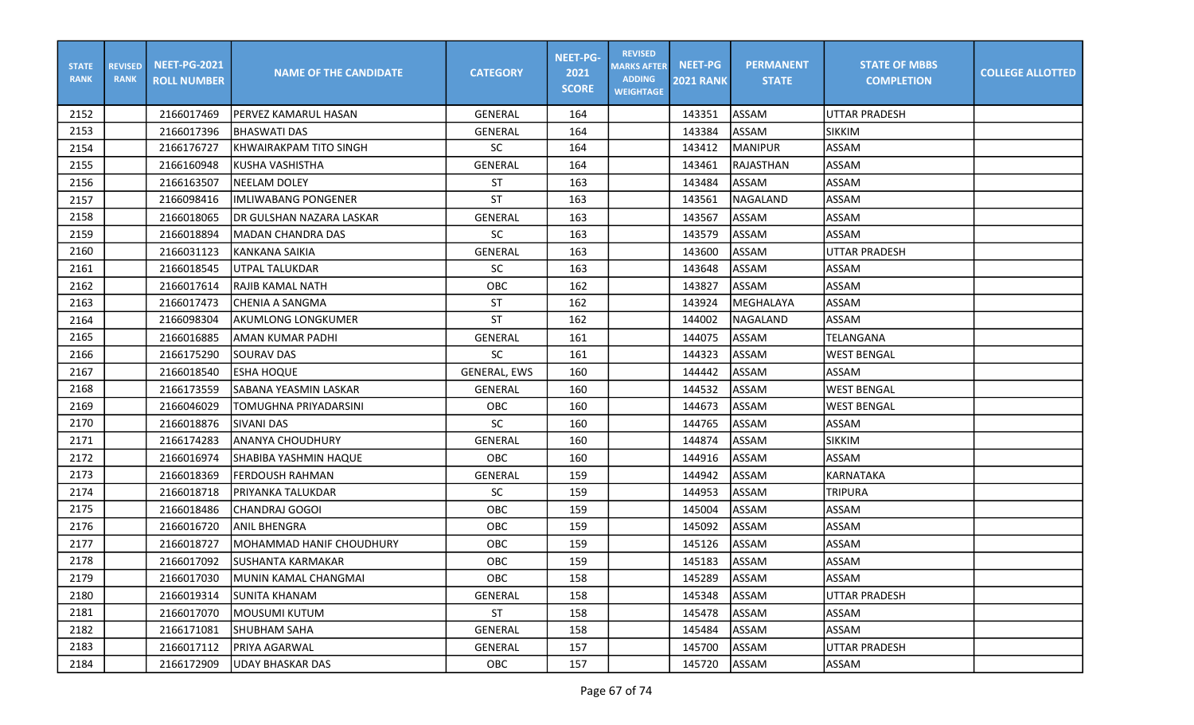| <b>STATE</b><br><b>RANK</b> | <b>REVISED</b><br><b>RANK</b> | <b>NEET-PG-2021</b><br><b>ROLL NUMBER</b> | <b>NAME OF THE CANDIDATE</b> | <b>CATEGORY</b>     | <b>NEET-PG-</b><br>2021<br><b>SCORE</b> | <b>REVISED</b><br><b>MARKS AFTER</b><br><b>ADDING</b><br><b>WEIGHTAGE</b> | <b>NEET-PG</b><br><b>2021 RANK</b> | <b>PERMANENT</b><br><b>STATE</b> | <b>STATE OF MBBS</b><br><b>COMPLETION</b> | <b>COLLEGE ALLOTTED</b> |
|-----------------------------|-------------------------------|-------------------------------------------|------------------------------|---------------------|-----------------------------------------|---------------------------------------------------------------------------|------------------------------------|----------------------------------|-------------------------------------------|-------------------------|
| 2152                        |                               | 2166017469                                | PERVEZ KAMARUL HASAN         | <b>GENERAL</b>      | 164                                     |                                                                           | 143351                             | ASSAM                            | <b>IUTTAR PRADESH</b>                     |                         |
| 2153                        |                               | 2166017396                                | <b>BHASWATI DAS</b>          | <b>GENERAL</b>      | 164                                     |                                                                           | 143384                             | <b>ASSAM</b>                     | <b>SIKKIM</b>                             |                         |
| 2154                        |                               | 2166176727                                | KHWAIRAKPAM TITO SINGH       | <b>SC</b>           | 164                                     |                                                                           | 143412                             | <b>MANIPUR</b>                   | <b>ASSAM</b>                              |                         |
| 2155                        |                               | 2166160948                                | <b>KUSHA VASHISTHA</b>       | <b>GENERAL</b>      | 164                                     |                                                                           | 143461                             | RAJASTHAN                        | <b>ASSAM</b>                              |                         |
| 2156                        |                               | 2166163507                                | <b>NEELAM DOLEY</b>          | ST                  | 163                                     |                                                                           | 143484                             | ASSAM                            | <b>ASSAM</b>                              |                         |
| 2157                        |                               | 2166098416                                | <b>IMLIWABANG PONGENER</b>   | ST                  | 163                                     |                                                                           | 143561                             | NAGALAND                         | <b>ASSAM</b>                              |                         |
| 2158                        |                               | 2166018065                                | DR GULSHAN NAZARA LASKAR     | <b>GENERAL</b>      | 163                                     |                                                                           | 143567                             | ASSAM                            | ASSAM                                     |                         |
| 2159                        |                               | 2166018894                                | <b>MADAN CHANDRA DAS</b>     | <b>SC</b>           | 163                                     |                                                                           | 143579                             | ASSAM                            | <b>ASSAM</b>                              |                         |
| 2160                        |                               | 2166031123                                | KANKANA SAIKIA               | <b>GENERAL</b>      | 163                                     |                                                                           | 143600                             | ASSAM                            | UTTAR PRADESH                             |                         |
| 2161                        |                               | 2166018545                                | UTPAL TALUKDAR               | <b>SC</b>           | 163                                     |                                                                           | 143648                             | ASSAM                            | <b>ASSAM</b>                              |                         |
| 2162                        |                               | 2166017614                                | RAJIB KAMAL NATH             | OBC                 | 162                                     |                                                                           | 143827                             | ASSAM                            | <b>ASSAM</b>                              |                         |
| 2163                        |                               | 2166017473                                | <b>CHENIA A SANGMA</b>       | ST                  | 162                                     |                                                                           | 143924                             | MEGHALAYA                        | ASSAM                                     |                         |
| 2164                        |                               | 2166098304                                | <b>AKUMLONG LONGKUMER</b>    | <b>ST</b>           | 162                                     |                                                                           | 144002                             | NAGALAND                         | ASSAM                                     |                         |
| 2165                        |                               | 2166016885                                | <b>AMAN KUMAR PADHI</b>      | <b>GENERAL</b>      | 161                                     |                                                                           | 144075                             | ASSAM                            | <b>TELANGANA</b>                          |                         |
| 2166                        |                               | 2166175290                                | SOURAV DAS                   | <b>SC</b>           | 161                                     |                                                                           | 144323                             | ASSAM                            | <b>WEST BENGAL</b>                        |                         |
| 2167                        |                               | 2166018540                                | <b>ESHA HOQUE</b>            | <b>GENERAL, EWS</b> | 160                                     |                                                                           | 144442                             | ASSAM                            | ASSAM                                     |                         |
| 2168                        |                               | 2166173559                                | SABANA YEASMIN LASKAR        | <b>GENERAL</b>      | 160                                     |                                                                           | 144532                             | ASSAM                            | <b>WEST BENGAL</b>                        |                         |
| 2169                        |                               | 2166046029                                | TOMUGHNA PRIYADARSINI        | OBC                 | 160                                     |                                                                           | 144673                             | ASSAM                            | <b>WEST BENGAL</b>                        |                         |
| 2170                        |                               | 2166018876                                | SIVANI DAS                   | SC                  | 160                                     |                                                                           | 144765                             | <b>ASSAM</b>                     | <b>ASSAM</b>                              |                         |
| 2171                        |                               | 2166174283                                | <b>ANANYA CHOUDHURY</b>      | <b>GENERAL</b>      | 160                                     |                                                                           | 144874                             | ASSAM                            | <b>SIKKIM</b>                             |                         |
| 2172                        |                               | 2166016974                                | SHABIBA YASHMIN HAQUE        | <b>OBC</b>          | 160                                     |                                                                           | 144916                             | <b>ASSAM</b>                     | <b>ASSAM</b>                              |                         |
| 2173                        |                               | 2166018369                                | FERDOUSH RAHMAN              | <b>GENERAL</b>      | 159                                     |                                                                           | 144942                             | ASSAM                            | <b>KARNATAKA</b>                          |                         |
| 2174                        |                               | 2166018718                                | PRIYANKA TALUKDAR            | SC                  | 159                                     |                                                                           | 144953                             | ASSAM                            | <b>TRIPURA</b>                            |                         |
| 2175                        |                               | 2166018486                                | CHANDRAJ GOGOI               | OBC                 | 159                                     |                                                                           | 145004                             | ASSAM                            | ASSAM                                     |                         |
| 2176                        |                               | 2166016720                                | <b>ANIL BHENGRA</b>          | OBC                 | 159                                     |                                                                           | 145092                             | ASSAM                            | <b>ASSAM</b>                              |                         |
| 2177                        |                               | 2166018727                                | MOHAMMAD HANIF CHOUDHURY     | OBC                 | 159                                     |                                                                           | 145126                             | <b>ASSAM</b>                     | <b>ASSAM</b>                              |                         |
| 2178                        |                               | 2166017092                                | ISUSHANTA KARMAKAR           | <b>OBC</b>          | 159                                     |                                                                           | 145183                             | ASSAM                            | ASSAM                                     |                         |
| 2179                        |                               | 2166017030                                | <b>IMUNIN KAMAL CHANGMAI</b> | OBC                 | 158                                     |                                                                           | 145289                             | ASSAM                            | <b>ASSAM</b>                              |                         |
| 2180                        |                               | 2166019314                                | <b>SUNITA KHANAM</b>         | GENERAL             | 158                                     |                                                                           | 145348                             | ASSAM                            | UTTAR PRADESH                             |                         |
| 2181                        |                               | 2166017070                                | MOUSUMI KUTUM                | ST                  | 158                                     |                                                                           | 145478                             | ASSAM                            | <b>ASSAM</b>                              |                         |
| 2182                        |                               | 2166171081                                | <b>SHUBHAM SAHA</b>          | GENERAL             | 158                                     |                                                                           | 145484                             | <b>ASSAM</b>                     | ASSAM                                     |                         |
| 2183                        |                               | 2166017112                                | PRIYA AGARWAL                | GENERAL             | 157                                     |                                                                           | 145700                             | <b>ASSAM</b>                     | UTTAR PRADESH                             |                         |
| 2184                        |                               | 2166172909                                | <b>UDAY BHASKAR DAS</b>      | <b>OBC</b>          | 157                                     |                                                                           | 145720                             | ASSAM                            | ASSAM                                     |                         |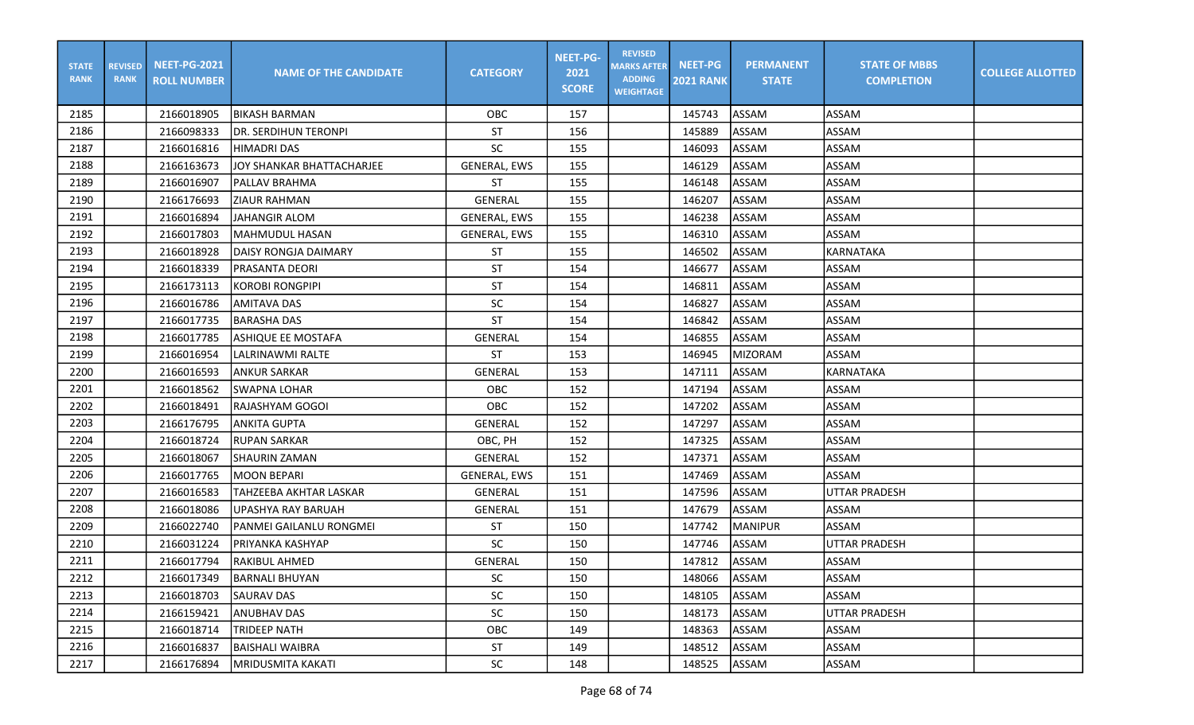| <b>STATE</b><br><b>RANK</b> | <b>REVISED</b><br><b>RANK</b> | <b>NEET-PG-2021</b><br><b>ROLL NUMBER</b> | <b>NAME OF THE CANDIDATE</b> | <b>CATEGORY</b>     | <b>NEET-PG-</b><br>2021<br><b>SCORE</b> | <b>REVISED</b><br><b>MARKS AFTER</b><br><b>ADDING</b><br><b>WEIGHTAGE</b> | <b>NEET-PG</b><br><b>2021 RANK</b> | <b>PERMANENT</b><br><b>STATE</b> | <b>STATE OF MBBS</b><br><b>COMPLETION</b> | <b>COLLEGE ALLOTTED</b> |
|-----------------------------|-------------------------------|-------------------------------------------|------------------------------|---------------------|-----------------------------------------|---------------------------------------------------------------------------|------------------------------------|----------------------------------|-------------------------------------------|-------------------------|
| 2185                        |                               | 2166018905                                | <b>BIKASH BARMAN</b>         | OBC                 | 157                                     |                                                                           | 145743                             | ASSAM                            | ASSAM                                     |                         |
| 2186                        |                               | 2166098333                                | <b>DR. SERDIHUN TERONPI</b>  | <b>ST</b>           | 156                                     |                                                                           | 145889                             | <b>ASSAM</b>                     | <b>ASSAM</b>                              |                         |
| 2187                        |                               | 2166016816                                | <b>HIMADRI DAS</b>           | <b>SC</b>           | 155                                     |                                                                           | 146093                             | ASSAM                            | <b>ASSAM</b>                              |                         |
| 2188                        |                               | 2166163673                                | JOY SHANKAR BHATTACHARJEE    | <b>GENERAL, EWS</b> | 155                                     |                                                                           | 146129                             | ASSAM                            | <b>ASSAM</b>                              |                         |
| 2189                        |                               | 2166016907                                | <b>PALLAV BRAHMA</b>         | ST                  | 155                                     |                                                                           | 146148                             | ASSAM                            | <b>ASSAM</b>                              |                         |
| 2190                        |                               | 2166176693                                | ZIAUR RAHMAN                 | <b>GENERAL</b>      | 155                                     |                                                                           | 146207                             | ASSAM                            | <b>ASSAM</b>                              |                         |
| 2191                        |                               | 2166016894                                | <b>JAHANGIR ALOM</b>         | GENERAL, EWS        | 155                                     |                                                                           | 146238                             | ASSAM                            | <b>ASSAM</b>                              |                         |
| 2192                        |                               | 2166017803                                | <b>MAHMUDUL HASAN</b>        | <b>GENERAL, EWS</b> | 155                                     |                                                                           | 146310                             | ASSAM                            | <b>ASSAM</b>                              |                         |
| 2193                        |                               | 2166018928                                | DAISY RONGJA DAIMARY         | <b>ST</b>           | 155                                     |                                                                           | 146502                             | ASSAM                            | <b>KARNATAKA</b>                          |                         |
| 2194                        |                               | 2166018339                                | PRASANTA DEORI               | <b>ST</b>           | 154                                     |                                                                           | 146677                             | ASSAM                            | <b>ASSAM</b>                              |                         |
| 2195                        |                               | 2166173113                                | <b>KOROBI RONGPIPI</b>       | <b>ST</b>           | 154                                     |                                                                           | 146811                             | <b>ASSAM</b>                     | <b>ASSAM</b>                              |                         |
| 2196                        |                               | 2166016786                                | <b>AMITAVA DAS</b>           | SC                  | 154                                     |                                                                           | 146827                             | ASSAM                            | <b>ASSAM</b>                              |                         |
| 2197                        |                               | 2166017735                                | <b>BARASHA DAS</b>           | ST                  | 154                                     |                                                                           | 146842                             | ASSAM                            | <b>ASSAM</b>                              |                         |
| 2198                        |                               | 2166017785                                | ASHIQUE EE MOSTAFA           | <b>GENERAL</b>      | 154                                     |                                                                           | 146855                             | ASSAM                            | <b>ASSAM</b>                              |                         |
| 2199                        |                               | 2166016954                                | LALRINAWMI RALTE             | ST                  | 153                                     |                                                                           | 146945                             | <b>MIZORAM</b>                   | ASSAM                                     |                         |
| 2200                        |                               | 2166016593                                | <b>ANKUR SARKAR</b>          | <b>GENERAL</b>      | 153                                     |                                                                           | 147111                             | ASSAM                            | KARNATAKA                                 |                         |
| 2201                        |                               | 2166018562                                | <b>SWAPNA LOHAR</b>          | OBC.                | 152                                     |                                                                           | 147194                             | ASSAM                            | <b>ASSAM</b>                              |                         |
| 2202                        |                               | 2166018491                                | RAJASHYAM GOGOI              | OBC                 | 152                                     |                                                                           | 147202                             | ASSAM                            | <b>ASSAM</b>                              |                         |
| 2203                        |                               | 2166176795                                | <b>ANKITA GUPTA</b>          | <b>GENERAL</b>      | 152                                     |                                                                           | 147297                             | ASSAM                            | <b>ASSAM</b>                              |                         |
| 2204                        |                               | 2166018724                                | <b>RUPAN SARKAR</b>          | OBC, PH             | 152                                     |                                                                           | 147325                             | <b>ASSAM</b>                     | <b>ASSAM</b>                              |                         |
| 2205                        |                               | 2166018067                                | <b>SHAURIN ZAMAN</b>         | <b>GENERAL</b>      | 152                                     |                                                                           | 147371                             | ASSAM                            | <b>ASSAM</b>                              |                         |
| 2206                        |                               | 2166017765                                | <b>MOON BEPARI</b>           | <b>GENERAL, EWS</b> | 151                                     |                                                                           | 147469                             | <b>ASSAM</b>                     | <b>ASSAM</b>                              |                         |
| 2207                        |                               | 2166016583                                | TAHZEEBA AKHTAR LASKAR       | <b>GENERAL</b>      | 151                                     |                                                                           | 147596                             | ASSAM                            | <b>UTTAR PRADESH</b>                      |                         |
| 2208                        |                               | 2166018086                                | UPASHYA RAY BARUAH           | <b>GENERAL</b>      | 151                                     |                                                                           | 147679                             | ASSAM                            | ASSAM                                     |                         |
| 2209                        |                               | 2166022740                                | PANMEI GAILANLU RONGMEI      | ST                  | 150                                     |                                                                           | 147742                             | <b>MANIPUR</b>                   | <b>ASSAM</b>                              |                         |
| 2210                        |                               | 2166031224                                | PRIYANKA KASHYAP             | SC                  | 150                                     |                                                                           | 147746                             | <b>ASSAM</b>                     | <b>UTTAR PRADESH</b>                      |                         |
| 2211                        |                               | 2166017794                                | <b>RAKIBUL AHMED</b>         | <b>GENERAL</b>      | 150                                     |                                                                           | 147812                             | ASSAM                            | ASSAM                                     |                         |
| 2212                        |                               | 2166017349                                | <b>BARNALI BHUYAN</b>        | SC                  | 150                                     |                                                                           | 148066                             | ASSAM                            | <b>ASSAM</b>                              |                         |
| 2213                        |                               | 2166018703                                | <b>SAURAV DAS</b>            | SC                  | 150                                     |                                                                           | 148105                             | ASSAM                            | ASSAM                                     |                         |
| 2214                        |                               | 2166159421                                | <b>ANUBHAV DAS</b>           | SC                  | 150                                     |                                                                           | 148173                             | ASSAM                            | UTTAR PRADESH                             |                         |
| 2215                        |                               | 2166018714                                | TRIDEEP NATH                 | OBC                 | 149                                     |                                                                           | 148363                             | ASSAM                            | ASSAM                                     |                         |
| 2216                        |                               | 2166016837                                | BAISHALI WAIBRA              | ST                  | 149                                     |                                                                           | 148512                             | ASSAM                            | ASSAM                                     |                         |
| 2217                        |                               | 2166176894                                | <b>MRIDUSMITA KAKATI</b>     | SC                  | 148                                     |                                                                           | 148525                             | ASSAM                            | ASSAM                                     |                         |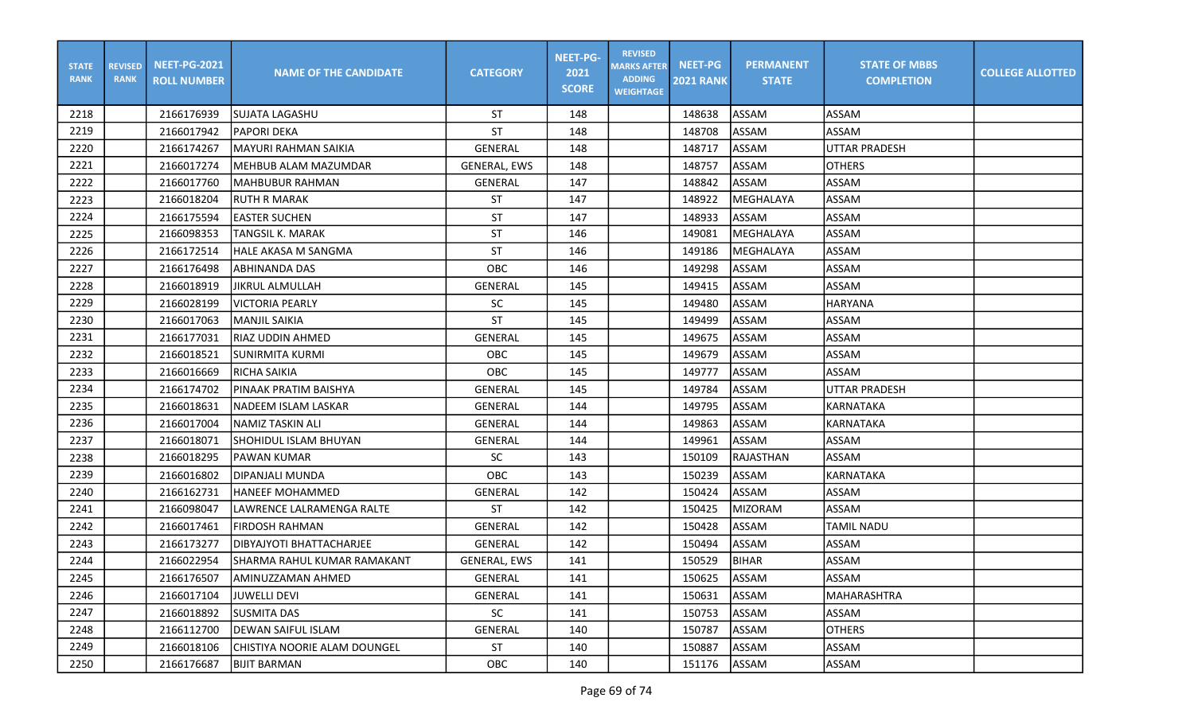| <b>STATE</b><br><b>RANK</b> | <b>REVISED</b><br><b>RANK</b> | <b>NEET-PG-2021</b><br><b>ROLL NUMBER</b> | <b>NAME OF THE CANDIDATE</b>    | <b>CATEGORY</b>     | <b>NEET-PG-</b><br>2021<br><b>SCORE</b> | <b>REVISED</b><br><b>MARKS AFTER</b><br><b>ADDING</b><br><b>WEIGHTAGE</b> | <b>NEET-PG</b><br><b>2021 RANK</b> | <b>PERMANENT</b><br><b>STATE</b> | <b>STATE OF MBBS</b><br><b>COMPLETION</b> | <b>COLLEGE ALLOTTED</b> |
|-----------------------------|-------------------------------|-------------------------------------------|---------------------------------|---------------------|-----------------------------------------|---------------------------------------------------------------------------|------------------------------------|----------------------------------|-------------------------------------------|-------------------------|
| 2218                        |                               | 2166176939                                | SUJATA LAGASHU                  | <b>ST</b>           | 148                                     |                                                                           | 148638                             | ASSAM                            | ASSAM                                     |                         |
| 2219                        |                               | 2166017942                                | <b>PAPORI DEKA</b>              | <b>ST</b>           | 148                                     |                                                                           | 148708                             | ASSAM                            | <b>ASSAM</b>                              |                         |
| 2220                        |                               | 2166174267                                | MAYURI RAHMAN SAIKIA            | <b>GENERAL</b>      | 148                                     |                                                                           | 148717                             | ASSAM                            | <b>UTTAR PRADESH</b>                      |                         |
| 2221                        |                               | 2166017274                                | MEHBUB ALAM MAZUMDAR            | <b>GENERAL, EWS</b> | 148                                     |                                                                           | 148757                             | ASSAM                            | <b>OTHERS</b>                             |                         |
| 2222                        |                               | 2166017760                                | <b>MAHBUBUR RAHMAN</b>          | GENERAL             | 147                                     |                                                                           | 148842                             | ASSAM                            | ASSAM                                     |                         |
| 2223                        |                               | 2166018204                                | <b>RUTH R MARAK</b>             | ST                  | 147                                     |                                                                           | 148922                             | <b>MEGHALAYA</b>                 | <b>ASSAM</b>                              |                         |
| 2224                        |                               | 2166175594                                | <b>EASTER SUCHEN</b>            | <b>ST</b>           | 147                                     |                                                                           | 148933                             | <b>ASSAM</b>                     | <b>ASSAM</b>                              |                         |
| 2225                        |                               | 2166098353                                | <b>TANGSIL K. MARAK</b>         | ST                  | 146                                     |                                                                           | 149081                             | MEGHALAYA                        | <b>ASSAM</b>                              |                         |
| 2226                        |                               | 2166172514                                | HALE AKASA M SANGMA             | ST                  | 146                                     |                                                                           | 149186                             | MEGHALAYA                        | ASSAM                                     |                         |
| 2227                        |                               | 2166176498                                | <b>ABHINANDA DAS</b>            | OBC                 | 146                                     |                                                                           | 149298                             | ASSAM                            | <b>ASSAM</b>                              |                         |
| 2228                        |                               | 2166018919                                | JIKRUL ALMULLAH                 | <b>GENERAL</b>      | 145                                     |                                                                           | 149415                             | <b>ASSAM</b>                     | <b>ASSAM</b>                              |                         |
| 2229                        |                               | 2166028199                                | <b>VICTORIA PEARLY</b>          | SC                  | 145                                     |                                                                           | 149480                             | ASSAM                            | <b>HARYANA</b>                            |                         |
| 2230                        |                               | 2166017063                                | <b>MANJIL SAIKIA</b>            | ST                  | 145                                     |                                                                           | 149499                             | ASSAM                            | <b>ASSAM</b>                              |                         |
| 2231                        |                               | 2166177031                                | <b>RIAZ UDDIN AHMED</b>         | <b>GENERAL</b>      | 145                                     |                                                                           | 149675                             | ASSAM                            | <b>ASSAM</b>                              |                         |
| 2232                        |                               | 2166018521                                | <b>SUNIRMITA KURMI</b>          | <b>OBC</b>          | 145                                     |                                                                           | 149679                             | <b>ASSAM</b>                     | <b>ASSAM</b>                              |                         |
| 2233                        |                               | 2166016669                                | <b>RICHA SAIKIA</b>             | OBC                 | 145                                     |                                                                           | 149777                             | <b>ASSAM</b>                     | <b>ASSAM</b>                              |                         |
| 2234                        |                               | 2166174702                                | PINAAK PRATIM BAISHYA           | <b>GENERAL</b>      | 145                                     |                                                                           | 149784                             | ASSAM                            | <b>UTTAR PRADESH</b>                      |                         |
| 2235                        |                               | 2166018631                                | NADEEM ISLAM LASKAR             | <b>GENERAL</b>      | 144                                     |                                                                           | 149795                             | ASSAM                            | <b>KARNATAKA</b>                          |                         |
| 2236                        |                               | 2166017004                                | <b>NAMIZ TASKIN ALI</b>         | <b>GENERAL</b>      | 144                                     |                                                                           | 149863                             | ASSAM                            | KARNATAKA                                 |                         |
| 2237                        |                               | 2166018071                                | SHOHIDUL ISLAM BHUYAN           | <b>GENERAL</b>      | 144                                     |                                                                           | 149961                             | ASSAM                            | <b>ASSAM</b>                              |                         |
| 2238                        |                               | 2166018295                                | PAWAN KUMAR                     | <b>SC</b>           | 143                                     |                                                                           | 150109                             | RAJASTHAN                        | ASSAM                                     |                         |
| 2239                        |                               | 2166016802                                | DIPANJALI MUNDA                 | OBC                 | 143                                     |                                                                           | 150239                             | ASSAM                            | <b>KARNATAKA</b>                          |                         |
| 2240                        |                               | 2166162731                                | <b>HANEEF MOHAMMED</b>          | GENERAL             | 142                                     |                                                                           | 150424                             | <b>ASSAM</b>                     | <b>ASSAM</b>                              |                         |
| 2241                        |                               | 2166098047                                | LAWRENCE LALRAMENGA RALTE       | ST                  | 142                                     |                                                                           | 150425                             | <b>MIZORAM</b>                   | <b>ASSAM</b>                              |                         |
| 2242                        |                               | 2166017461                                | <b>FIRDOSH RAHMAN</b>           | <b>GENERAL</b>      | 142                                     |                                                                           | 150428                             | ASSAM                            | <b>TAMIL NADU</b>                         |                         |
| 2243                        |                               | 2166173277                                | <b>DIBYAJYOTI BHATTACHARJEE</b> | GENERAL             | 142                                     |                                                                           | 150494                             | ASSAM                            | ASSAM                                     |                         |
| 2244                        |                               | 2166022954                                | SHARMA RAHUL KUMAR RAMAKANT     | GENERAL, EWS        | 141                                     |                                                                           | 150529                             | <b>BIHAR</b>                     | ASSAM                                     |                         |
| 2245                        |                               | 2166176507                                | AMINUZZAMAN AHMED               | GENERAL             | 141                                     |                                                                           | 150625                             | ASSAM                            | ASSAM                                     |                         |
| 2246                        |                               | 2166017104                                | <b>JUWELLI DEVI</b>             | GENERAL             | 141                                     |                                                                           | 150631                             | <b>ASSAM</b>                     | MAHARASHTRA                               |                         |
| 2247                        |                               | 2166018892                                | <b>SUSMITA DAS</b>              | SC                  | 141                                     |                                                                           | 150753                             | ASSAM                            | ASSAM                                     |                         |
| 2248                        |                               | 2166112700                                | <b>DEWAN SAIFUL ISLAM</b>       | GENERAL             | 140                                     |                                                                           | 150787                             | ASSAM                            | <b>OTHERS</b>                             |                         |
| 2249                        |                               | 2166018106                                | CHISTIYA NOORIE ALAM DOUNGEL    | ST                  | 140                                     |                                                                           | 150887                             | ASSAM                            | ASSAM                                     |                         |
| 2250                        |                               | 2166176687                                | <b>BIJIT BARMAN</b>             | OBC                 | 140                                     |                                                                           | 151176                             | ASSAM                            | ASSAM                                     |                         |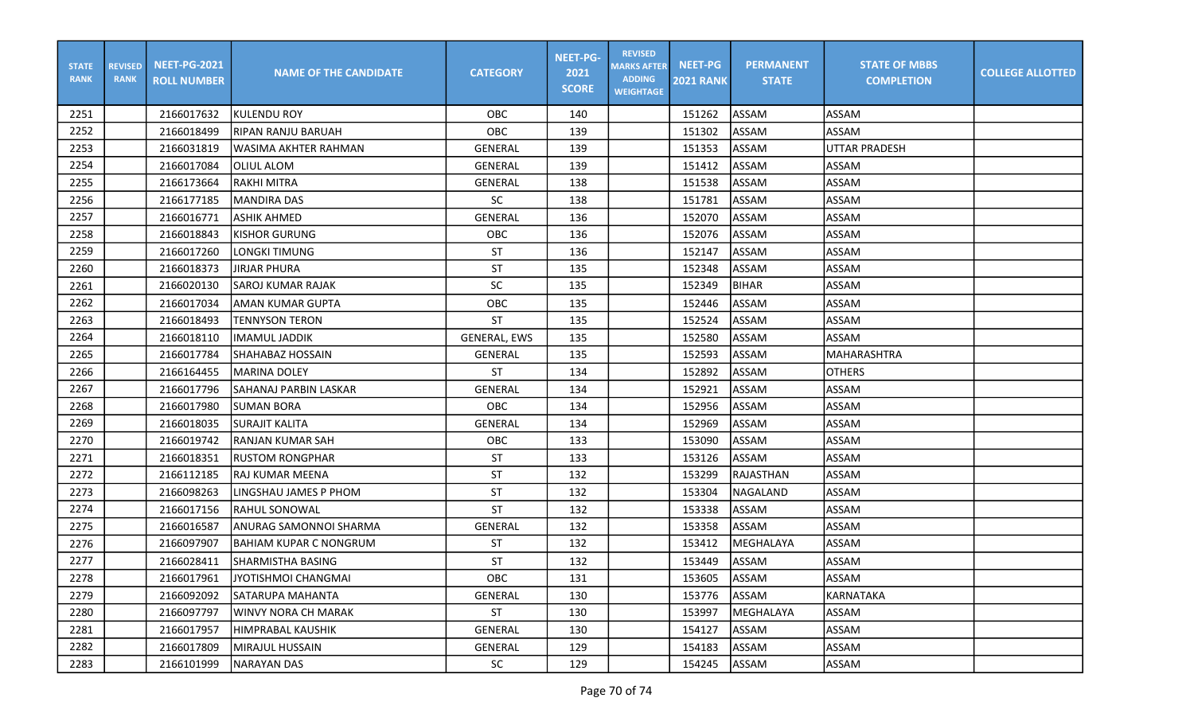| <b>STATE</b><br><b>RANK</b> | <b>REVISED</b><br><b>RANK</b> | <b>NEET-PG-2021</b><br><b>ROLL NUMBER</b> | <b>NAME OF THE CANDIDATE</b>  | <b>CATEGORY</b>     | <b>NEET-PG-</b><br>2021<br><b>SCORE</b> | <b>REVISED</b><br><b>MARKS AFTER</b><br><b>ADDING</b><br><b>WEIGHTAGE</b> | <b>NEET-PG</b><br><b>2021 RANK</b> | <b>PERMANENT</b><br><b>STATE</b> | <b>STATE OF MBBS</b><br><b>COMPLETION</b> | <b>COLLEGE ALLOTTED</b> |
|-----------------------------|-------------------------------|-------------------------------------------|-------------------------------|---------------------|-----------------------------------------|---------------------------------------------------------------------------|------------------------------------|----------------------------------|-------------------------------------------|-------------------------|
| 2251                        |                               | 2166017632                                | KULENDU ROY                   | OBC                 | 140                                     |                                                                           | 151262                             | ASSAM                            | <b>ASSAM</b>                              |                         |
| 2252                        |                               | 2166018499                                | <b>RIPAN RANJU BARUAH</b>     | OBC                 | 139                                     |                                                                           | 151302                             | <b>ASSAM</b>                     | ASSAM                                     |                         |
| 2253                        |                               | 2166031819                                | WASIMA AKHTER RAHMAN          | <b>GENERAL</b>      | 139                                     |                                                                           | 151353                             | <b>ASSAM</b>                     | <b>UTTAR PRADESH</b>                      |                         |
| 2254                        |                               | 2166017084                                | OLIUL ALOM                    | <b>GENERAL</b>      | 139                                     |                                                                           | 151412                             | <b>ASSAM</b>                     | <b>ASSAM</b>                              |                         |
| 2255                        |                               | 2166173664                                | RAKHI MITRA                   | <b>GENERAL</b>      | 138                                     |                                                                           | 151538                             | ASSAM                            | <b>ASSAM</b>                              |                         |
| 2256                        |                               | 2166177185                                | <b>MANDIRA DAS</b>            | <b>SC</b>           | 138                                     |                                                                           | 151781                             | ASSAM                            | <b>ASSAM</b>                              |                         |
| 2257                        |                               | 2166016771                                | <b>ASHIK AHMED</b>            | GENERAL             | 136                                     |                                                                           | 152070                             | ASSAM                            | <b>ASSAM</b>                              |                         |
| 2258                        |                               | 2166018843                                | <b>KISHOR GURUNG</b>          | OBC                 | 136                                     |                                                                           | 152076                             | ASSAM                            | <b>ASSAM</b>                              |                         |
| 2259                        |                               | 2166017260                                | LONGKI TIMUNG                 | <b>ST</b>           | 136                                     |                                                                           | 152147                             | <b>ASSAM</b>                     | <b>ASSAM</b>                              |                         |
| 2260                        |                               | 2166018373                                | JIRJAR PHURA                  | <b>ST</b>           | 135                                     |                                                                           | 152348                             | ASSAM                            | <b>ASSAM</b>                              |                         |
| 2261                        |                               | 2166020130                                | SAROJ KUMAR RAJAK             | SC                  | 135                                     |                                                                           | 152349                             | <b>BIHAR</b>                     | <b>ASSAM</b>                              |                         |
| 2262                        |                               | 2166017034                                | AMAN KUMAR GUPTA              | OBC                 | 135                                     |                                                                           | 152446                             | ASSAM                            | <b>ASSAM</b>                              |                         |
| 2263                        |                               | 2166018493                                | <b>TENNYSON TERON</b>         | ST                  | 135                                     |                                                                           | 152524                             | ASSAM                            | <b>ASSAM</b>                              |                         |
| 2264                        |                               | 2166018110                                | IMAMUL JADDIK                 | <b>GENERAL, EWS</b> | 135                                     |                                                                           | 152580                             | ASSAM                            | ASSAM                                     |                         |
| 2265                        |                               | 2166017784                                | SHAHABAZ HOSSAIN              | <b>GENERAL</b>      | 135                                     |                                                                           | 152593                             | <b>ASSAM</b>                     | IMAHARASHTRA                              |                         |
| 2266                        |                               | 2166164455                                | <b>MARINA DOLEY</b>           | <b>ST</b>           | 134                                     |                                                                           | 152892                             | <b>ASSAM</b>                     | <b>OTHERS</b>                             |                         |
| 2267                        |                               | 2166017796                                | SAHANAJ PARBIN LASKAR         | <b>GENERAL</b>      | 134                                     |                                                                           | 152921                             | ASSAM                            | <b>ASSAM</b>                              |                         |
| 2268                        |                               | 2166017980                                | <b>SUMAN BORA</b>             | OBC                 | 134                                     |                                                                           | 152956                             | ASSAM                            | <b>ASSAM</b>                              |                         |
| 2269                        |                               | 2166018035                                | <b>SURAJIT KALITA</b>         | <b>GENERAL</b>      | 134                                     |                                                                           | 152969                             | ASSAM                            | ASSAM                                     |                         |
| 2270                        |                               | 2166019742                                | <b>RANJAN KUMAR SAH</b>       | OBC                 | 133                                     |                                                                           | 153090                             | ASSAM                            | <b>ASSAM</b>                              |                         |
| 2271                        |                               | 2166018351                                | <b>RUSTOM RONGPHAR</b>        | <b>ST</b>           | 133                                     |                                                                           | 153126                             | ASSAM                            | <b>ASSAM</b>                              |                         |
| 2272                        |                               | 2166112185                                | RAJ KUMAR MEENA               | ST                  | 132                                     |                                                                           | 153299                             | RAJASTHAN                        | <b>ASSAM</b>                              |                         |
| 2273                        |                               | 2166098263                                | LINGSHAU JAMES P PHOM         | <b>ST</b>           | 132                                     |                                                                           | 153304                             | NAGALAND                         | <b>ASSAM</b>                              |                         |
| 2274                        |                               | 2166017156                                | RAHUL SONOWAL                 | <b>ST</b>           | 132                                     |                                                                           | 153338                             | ASSAM                            | ASSAM                                     |                         |
| 2275                        |                               | 2166016587                                | ANURAG SAMONNOI SHARMA        | <b>GENERAL</b>      | 132                                     |                                                                           | 153358                             | ASSAM                            | <b>ASSAM</b>                              |                         |
| 2276                        |                               | 2166097907                                | <b>BAHIAM KUPAR C NONGRUM</b> | ST                  | 132                                     |                                                                           | 153412                             | MEGHALAYA                        | <b>ASSAM</b>                              |                         |
| 2277                        |                               | 2166028411                                | SHARMISTHA BASING             | <b>ST</b>           | 132                                     |                                                                           | 153449                             | ASSAM                            | <b>ASSAM</b>                              |                         |
| 2278                        |                               | 2166017961                                | JYOTISHMOI CHANGMAI           | OBC                 | 131                                     |                                                                           | 153605                             | ASSAM                            | ASSAM                                     |                         |
| 2279                        |                               | 2166092092                                | SATARUPA MAHANTA              | GENERAL             | 130                                     |                                                                           | 153776                             | ASSAM                            | <b>KARNATAKA</b>                          |                         |
| 2280                        |                               | 2166097797                                | WINVY NORA CH MARAK           | ST                  | 130                                     |                                                                           | 153997                             | MEGHALAYA                        | ASSAM                                     |                         |
| 2281                        |                               | 2166017957                                | HIMPRABAL KAUSHIK             | GENERAL             | 130                                     |                                                                           | 154127                             | ASSAM                            | ASSAM                                     |                         |
| 2282                        |                               | 2166017809                                | MIRAJUL HUSSAIN               | GENERAL             | 129                                     |                                                                           | 154183                             | ASSAM                            | ASSAM                                     |                         |
| 2283                        |                               | 2166101999                                | <b>NARAYAN DAS</b>            | SC                  | 129                                     |                                                                           | 154245                             | ASSAM                            | ASSAM                                     |                         |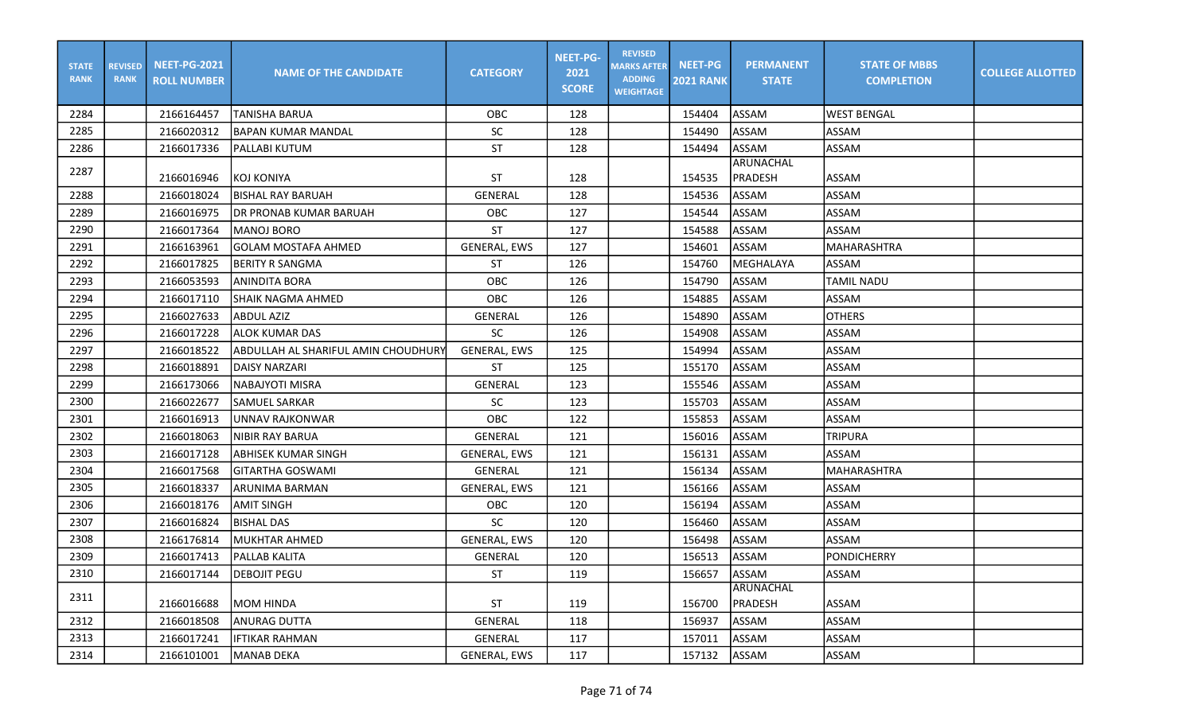| <b>STATE</b><br><b>RANK</b> | <b>REVISED</b><br><b>RANK</b> | <b>NEET-PG-2021</b><br><b>ROLL NUMBER</b> | <b>NAME OF THE CANDIDATE</b>        | <b>CATEGORY</b>     | <b>NEET-PG-</b><br>2021<br><b>SCORE</b> | <b>REVISED</b><br><b>MARKS AFTER</b><br><b>ADDING</b><br><b>WEIGHTAGE</b> | <b>NEET-PG</b><br><b>2021 RANK</b> | <b>PERMANENT</b><br><b>STATE</b> | <b>STATE OF MBBS</b><br><b>COMPLETION</b> | <b>COLLEGE ALLOTTED</b> |
|-----------------------------|-------------------------------|-------------------------------------------|-------------------------------------|---------------------|-----------------------------------------|---------------------------------------------------------------------------|------------------------------------|----------------------------------|-------------------------------------------|-------------------------|
| 2284                        |                               | 2166164457                                | <b>TANISHA BARUA</b>                | <b>OBC</b>          | 128                                     |                                                                           | 154404                             | <b>ASSAM</b>                     | <b>WEST BENGAL</b>                        |                         |
| 2285                        |                               | 2166020312                                | lbapan kumar mandal                 | <b>SC</b>           | 128                                     |                                                                           | 154490                             | <b>ASSAM</b>                     | <b>ASSAM</b>                              |                         |
| 2286                        |                               | 2166017336                                | PALLABI KUTUM                       | <b>ST</b>           | 128                                     |                                                                           | 154494                             | ASSAM                            | ASSAM                                     |                         |
| 2287                        |                               | 2166016946                                | KOJ KONIYA                          | ST                  | 128                                     |                                                                           | 154535                             | ARUNACHAL<br><b>PRADESH</b>      | <b>ASSAM</b>                              |                         |
| 2288                        |                               | 2166018024                                | <b>BISHAL RAY BARUAH</b>            | <b>GENERAL</b>      | 128                                     |                                                                           | 154536                             | <b>ASSAM</b>                     | <b>ASSAM</b>                              |                         |
| 2289                        |                               | 2166016975                                | DR PRONAB KUMAR BARUAH              | OBC                 | 127                                     |                                                                           | 154544                             | <b>ASSAM</b>                     | <b>ASSAM</b>                              |                         |
| 2290                        |                               | 2166017364                                | <b>MANOJ BORO</b>                   | <b>ST</b>           | 127                                     |                                                                           | 154588                             | <b>ASSAM</b>                     | ASSAM                                     |                         |
| 2291                        |                               | 2166163961                                | <b>GOLAM MOSTAFA AHMED</b>          | <b>GENERAL, EWS</b> | 127                                     |                                                                           | 154601                             | ASSAM                            | <b>MAHARASHTRA</b>                        |                         |
| 2292                        |                               | 2166017825                                | <b>BERITY R SANGMA</b>              | <b>ST</b>           | 126                                     |                                                                           | 154760                             | MEGHALAYA                        | ASSAM                                     |                         |
| 2293                        |                               | 2166053593                                | <b>ANINDITA BORA</b>                | OBC                 | 126                                     |                                                                           | 154790                             | ASSAM                            | TAMIL NADU                                |                         |
| 2294                        |                               | 2166017110                                | <b>SHAIK NAGMA AHMED</b>            | OBC                 | 126                                     |                                                                           | 154885                             | ASSAM                            | <b>ASSAM</b>                              |                         |
| 2295                        |                               | 2166027633                                | <b>ABDUL AZIZ</b>                   | <b>GENERAL</b>      | 126                                     |                                                                           | 154890                             | ASSAM                            | <b>OTHERS</b>                             |                         |
| 2296                        |                               | 2166017228                                | <b>ALOK KUMAR DAS</b>               | <b>SC</b>           | 126                                     |                                                                           | 154908                             | ASSAM                            | ASSAM                                     |                         |
| 2297                        |                               | 2166018522                                | ABDULLAH AL SHARIFUL AMIN CHOUDHURY | <b>GENERAL, EWS</b> | 125                                     |                                                                           | 154994                             | ASSAM                            | <b>ASSAM</b>                              |                         |
| 2298                        |                               | 2166018891                                | <b>DAISY NARZARI</b>                | <b>ST</b>           | 125                                     |                                                                           | 155170                             | ASSAM                            | <b>ASSAM</b>                              |                         |
| 2299                        |                               | 2166173066                                | NABAJYOTI MISRA                     | <b>GENERAL</b>      | 123                                     |                                                                           | 155546                             | ASSAM                            | <b>ASSAM</b>                              |                         |
| 2300                        |                               | 2166022677                                | <b>SAMUEL SARKAR</b>                | SC                  | 123                                     |                                                                           | 155703                             | ASSAM                            | <b>ASSAM</b>                              |                         |
| 2301                        |                               | 2166016913                                | <b>UNNAV RAJKONWAR</b>              | <b>OBC</b>          | 122                                     |                                                                           | 155853                             | ASSAM                            | <b>ASSAM</b>                              |                         |
| 2302                        |                               | 2166018063                                | <b>NIBIR RAY BARUA</b>              | GENERAL             | 121                                     |                                                                           | 156016                             | <b>ASSAM</b>                     | <b>TRIPURA</b>                            |                         |
| 2303                        |                               | 2166017128                                | ABHISEK KUMAR SINGH                 | <b>GENERAL, EWS</b> | 121                                     |                                                                           | 156131                             | ASSAM                            | ASSAM                                     |                         |
| 2304                        |                               | 2166017568                                | <b>GITARTHA GOSWAMI</b>             | <b>GENERAL</b>      | 121                                     |                                                                           | 156134                             | <b>ASSAM</b>                     | MAHARASHTRA                               |                         |
| 2305                        |                               | 2166018337                                | ARUNIMA BARMAN                      | <b>GENERAL, EWS</b> | 121                                     |                                                                           | 156166                             | ASSAM                            | <b>ASSAM</b>                              |                         |
| 2306                        |                               | 2166018176                                | <b>AMIT SINGH</b>                   | OBC                 | 120                                     |                                                                           | 156194                             | ASSAM                            | <b>ASSAM</b>                              |                         |
| 2307                        |                               | 2166016824                                | <b>BISHAL DAS</b>                   | <b>SC</b>           | 120                                     |                                                                           | 156460                             | <b>ASSAM</b>                     | <b>ASSAM</b>                              |                         |
| 2308                        |                               | 2166176814                                | MUKHTAR AHMED                       | <b>GENERAL, EWS</b> | 120                                     |                                                                           | 156498                             | ASSAM                            | <b>ASSAM</b>                              |                         |
| 2309                        |                               | 2166017413                                | <b>PALLAB KALITA</b>                | GENERAL             | 120                                     |                                                                           | 156513                             | ASSAM                            | PONDICHERRY                               |                         |
| 2310                        |                               | 2166017144                                | <b>DEBOJIT PEGU</b>                 | ST.                 | 119                                     |                                                                           | 156657                             | <b>JASSAM</b>                    | JASSAM                                    |                         |
| 2311                        |                               | 2166016688                                | <b>MOM HINDA</b>                    | ST                  | 119                                     |                                                                           | 156700                             | ARUNACHAL<br>PRADESH             | <b>ASSAM</b>                              |                         |
| 2312                        |                               | 2166018508                                | ANURAG DUTTA                        | GENERAL             | 118                                     |                                                                           | 156937                             | ASSAM                            | ASSAM                                     |                         |
| 2313                        |                               | 2166017241                                | <b>IFTIKAR RAHMAN</b>               | GENERAL             | 117                                     |                                                                           | 157011                             | ASSAM                            | ASSAM                                     |                         |
| 2314                        |                               | 2166101001                                | <b>MANAB DEKA</b>                   | <b>GENERAL, EWS</b> | 117                                     |                                                                           | 157132                             | ASSAM                            | ASSAM                                     |                         |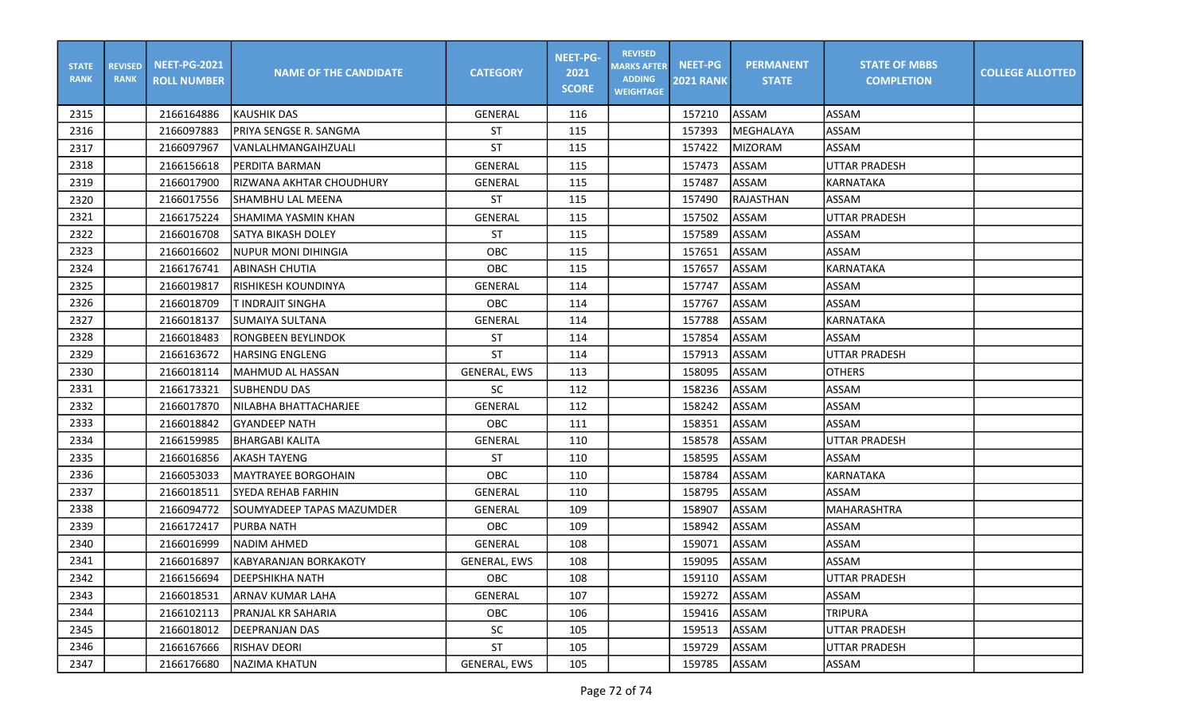| <b>STATE</b><br><b>RANK</b> | <b>REVISED</b><br><b>RANK</b> | <b>NEET-PG-2021</b><br><b>ROLL NUMBER</b> | <b>NAME OF THE CANDIDATE</b>  | <b>CATEGORY</b>     | <b>NEET-PG-</b><br>2021<br><b>SCORE</b> | <b>REVISED</b><br><b>MARKS AFTER</b><br><b>ADDING</b><br><b>WEIGHTAGE</b> | <b>NEET-PG</b><br><b>2021 RANK</b> | <b>PERMANENT</b><br><b>STATE</b> | <b>STATE OF MBBS</b><br><b>COMPLETION</b> | <b>COLLEGE ALLOTTED</b> |
|-----------------------------|-------------------------------|-------------------------------------------|-------------------------------|---------------------|-----------------------------------------|---------------------------------------------------------------------------|------------------------------------|----------------------------------|-------------------------------------------|-------------------------|
| 2315                        |                               | 2166164886                                | <b>I</b> KAUSHIK DAS          | <b>GENERAL</b>      | 116                                     |                                                                           | 157210                             | ASSAM                            | <b>ASSAM</b>                              |                         |
| 2316                        |                               | 2166097883                                | PRIYA SENGSE R. SANGMA        | ST                  | 115                                     |                                                                           | 157393                             | <b>MEGHALAYA</b>                 | ASSAM                                     |                         |
| 2317                        |                               | 2166097967                                | VANLALHMANGAIHZUALI           | ST                  | 115                                     |                                                                           | 157422                             | <b>MIZORAM</b>                   | ASSAM                                     |                         |
| 2318                        |                               | 2166156618                                | PERDITA BARMAN                | GENERAL             | 115                                     |                                                                           | 157473                             | ASSAM                            | UTTAR PRADESH                             |                         |
| 2319                        |                               | 2166017900                                | IRIZWANA AKHTAR CHOUDHURY     | GENERAL             | 115                                     |                                                                           | 157487                             | ASSAM                            | KARNATAKA                                 |                         |
| 2320                        |                               | 2166017556                                | SHAMBHU LAL MEENA             | ST                  | 115                                     |                                                                           | 157490                             | <b>RAJASTHAN</b>                 | ASSAM                                     |                         |
| 2321                        |                               | 2166175224                                | SHAMIMA YASMIN KHAN           | GENERAL             | 115                                     |                                                                           | 157502                             | ASSAM                            | <b>UTTAR PRADESH</b>                      |                         |
| 2322                        |                               | 2166016708                                | <b>SATYA BIKASH DOLEY</b>     | <b>ST</b>           | 115                                     |                                                                           | 157589                             | ASSAM                            | ASSAM                                     |                         |
| 2323                        |                               | 2166016602                                | <b>NUPUR MONI DIHINGIA</b>    | OBC                 | 115                                     |                                                                           | 157651                             | <b>ASSAM</b>                     | <b>ASSAM</b>                              |                         |
| 2324                        |                               | 2166176741                                | <b>ABINASH CHUTIA</b>         | OBC                 | 115                                     |                                                                           | 157657                             | ASSAM                            | KARNATAKA                                 |                         |
| 2325                        |                               | 2166019817                                | İRISHIKESH KOUNDINYA          | <b>GENERAL</b>      | 114                                     |                                                                           | 157747                             | ASSAM                            | ASSAM                                     |                         |
| 2326                        |                               | 2166018709                                | T INDRAJIT SINGHA             | OBC                 | 114                                     |                                                                           | 157767                             | <b>ASSAM</b>                     | <b>ASSAM</b>                              |                         |
| 2327                        |                               | 2166018137                                | <b>SUMAIYA SULTANA</b>        | <b>GENERAL</b>      | 114                                     |                                                                           | 157788                             | ASSAM                            | <b>KARNATAKA</b>                          |                         |
| 2328                        |                               | 2166018483                                | RONGBEEN BEYLINDOK            | <b>ST</b>           | 114                                     |                                                                           | 157854                             | <b>ASSAM</b>                     | ASSAM                                     |                         |
| 2329                        |                               | 2166163672                                | lharsing EnglEng              | <b>ST</b>           | 114                                     |                                                                           | 157913                             | ASSAM                            | UTTAR PRADESH                             |                         |
| 2330                        |                               | 2166018114                                | MAHMUD AL HASSAN              | GENERAL, EWS        | 113                                     |                                                                           | 158095                             | ASSAM                            | <b>OTHERS</b>                             |                         |
| 2331                        |                               | 2166173321                                | SUBHENDU DAS                  | <b>SC</b>           | 112                                     |                                                                           | 158236                             | ASSAM                            | ASSAM                                     |                         |
| 2332                        |                               | 2166017870                                | NILABHA BHATTACHARJEE         | <b>GENERAL</b>      | 112                                     |                                                                           | 158242                             | ASSAM                            | <b>ASSAM</b>                              |                         |
| 2333                        |                               | 2166018842                                | <b>GYANDEEP NATH</b>          | OBC                 | 111                                     |                                                                           | 158351                             | ASSAM                            | ASSAM                                     |                         |
| 2334                        |                               | 2166159985                                | BHARGABI KALITA               | <b>GENERAL</b>      | 110                                     |                                                                           | 158578                             | ASSAM                            | <b>UTTAR PRADESH</b>                      |                         |
| 2335                        |                               | 2166016856                                | <b>AKASH TAYENG</b>           | <b>ST</b>           | 110                                     |                                                                           | 158595                             | <b>ASSAM</b>                     | <b>ASSAM</b>                              |                         |
| 2336                        |                               | 2166053033                                | MAYTRAYEE BORGOHAIN           | OBC                 | 110                                     |                                                                           | 158784                             | ASSAM                            | KARNATAKA                                 |                         |
| 2337                        |                               | 2166018511                                | SYEDA REHAB FARHIN            | <b>GENERAL</b>      | 110                                     |                                                                           | 158795                             | <b>ASSAM</b>                     | ASSAM                                     |                         |
| 2338                        |                               | 2166094772                                | SOUMYADEEP TAPAS MAZUMDER     | <b>GENERAL</b>      | 109                                     |                                                                           | 158907                             | ASSAM                            | <b>MAHARASHTRA</b>                        |                         |
| 2339                        |                               | 2166172417                                | <b>PURBA NATH</b>             | OBC                 | 109                                     |                                                                           | 158942                             | ASSAM                            | <b>ASSAM</b>                              |                         |
| 2340                        |                               | 2166016999                                | NADIM AHMED                   | GENERAL             | 108                                     |                                                                           | 159071                             | ASSAM                            | ASSAM                                     |                         |
| 2341                        |                               | 2166016897                                | <b>IKABYARANJAN BORKAKOTY</b> | <b>GENERAL, EWS</b> | 108                                     |                                                                           | 159095                             | ASSAM                            | <b>ASSAM</b>                              |                         |
| 2342                        |                               | 2166156694                                | <b>DEEPSHIKHA NATH</b>        | OBC                 | 108                                     |                                                                           | 159110                             | ASSAM                            | UTTAR PRADESH                             |                         |
| 2343                        |                               | 2166018531                                | ARNAV KUMAR LAHA              | GENERAL             | 107                                     |                                                                           | 159272                             | ASSAM                            | ASSAM                                     |                         |
| 2344                        |                               | 2166102113                                | <b>IPRANJAL KR SAHARIA</b>    | OBC                 | 106                                     |                                                                           | 159416                             | <b>ASSAM</b>                     | <b>TRIPURA</b>                            |                         |
| 2345                        |                               | 2166018012                                | <b>IDEEPRANJAN DAS</b>        | SC                  | 105                                     |                                                                           | 159513                             | ASSAM                            | <b>UTTAR PRADESH</b>                      |                         |
| 2346                        |                               | 2166167666                                | <b>RISHAV DEORI</b>           | ST                  | 105                                     |                                                                           | 159729                             | ASSAM                            | UTTAR PRADESH                             |                         |
| 2347                        |                               | 2166176680                                | NAZIMA KHATUN                 | GENERAL, EWS        | 105                                     |                                                                           | 159785                             | ASSAM                            | ASSAM                                     |                         |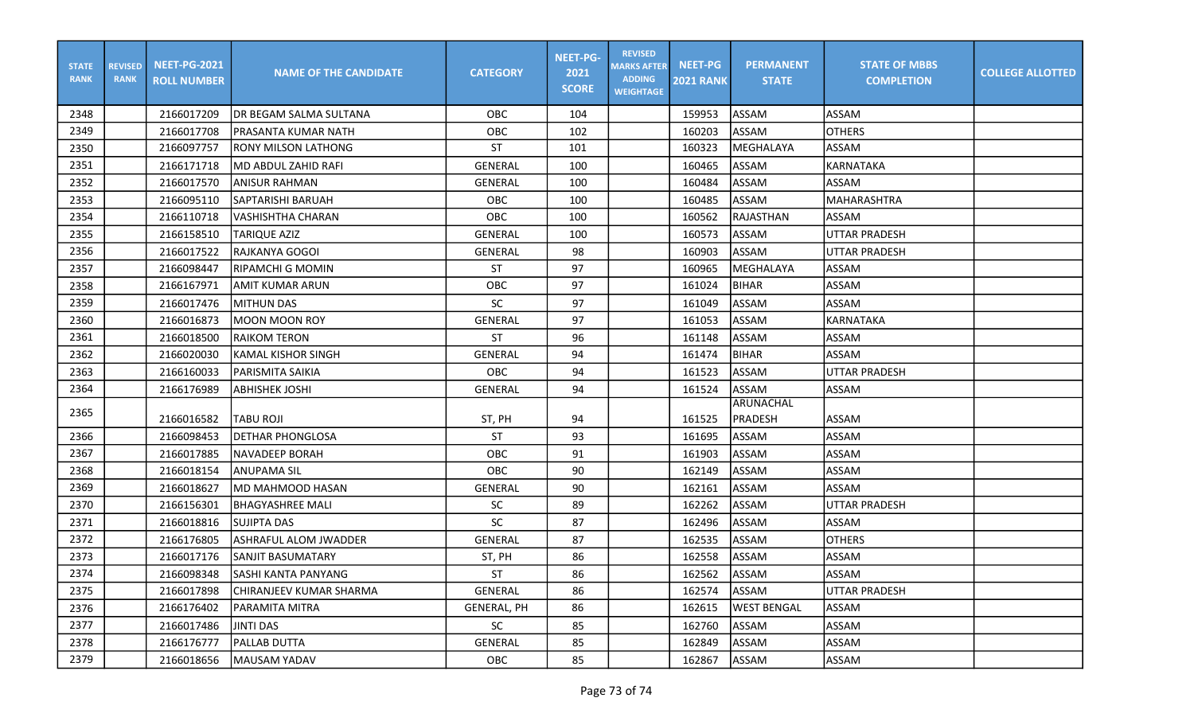| <b>STATE</b><br><b>RANK</b> | <b>REVISED</b><br><b>RANK</b> | <b>NEET-PG-2021</b><br><b>ROLL NUMBER</b> | <b>NAME OF THE CANDIDATE</b> | <b>CATEGORY</b>    | <b>NEET-PG-</b><br>2021<br><b>SCORE</b> | <b>REVISED</b><br><b>MARKS AFTER</b><br><b>ADDING</b><br><b>WEIGHTAGE</b> | <b>NEET-PG</b><br><b>2021 RANK</b> | <b>PERMANENT</b><br><b>STATE</b> | <b>STATE OF MBBS</b><br><b>COMPLETION</b> | <b>COLLEGE ALLOTTED</b> |
|-----------------------------|-------------------------------|-------------------------------------------|------------------------------|--------------------|-----------------------------------------|---------------------------------------------------------------------------|------------------------------------|----------------------------------|-------------------------------------------|-------------------------|
| 2348                        |                               | 2166017209                                | DR BEGAM SALMA SULTANA       | OBC                | 104                                     |                                                                           | 159953                             | ASSAM                            | ASSAM                                     |                         |
| 2349                        |                               | 2166017708                                | PRASANTA KUMAR NATH          | OBC                | 102                                     |                                                                           | 160203                             | <b>ASSAM</b>                     | <b>OTHERS</b>                             |                         |
| 2350                        |                               | 2166097757                                | RONY MILSON LATHONG          | <b>ST</b>          | 101                                     |                                                                           | 160323                             | MEGHALAYA                        | ASSAM                                     |                         |
| 2351                        |                               | 2166171718                                | MD ABDUL ZAHID RAFI          | <b>GENERAL</b>     | 100                                     |                                                                           | 160465                             | ASSAM                            | KARNATAKA                                 |                         |
| 2352                        |                               | 2166017570                                | ANISUR RAHMAN                | GENERAL            | 100                                     |                                                                           | 160484                             | ASSAM                            | <b>ASSAM</b>                              |                         |
| 2353                        |                               | 2166095110                                | <b>SAPTARISHI BARUAH</b>     | OBC                | 100                                     |                                                                           | 160485                             | ASSAM                            | <b>MAHARASHTRA</b>                        |                         |
| 2354                        |                               | 2166110718                                | VASHISHTHA CHARAN            | OBC                | 100                                     |                                                                           | 160562                             | RAJASTHAN                        | ASSAM                                     |                         |
| 2355                        |                               | 2166158510                                | TARIQUE AZIZ                 | <b>GENERAL</b>     | 100                                     |                                                                           | 160573                             | ASSAM                            | <b>UTTAR PRADESH</b>                      |                         |
| 2356                        |                               | 2166017522                                | RAJKANYA GOGOI               | <b>GENERAL</b>     | 98                                      |                                                                           | 160903                             | ASSAM                            | UTTAR PRADESH                             |                         |
| 2357                        |                               | 2166098447                                | RIPAMCHI G MOMIN             | ST                 | 97                                      |                                                                           | 160965                             | MEGHALAYA                        | <b>ASSAM</b>                              |                         |
| 2358                        |                               | 2166167971                                | AMIT KUMAR ARUN              | OBC                | 97                                      |                                                                           | 161024                             | BIHAR                            | <b>ASSAM</b>                              |                         |
| 2359                        |                               | 2166017476                                | <b>MITHUN DAS</b>            | <b>SC</b>          | 97                                      |                                                                           | 161049                             | ASSAM                            | <b>ASSAM</b>                              |                         |
| 2360                        |                               | 2166016873                                | <b>MOON MOON ROY</b>         | <b>GENERAL</b>     | 97                                      |                                                                           | 161053                             | ASSAM                            | <b>KARNATAKA</b>                          |                         |
| 2361                        |                               | 2166018500                                | <b>RAIKOM TERON</b>          | <b>ST</b>          | 96                                      |                                                                           | 161148                             | <b>ASSAM</b>                     | ASSAM                                     |                         |
| 2362                        |                               | 2166020030                                | <b>KAMAL KISHOR SINGH</b>    | <b>GENERAL</b>     | 94                                      |                                                                           | 161474                             | <b>BIHAR</b>                     | ASSAM                                     |                         |
| 2363                        |                               | 2166160033                                | <b>PARISMITA SAIKIA</b>      | OBC                | 94                                      |                                                                           | 161523                             | <b>ASSAM</b>                     | UTTAR PRADESH                             |                         |
| 2364                        |                               | 2166176989                                | <b>ABHISHEK JOSHI</b>        | <b>GENERAL</b>     | 94                                      |                                                                           | 161524                             | ASSAM                            | <b>ASSAM</b>                              |                         |
| 2365                        |                               | 2166016582                                | TABU ROJI                    | ST, PH             | 94                                      |                                                                           | 161525                             | ARUNACHAL<br><b>PRADESH</b>      | ASSAM                                     |                         |
| 2366                        |                               | 2166098453                                | <b>DETHAR PHONGLOSA</b>      | ST                 | 93                                      |                                                                           | 161695                             | ASSAM                            | <b>ASSAM</b>                              |                         |
| 2367                        |                               | 2166017885                                | NAVADEEP BORAH               | OBC                | 91                                      |                                                                           | 161903                             | ASSAM                            | <b>ASSAM</b>                              |                         |
| 2368                        |                               | 2166018154                                | ANUPAMA SIL                  | <b>OBC</b>         | 90                                      |                                                                           | 162149                             | ASSAM                            | <b>ASSAM</b>                              |                         |
| 2369                        |                               | 2166018627                                | MD MAHMOOD HASAN             | <b>GENERAL</b>     | 90                                      |                                                                           | 162161                             | ASSAM                            | ASSAM                                     |                         |
| 2370                        |                               | 2166156301                                | <b>BHAGYASHREE MALI</b>      | SC                 | 89                                      |                                                                           | 162262                             | ASSAM                            | UTTAR PRADESH                             |                         |
| 2371                        |                               | 2166018816                                | SUJIPTA DAS                  | <b>SC</b>          | 87                                      |                                                                           | 162496                             | ASSAM                            | <b>ASSAM</b>                              |                         |
| 2372                        |                               | 2166176805                                | <b>ASHRAFUL ALOM JWADDER</b> | <b>GENERAL</b>     | 87                                      |                                                                           | 162535                             | ASSAM                            | <b>OTHERS</b>                             |                         |
| 2373                        |                               | 2166017176                                | <b>SANJIT BASUMATARY</b>     | ST, PH             | 86                                      |                                                                           | 162558                             | ASSAM                            | ASSAM                                     |                         |
| 2374                        |                               | 2166098348                                | SASHI KANTA PANYANG          | ST                 | 86                                      |                                                                           | 162562                             | <b>ASSAM</b>                     | <b>ASSAM</b>                              |                         |
| 2375                        |                               | 2166017898                                | CHIRANJEEV KUMAR SHARMA      | GENERAL            | 86                                      |                                                                           | 162574                             | ASSAM                            | UTTAR PRADESH                             |                         |
| 2376                        |                               | 2166176402                                | PARAMITA MITRA               | <b>GENERAL, PH</b> | 86                                      |                                                                           | 162615                             | <b>WEST BENGAL</b>               | ASSAM                                     |                         |
| 2377                        |                               | 2166017486                                | JINTI DAS                    | SC                 | 85                                      |                                                                           | 162760                             | ASSAM                            | ASSAM                                     |                         |
| 2378                        |                               | 2166176777                                | <b>PALLAB DUTTA</b>          | GENERAL            | 85                                      |                                                                           | 162849                             | ASSAM                            | <b>ASSAM</b>                              |                         |
| 2379                        |                               | 2166018656                                | <b>MAUSAM YADAV</b>          | OBC                | 85                                      |                                                                           | 162867                             | ASSAM                            | ASSAM                                     |                         |